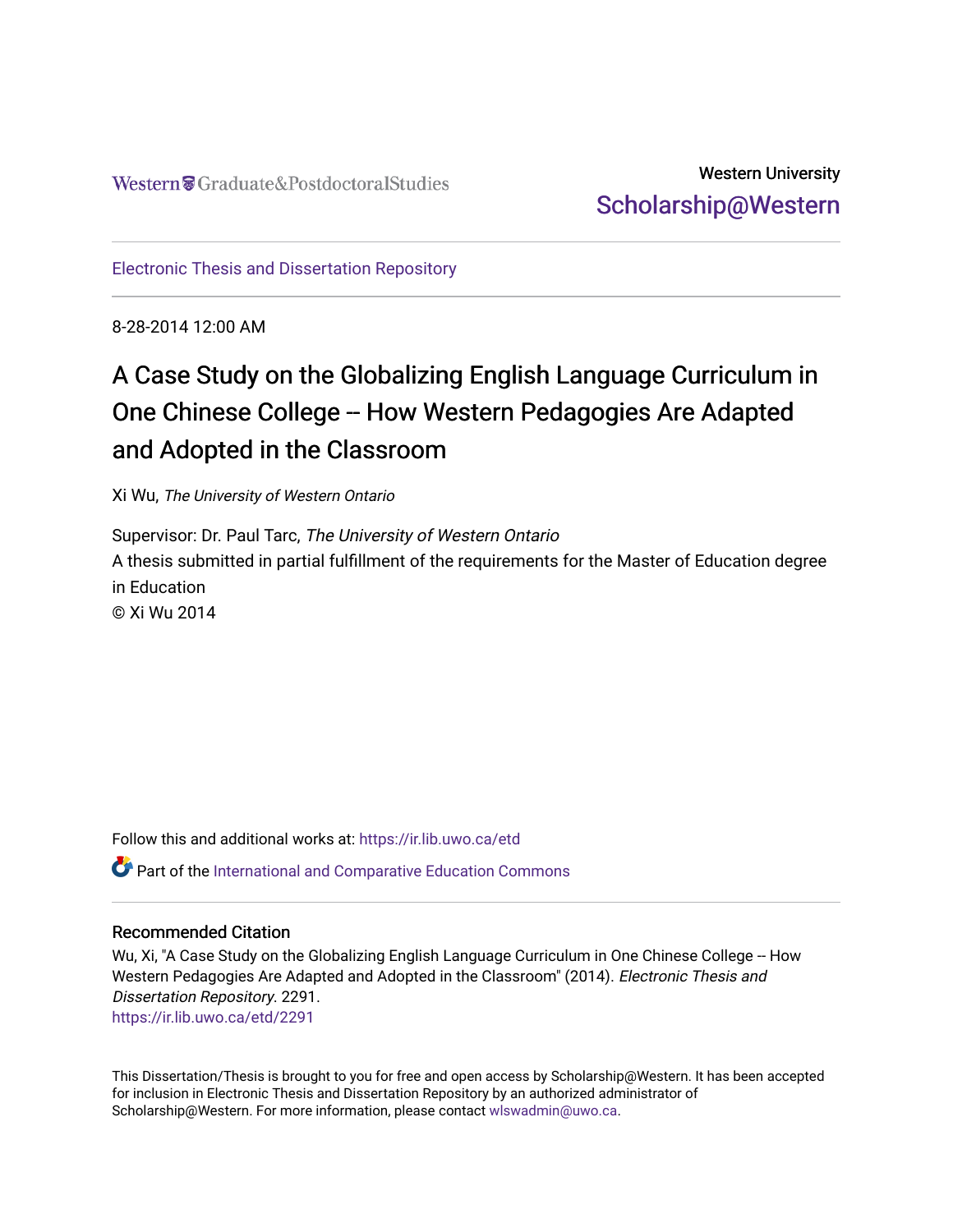Western Craduate&PostdoctoralStudies

Western University [Scholarship@Western](https://ir.lib.uwo.ca/) 

[Electronic Thesis and Dissertation Repository](https://ir.lib.uwo.ca/etd)

8-28-2014 12:00 AM

# A Case Study on the Globalizing English Language Curriculum in One Chinese College -- How Western Pedagogies Are Adapted and Adopted in the Classroom

Xi Wu, The University of Western Ontario

Supervisor: Dr. Paul Tarc, The University of Western Ontario A thesis submitted in partial fulfillment of the requirements for the Master of Education degree in Education © Xi Wu 2014

Follow this and additional works at: [https://ir.lib.uwo.ca/etd](https://ir.lib.uwo.ca/etd?utm_source=ir.lib.uwo.ca%2Fetd%2F2291&utm_medium=PDF&utm_campaign=PDFCoverPages)  Part of the [International and Comparative Education Commons](http://network.bepress.com/hgg/discipline/797?utm_source=ir.lib.uwo.ca%2Fetd%2F2291&utm_medium=PDF&utm_campaign=PDFCoverPages) 

### Recommended Citation

Wu, Xi, "A Case Study on the Globalizing English Language Curriculum in One Chinese College -- How Western Pedagogies Are Adapted and Adopted in the Classroom" (2014). Electronic Thesis and Dissertation Repository. 2291. [https://ir.lib.uwo.ca/etd/2291](https://ir.lib.uwo.ca/etd/2291?utm_source=ir.lib.uwo.ca%2Fetd%2F2291&utm_medium=PDF&utm_campaign=PDFCoverPages)

This Dissertation/Thesis is brought to you for free and open access by Scholarship@Western. It has been accepted for inclusion in Electronic Thesis and Dissertation Repository by an authorized administrator of Scholarship@Western. For more information, please contact [wlswadmin@uwo.ca.](mailto:wlswadmin@uwo.ca)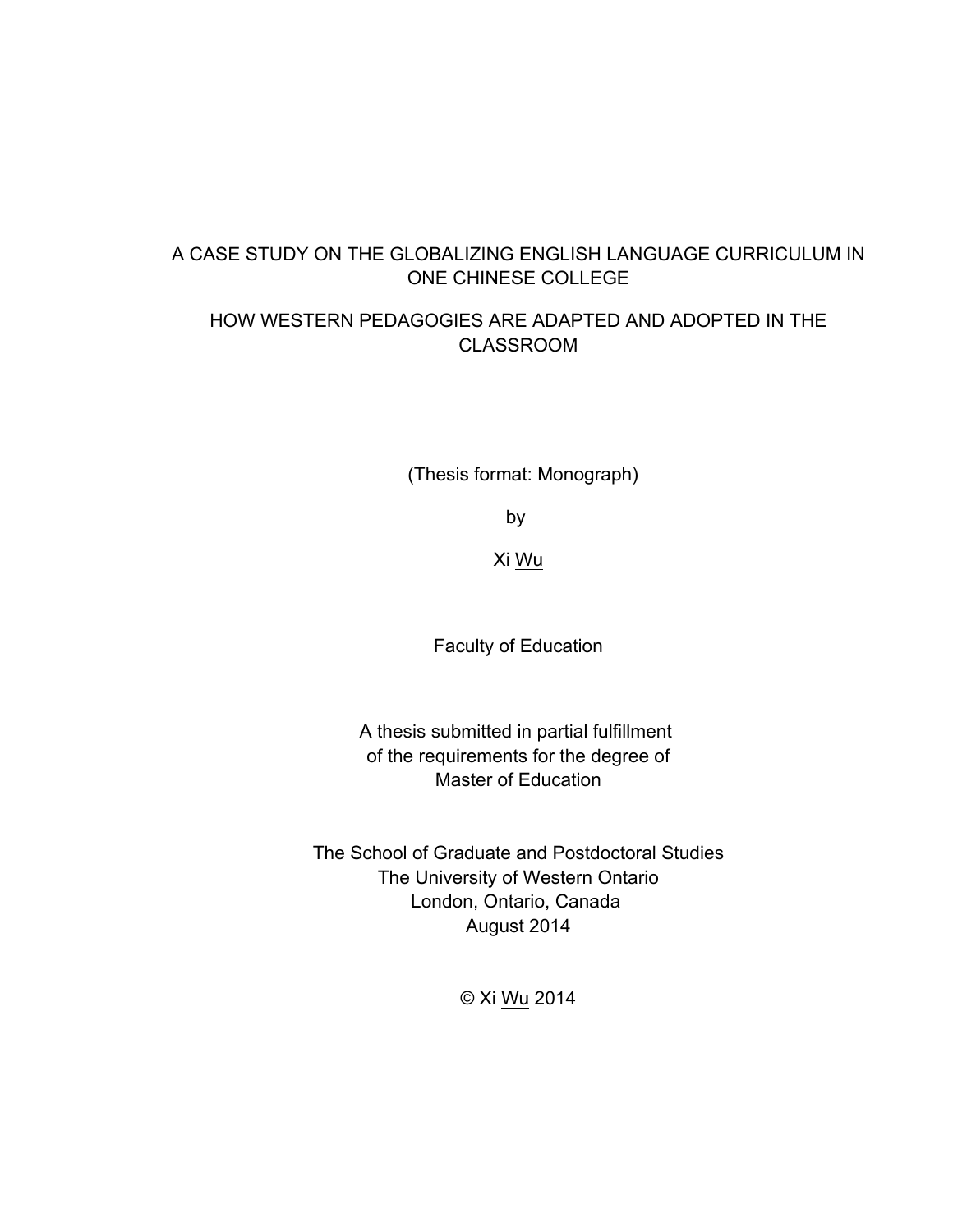# A CASE STUDY ON THE GLOBALIZING ENGLISH LANGUAGE CURRICULUM IN ONE CHINESE COLLEGE

# HOW WESTERN PEDAGOGIES ARE ADAPTED AND ADOPTED IN THE CLASSROOM

(Thesis format: Monograph)

by

Xi Wu

Faculty of Education

A thesis submitted in partial fulfillment of the requirements for the degree of Master of Education

The School of Graduate and Postdoctoral Studies The University of Western Ontario London, Ontario, Canada August 2014

© Xi Wu 2014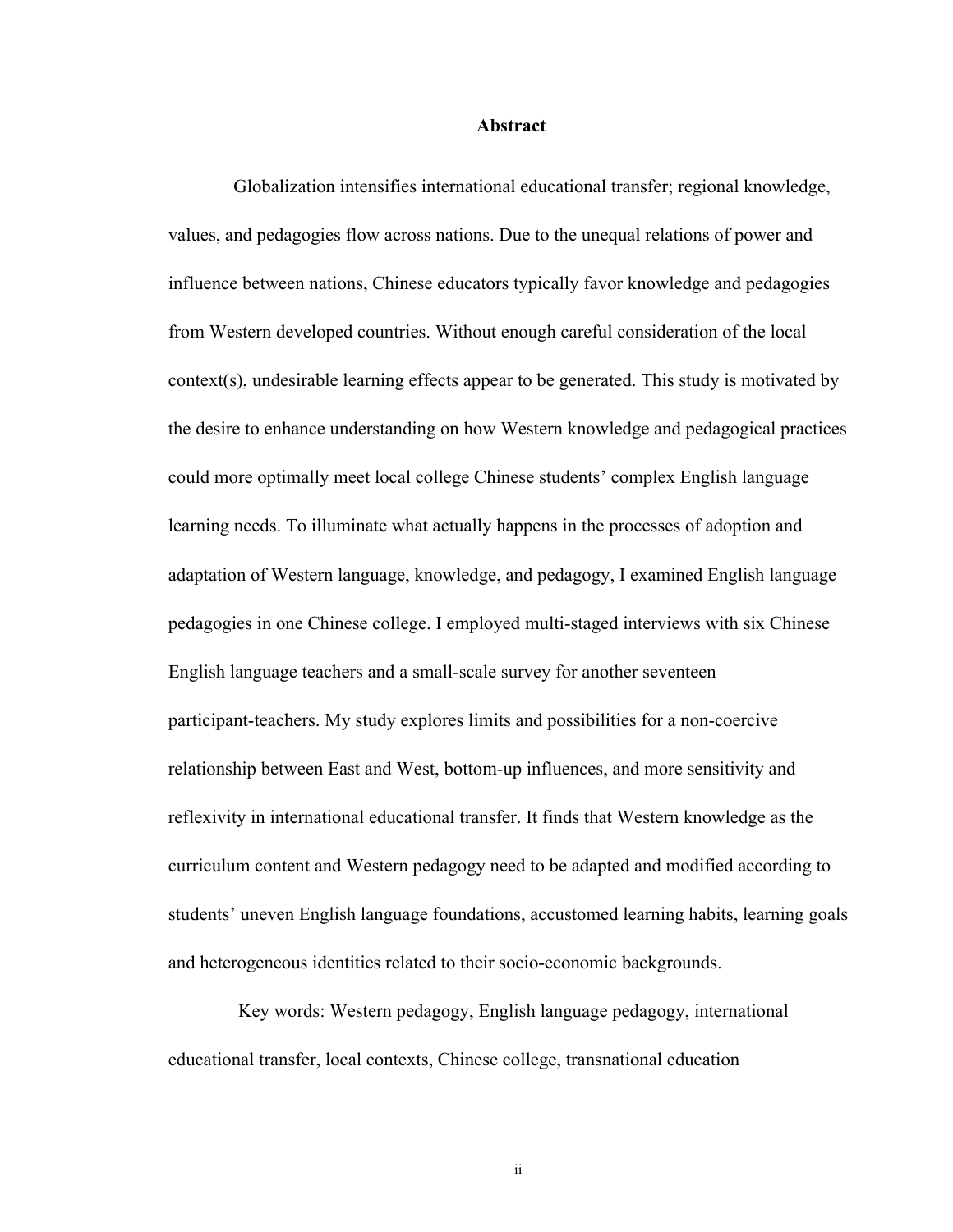#### **Abstract**

 Globalization intensifies international educational transfer; regional knowledge, values, and pedagogies flow across nations. Due to the unequal relations of power and influence between nations, Chinese educators typically favor knowledge and pedagogies from Western developed countries. Without enough careful consideration of the local context(s), undesirable learning effects appear to be generated. This study is motivated by the desire to enhance understanding on how Western knowledge and pedagogical practices could more optimally meet local college Chinese students' complex English language learning needs. To illuminate what actually happens in the processes of adoption and adaptation of Western language, knowledge, and pedagogy, I examined English language pedagogies in one Chinese college. I employed multi-staged interviews with six Chinese English language teachers and a small-scale survey for another seventeen participant-teachers. My study explores limits and possibilities for a non-coercive relationship between East and West, bottom-up influences, and more sensitivity and reflexivity in international educational transfer. It finds that Western knowledge as the curriculum content and Western pedagogy need to be adapted and modified according to students' uneven English language foundations, accustomed learning habits, learning goals and heterogeneous identities related to their socio-economic backgrounds.

Key words: Western pedagogy, English language pedagogy, international educational transfer, local contexts, Chinese college, transnational education

ii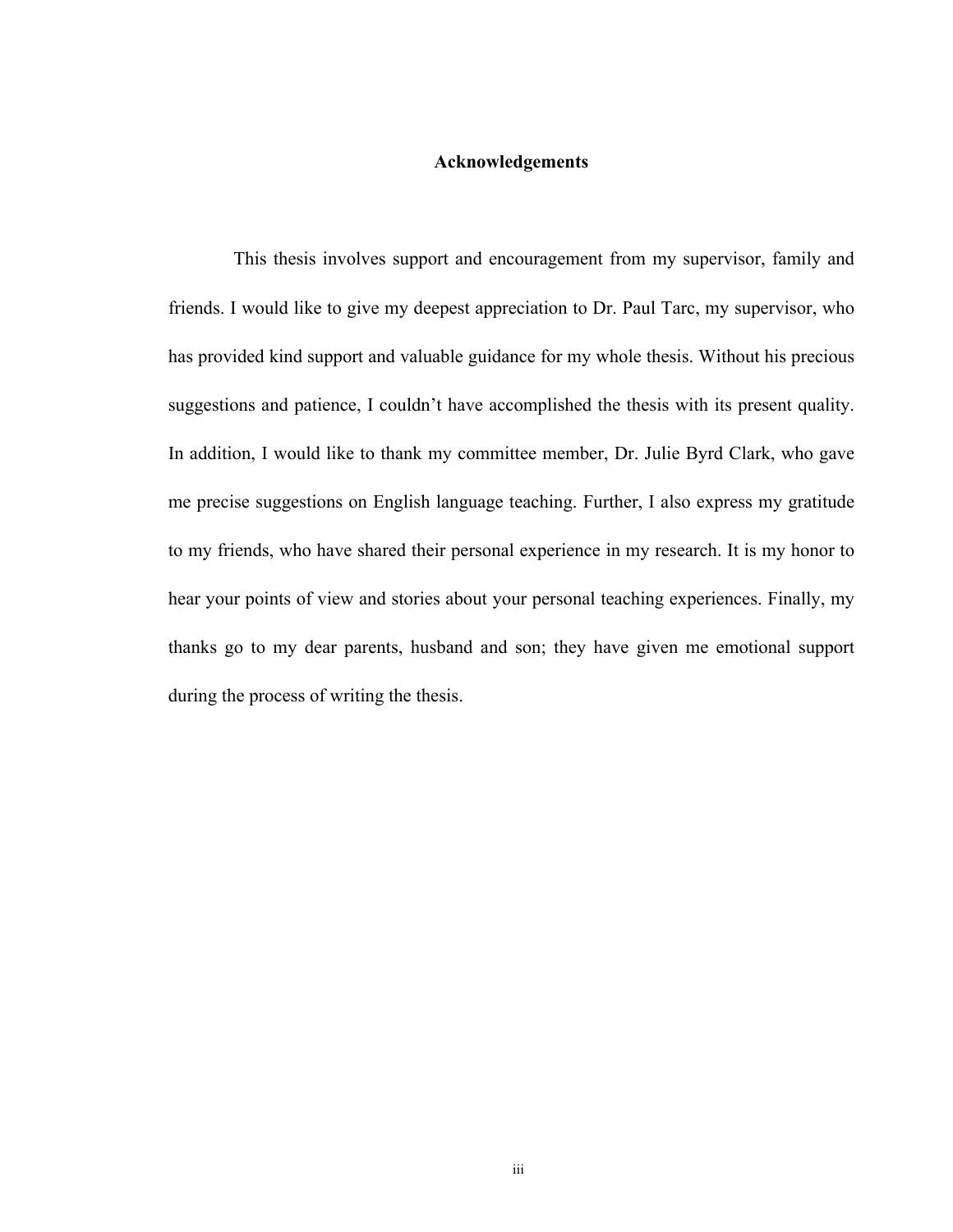# **Acknowledgements**

 This thesis involves support and encouragement from my supervisor, family and friends. I would like to give my deepest appreciation to Dr. Paul Tarc, my supervisor, who has provided kind support and valuable guidance for my whole thesis. Without his precious suggestions and patience, I couldn't have accomplished the thesis with its present quality. In addition, I would like to thank my committee member, Dr. Julie Byrd Clark, who gave me precise suggestions on English language teaching. Further, I also express my gratitude to my friends, who have shared their personal experience in my research. It is my honor to hear your points of view and stories about your personal teaching experiences. Finally, my thanks go to my dear parents, husband and son; they have given me emotional support during the process of writing the thesis.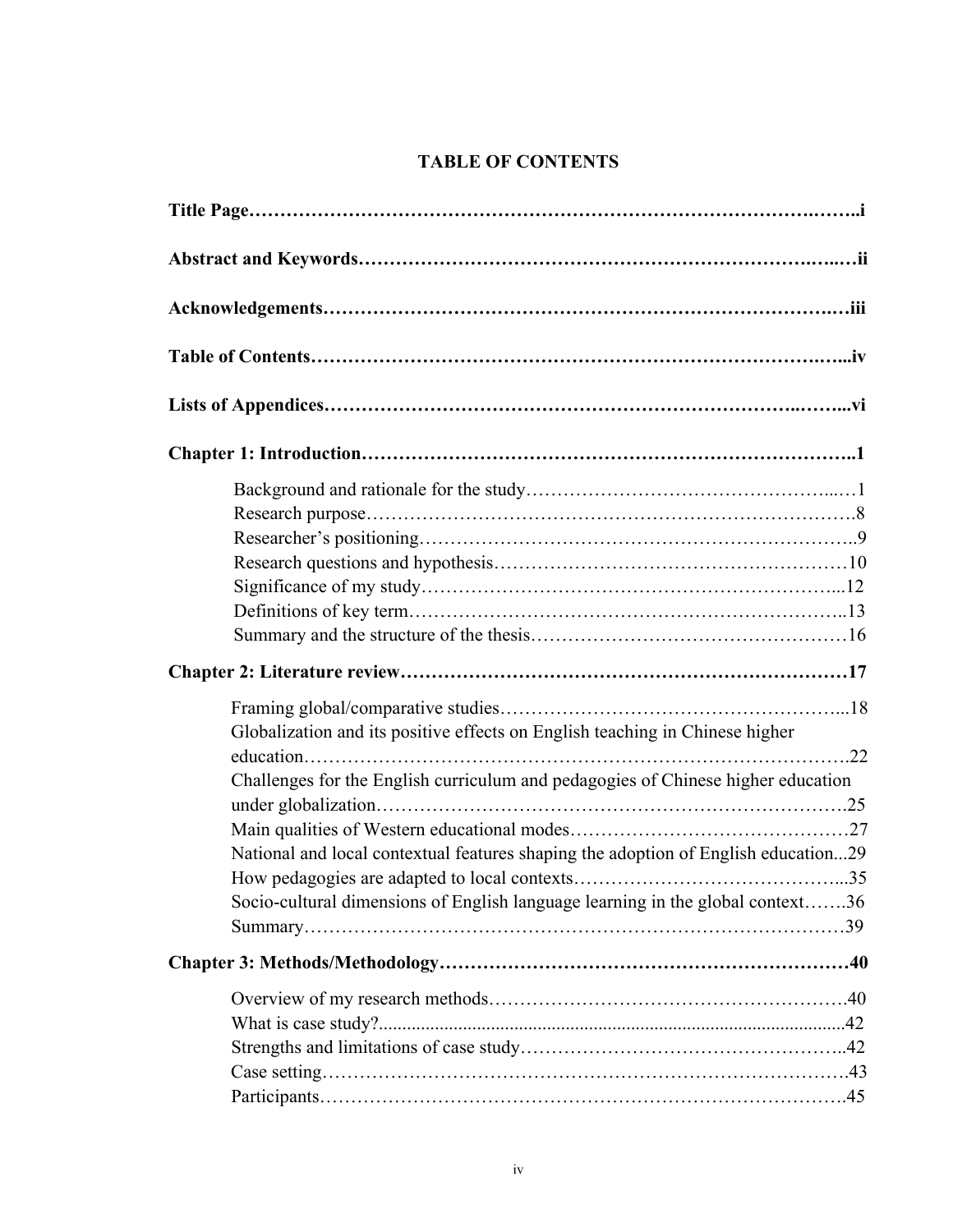# **TABLE OF CONTENTS**

| Globalization and its positive effects on English teaching in Chinese higher       |
|------------------------------------------------------------------------------------|
|                                                                                    |
| Challenges for the English curriculum and pedagogies of Chinese higher education   |
|                                                                                    |
|                                                                                    |
| National and local contextual features shaping the adoption of English education29 |
|                                                                                    |
| Socio-cultural dimensions of English language learning in the global context36     |
|                                                                                    |
|                                                                                    |
|                                                                                    |
|                                                                                    |
|                                                                                    |
|                                                                                    |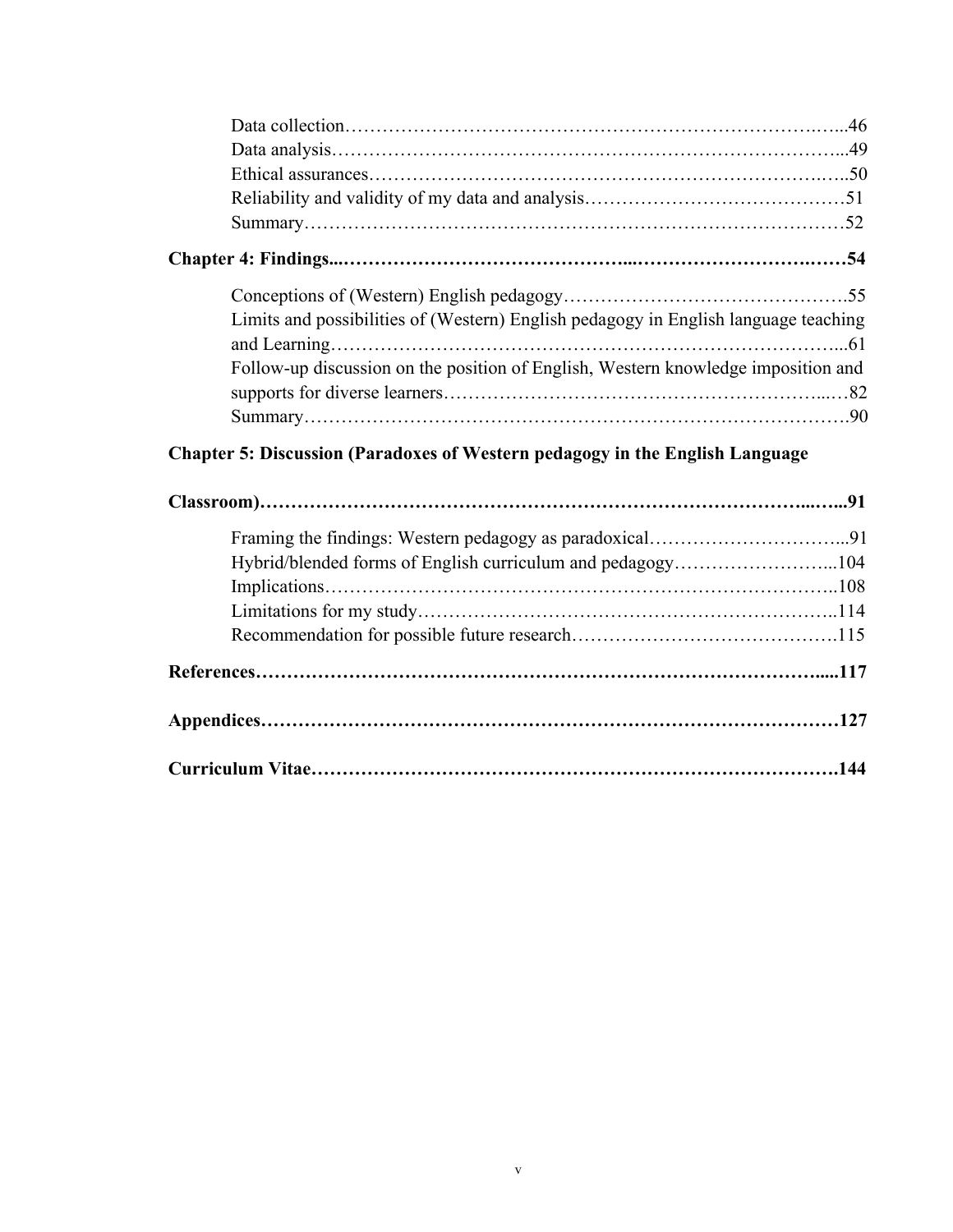| Limits and possibilities of (Western) English pedagogy in English language teaching |  |
|-------------------------------------------------------------------------------------|--|
| Follow-up discussion on the position of English, Western knowledge imposition and   |  |
|                                                                                     |  |
|                                                                                     |  |
| <b>Chapter 5: Discussion (Paradoxes of Western pedagogy in the English Language</b> |  |
|                                                                                     |  |
|                                                                                     |  |
|                                                                                     |  |
| Hybrid/blended forms of English curriculum and pedagogy104                          |  |
|                                                                                     |  |
|                                                                                     |  |
|                                                                                     |  |
|                                                                                     |  |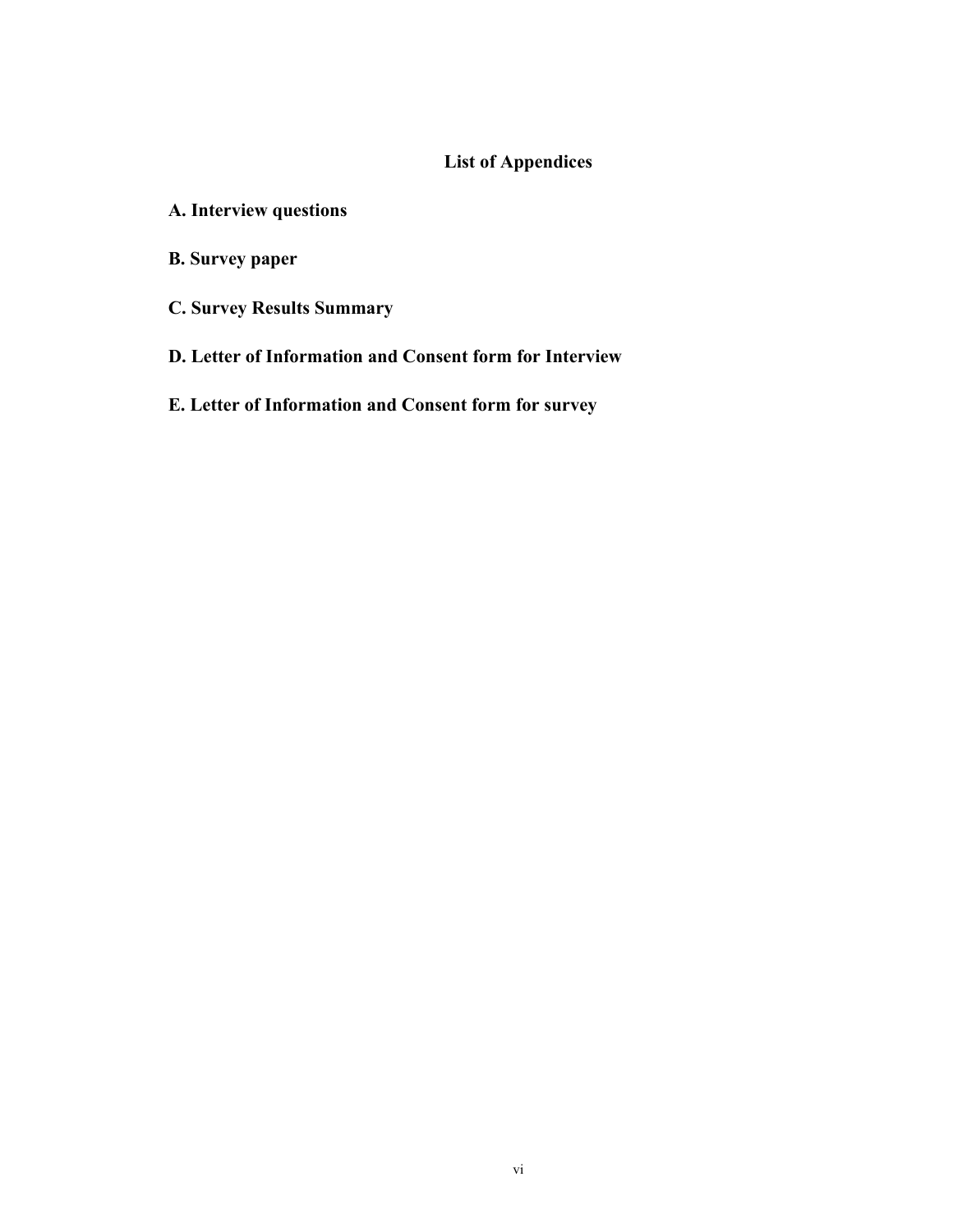# **List of Appendices**

- **A. Interview questions**
- **B. Survey paper**
- **C. Survey Results Summary**
- **D. Letter of Information and Consent form for Interview**
- **E. Letter of Information and Consent form for survey**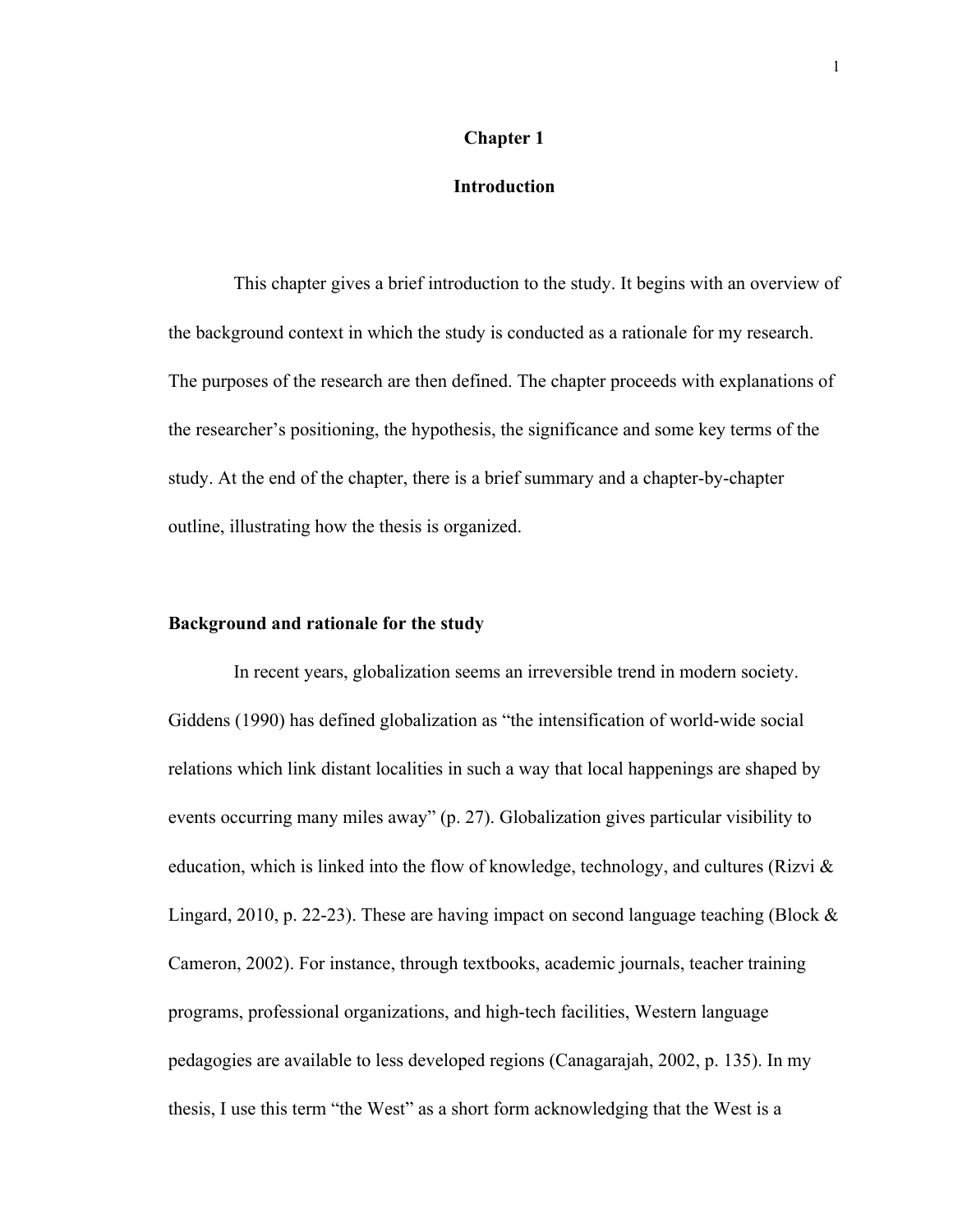#### **Chapter 1**

## **Introduction**

This chapter gives a brief introduction to the study. It begins with an overview of the background context in which the study is conducted as a rationale for my research. The purposes of the research are then defined. The chapter proceeds with explanations of the researcher's positioning, the hypothesis, the significance and some key terms of the study. At the end of the chapter, there is a brief summary and a chapter-by-chapter outline, illustrating how the thesis is organized.

### **Background and rationale for the study**

In recent years, globalization seems an irreversible trend in modern society. Giddens (1990) has defined globalization as "the intensification of world-wide social relations which link distant localities in such a way that local happenings are shaped by events occurring many miles away" (p. 27). Globalization gives particular visibility to education, which is linked into the flow of knowledge, technology, and cultures (Rizvi & Lingard, 2010, p. 22-23). These are having impact on second language teaching (Block  $\&$ Cameron, 2002). For instance, through textbooks, academic journals, teacher training programs, professional organizations, and high-tech facilities, Western language pedagogies are available to less developed regions (Canagarajah, 2002, p. 135). In my thesis, I use this term "the West" as a short form acknowledging that the West is a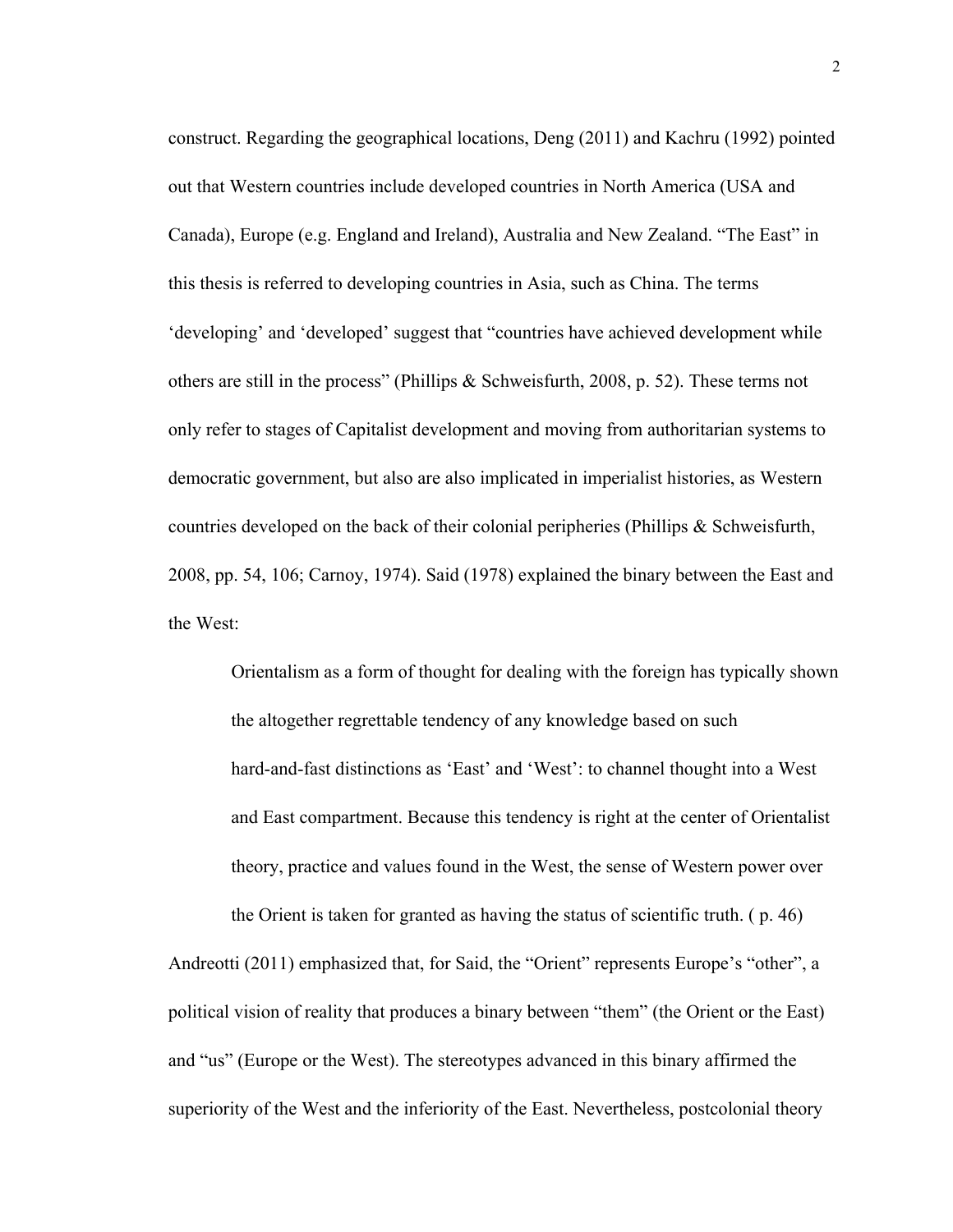construct. Regarding the geographical locations, Deng (2011) and Kachru (1992) pointed out that Western countries include developed countries in North America (USA and Canada), Europe (e.g. England and Ireland), Australia and New Zealand. "The East" in this thesis is referred to developing countries in Asia, such as China. The terms 'developing' and 'developed' suggest that "countries have achieved development while others are still in the process" (Phillips & Schweisfurth, 2008, p. 52). These terms not only refer to stages of Capitalist development and moving from authoritarian systems to democratic government, but also are also implicated in imperialist histories, as Western countries developed on the back of their colonial peripheries (Phillips & Schweisfurth, 2008, pp. 54, 106; Carnoy, 1974). Said (1978) explained the binary between the East and the West:

Orientalism as a form of thought for dealing with the foreign has typically shown the altogether regrettable tendency of any knowledge based on such hard-and-fast distinctions as 'East' and 'West': to channel thought into a West and East compartment. Because this tendency is right at the center of Orientalist theory, practice and values found in the West, the sense of Western power over the Orient is taken for granted as having the status of scientific truth. ( p. 46)

Andreotti (2011) emphasized that, for Said, the "Orient" represents Europe's "other", a political vision of reality that produces a binary between "them" (the Orient or the East) and "us" (Europe or the West). The stereotypes advanced in this binary affirmed the superiority of the West and the inferiority of the East. Nevertheless, postcolonial theory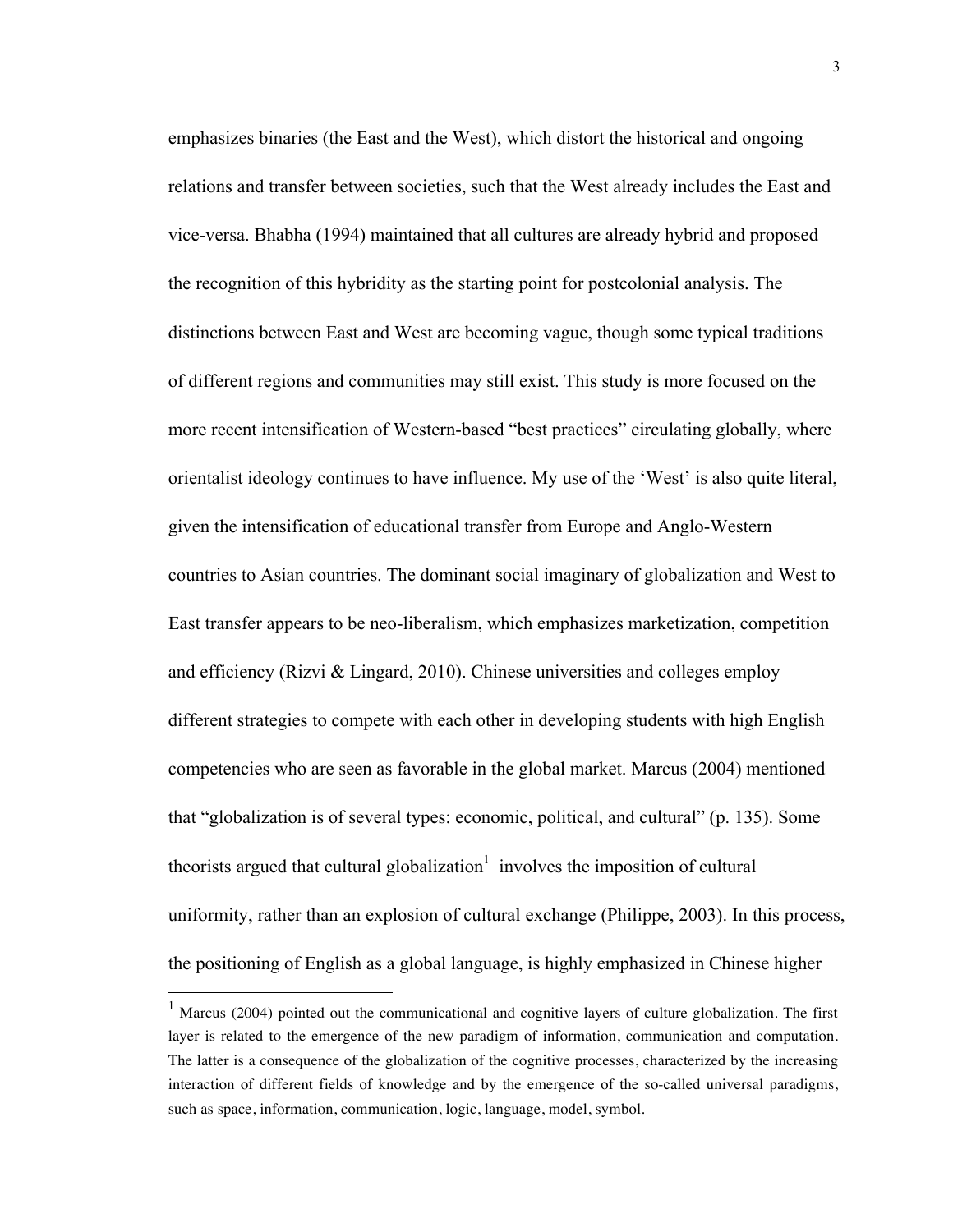emphasizes binaries (the East and the West), which distort the historical and ongoing relations and transfer between societies, such that the West already includes the East and vice-versa. Bhabha (1994) maintained that all cultures are already hybrid and proposed the recognition of this hybridity as the starting point for postcolonial analysis. The distinctions between East and West are becoming vague, though some typical traditions of different regions and communities may still exist. This study is more focused on the more recent intensification of Western-based "best practices" circulating globally, where orientalist ideology continues to have influence. My use of the 'West' is also quite literal, given the intensification of educational transfer from Europe and Anglo-Western countries to Asian countries. The dominant social imaginary of globalization and West to East transfer appears to be neo-liberalism, which emphasizes marketization, competition and efficiency (Rizvi & Lingard, 2010). Chinese universities and colleges employ different strategies to compete with each other in developing students with high English competencies who are seen as favorable in the global market. Marcus (2004) mentioned that "globalization is of several types: economic, political, and cultural" (p. 135). Some theorists argued that cultural globalization<sup>1</sup> involves the imposition of cultural uniformity, rather than an explosion of cultural exchange (Philippe, 2003). In this process, the positioning of English as a global language, is highly emphasized in Chinese higher

<sup>&</sup>lt;sup>1</sup> Marcus (2004) pointed out the communicational and cognitive layers of culture globalization. The first layer is related to the emergence of the new paradigm of information, communication and computation. The latter is a consequence of the globalization of the cognitive processes, characterized by the increasing interaction of different fields of knowledge and by the emergence of the so-called universal paradigms, such as space, information, communication, logic, language, model, symbol.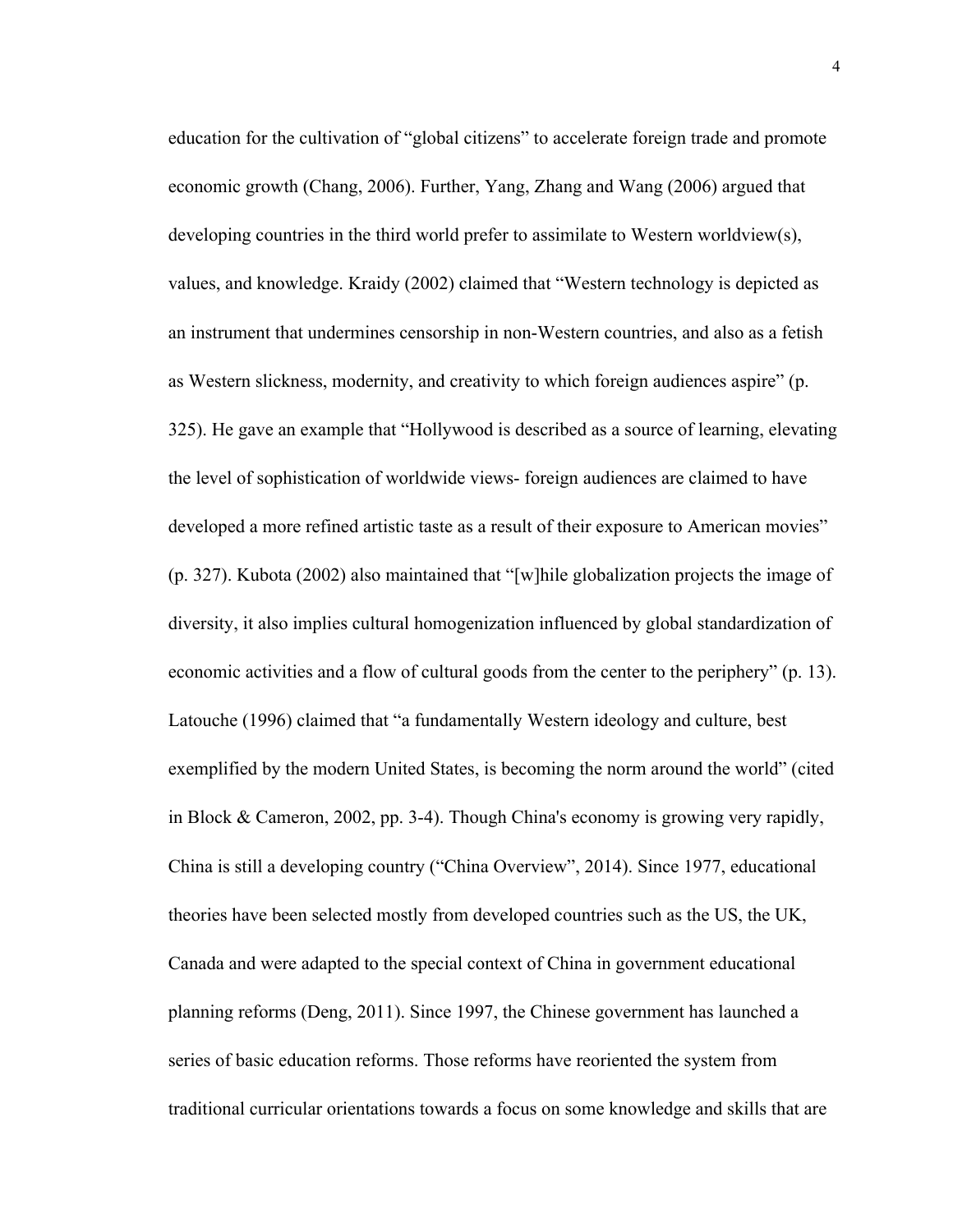education for the cultivation of "global citizens" to accelerate foreign trade and promote economic growth (Chang, 2006). Further, Yang, Zhang and Wang (2006) argued that developing countries in the third world prefer to assimilate to Western worldview(s), values, and knowledge. Kraidy (2002) claimed that "Western technology is depicted as an instrument that undermines censorship in non-Western countries, and also as a fetish as Western slickness, modernity, and creativity to which foreign audiences aspire" (p. 325). He gave an example that "Hollywood is described as a source of learning, elevating the level of sophistication of worldwide views- foreign audiences are claimed to have developed a more refined artistic taste as a result of their exposure to American movies" (p. 327). Kubota (2002) also maintained that "[w]hile globalization projects the image of diversity, it also implies cultural homogenization influenced by global standardization of economic activities and a flow of cultural goods from the center to the periphery" (p. 13). Latouche (1996) claimed that "a fundamentally Western ideology and culture, best exemplified by the modern United States, is becoming the norm around the world" (cited in Block & Cameron, 2002, pp. 3-4). Though China's economy is growing very rapidly, China is still a developing country ("China Overview", 2014). Since 1977, educational theories have been selected mostly from developed countries such as the US, the UK, Canada and were adapted to the special context of China in government educational planning reforms (Deng, 2011). Since 1997, the Chinese government has launched a series of basic education reforms. Those reforms have reoriented the system from traditional curricular orientations towards a focus on some knowledge and skills that are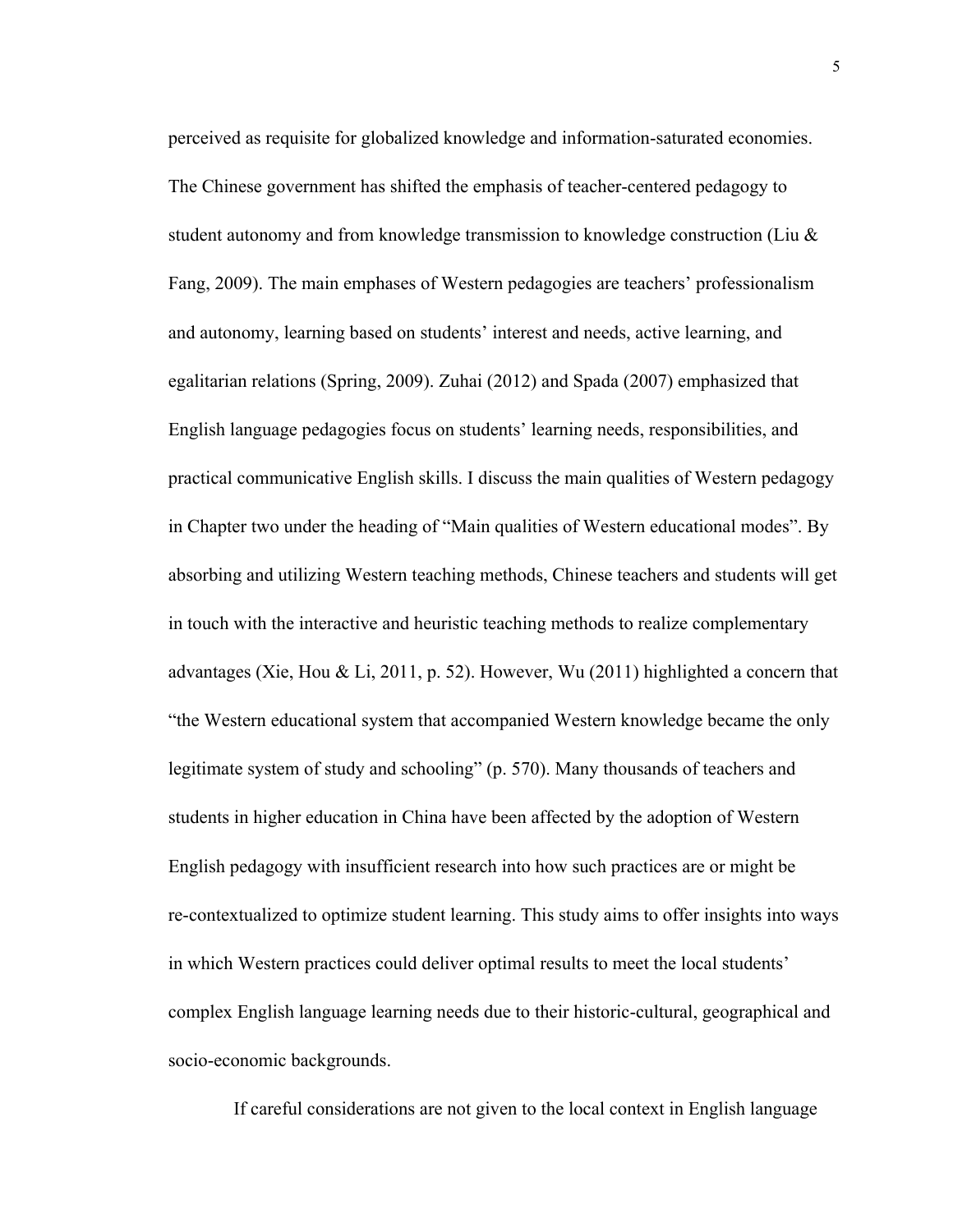perceived as requisite for globalized knowledge and information-saturated economies. The Chinese government has shifted the emphasis of teacher-centered pedagogy to student autonomy and from knowledge transmission to knowledge construction (Liu & Fang, 2009). The main emphases of Western pedagogies are teachers' professionalism and autonomy, learning based on students' interest and needs, active learning, and egalitarian relations (Spring, 2009). Zuhai (2012) and Spada (2007) emphasized that English language pedagogies focus on students' learning needs, responsibilities, and practical communicative English skills. I discuss the main qualities of Western pedagogy in Chapter two under the heading of "Main qualities of Western educational modes". By absorbing and utilizing Western teaching methods, Chinese teachers and students will get in touch with the interactive and heuristic teaching methods to realize complementary advantages (Xie, Hou & Li, 2011, p. 52). However, Wu (2011) highlighted a concern that "the Western educational system that accompanied Western knowledge became the only legitimate system of study and schooling" (p. 570). Many thousands of teachers and students in higher education in China have been affected by the adoption of Western English pedagogy with insufficient research into how such practices are or might be re-contextualized to optimize student learning. This study aims to offer insights into ways in which Western practices could deliver optimal results to meet the local students' complex English language learning needs due to their historic-cultural, geographical and socio-economic backgrounds.

If careful considerations are not given to the local context in English language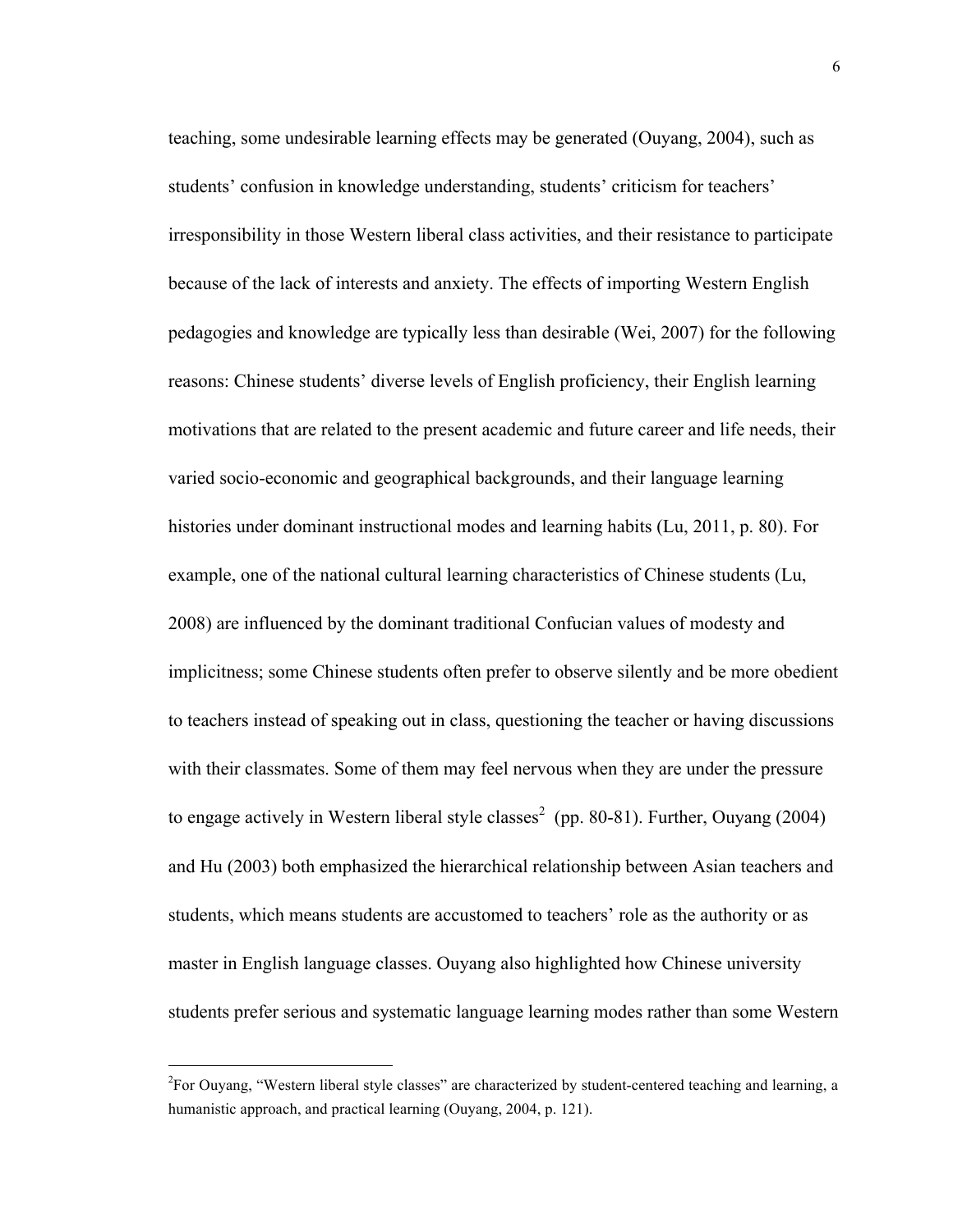teaching, some undesirable learning effects may be generated (Ouyang, 2004), such as students' confusion in knowledge understanding, students' criticism for teachers' irresponsibility in those Western liberal class activities, and their resistance to participate because of the lack of interests and anxiety. The effects of importing Western English pedagogies and knowledge are typically less than desirable (Wei, 2007) for the following reasons: Chinese students' diverse levels of English proficiency, their English learning motivations that are related to the present academic and future career and life needs, their varied socio-economic and geographical backgrounds, and their language learning histories under dominant instructional modes and learning habits (Lu, 2011, p. 80). For example, one of the national cultural learning characteristics of Chinese students (Lu, 2008) are influenced by the dominant traditional Confucian values of modesty and implicitness; some Chinese students often prefer to observe silently and be more obedient to teachers instead of speaking out in class, questioning the teacher or having discussions with their classmates. Some of them may feel nervous when they are under the pressure to engage actively in Western liberal style classes<sup>2</sup> (pp. 80-81). Further, Ouyang (2004) and Hu (2003) both emphasized the hierarchical relationship between Asian teachers and students, which means students are accustomed to teachers' role as the authority or as master in English language classes. Ouyang also highlighted how Chinese university students prefer serious and systematic language learning modes rather than some Western

 $\frac{1}{2}$  $F^2$ For Ouyang, "Western liberal style classes" are characterized by student-centered teaching and learning, a humanistic approach, and practical learning (Ouyang, 2004, p. 121).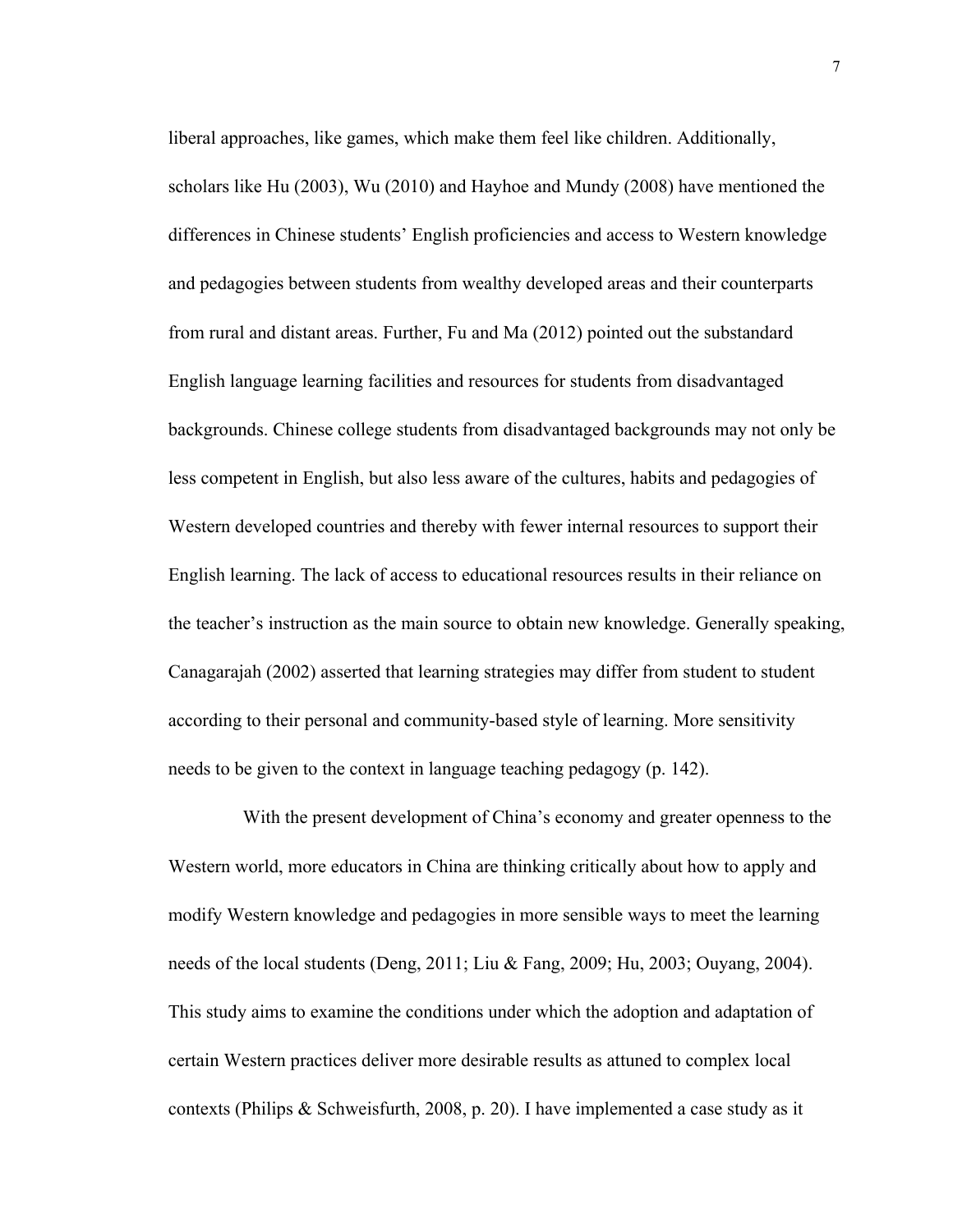liberal approaches, like games, which make them feel like children. Additionally, scholars like Hu (2003), Wu (2010) and Hayhoe and Mundy (2008) have mentioned the differences in Chinese students' English proficiencies and access to Western knowledge and pedagogies between students from wealthy developed areas and their counterparts from rural and distant areas. Further, Fu and Ma (2012) pointed out the substandard English language learning facilities and resources for students from disadvantaged backgrounds. Chinese college students from disadvantaged backgrounds may not only be less competent in English, but also less aware of the cultures, habits and pedagogies of Western developed countries and thereby with fewer internal resources to support their English learning. The lack of access to educational resources results in their reliance on the teacher's instruction as the main source to obtain new knowledge. Generally speaking, Canagarajah (2002) asserted that learning strategies may differ from student to student according to their personal and community-based style of learning. More sensitivity needs to be given to the context in language teaching pedagogy (p. 142).

With the present development of China's economy and greater openness to the Western world, more educators in China are thinking critically about how to apply and modify Western knowledge and pedagogies in more sensible ways to meet the learning needs of the local students (Deng, 2011; Liu & Fang, 2009; Hu, 2003; Ouyang, 2004). This study aims to examine the conditions under which the adoption and adaptation of certain Western practices deliver more desirable results as attuned to complex local contexts (Philips & Schweisfurth, 2008, p. 20). I have implemented a case study as it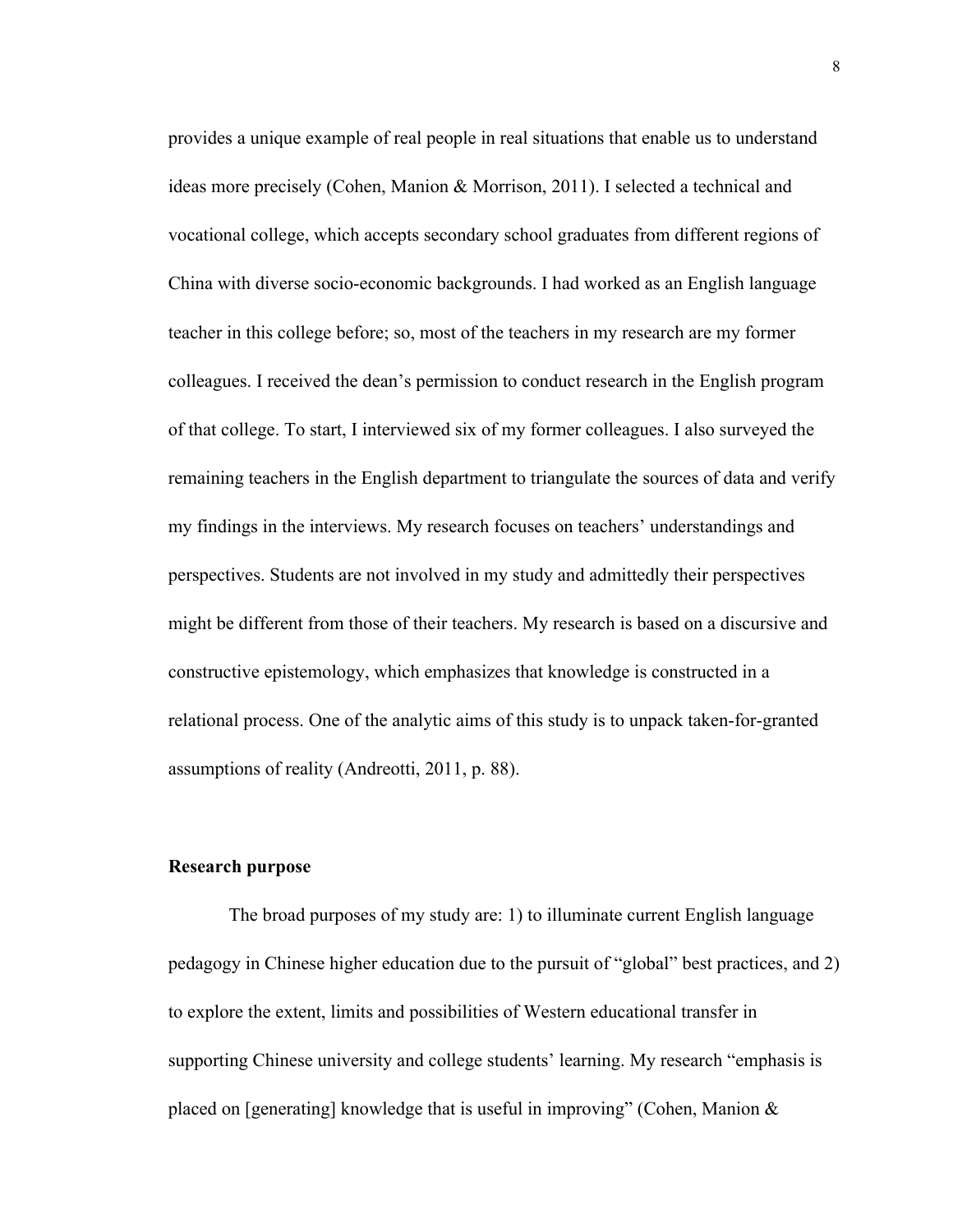provides a unique example of real people in real situations that enable us to understand ideas more precisely (Cohen, Manion & Morrison, 2011). I selected a technical and vocational college, which accepts secondary school graduates from different regions of China with diverse socio-economic backgrounds. I had worked as an English language teacher in this college before; so, most of the teachers in my research are my former colleagues. I received the dean's permission to conduct research in the English program of that college. To start, I interviewed six of my former colleagues. I also surveyed the remaining teachers in the English department to triangulate the sources of data and verify my findings in the interviews. My research focuses on teachers' understandings and perspectives. Students are not involved in my study and admittedly their perspectives might be different from those of their teachers. My research is based on a discursive and constructive epistemology, which emphasizes that knowledge is constructed in a relational process. One of the analytic aims of this study is to unpack taken-for-granted assumptions of reality (Andreotti, 2011, p. 88).

#### **Research purpose**

The broad purposes of my study are: 1) to illuminate current English language pedagogy in Chinese higher education due to the pursuit of "global" best practices, and 2) to explore the extent, limits and possibilities of Western educational transfer in supporting Chinese university and college students' learning. My research "emphasis is placed on [generating] knowledge that is useful in improving" (Cohen, Manion &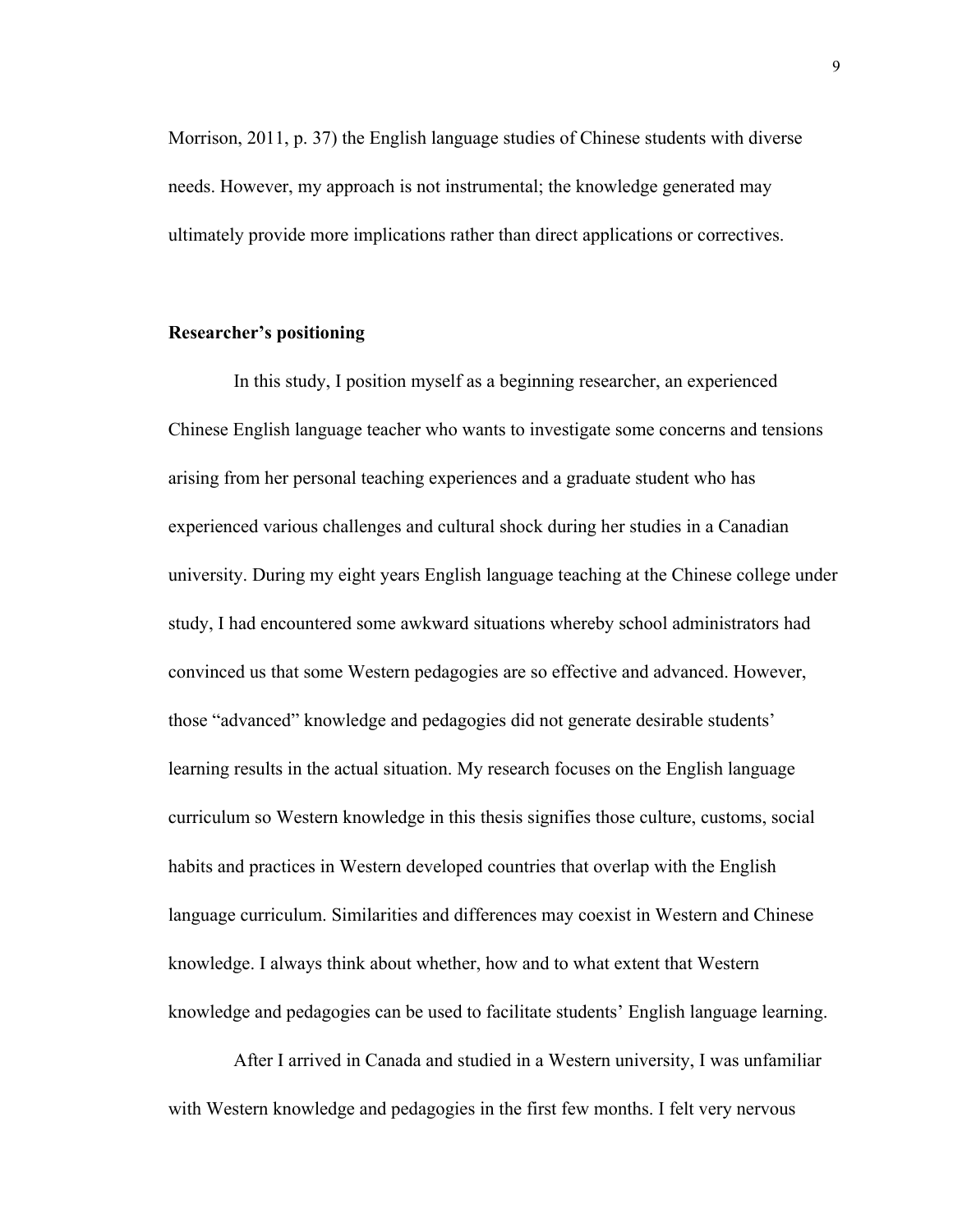Morrison, 2011, p. 37) the English language studies of Chinese students with diverse needs. However, my approach is not instrumental; the knowledge generated may ultimately provide more implications rather than direct applications or correctives.

# **Researcher's positioning**

 In this study, I position myself as a beginning researcher, an experienced Chinese English language teacher who wants to investigate some concerns and tensions arising from her personal teaching experiences and a graduate student who has experienced various challenges and cultural shock during her studies in a Canadian university. During my eight years English language teaching at the Chinese college under study, I had encountered some awkward situations whereby school administrators had convinced us that some Western pedagogies are so effective and advanced. However, those "advanced" knowledge and pedagogies did not generate desirable students' learning results in the actual situation. My research focuses on the English language curriculum so Western knowledge in this thesis signifies those culture, customs, social habits and practices in Western developed countries that overlap with the English language curriculum. Similarities and differences may coexist in Western and Chinese knowledge. I always think about whether, how and to what extent that Western knowledge and pedagogies can be used to facilitate students' English language learning.

 After I arrived in Canada and studied in a Western university, I was unfamiliar with Western knowledge and pedagogies in the first few months. I felt very nervous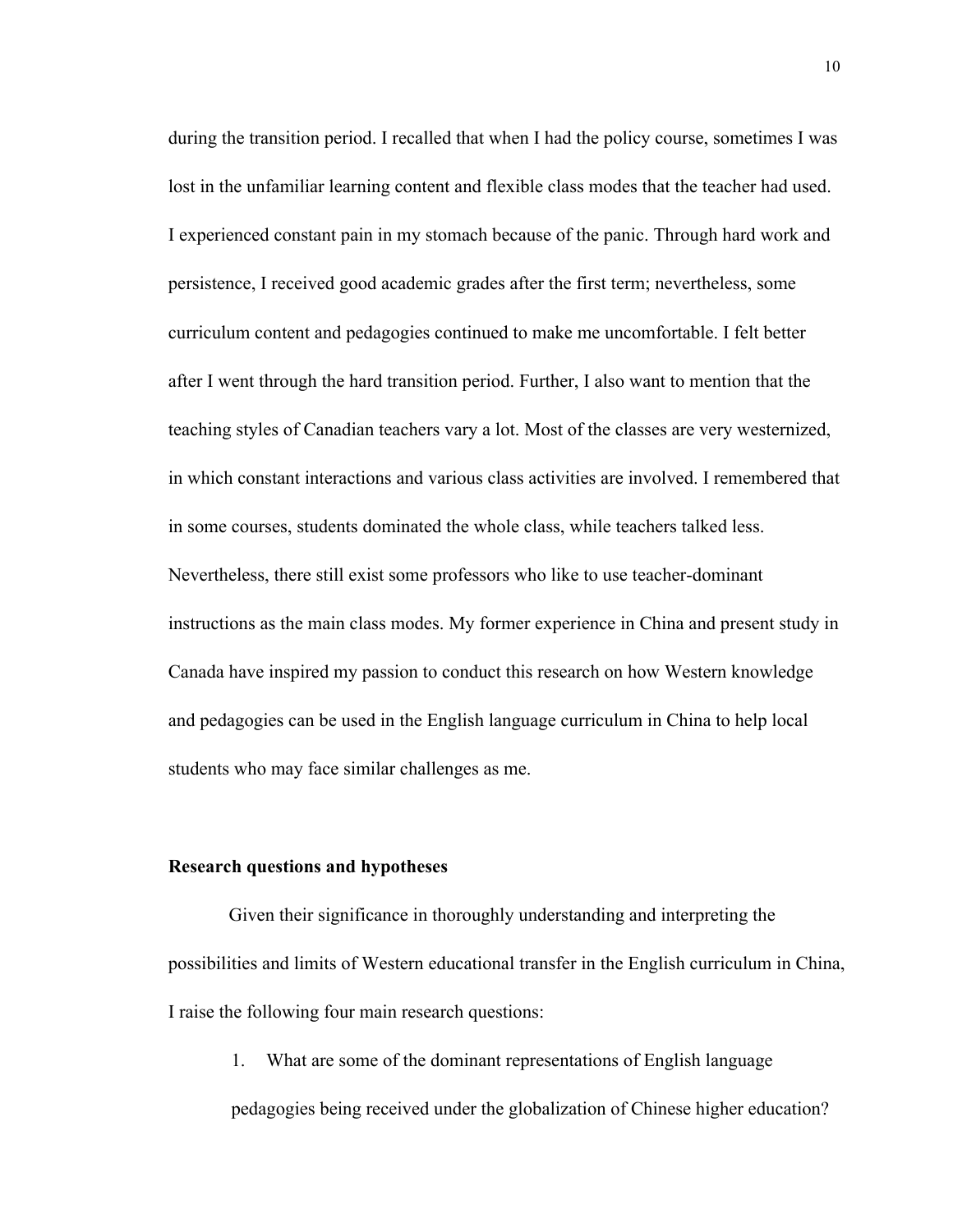during the transition period. I recalled that when I had the policy course, sometimes I was lost in the unfamiliar learning content and flexible class modes that the teacher had used. I experienced constant pain in my stomach because of the panic. Through hard work and persistence, I received good academic grades after the first term; nevertheless, some curriculum content and pedagogies continued to make me uncomfortable. I felt better after I went through the hard transition period. Further, I also want to mention that the teaching styles of Canadian teachers vary a lot. Most of the classes are very westernized, in which constant interactions and various class activities are involved. I remembered that in some courses, students dominated the whole class, while teachers talked less. Nevertheless, there still exist some professors who like to use teacher-dominant instructions as the main class modes. My former experience in China and present study in Canada have inspired my passion to conduct this research on how Western knowledge and pedagogies can be used in the English language curriculum in China to help local students who may face similar challenges as me.

#### **Research questions and hypotheses**

Given their significance in thoroughly understanding and interpreting the possibilities and limits of Western educational transfer in the English curriculum in China, I raise the following four main research questions:

1. What are some of the dominant representations of English language

pedagogies being received under the globalization of Chinese higher education?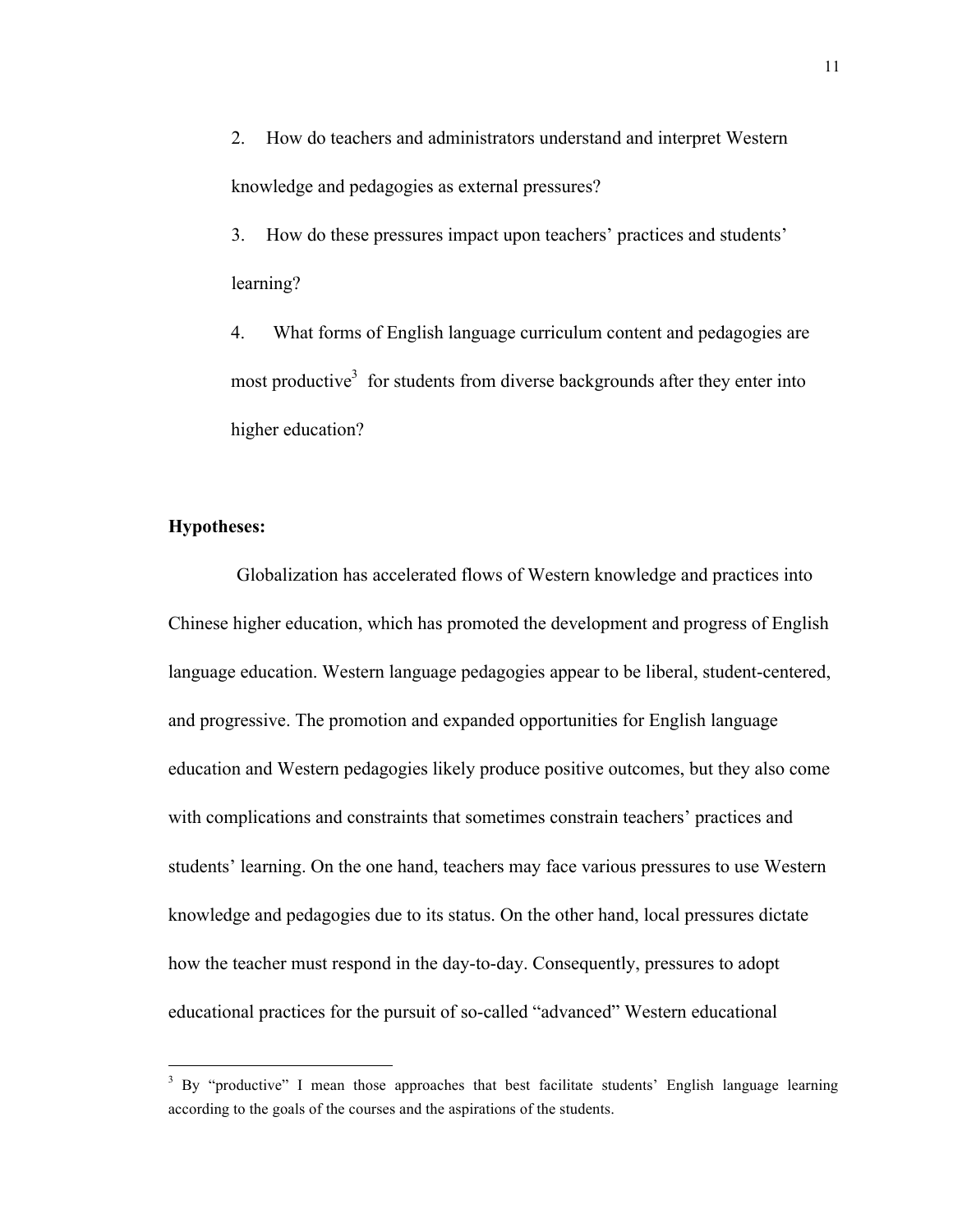2. How do teachers and administrators understand and interpret Western knowledge and pedagogies as external pressures?

3. How do these pressures impact upon teachers' practices and students' learning?

4. What forms of English language curriculum content and pedagogies are most productive<sup>3</sup> for students from diverse backgrounds after they enter into higher education?

# **Hypotheses:**

Globalization has accelerated flows of Western knowledge and practices into Chinese higher education, which has promoted the development and progress of English language education. Western language pedagogies appear to be liberal, student-centered, and progressive. The promotion and expanded opportunities for English language education and Western pedagogies likely produce positive outcomes, but they also come with complications and constraints that sometimes constrain teachers' practices and students' learning. On the one hand, teachers may face various pressures to use Western knowledge and pedagogies due to its status. On the other hand, local pressures dictate how the teacher must respond in the day-to-day. Consequently, pressures to adopt educational practices for the pursuit of so-called "advanced" Western educational

<sup>&</sup>lt;sup>3</sup> By "productive" I mean those approaches that best facilitate students' English language learning according to the goals of the courses and the aspirations of the students.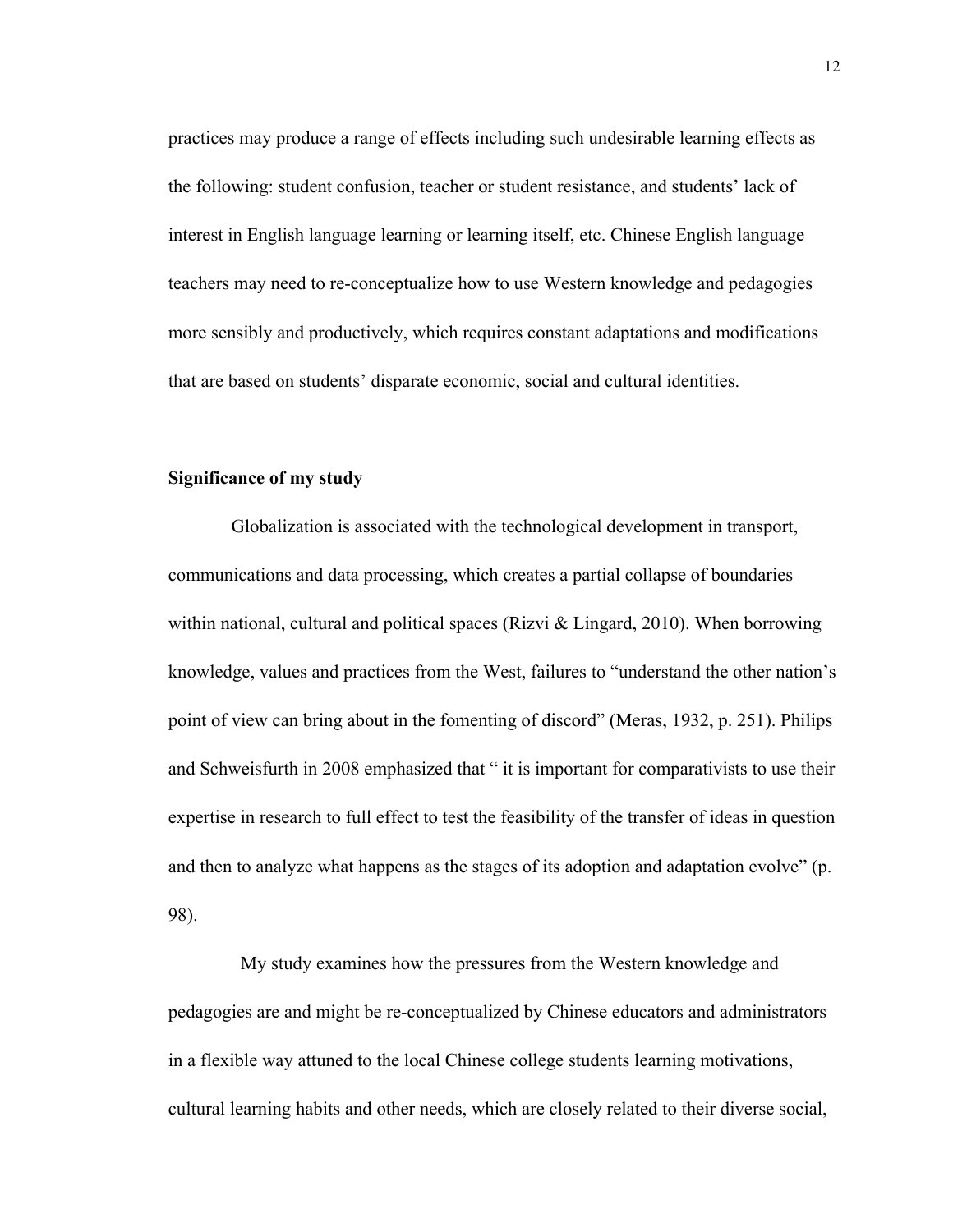practices may produce a range of effects including such undesirable learning effects as the following: student confusion, teacher or student resistance, and students' lack of interest in English language learning or learning itself, etc. Chinese English language teachers may need to re-conceptualize how to use Western knowledge and pedagogies more sensibly and productively, which requires constant adaptations and modifications that are based on students' disparate economic, social and cultural identities.

## **Significance of my study**

Globalization is associated with the technological development in transport, communications and data processing, which creates a partial collapse of boundaries within national, cultural and political spaces (Rizvi  $\&$  Lingard, 2010). When borrowing knowledge, values and practices from the West, failures to "understand the other nation's point of view can bring about in the fomenting of discord" (Meras, 1932, p. 251). Philips and Schweisfurth in 2008 emphasized that " it is important for comparativists to use their expertise in research to full effect to test the feasibility of the transfer of ideas in question and then to analyze what happens as the stages of its adoption and adaptation evolve" (p. 98).

My study examines how the pressures from the Western knowledge and pedagogies are and might be re-conceptualized by Chinese educators and administrators in a flexible way attuned to the local Chinese college students learning motivations, cultural learning habits and other needs, which are closely related to their diverse social,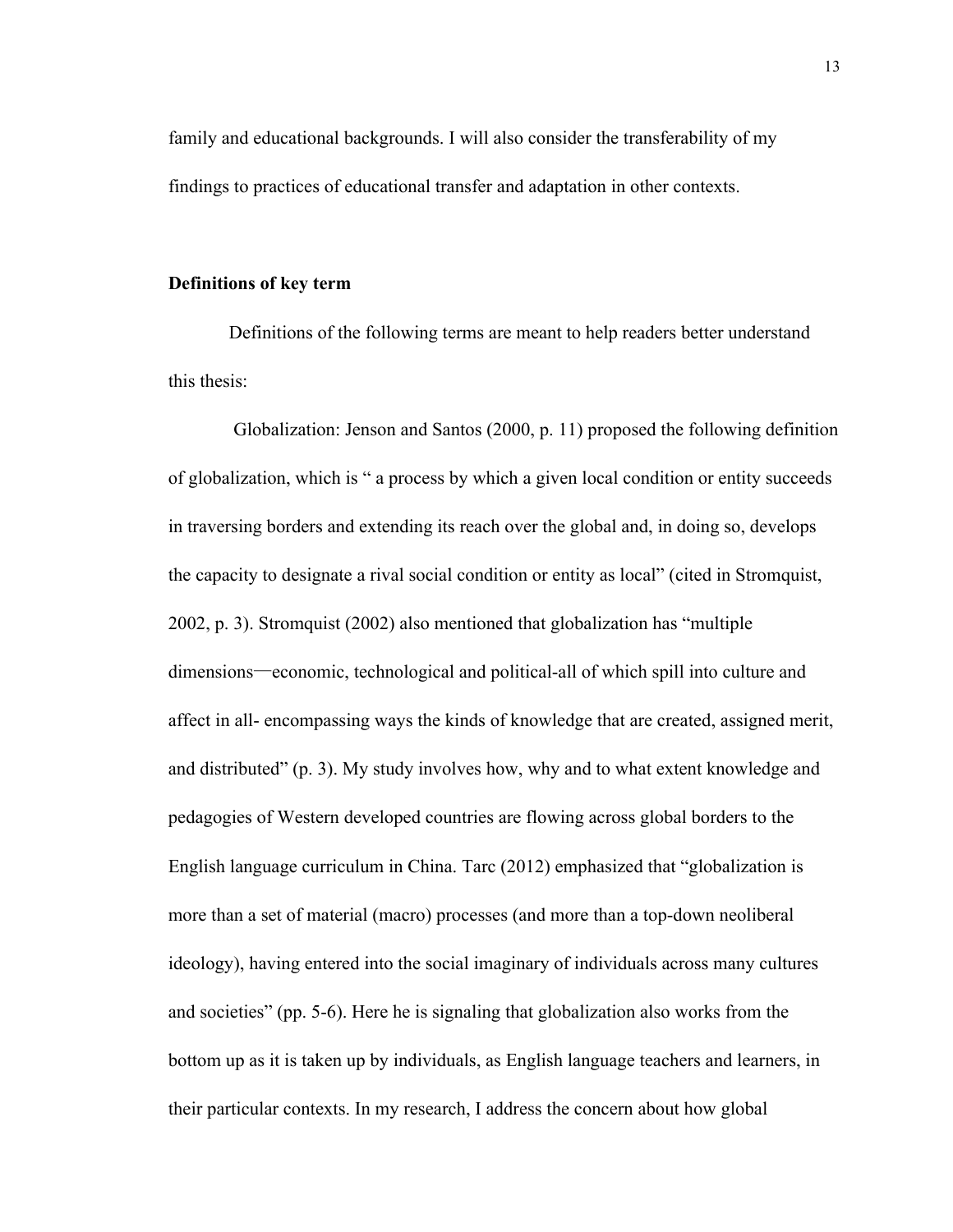family and educational backgrounds. I will also consider the transferability of my findings to practices of educational transfer and adaptation in other contexts.

#### **Definitions of key term**

Definitions of the following terms are meant to help readers better understand this thesis:

Globalization: Jenson and Santos (2000, p. 11) proposed the following definition of globalization, which is " a process by which a given local condition or entity succeeds in traversing borders and extending its reach over the global and, in doing so, develops the capacity to designate a rival social condition or entity as local" (cited in Stromquist, 2002, p. 3). Stromquist (2002) also mentioned that globalization has "multiple dimensions—economic, technological and political-all of which spill into culture and affect in all- encompassing ways the kinds of knowledge that are created, assigned merit, and distributed" (p. 3). My study involves how, why and to what extent knowledge and pedagogies of Western developed countries are flowing across global borders to the English language curriculum in China. Tarc (2012) emphasized that "globalization is more than a set of material (macro) processes (and more than a top-down neoliberal ideology), having entered into the social imaginary of individuals across many cultures and societies" (pp. 5-6). Here he is signaling that globalization also works from the bottom up as it is taken up by individuals, as English language teachers and learners, in their particular contexts. In my research, I address the concern about how global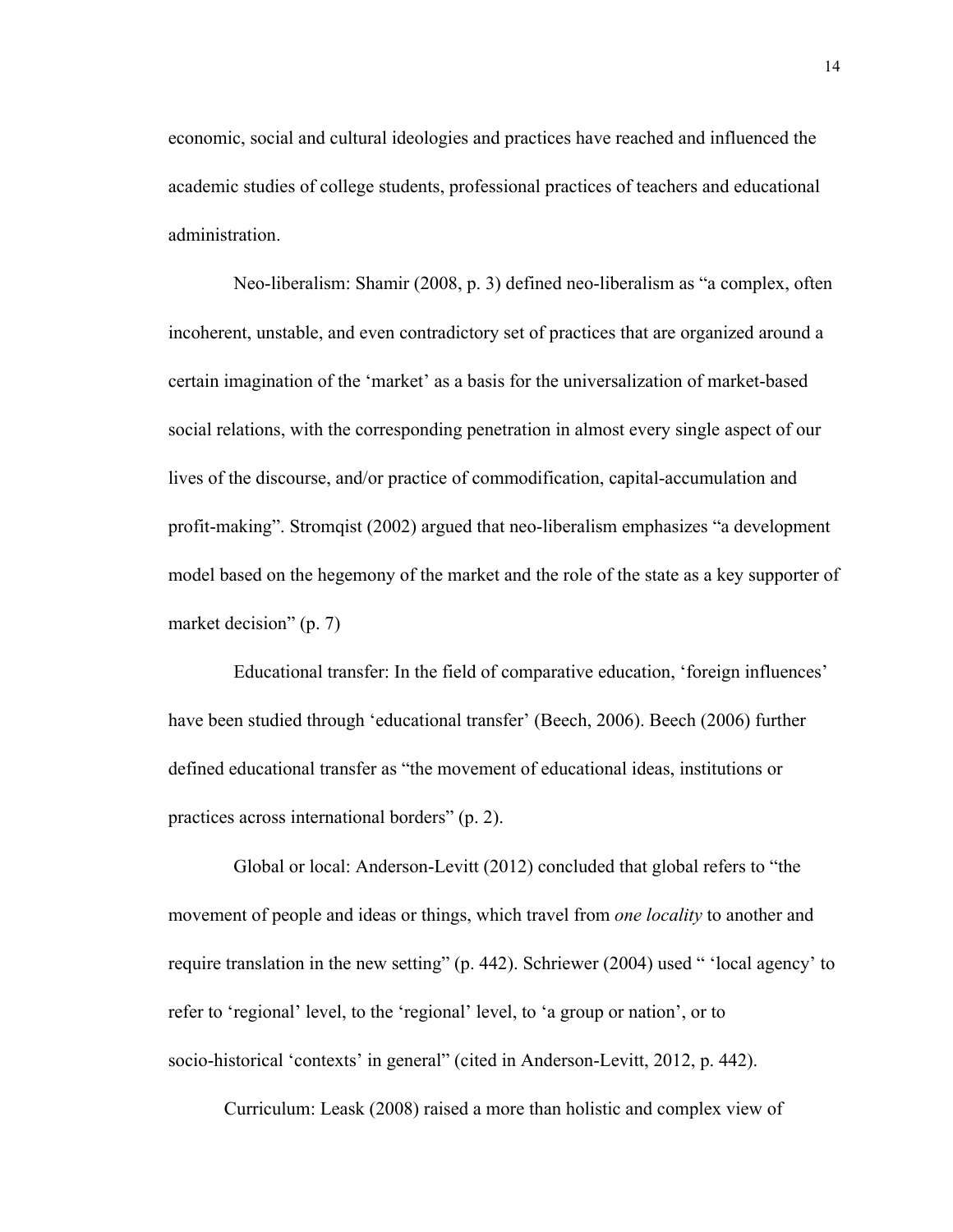economic, social and cultural ideologies and practices have reached and influenced the academic studies of college students, professional practices of teachers and educational administration.

Neo-liberalism: Shamir (2008, p. 3) defined neo-liberalism as "a complex, often incoherent, unstable, and even contradictory set of practices that are organized around a certain imagination of the 'market' as a basis for the universalization of market-based social relations, with the corresponding penetration in almost every single aspect of our lives of the discourse, and/or practice of commodification, capital-accumulation and profit-making". Stromqist (2002) argued that neo-liberalism emphasizes "a development model based on the hegemony of the market and the role of the state as a key supporter of market decision" (p. 7)

Educational transfer: In the field of comparative education, 'foreign influences' have been studied through 'educational transfer' (Beech, 2006). Beech (2006) further defined educational transfer as "the movement of educational ideas, institutions or practices across international borders" (p. 2).

Global or local: Anderson-Levitt (2012) concluded that global refers to "the movement of people and ideas or things, which travel from *one locality* to another and require translation in the new setting" (p. 442). Schriewer (2004) used " 'local agency' to refer to 'regional' level, to the 'regional' level, to 'a group or nation', or to socio-historical 'contexts' in general" (cited in Anderson-Levitt, 2012, p. 442).

Curriculum: Leask (2008) raised a more than holistic and complex view of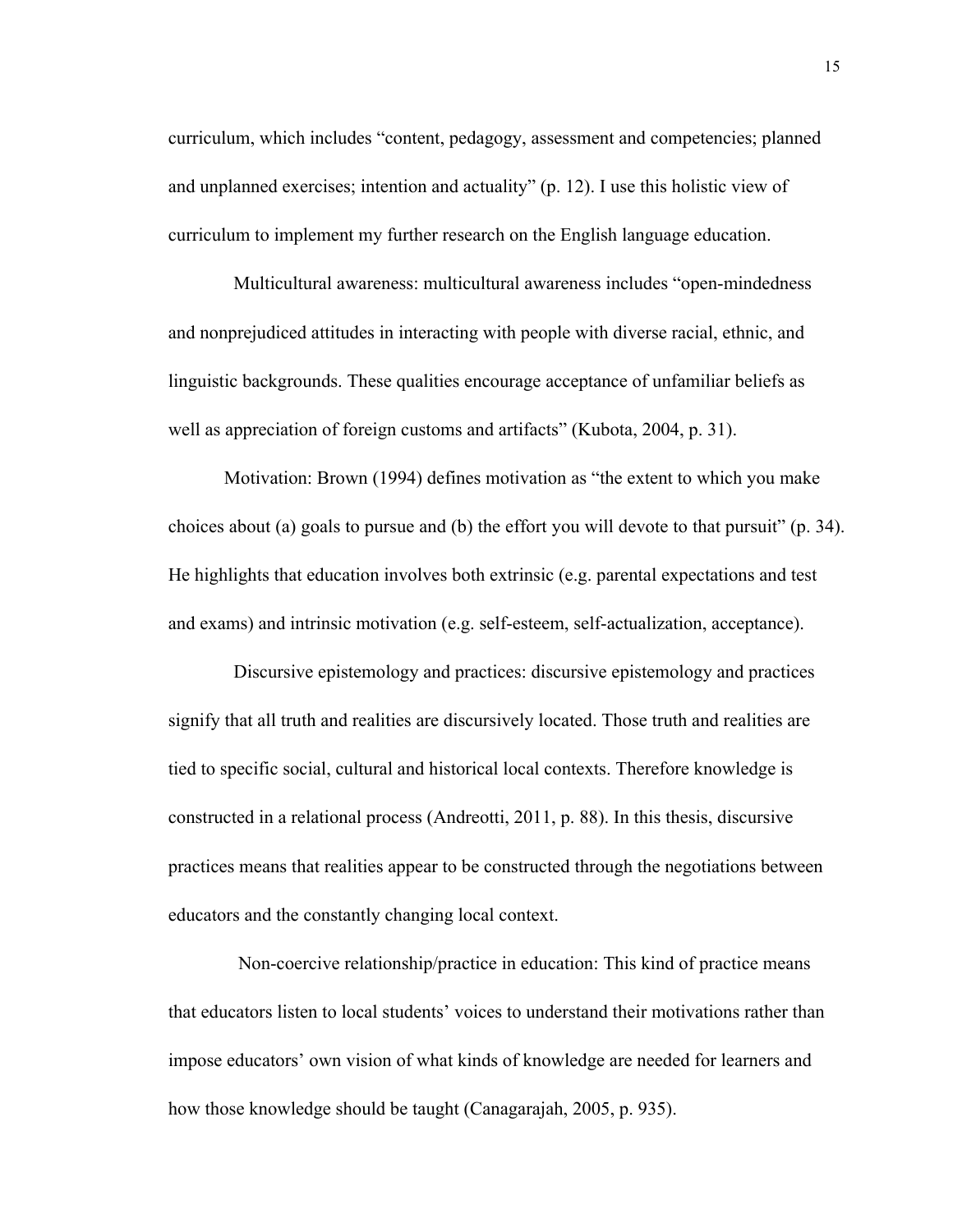curriculum, which includes "content, pedagogy, assessment and competencies; planned and unplanned exercises; intention and actuality" (p. 12). I use this holistic view of curriculum to implement my further research on the English language education.

Multicultural awareness: multicultural awareness includes "open-mindedness and nonprejudiced attitudes in interacting with people with diverse racial, ethnic, and linguistic backgrounds. These qualities encourage acceptance of unfamiliar beliefs as well as appreciation of foreign customs and artifacts" (Kubota, 2004, p. 31).

Motivation: Brown (1994) defines motivation as "the extent to which you make choices about (a) goals to pursue and (b) the effort you will devote to that pursuit" (p. 34). He highlights that education involves both extrinsic (e.g. parental expectations and test and exams) and intrinsic motivation (e.g. self-esteem, self-actualization, acceptance).

 Discursive epistemology and practices: discursive epistemology and practices signify that all truth and realities are discursively located. Those truth and realities are tied to specific social, cultural and historical local contexts. Therefore knowledge is constructed in a relational process (Andreotti, 2011, p. 88). In this thesis, discursive practices means that realities appear to be constructed through the negotiations between educators and the constantly changing local context.

Non-coercive relationship/practice in education: This kind of practice means that educators listen to local students' voices to understand their motivations rather than impose educators' own vision of what kinds of knowledge are needed for learners and how those knowledge should be taught (Canagarajah, 2005, p. 935).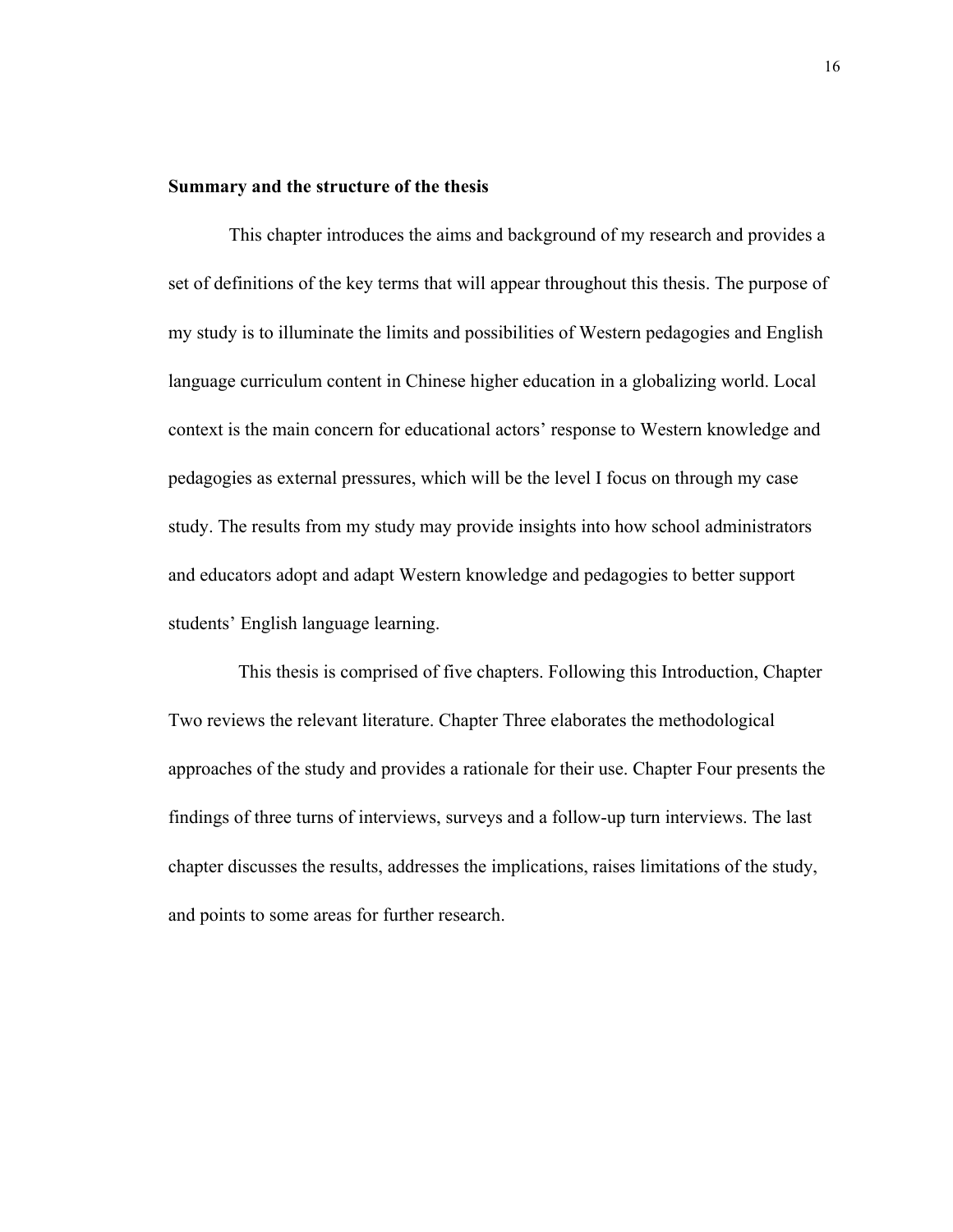#### **Summary and the structure of the thesis**

This chapter introduces the aims and background of my research and provides a set of definitions of the key terms that will appear throughout this thesis. The purpose of my study is to illuminate the limits and possibilities of Western pedagogies and English language curriculum content in Chinese higher education in a globalizing world. Local context is the main concern for educational actors' response to Western knowledge and pedagogies as external pressures, which will be the level I focus on through my case study. The results from my study may provide insights into how school administrators and educators adopt and adapt Western knowledge and pedagogies to better support students' English language learning.

This thesis is comprised of five chapters. Following this Introduction, Chapter Two reviews the relevant literature. Chapter Three elaborates the methodological approaches of the study and provides a rationale for their use. Chapter Four presents the findings of three turns of interviews, surveys and a follow-up turn interviews. The last chapter discusses the results, addresses the implications, raises limitations of the study, and points to some areas for further research.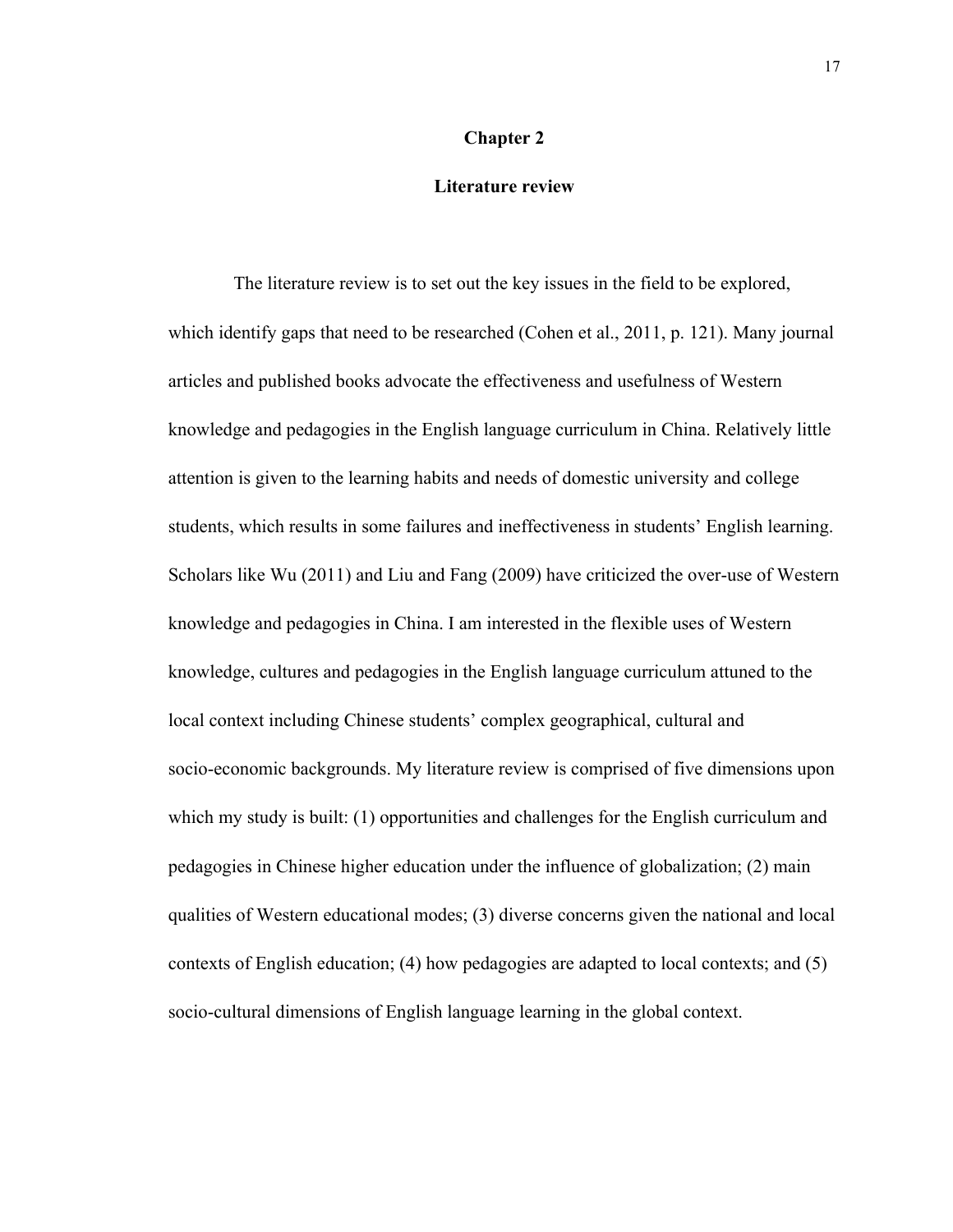## **Chapter 2**

### **Literature review**

The literature review is to set out the key issues in the field to be explored, which identify gaps that need to be researched (Cohen et al., 2011, p. 121). Many journal articles and published books advocate the effectiveness and usefulness of Western knowledge and pedagogies in the English language curriculum in China. Relatively little attention is given to the learning habits and needs of domestic university and college students, which results in some failures and ineffectiveness in students' English learning. Scholars like Wu (2011) and Liu and Fang (2009) have criticized the over-use of Western knowledge and pedagogies in China. I am interested in the flexible uses of Western knowledge, cultures and pedagogies in the English language curriculum attuned to the local context including Chinese students' complex geographical, cultural and socio-economic backgrounds. My literature review is comprised of five dimensions upon which my study is built: (1) opportunities and challenges for the English curriculum and pedagogies in Chinese higher education under the influence of globalization; (2) main qualities of Western educational modes; (3) diverse concerns given the national and local contexts of English education; (4) how pedagogies are adapted to local contexts; and (5) socio-cultural dimensions of English language learning in the global context.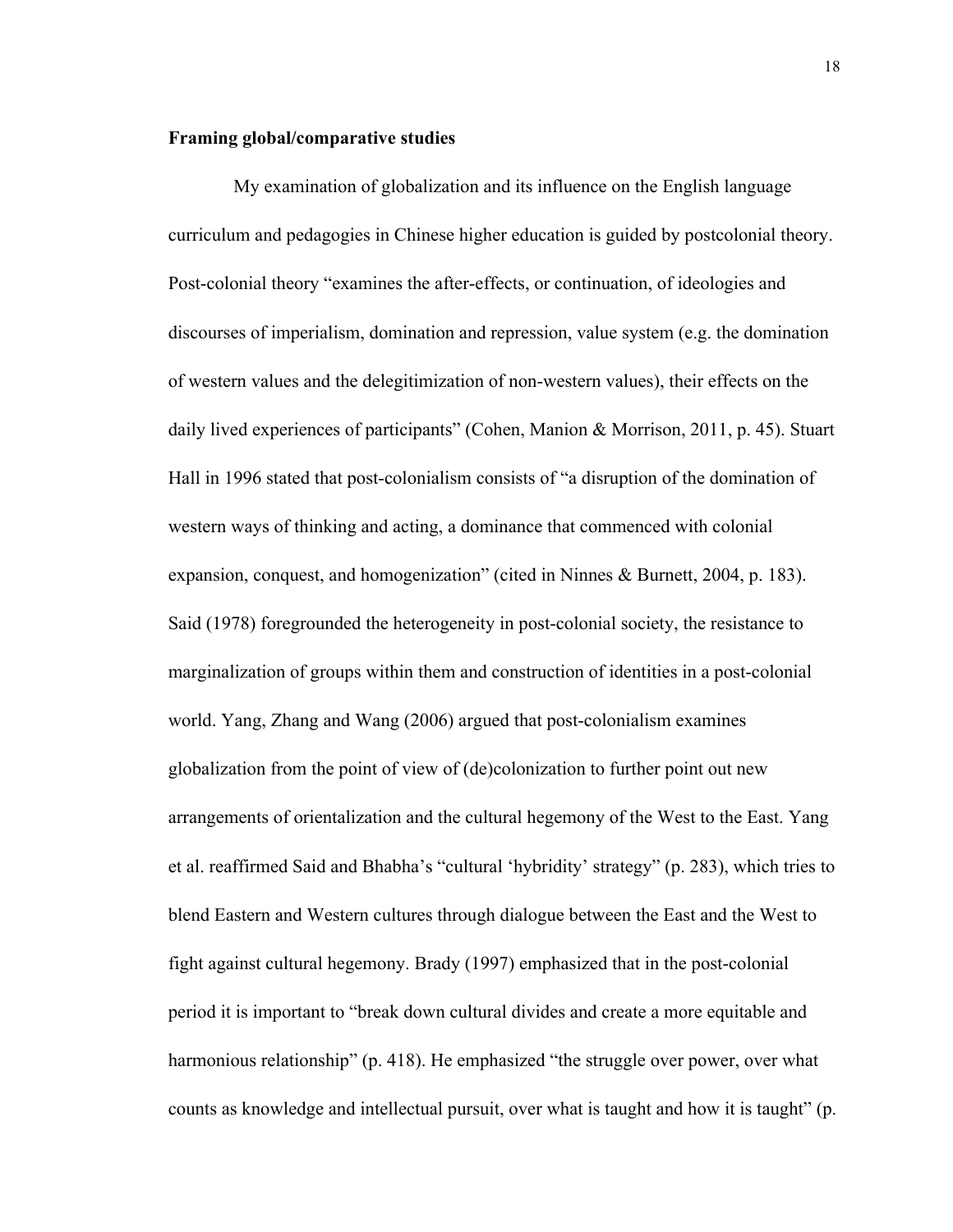# **Framing global/comparative studies**

 My examination of globalization and its influence on the English language curriculum and pedagogies in Chinese higher education is guided by postcolonial theory. Post-colonial theory "examines the after-effects, or continuation, of ideologies and discourses of imperialism, domination and repression, value system (e.g. the domination of western values and the delegitimization of non-western values), their effects on the daily lived experiences of participants" (Cohen, Manion & Morrison, 2011, p. 45). Stuart Hall in 1996 stated that post-colonialism consists of "a disruption of the domination of western ways of thinking and acting, a dominance that commenced with colonial expansion, conquest, and homogenization" (cited in Ninnes & Burnett, 2004, p. 183). Said (1978) foregrounded the heterogeneity in post-colonial society, the resistance to marginalization of groups within them and construction of identities in a post-colonial world. Yang, Zhang and Wang (2006) argued that post-colonialism examines globalization from the point of view of (de)colonization to further point out new arrangements of orientalization and the cultural hegemony of the West to the East. Yang et al. reaffirmed Said and Bhabha's "cultural 'hybridity' strategy" (p. 283), which tries to blend Eastern and Western cultures through dialogue between the East and the West to fight against cultural hegemony. Brady (1997) emphasized that in the post-colonial period it is important to "break down cultural divides and create a more equitable and harmonious relationship" (p. 418). He emphasized "the struggle over power, over what counts as knowledge and intellectual pursuit, over what is taught and how it is taught" (p.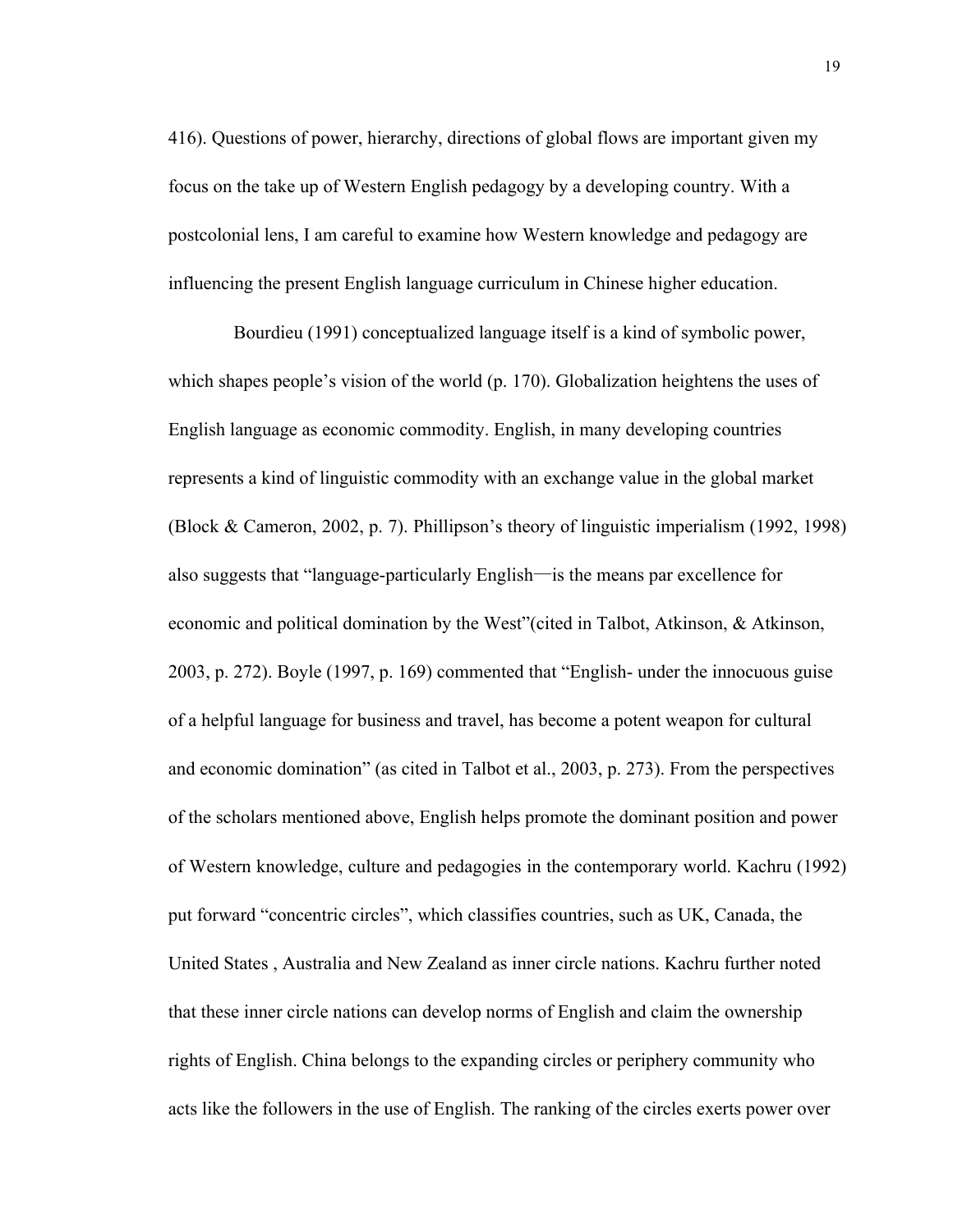416). Questions of power, hierarchy, directions of global flows are important given my focus on the take up of Western English pedagogy by a developing country. With a postcolonial lens, I am careful to examine how Western knowledge and pedagogy are influencing the present English language curriculum in Chinese higher education.

Bourdieu (1991) conceptualized language itself is a kind of symbolic power, which shapes people's vision of the world (p. 170). Globalization heightens the uses of English language as economic commodity. English, in many developing countries represents a kind of linguistic commodity with an exchange value in the global market (Block & Cameron, 2002, p. 7). Phillipson's theory of linguistic imperialism (1992, 1998) also suggests that "language-particularly English—is the means par excellence for economic and political domination by the West"(cited in Talbot, Atkinson, & Atkinson, 2003, p. 272). Boyle (1997, p. 169) commented that "English- under the innocuous guise of a helpful language for business and travel, has become a potent weapon for cultural and economic domination" (as cited in Talbot et al., 2003, p. 273). From the perspectives of the scholars mentioned above, English helps promote the dominant position and power of Western knowledge, culture and pedagogies in the contemporary world. Kachru (1992) put forward "concentric circles", which classifies countries, such as UK, Canada, the United States , Australia and New Zealand as inner circle nations. Kachru further noted that these inner circle nations can develop norms of English and claim the ownership rights of English. China belongs to the expanding circles or periphery community who acts like the followers in the use of English. The ranking of the circles exerts power over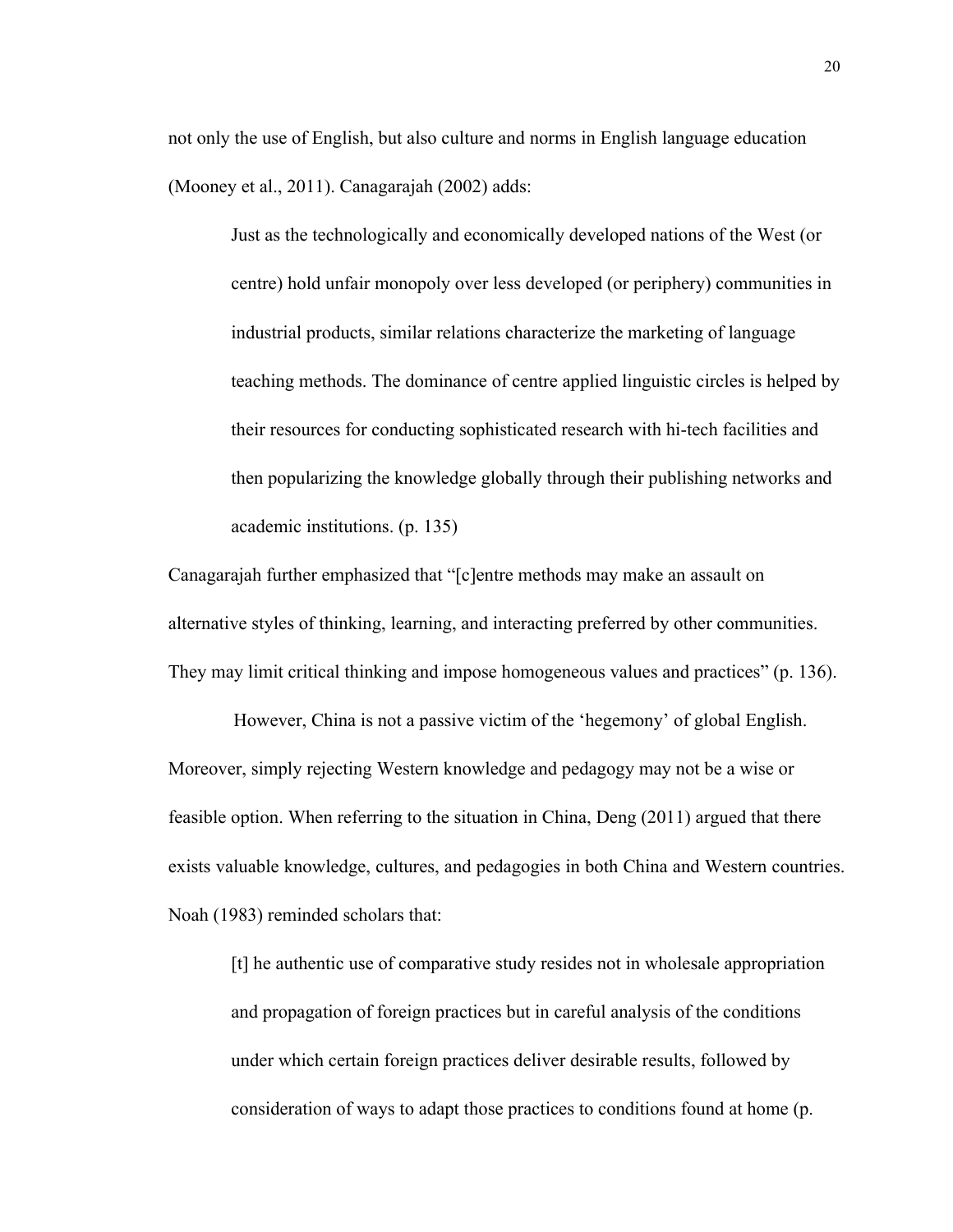not only the use of English, but also culture and norms in English language education (Mooney et al., 2011). Canagarajah (2002) adds:

Just as the technologically and economically developed nations of the West (or centre) hold unfair monopoly over less developed (or periphery) communities in industrial products, similar relations characterize the marketing of language teaching methods. The dominance of centre applied linguistic circles is helped by their resources for conducting sophisticated research with hi-tech facilities and then popularizing the knowledge globally through their publishing networks and academic institutions. (p. 135)

Canagarajah further emphasized that "[c]entre methods may make an assault on alternative styles of thinking, learning, and interacting preferred by other communities. They may limit critical thinking and impose homogeneous values and practices" (p. 136).

 However, China is not a passive victim of the 'hegemony' of global English. Moreover, simply rejecting Western knowledge and pedagogy may not be a wise or feasible option. When referring to the situation in China, Deng (2011) argued that there exists valuable knowledge, cultures, and pedagogies in both China and Western countries. Noah (1983) reminded scholars that:

[t] he authentic use of comparative study resides not in wholesale appropriation and propagation of foreign practices but in careful analysis of the conditions under which certain foreign practices deliver desirable results, followed by consideration of ways to adapt those practices to conditions found at home (p.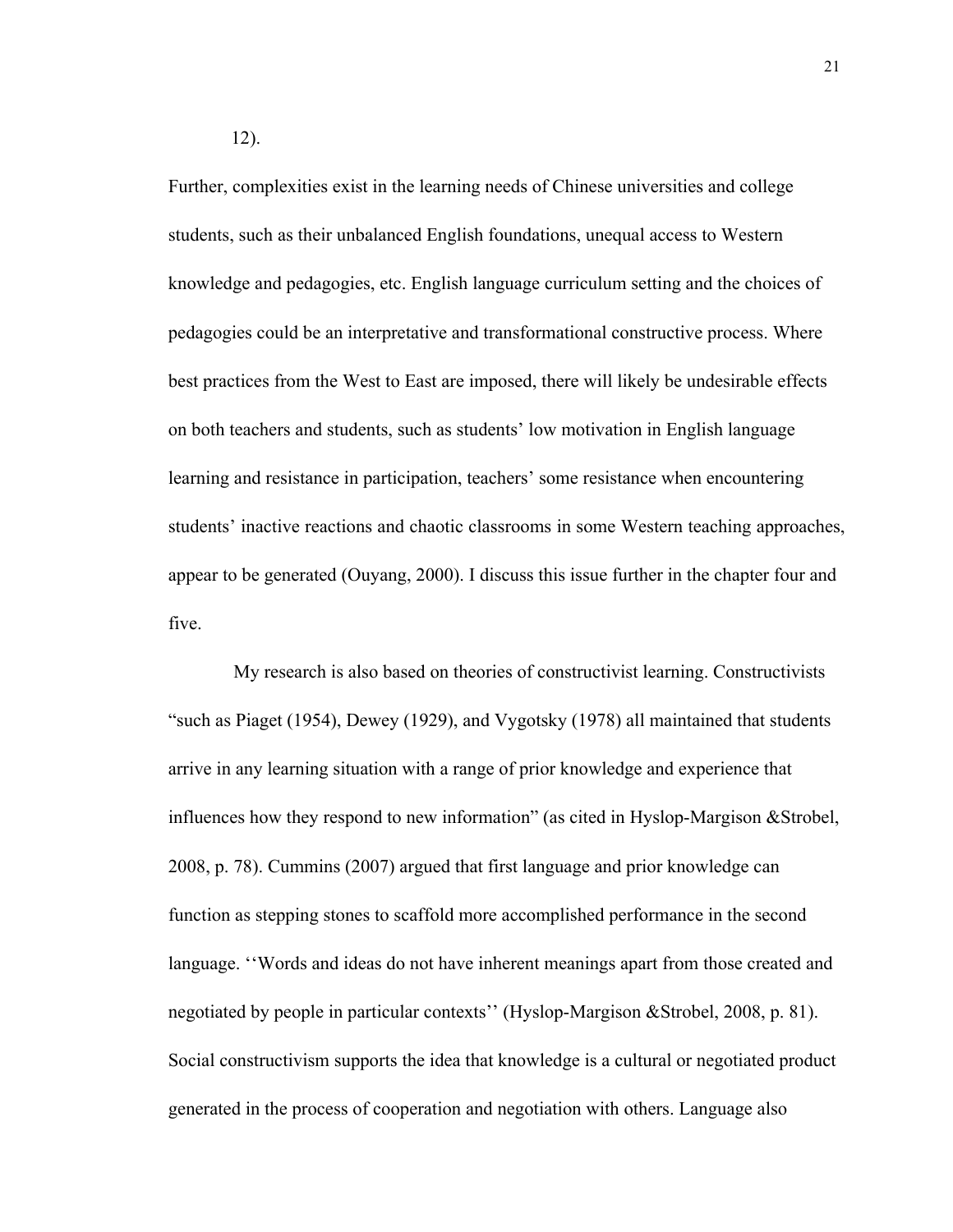Further, complexities exist in the learning needs of Chinese universities and college students, such as their unbalanced English foundations, unequal access to Western knowledge and pedagogies, etc. English language curriculum setting and the choices of pedagogies could be an interpretative and transformational constructive process. Where best practices from the West to East are imposed, there will likely be undesirable effects on both teachers and students, such as students' low motivation in English language learning and resistance in participation, teachers' some resistance when encountering students' inactive reactions and chaotic classrooms in some Western teaching approaches, appear to be generated (Ouyang, 2000). I discuss this issue further in the chapter four and five.

 My research is also based on theories of constructivist learning. Constructivists "such as Piaget (1954), Dewey (1929), and Vygotsky (1978) all maintained that students arrive in any learning situation with a range of prior knowledge and experience that influences how they respond to new information" (as cited in Hyslop-Margison &Strobel, 2008, p. 78). Cummins (2007) argued that first language and prior knowledge can function as stepping stones to scaffold more accomplished performance in the second language. ''Words and ideas do not have inherent meanings apart from those created and negotiated by people in particular contexts'' (Hyslop-Margison &Strobel, 2008, p. 81). Social constructivism supports the idea that knowledge is a cultural or negotiated product generated in the process of cooperation and negotiation with others. Language also

12).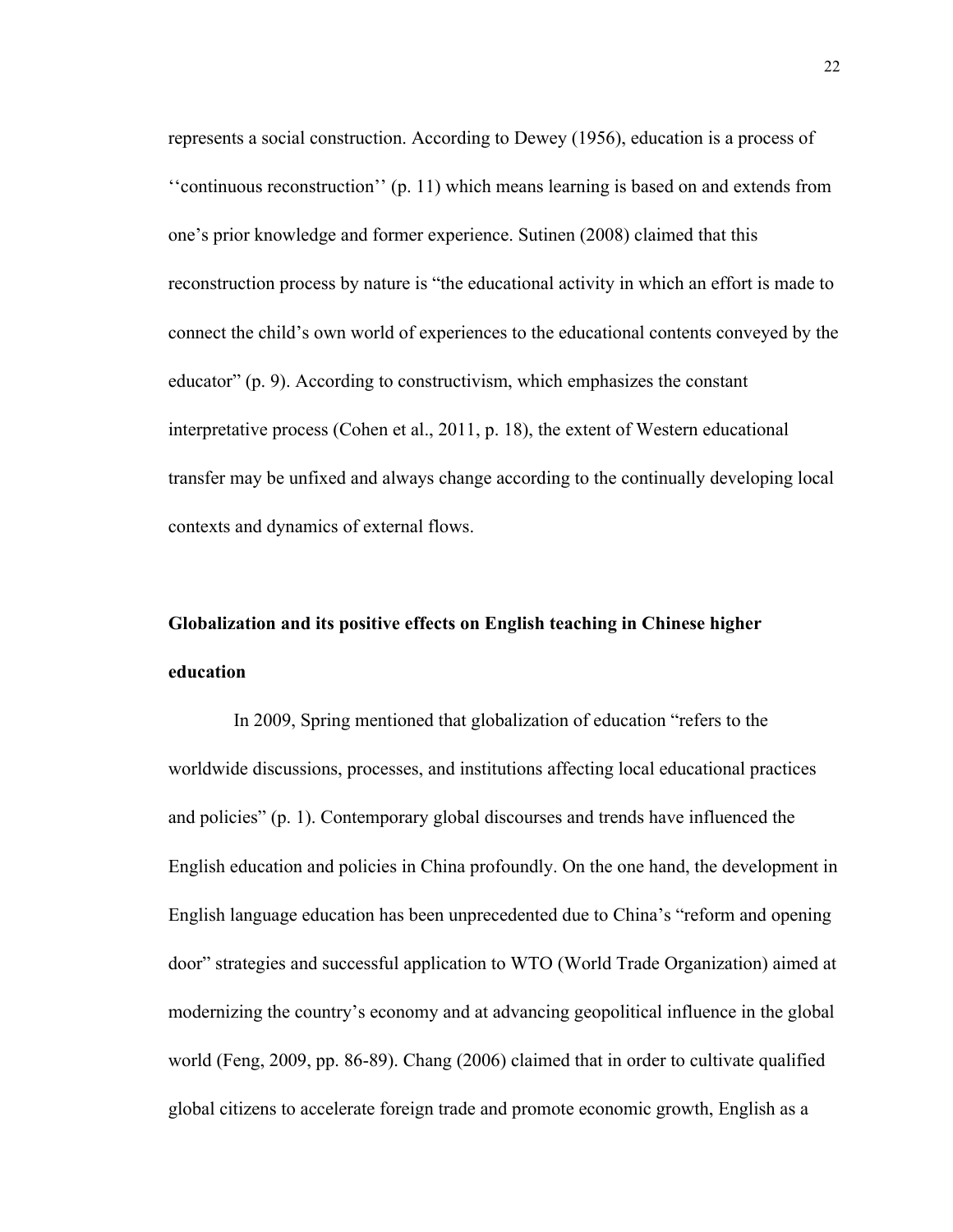represents a social construction. According to Dewey (1956), education is a process of ''continuous reconstruction'' (p. 11) which means learning is based on and extends from one's prior knowledge and former experience. Sutinen (2008) claimed that this reconstruction process by nature is "the educational activity in which an effort is made to connect the child's own world of experiences to the educational contents conveyed by the educator" (p. 9). According to constructivism, which emphasizes the constant interpretative process (Cohen et al., 2011, p. 18), the extent of Western educational transfer may be unfixed and always change according to the continually developing local contexts and dynamics of external flows.

# **Globalization and its positive effects on English teaching in Chinese higher education**

 In 2009, Spring mentioned that globalization of education "refers to the worldwide discussions, processes, and institutions affecting local educational practices and policies" (p. 1). Contemporary global discourses and trends have influenced the English education and policies in China profoundly. On the one hand, the development in English language education has been unprecedented due to China's "reform and opening door" strategies and successful application to WTO (World Trade Organization) aimed at modernizing the country's economy and at advancing geopolitical influence in the global world (Feng, 2009, pp. 86-89). Chang (2006) claimed that in order to cultivate qualified global citizens to accelerate foreign trade and promote economic growth, English as a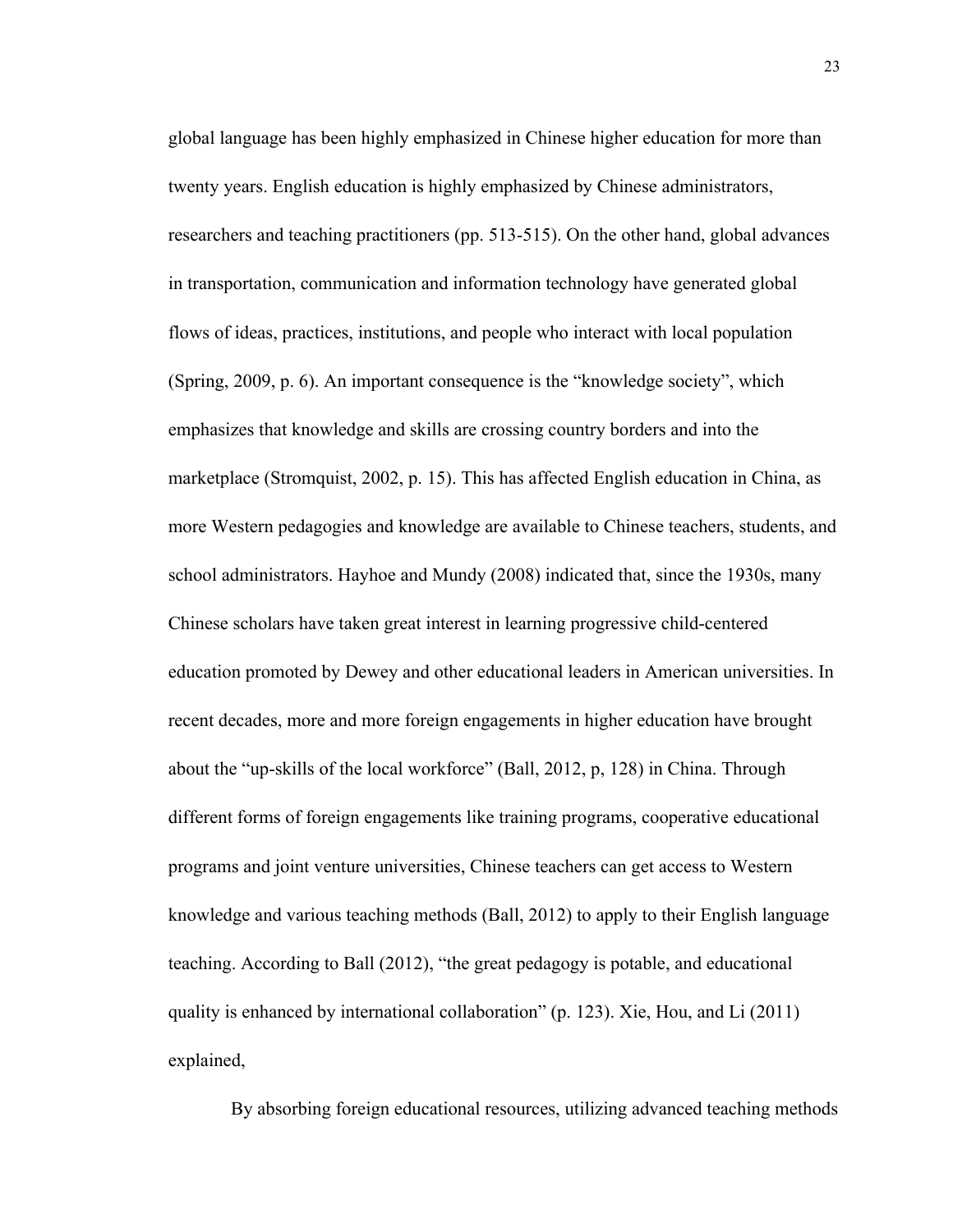global language has been highly emphasized in Chinese higher education for more than twenty years. English education is highly emphasized by Chinese administrators, researchers and teaching practitioners (pp. 513-515). On the other hand, global advances in transportation, communication and information technology have generated global flows of ideas, practices, institutions, and people who interact with local population (Spring, 2009, p. 6). An important consequence is the "knowledge society", which emphasizes that knowledge and skills are crossing country borders and into the marketplace (Stromquist, 2002, p. 15). This has affected English education in China, as more Western pedagogies and knowledge are available to Chinese teachers, students, and school administrators. Hayhoe and Mundy (2008) indicated that, since the 1930s, many Chinese scholars have taken great interest in learning progressive child-centered education promoted by Dewey and other educational leaders in American universities. In recent decades, more and more foreign engagements in higher education have brought about the "up-skills of the local workforce" (Ball, 2012, p, 128) in China. Through different forms of foreign engagements like training programs, cooperative educational programs and joint venture universities, Chinese teachers can get access to Western knowledge and various teaching methods (Ball, 2012) to apply to their English language teaching. According to Ball (2012), "the great pedagogy is potable, and educational quality is enhanced by international collaboration" (p. 123). Xie, Hou, and Li (2011) explained,

By absorbing foreign educational resources, utilizing advanced teaching methods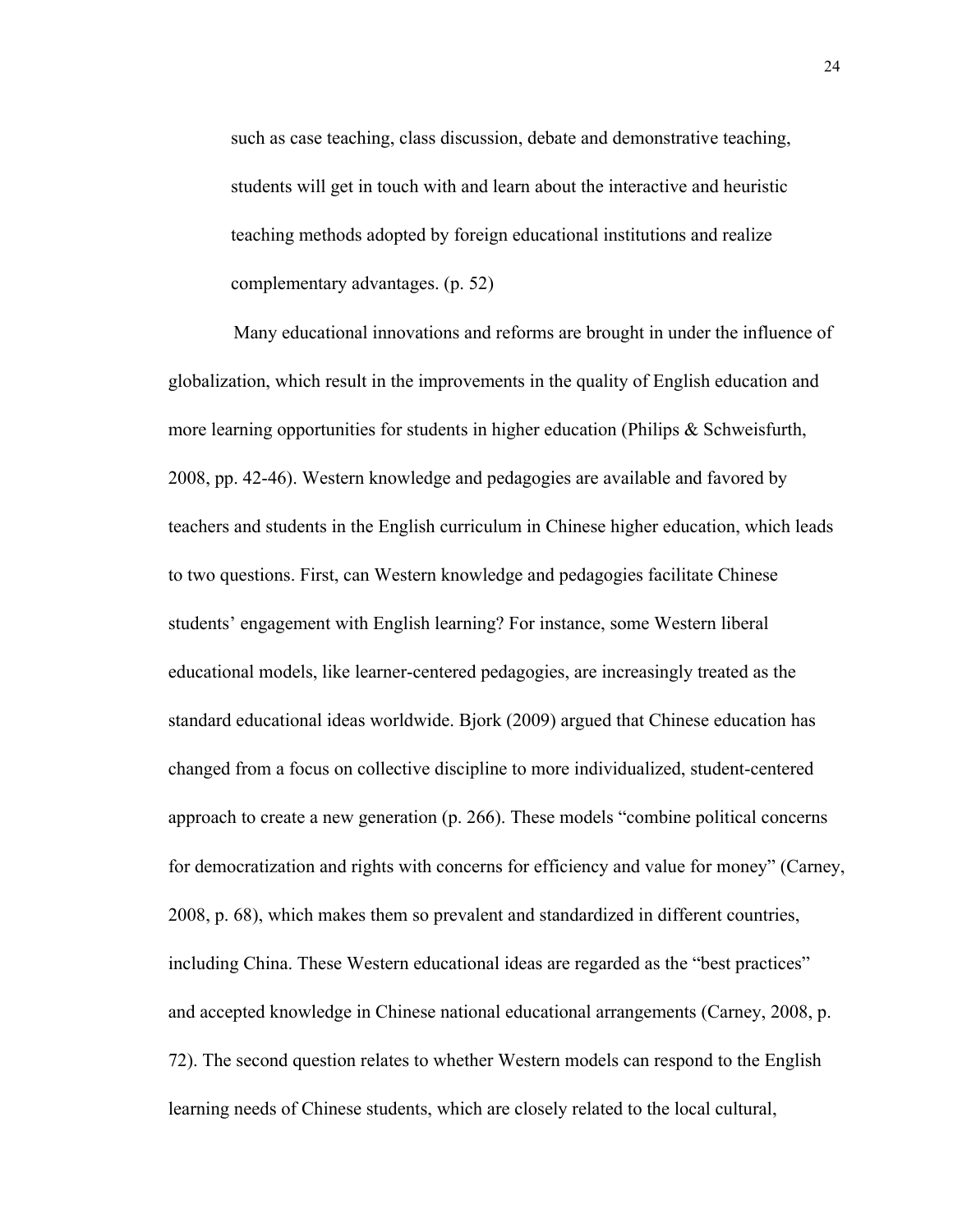such as case teaching, class discussion, debate and demonstrative teaching, students will get in touch with and learn about the interactive and heuristic teaching methods adopted by foreign educational institutions and realize complementary advantages. (p. 52)

 Many educational innovations and reforms are brought in under the influence of globalization, which result in the improvements in the quality of English education and more learning opportunities for students in higher education (Philips & Schweisfurth, 2008, pp. 42-46). Western knowledge and pedagogies are available and favored by teachers and students in the English curriculum in Chinese higher education, which leads to two questions. First, can Western knowledge and pedagogies facilitate Chinese students' engagement with English learning? For instance, some Western liberal educational models, like learner-centered pedagogies, are increasingly treated as the standard educational ideas worldwide. Bjork (2009) argued that Chinese education has changed from a focus on collective discipline to more individualized, student-centered approach to create a new generation (p. 266). These models "combine political concerns for democratization and rights with concerns for efficiency and value for money" (Carney, 2008, p. 68), which makes them so prevalent and standardized in different countries, including China. These Western educational ideas are regarded as the "best practices" and accepted knowledge in Chinese national educational arrangements (Carney, 2008, p. 72). The second question relates to whether Western models can respond to the English learning needs of Chinese students, which are closely related to the local cultural,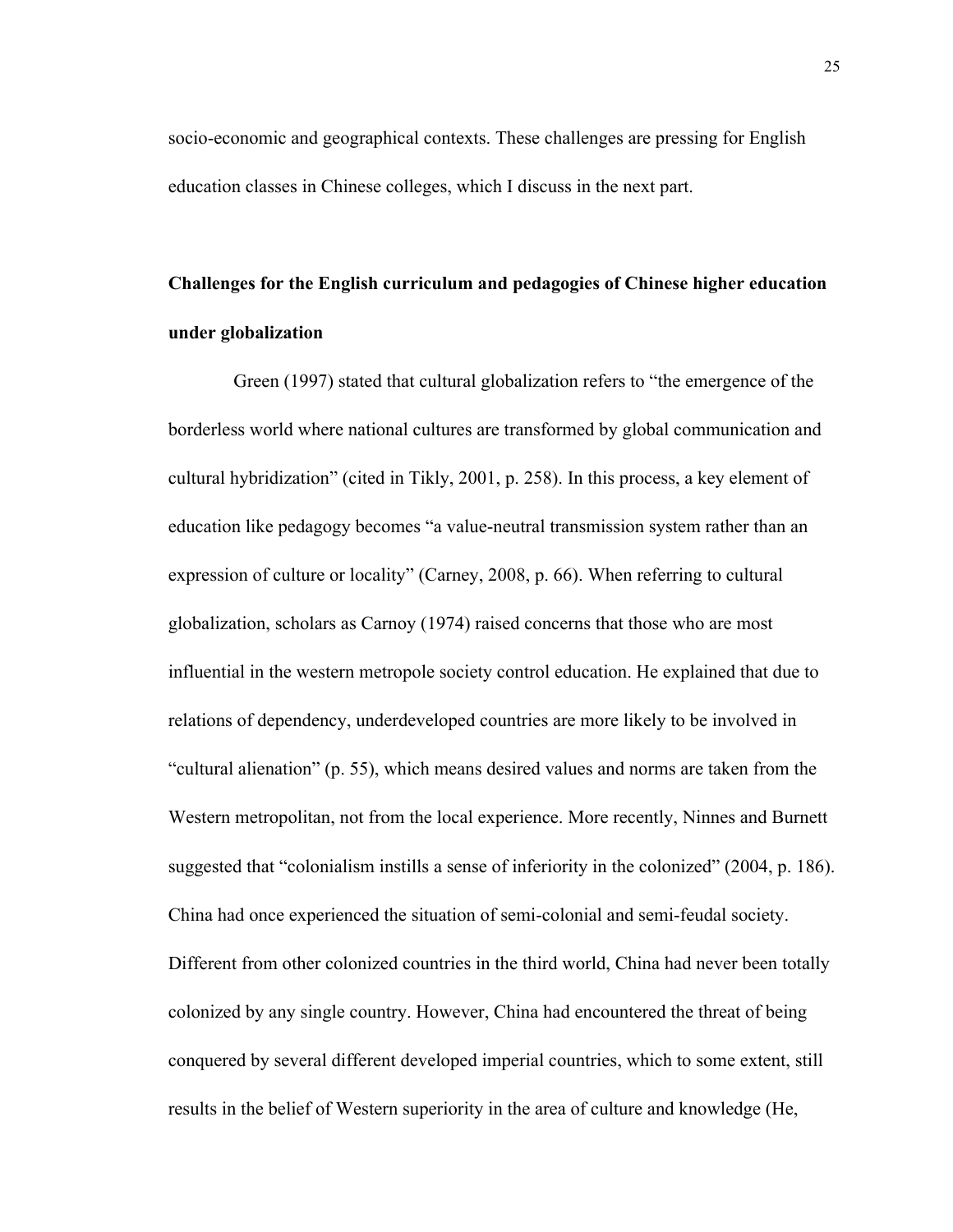socio-economic and geographical contexts. These challenges are pressing for English education classes in Chinese colleges, which I discuss in the next part.

# **Challenges for the English curriculum and pedagogies of Chinese higher education under globalization**

 Green (1997) stated that cultural globalization refers to "the emergence of the borderless world where national cultures are transformed by global communication and cultural hybridization" (cited in Tikly, 2001, p. 258). In this process, a key element of education like pedagogy becomes "a value-neutral transmission system rather than an expression of culture or locality" (Carney, 2008, p. 66). When referring to cultural globalization, scholars as Carnoy (1974) raised concerns that those who are most influential in the western metropole society control education. He explained that due to relations of dependency, underdeveloped countries are more likely to be involved in "cultural alienation" (p. 55), which means desired values and norms are taken from the Western metropolitan, not from the local experience. More recently, Ninnes and Burnett suggested that "colonialism instills a sense of inferiority in the colonized" (2004, p. 186). China had once experienced the situation of semi-colonial and semi-feudal society. Different from other colonized countries in the third world, China had never been totally colonized by any single country. However, China had encountered the threat of being conquered by several different developed imperial countries, which to some extent, still results in the belief of Western superiority in the area of culture and knowledge (He,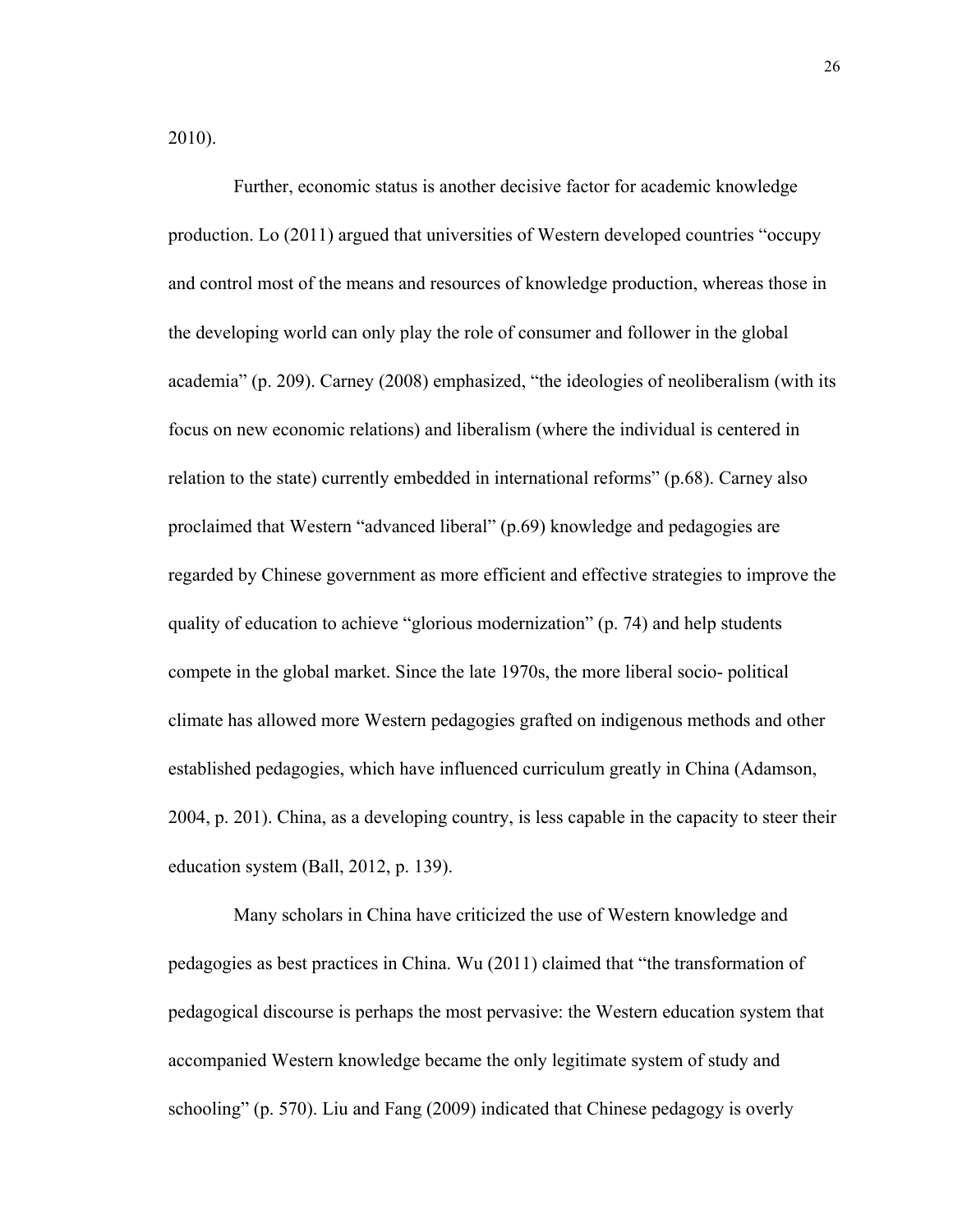2010).

 Further, economic status is another decisive factor for academic knowledge production. Lo (2011) argued that universities of Western developed countries "occupy and control most of the means and resources of knowledge production, whereas those in the developing world can only play the role of consumer and follower in the global academia" (p. 209). Carney (2008) emphasized, "the ideologies of neoliberalism (with its focus on new economic relations) and liberalism (where the individual is centered in relation to the state) currently embedded in international reforms" (p.68). Carney also proclaimed that Western "advanced liberal" (p.69) knowledge and pedagogies are regarded by Chinese government as more efficient and effective strategies to improve the quality of education to achieve "glorious modernization" (p. 74) and help students compete in the global market. Since the late 1970s, the more liberal socio- political climate has allowed more Western pedagogies grafted on indigenous methods and other established pedagogies, which have influenced curriculum greatly in China (Adamson, 2004, p. 201). China, as a developing country, is less capable in the capacity to steer their education system (Ball, 2012, p. 139).

 Many scholars in China have criticized the use of Western knowledge and pedagogies as best practices in China. Wu (2011) claimed that "the transformation of pedagogical discourse is perhaps the most pervasive: the Western education system that accompanied Western knowledge became the only legitimate system of study and schooling" (p. 570). Liu and Fang (2009) indicated that Chinese pedagogy is overly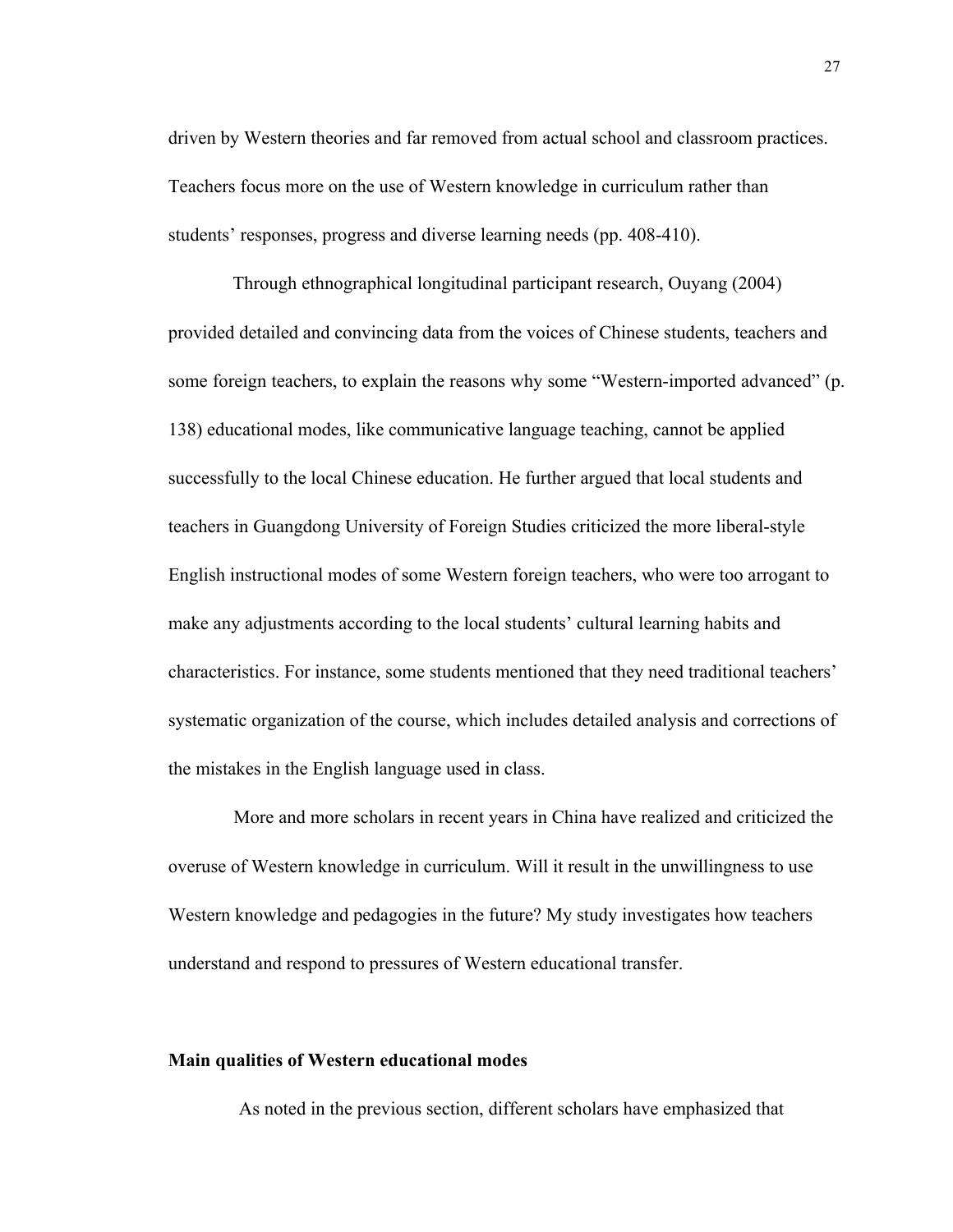driven by Western theories and far removed from actual school and classroom practices. Teachers focus more on the use of Western knowledge in curriculum rather than students' responses, progress and diverse learning needs (pp. 408-410).

Through ethnographical longitudinal participant research, Ouyang (2004) provided detailed and convincing data from the voices of Chinese students, teachers and some foreign teachers, to explain the reasons why some "Western-imported advanced" (p. 138) educational modes, like communicative language teaching, cannot be applied successfully to the local Chinese education. He further argued that local students and teachers in Guangdong University of Foreign Studies criticized the more liberal-style English instructional modes of some Western foreign teachers, who were too arrogant to make any adjustments according to the local students' cultural learning habits and characteristics. For instance, some students mentioned that they need traditional teachers' systematic organization of the course, which includes detailed analysis and corrections of the mistakes in the English language used in class.

 More and more scholars in recent years in China have realized and criticized the overuse of Western knowledge in curriculum. Will it result in the unwillingness to use Western knowledge and pedagogies in the future? My study investigates how teachers understand and respond to pressures of Western educational transfer.

# **Main qualities of Western educational modes**

As noted in the previous section, different scholars have emphasized that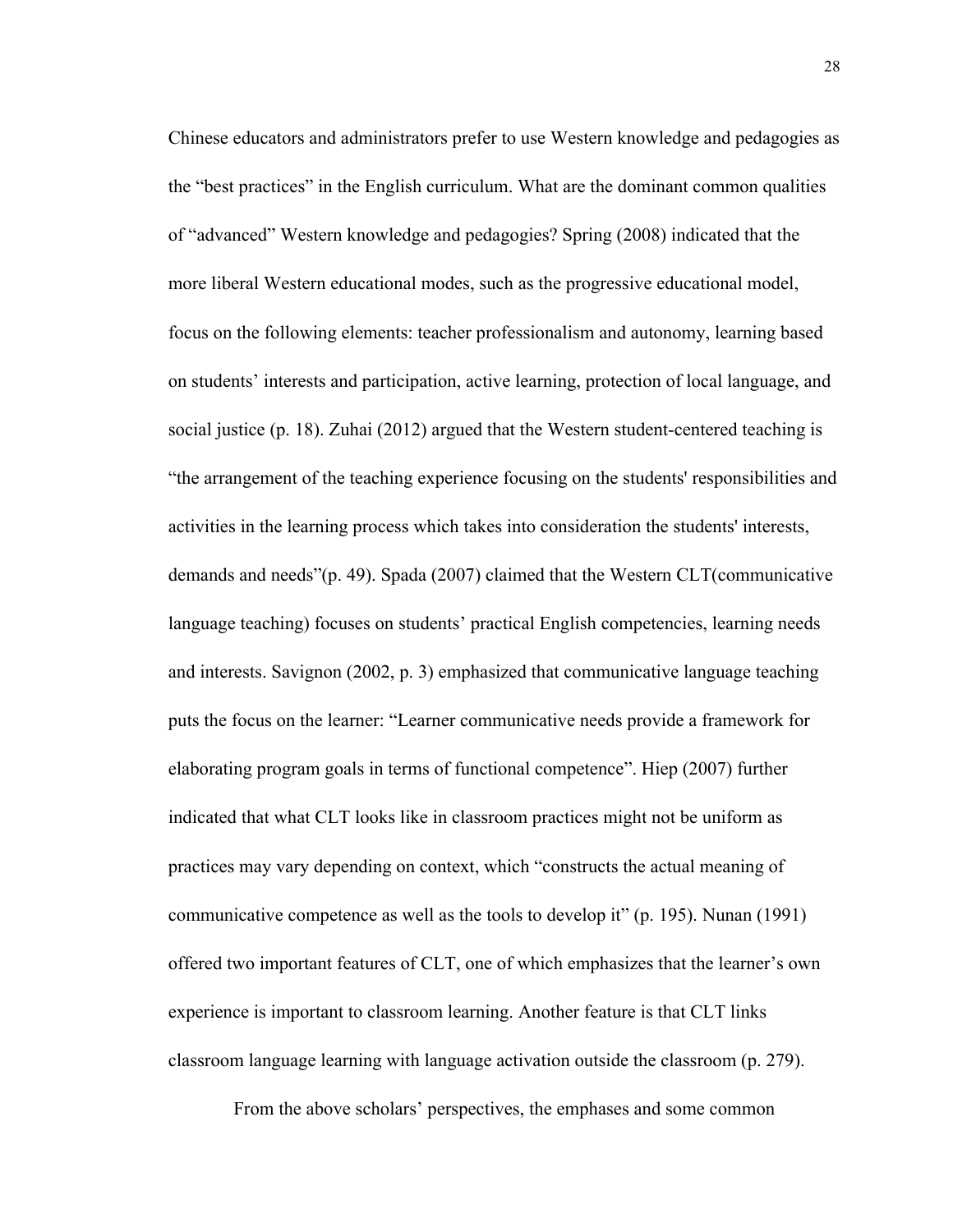Chinese educators and administrators prefer to use Western knowledge and pedagogies as the "best practices" in the English curriculum. What are the dominant common qualities of "advanced" Western knowledge and pedagogies? Spring (2008) indicated that the more liberal Western educational modes, such as the progressive educational model, focus on the following elements: teacher professionalism and autonomy, learning based on students' interests and participation, active learning, protection of local language, and social justice (p. 18). Zuhai (2012) argued that the Western student-centered teaching is "the arrangement of the teaching experience focusing on the students' responsibilities and activities in the learning process which takes into consideration the students' interests, demands and needs"(p. 49). Spada (2007) claimed that the Western CLT(communicative language teaching) focuses on students' practical English competencies, learning needs and interests. Savignon (2002, p. 3) emphasized that communicative language teaching puts the focus on the learner: "Learner communicative needs provide a framework for elaborating program goals in terms of functional competence". Hiep (2007) further indicated that what CLT looks like in classroom practices might not be uniform as practices may vary depending on context, which "constructs the actual meaning of communicative competence as well as the tools to develop it" (p. 195). Nunan (1991) offered two important features of CLT, one of which emphasizes that the learner's own experience is important to classroom learning. Another feature is that CLT links classroom language learning with language activation outside the classroom (p. 279).

From the above scholars' perspectives, the emphases and some common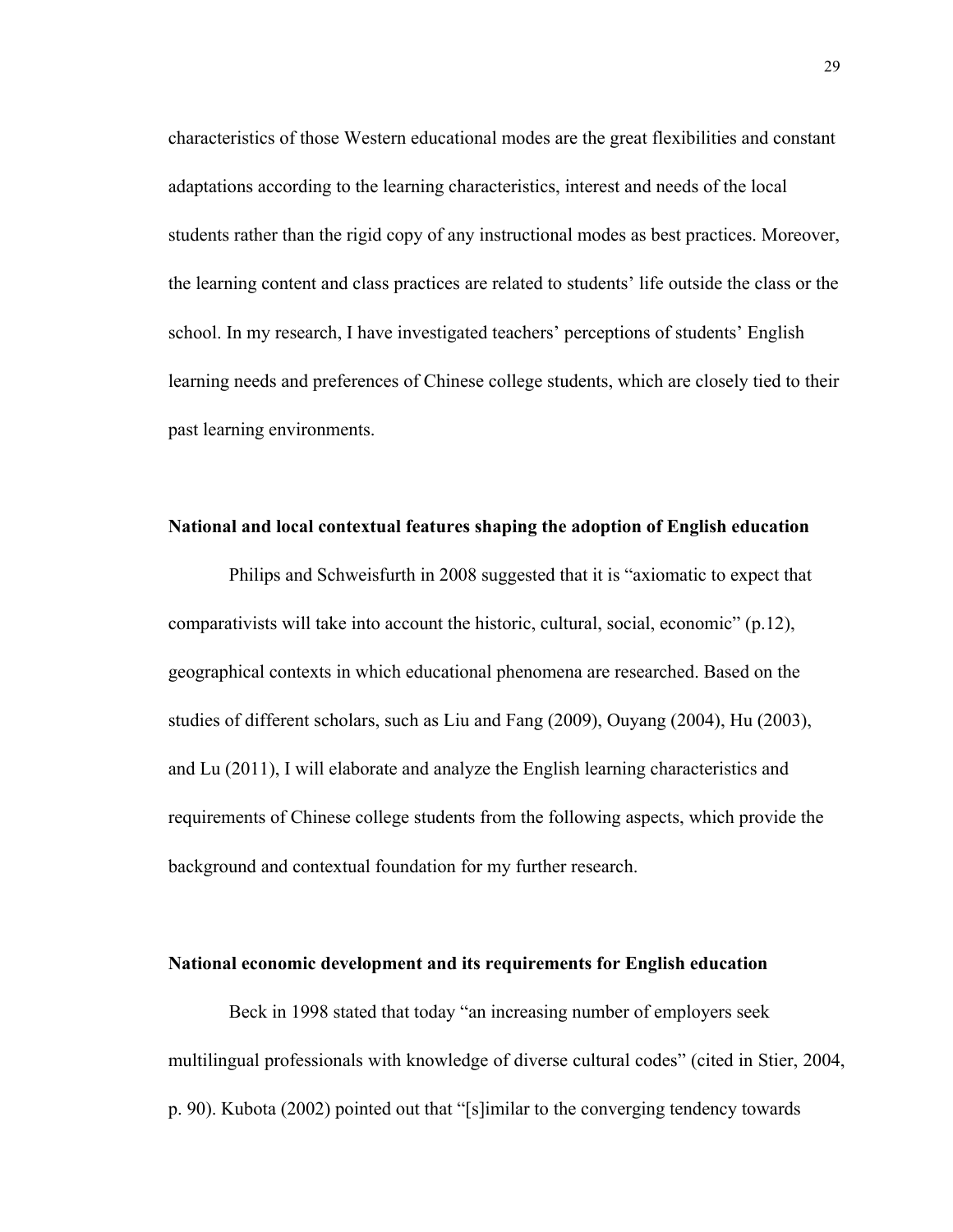characteristics of those Western educational modes are the great flexibilities and constant adaptations according to the learning characteristics, interest and needs of the local students rather than the rigid copy of any instructional modes as best practices. Moreover, the learning content and class practices are related to students' life outside the class or the school. In my research, I have investigated teachers' perceptions of students' English learning needs and preferences of Chinese college students, which are closely tied to their past learning environments.

#### **National and local contextual features shaping the adoption of English education**

Philips and Schweisfurth in 2008 suggested that it is "axiomatic to expect that comparativists will take into account the historic, cultural, social, economic" (p.12), geographical contexts in which educational phenomena are researched. Based on the studies of different scholars, such as Liu and Fang (2009), Ouyang (2004), Hu (2003), and Lu (2011), I will elaborate and analyze the English learning characteristics and requirements of Chinese college students from the following aspects, which provide the background and contextual foundation for my further research.

#### **National economic development and its requirements for English education**

Beck in 1998 stated that today "an increasing number of employers seek multilingual professionals with knowledge of diverse cultural codes" (cited in Stier, 2004, p. 90). Kubota (2002) pointed out that "[s]imilar to the converging tendency towards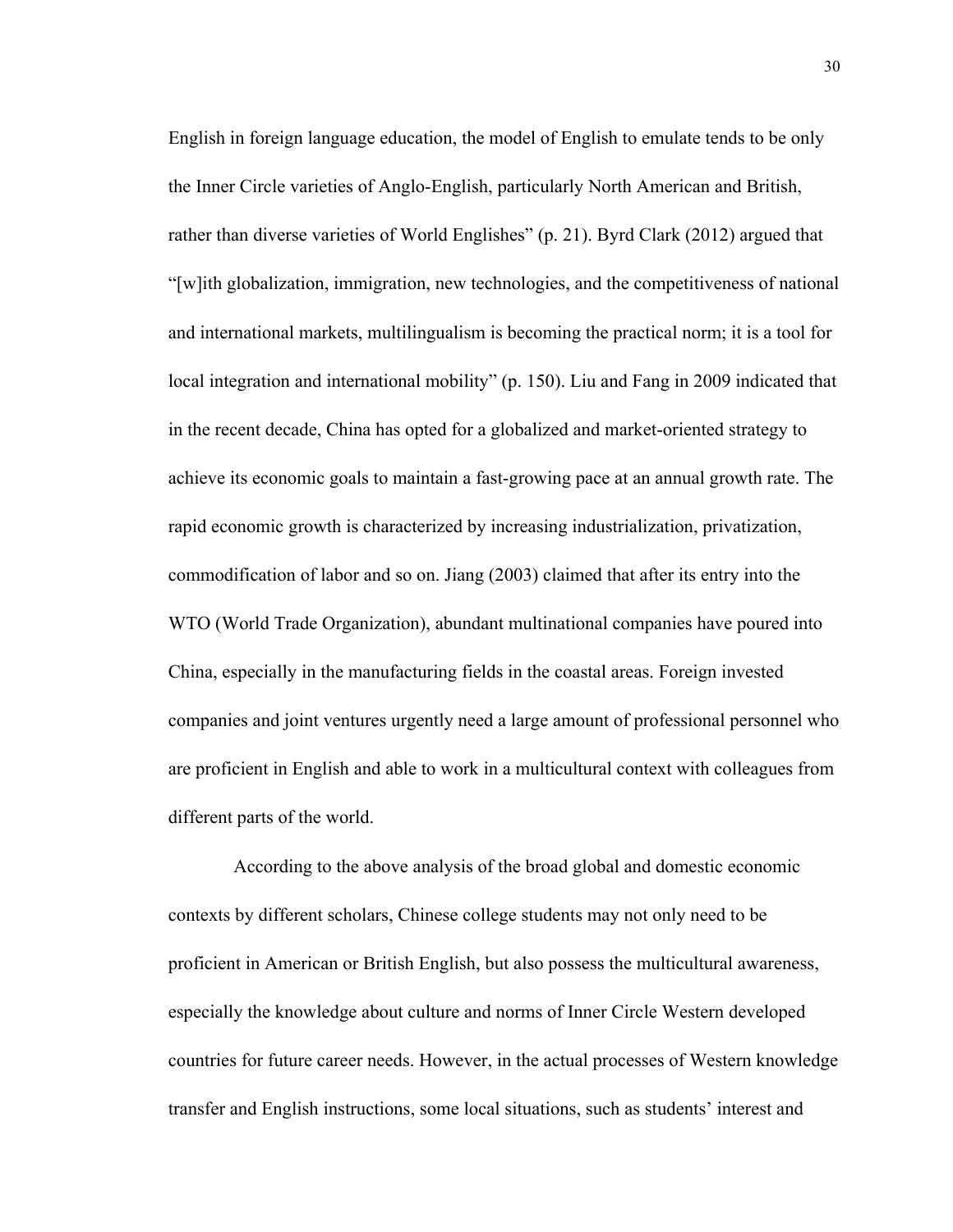English in foreign language education, the model of English to emulate tends to be only the Inner Circle varieties of Anglo-English, particularly North American and British, rather than diverse varieties of World Englishes" (p. 21). Byrd Clark (2012) argued that "[w]ith globalization, immigration, new technologies, and the competitiveness of national and international markets, multilingualism is becoming the practical norm; it is a tool for local integration and international mobility" (p. 150). Liu and Fang in 2009 indicated that in the recent decade, China has opted for a globalized and market-oriented strategy to achieve its economic goals to maintain a fast-growing pace at an annual growth rate. The rapid economic growth is characterized by increasing industrialization, privatization, commodification of labor and so on. Jiang (2003) claimed that after its entry into the WTO (World Trade Organization), abundant multinational companies have poured into China, especially in the manufacturing fields in the coastal areas. Foreign invested companies and joint ventures urgently need a large amount of professional personnel who are proficient in English and able to work in a multicultural context with colleagues from different parts of the world.

 According to the above analysis of the broad global and domestic economic contexts by different scholars, Chinese college students may not only need to be proficient in American or British English, but also possess the multicultural awareness, especially the knowledge about culture and norms of Inner Circle Western developed countries for future career needs. However, in the actual processes of Western knowledge transfer and English instructions, some local situations, such as students' interest and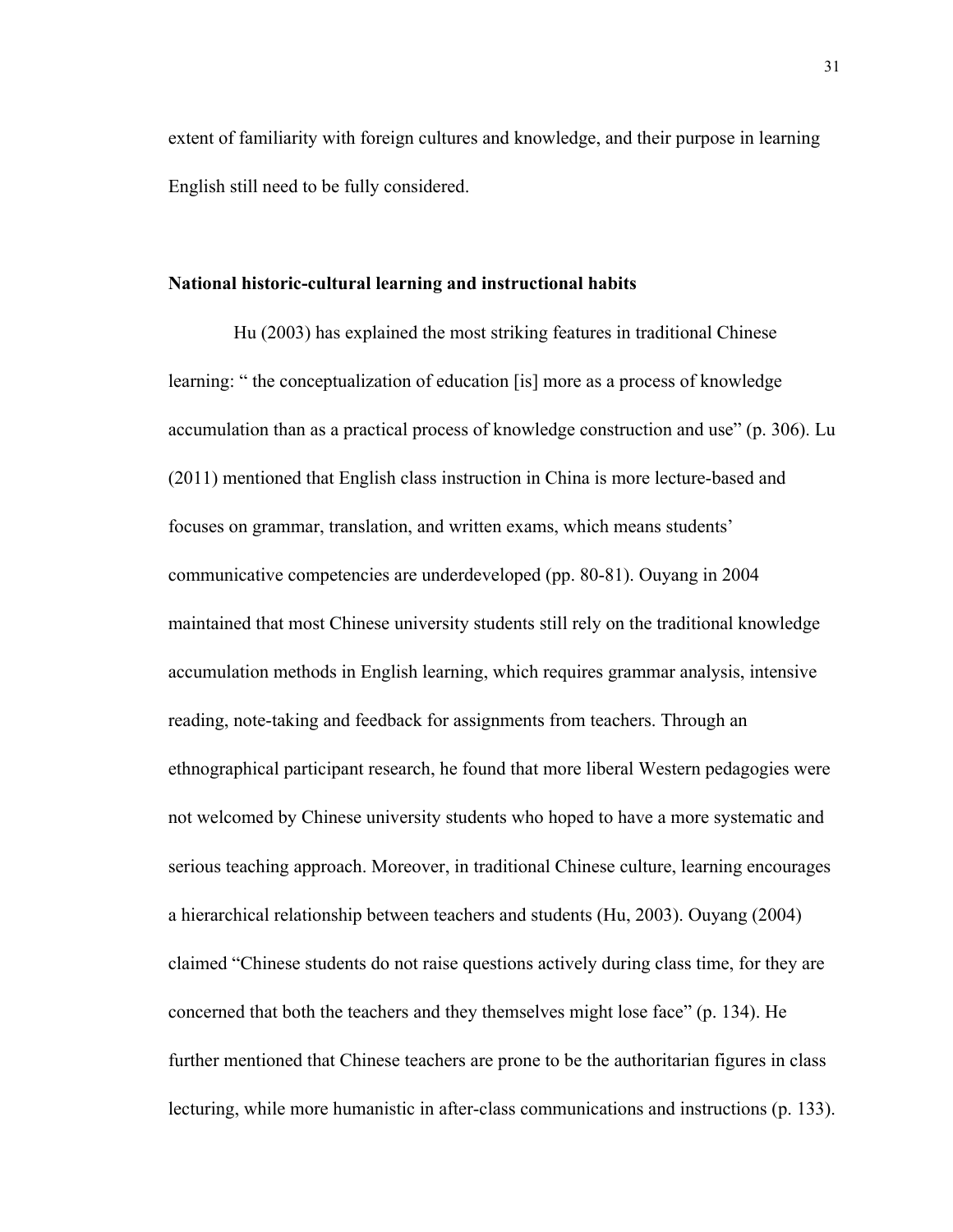extent of familiarity with foreign cultures and knowledge, and their purpose in learning English still need to be fully considered.

#### **National historic-cultural learning and instructional habits**

 Hu (2003) has explained the most striking features in traditional Chinese learning: " the conceptualization of education [is] more as a process of knowledge accumulation than as a practical process of knowledge construction and use" (p. 306). Lu (2011) mentioned that English class instruction in China is more lecture-based and focuses on grammar, translation, and written exams, which means students' communicative competencies are underdeveloped (pp. 80-81). Ouyang in 2004 maintained that most Chinese university students still rely on the traditional knowledge accumulation methods in English learning, which requires grammar analysis, intensive reading, note-taking and feedback for assignments from teachers. Through an ethnographical participant research, he found that more liberal Western pedagogies were not welcomed by Chinese university students who hoped to have a more systematic and serious teaching approach. Moreover, in traditional Chinese culture, learning encourages a hierarchical relationship between teachers and students (Hu, 2003). Ouyang (2004) claimed "Chinese students do not raise questions actively during class time, for they are concerned that both the teachers and they themselves might lose face" (p. 134). He further mentioned that Chinese teachers are prone to be the authoritarian figures in class lecturing, while more humanistic in after-class communications and instructions (p. 133).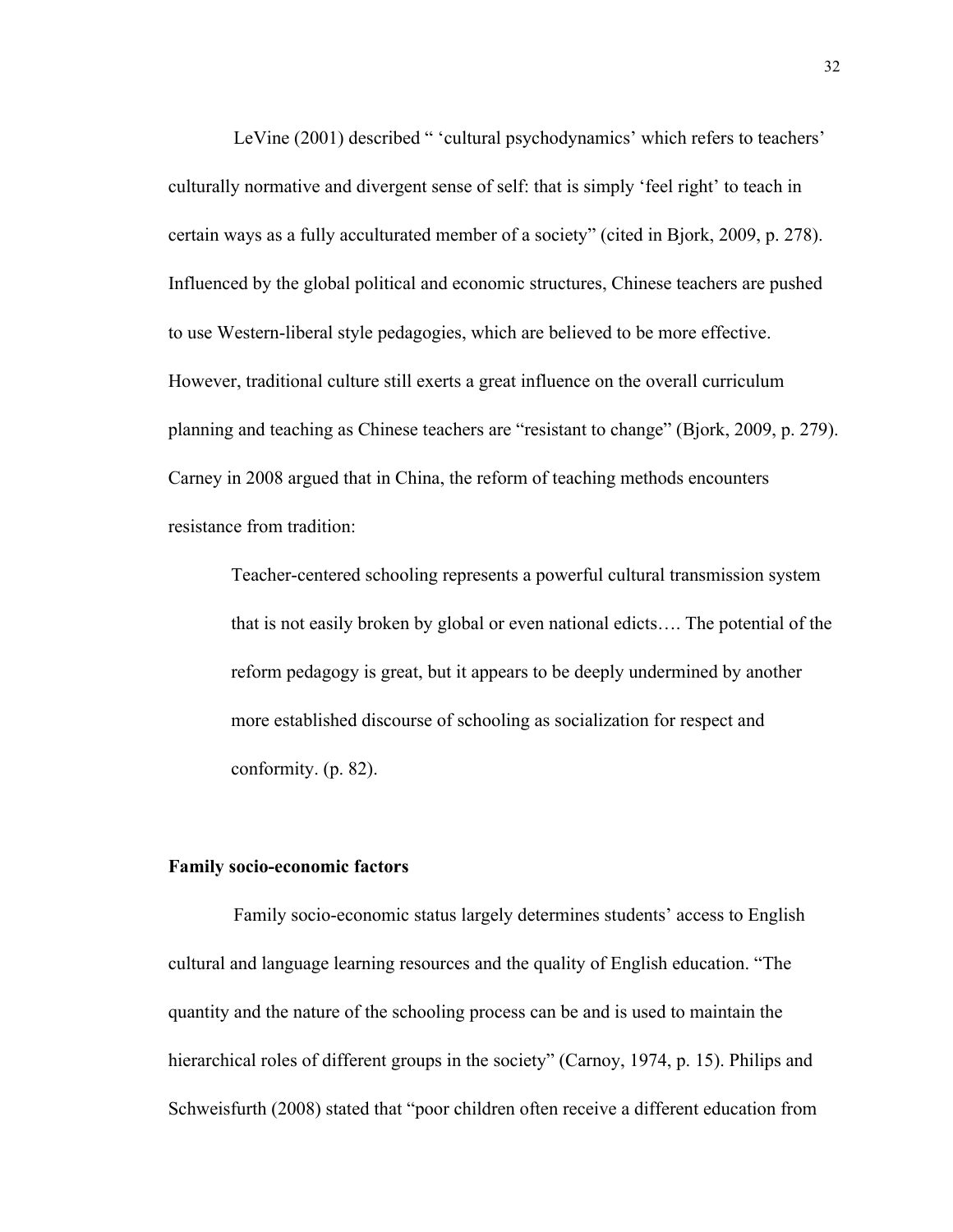LeVine (2001) described " 'cultural psychodynamics' which refers to teachers' culturally normative and divergent sense of self: that is simply 'feel right' to teach in certain ways as a fully acculturated member of a society" (cited in Bjork, 2009, p. 278). Influenced by the global political and economic structures, Chinese teachers are pushed to use Western-liberal style pedagogies, which are believed to be more effective. However, traditional culture still exerts a great influence on the overall curriculum planning and teaching as Chinese teachers are "resistant to change" (Bjork, 2009, p. 279). Carney in 2008 argued that in China, the reform of teaching methods encounters resistance from tradition:

Teacher-centered schooling represents a powerful cultural transmission system that is not easily broken by global or even national edicts…. The potential of the reform pedagogy is great, but it appears to be deeply undermined by another more established discourse of schooling as socialization for respect and conformity. (p. 82).

#### **Family socio-economic factors**

 Family socio-economic status largely determines students' access to English cultural and language learning resources and the quality of English education. "The quantity and the nature of the schooling process can be and is used to maintain the hierarchical roles of different groups in the society" (Carnoy, 1974, p. 15). Philips and Schweisfurth (2008) stated that "poor children often receive a different education from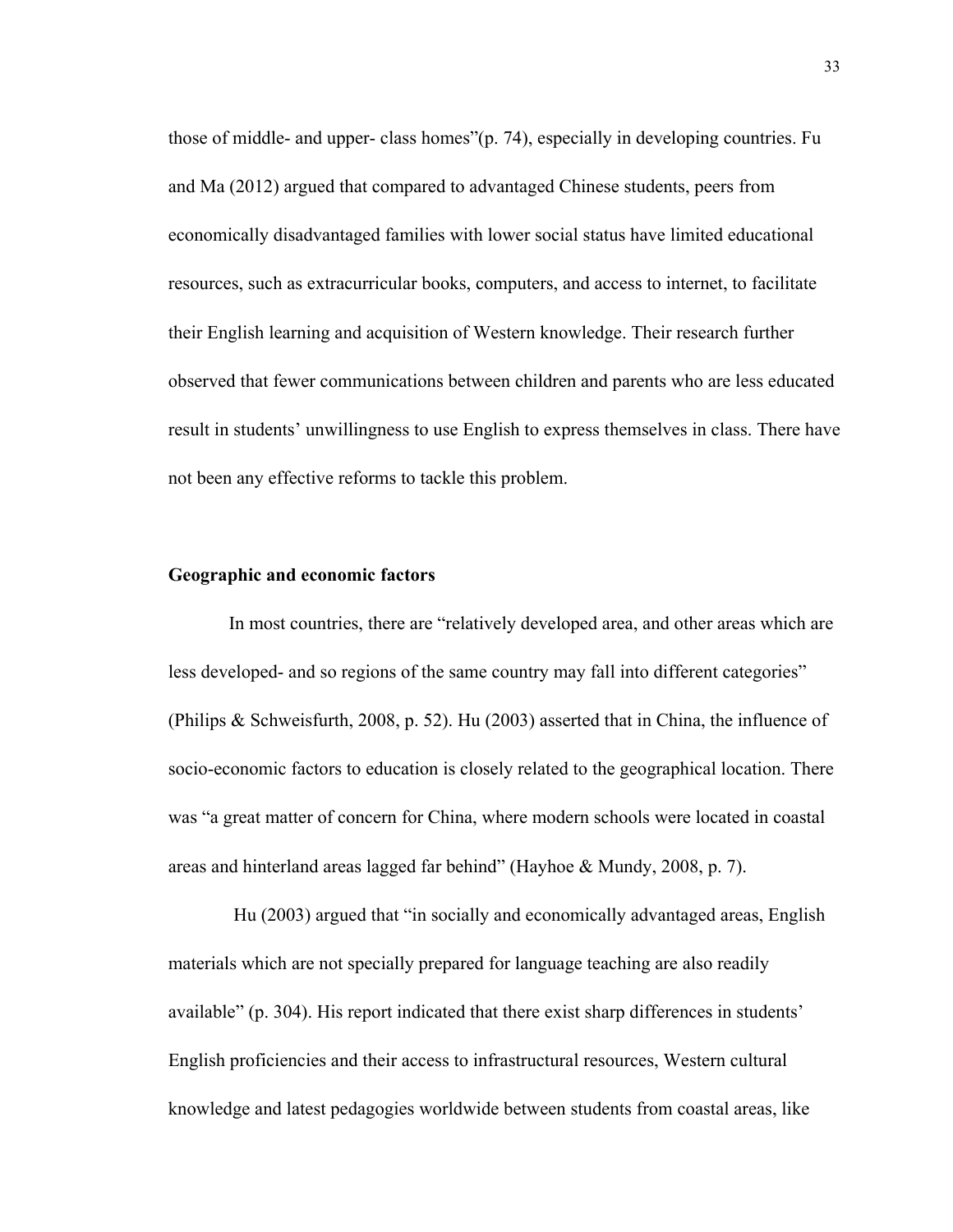those of middle- and upper- class homes"(p. 74), especially in developing countries. Fu and Ma (2012) argued that compared to advantaged Chinese students, peers from economically disadvantaged families with lower social status have limited educational resources, such as extracurricular books, computers, and access to internet, to facilitate their English learning and acquisition of Western knowledge. Their research further observed that fewer communications between children and parents who are less educated result in students' unwillingness to use English to express themselves in class. There have not been any effective reforms to tackle this problem.

# **Geographic and economic factors**

In most countries, there are "relatively developed area, and other areas which are less developed- and so regions of the same country may fall into different categories" (Philips & Schweisfurth, 2008, p. 52). Hu (2003) asserted that in China, the influence of socio-economic factors to education is closely related to the geographical location. There was "a great matter of concern for China, where modern schools were located in coastal areas and hinterland areas lagged far behind" (Hayhoe & Mundy, 2008, p. 7).

 Hu (2003) argued that "in socially and economically advantaged areas, English materials which are not specially prepared for language teaching are also readily available" (p. 304). His report indicated that there exist sharp differences in students' English proficiencies and their access to infrastructural resources, Western cultural knowledge and latest pedagogies worldwide between students from coastal areas, like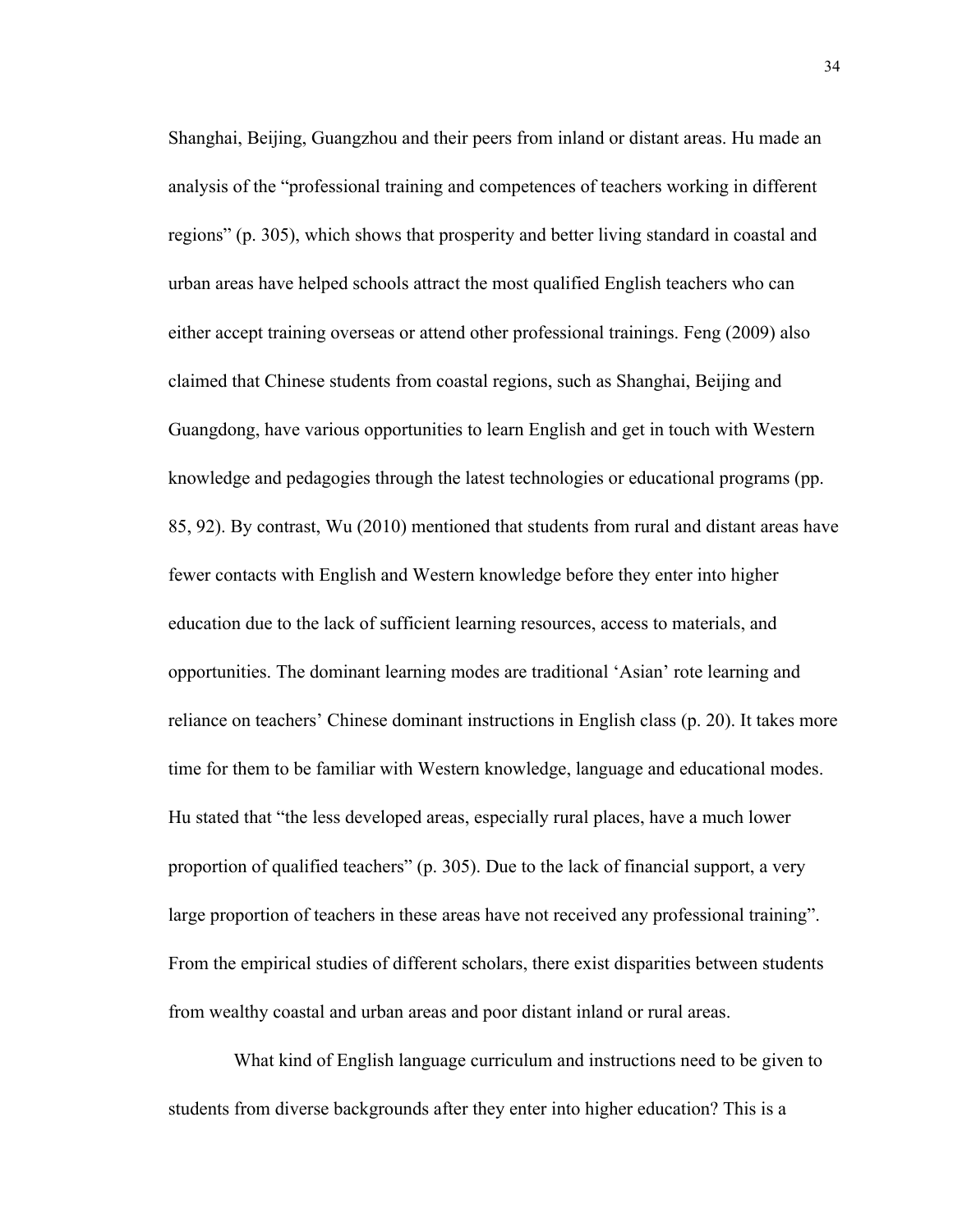Shanghai, Beijing, Guangzhou and their peers from inland or distant areas. Hu made an analysis of the "professional training and competences of teachers working in different regions" (p. 305), which shows that prosperity and better living standard in coastal and urban areas have helped schools attract the most qualified English teachers who can either accept training overseas or attend other professional trainings. Feng (2009) also claimed that Chinese students from coastal regions, such as Shanghai, Beijing and Guangdong, have various opportunities to learn English and get in touch with Western knowledge and pedagogies through the latest technologies or educational programs (pp. 85, 92). By contrast, Wu (2010) mentioned that students from rural and distant areas have fewer contacts with English and Western knowledge before they enter into higher education due to the lack of sufficient learning resources, access to materials, and opportunities. The dominant learning modes are traditional 'Asian' rote learning and reliance on teachers' Chinese dominant instructions in English class (p. 20). It takes more time for them to be familiar with Western knowledge, language and educational modes. Hu stated that "the less developed areas, especially rural places, have a much lower proportion of qualified teachers" (p. 305). Due to the lack of financial support, a very large proportion of teachers in these areas have not received any professional training". From the empirical studies of different scholars, there exist disparities between students from wealthy coastal and urban areas and poor distant inland or rural areas.

 What kind of English language curriculum and instructions need to be given to students from diverse backgrounds after they enter into higher education? This is a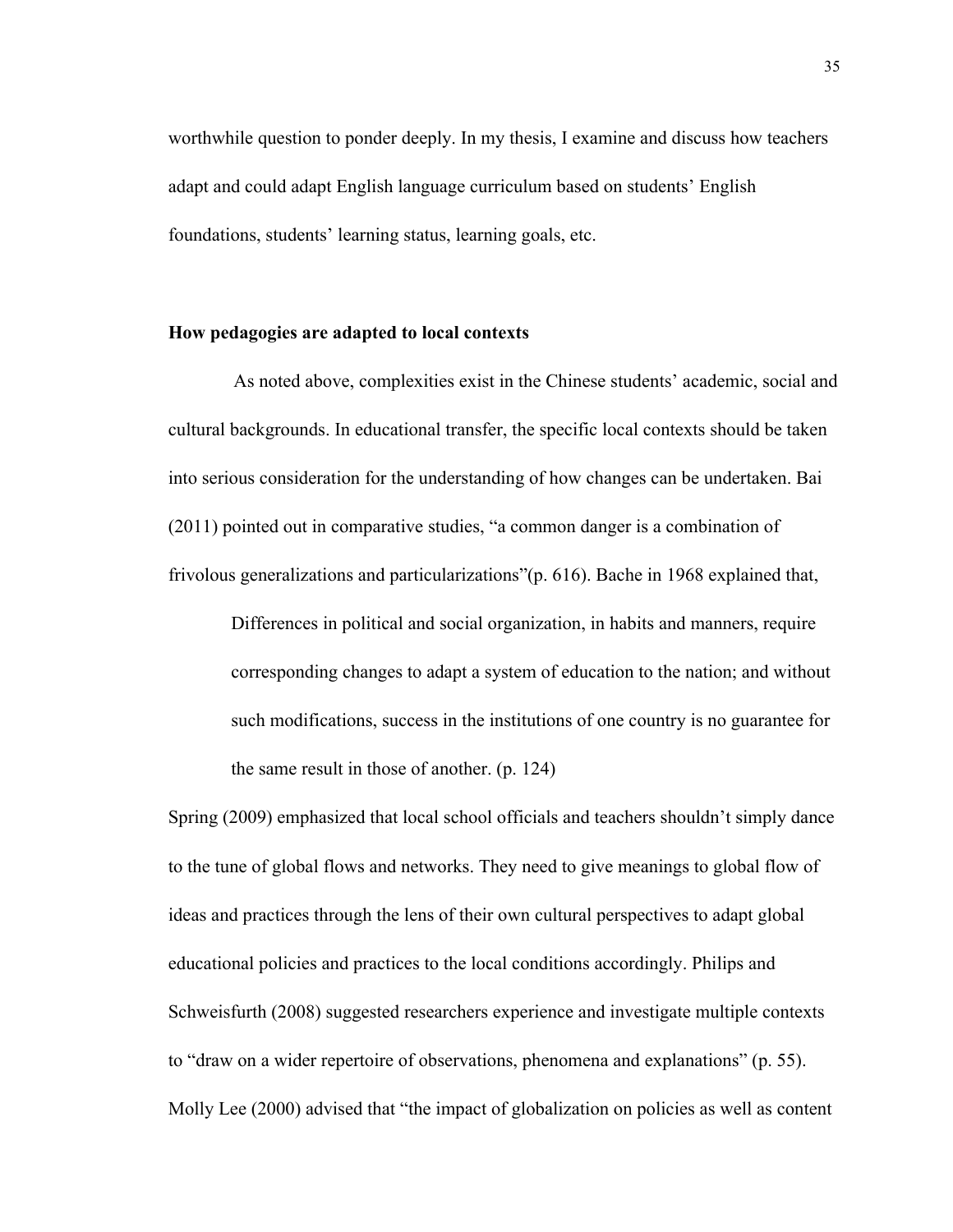worthwhile question to ponder deeply. In my thesis, I examine and discuss how teachers adapt and could adapt English language curriculum based on students' English foundations, students' learning status, learning goals, etc.

# **How pedagogies are adapted to local contexts**

 As noted above, complexities exist in the Chinese students' academic, social and cultural backgrounds. In educational transfer, the specific local contexts should be taken into serious consideration for the understanding of how changes can be undertaken. Bai (2011) pointed out in comparative studies, "a common danger is a combination of frivolous generalizations and particularizations"(p. 616). Bache in 1968 explained that,

Differences in political and social organization, in habits and manners, require corresponding changes to adapt a system of education to the nation; and without such modifications, success in the institutions of one country is no guarantee for the same result in those of another. (p. 124)

Spring (2009) emphasized that local school officials and teachers shouldn't simply dance to the tune of global flows and networks. They need to give meanings to global flow of ideas and practices through the lens of their own cultural perspectives to adapt global educational policies and practices to the local conditions accordingly. Philips and Schweisfurth (2008) suggested researchers experience and investigate multiple contexts to "draw on a wider repertoire of observations, phenomena and explanations" (p. 55). Molly Lee (2000) advised that "the impact of globalization on policies as well as content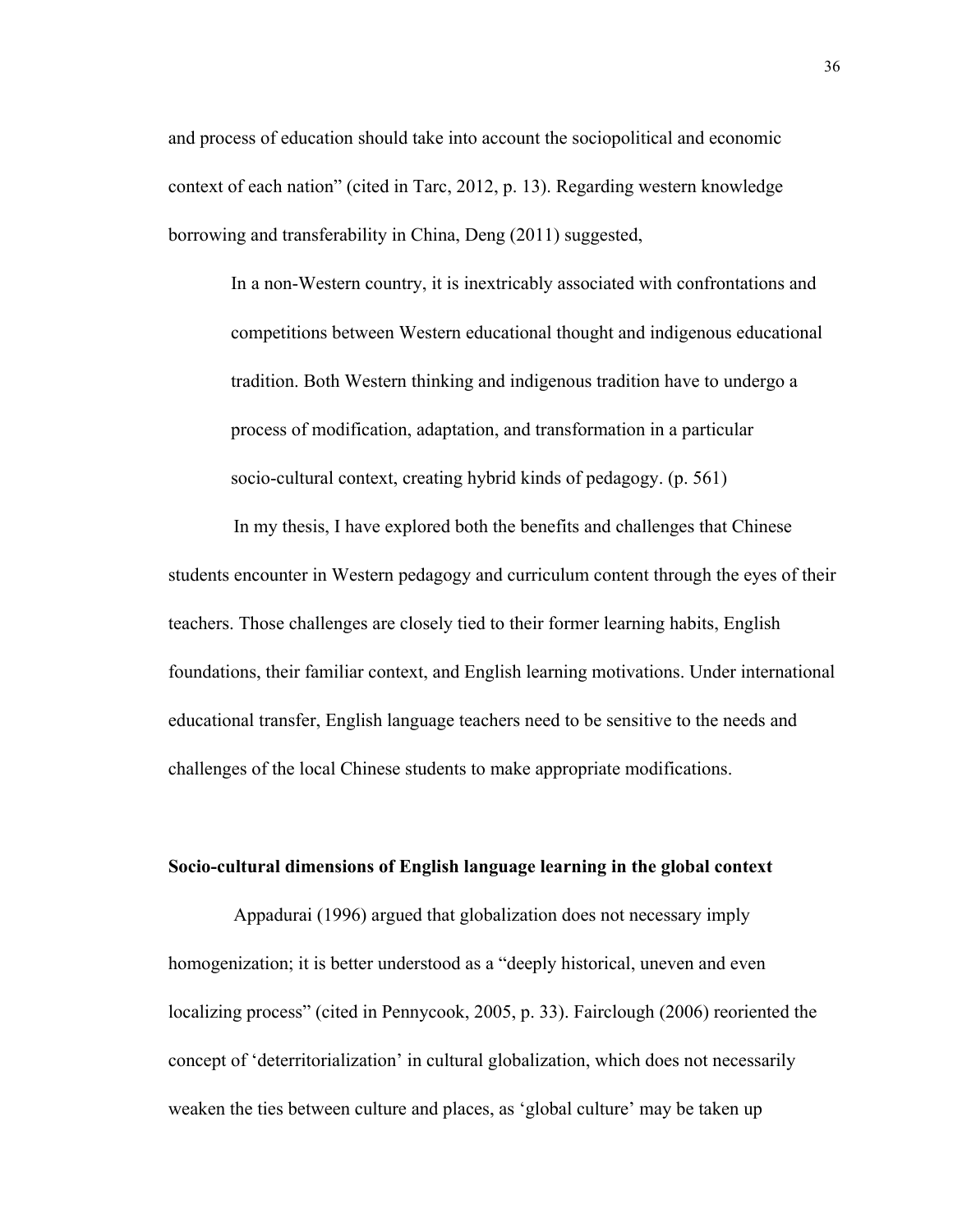and process of education should take into account the sociopolitical and economic context of each nation" (cited in Tarc, 2012, p. 13). Regarding western knowledge borrowing and transferability in China, Deng (2011) suggested,

In a non-Western country, it is inextricably associated with confrontations and competitions between Western educational thought and indigenous educational tradition. Both Western thinking and indigenous tradition have to undergo a process of modification, adaptation, and transformation in a particular socio-cultural context, creating hybrid kinds of pedagogy. (p. 561)

In my thesis, I have explored both the benefits and challenges that Chinese students encounter in Western pedagogy and curriculum content through the eyes of their teachers. Those challenges are closely tied to their former learning habits, English foundations, their familiar context, and English learning motivations. Under international educational transfer, English language teachers need to be sensitive to the needs and challenges of the local Chinese students to make appropriate modifications.

### **Socio-cultural dimensions of English language learning in the global context**

 Appadurai (1996) argued that globalization does not necessary imply homogenization; it is better understood as a "deeply historical, uneven and even localizing process" (cited in Pennycook, 2005, p. 33). Fairclough (2006) reoriented the concept of 'deterritorialization' in cultural globalization, which does not necessarily weaken the ties between culture and places, as 'global culture' may be taken up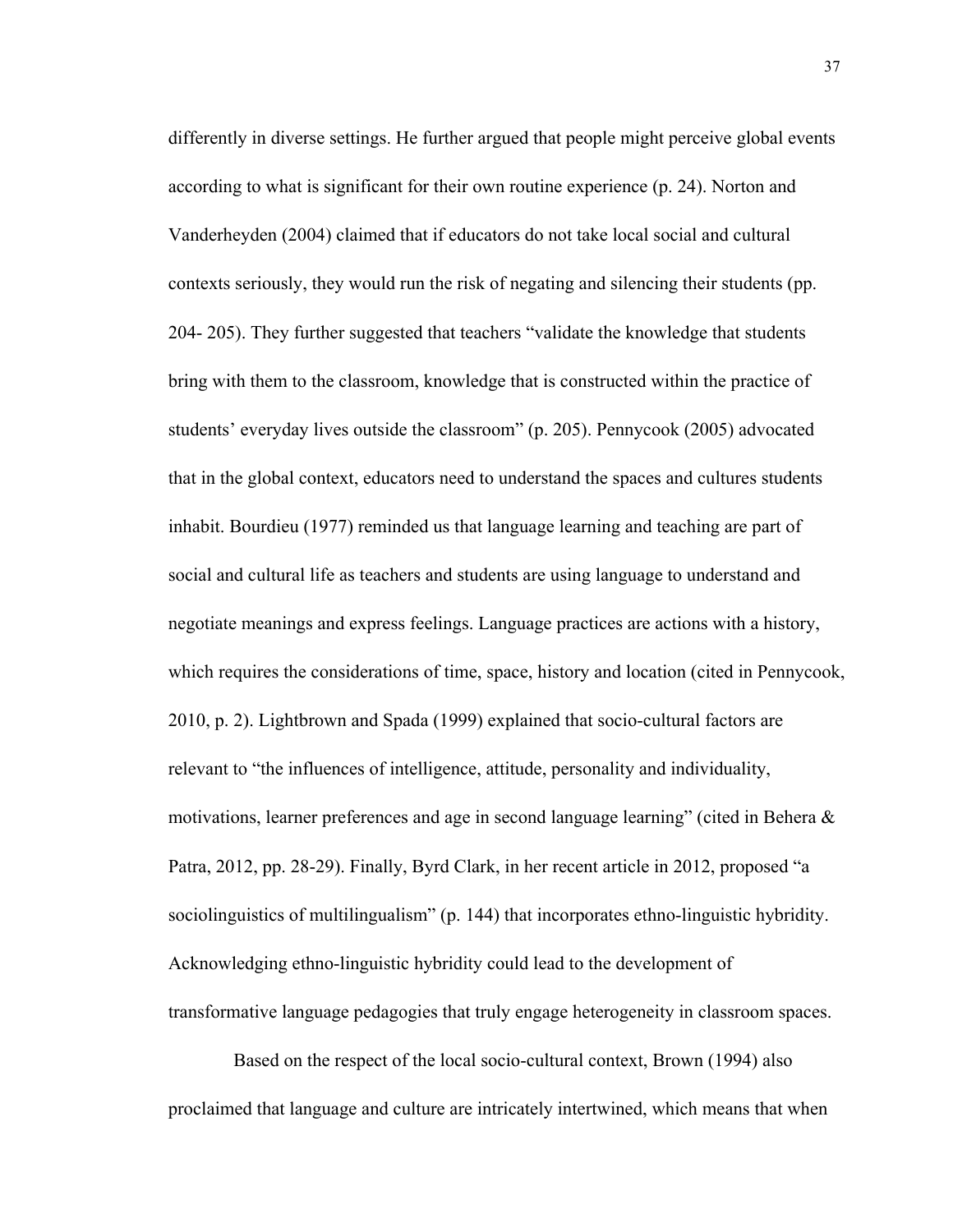differently in diverse settings. He further argued that people might perceive global events according to what is significant for their own routine experience (p. 24). Norton and Vanderheyden (2004) claimed that if educators do not take local social and cultural contexts seriously, they would run the risk of negating and silencing their students (pp. 204- 205). They further suggested that teachers "validate the knowledge that students bring with them to the classroom, knowledge that is constructed within the practice of students' everyday lives outside the classroom" (p. 205). Pennycook (2005) advocated that in the global context, educators need to understand the spaces and cultures students inhabit. Bourdieu (1977) reminded us that language learning and teaching are part of social and cultural life as teachers and students are using language to understand and negotiate meanings and express feelings. Language practices are actions with a history, which requires the considerations of time, space, history and location (cited in Pennycook, 2010, p. 2). Lightbrown and Spada (1999) explained that socio-cultural factors are relevant to "the influences of intelligence, attitude, personality and individuality, motivations, learner preferences and age in second language learning" (cited in Behera & Patra, 2012, pp. 28-29). Finally, Byrd Clark, in her recent article in 2012, proposed "a sociolinguistics of multilingualism" (p. 144) that incorporates ethno-linguistic hybridity. Acknowledging ethno-linguistic hybridity could lead to the development of transformative language pedagogies that truly engage heterogeneity in classroom spaces.

 Based on the respect of the local socio-cultural context, Brown (1994) also proclaimed that language and culture are intricately intertwined, which means that when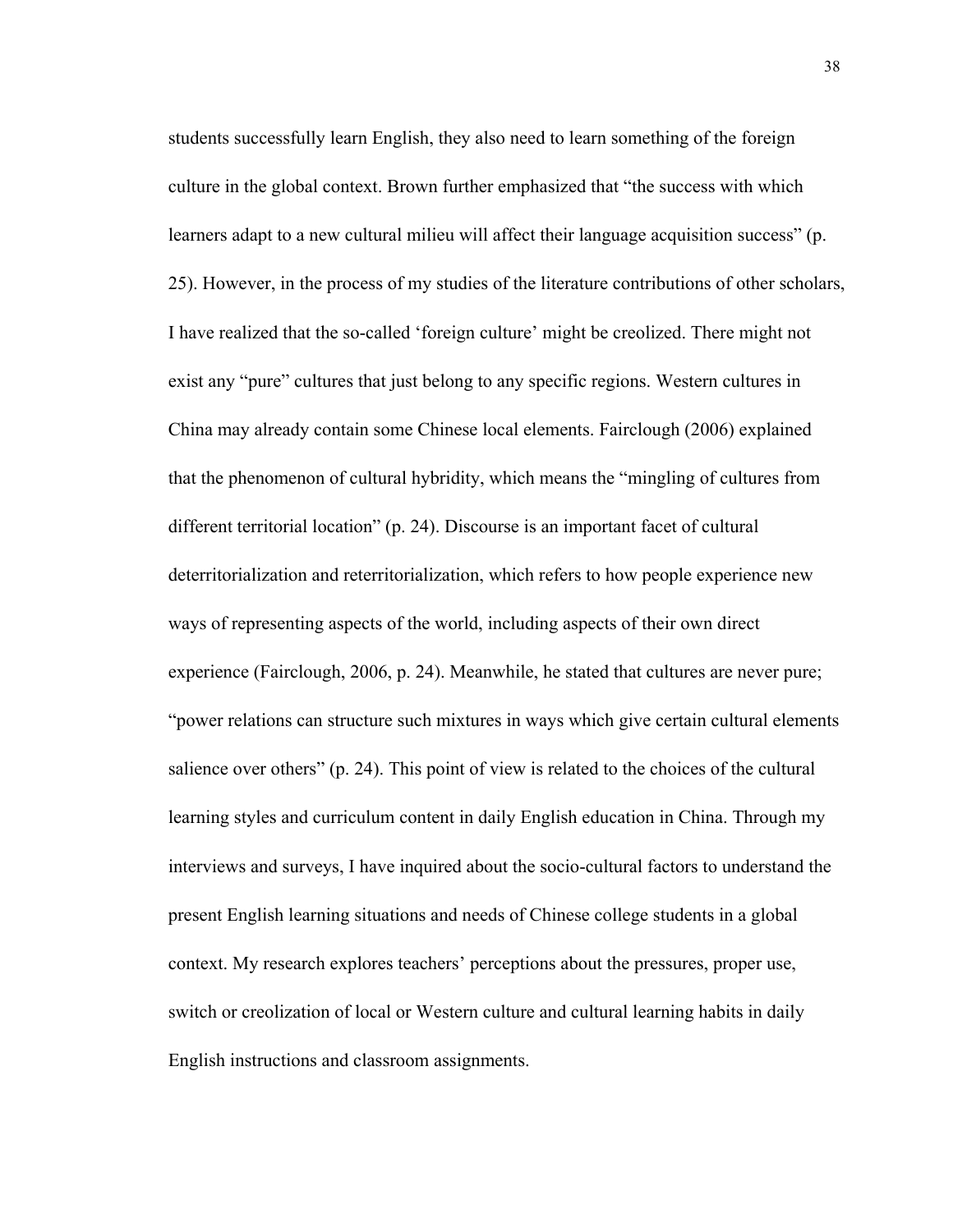students successfully learn English, they also need to learn something of the foreign culture in the global context. Brown further emphasized that "the success with which learners adapt to a new cultural milieu will affect their language acquisition success" (p. 25). However, in the process of my studies of the literature contributions of other scholars, I have realized that the so-called 'foreign culture' might be creolized. There might not exist any "pure" cultures that just belong to any specific regions. Western cultures in China may already contain some Chinese local elements. Fairclough (2006) explained that the phenomenon of cultural hybridity, which means the "mingling of cultures from different territorial location" (p. 24). Discourse is an important facet of cultural deterritorialization and reterritorialization, which refers to how people experience new ways of representing aspects of the world, including aspects of their own direct experience (Fairclough, 2006, p. 24). Meanwhile, he stated that cultures are never pure; "power relations can structure such mixtures in ways which give certain cultural elements salience over others" (p. 24). This point of view is related to the choices of the cultural learning styles and curriculum content in daily English education in China. Through my interviews and surveys, I have inquired about the socio-cultural factors to understand the present English learning situations and needs of Chinese college students in a global context. My research explores teachers' perceptions about the pressures, proper use, switch or creolization of local or Western culture and cultural learning habits in daily English instructions and classroom assignments.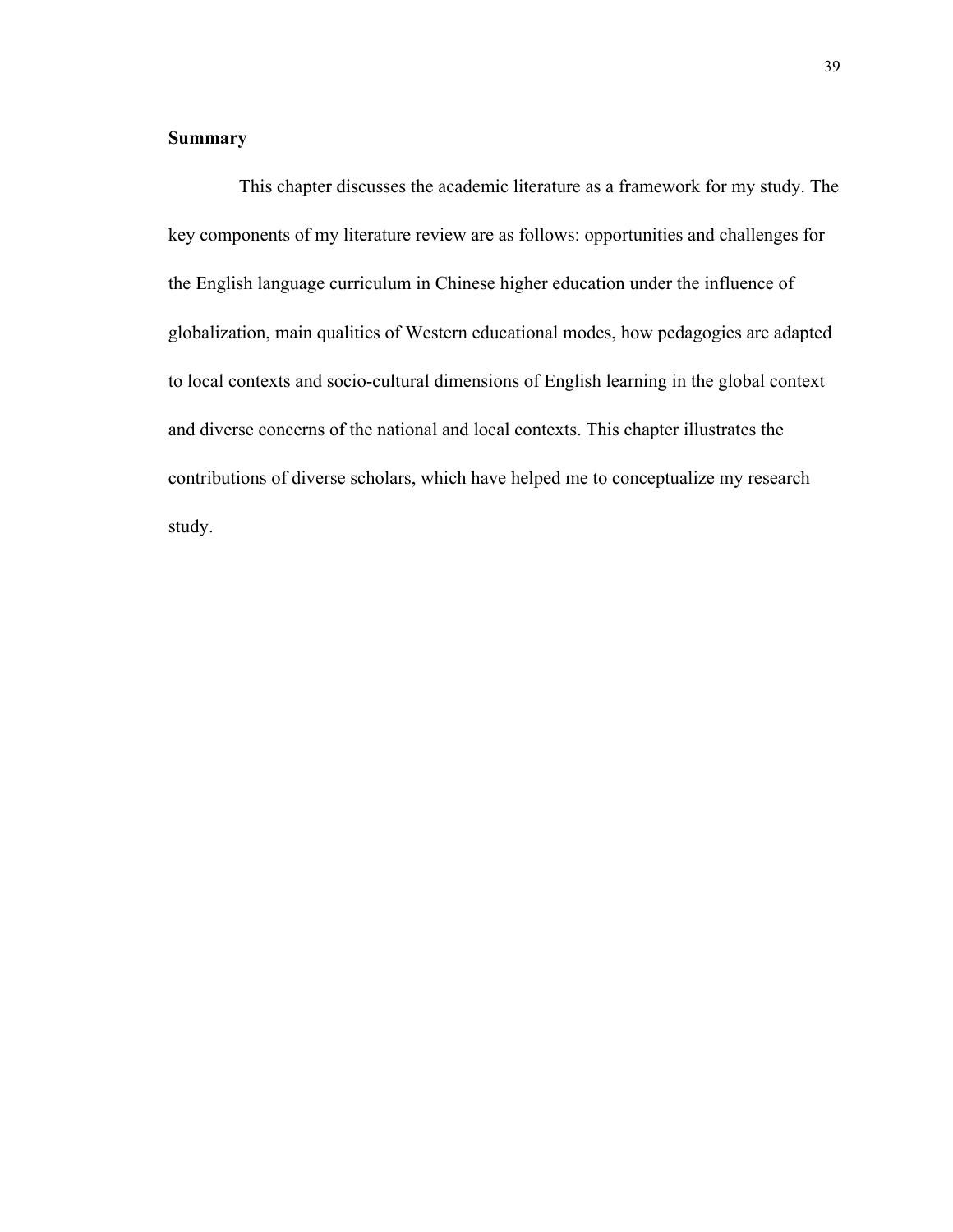# **Summary**

This chapter discusses the academic literature as a framework for my study. The key components of my literature review are as follows: opportunities and challenges for the English language curriculum in Chinese higher education under the influence of globalization, main qualities of Western educational modes, how pedagogies are adapted to local contexts and socio-cultural dimensions of English learning in the global context and diverse concerns of the national and local contexts. This chapter illustrates the contributions of diverse scholars, which have helped me to conceptualize my research study.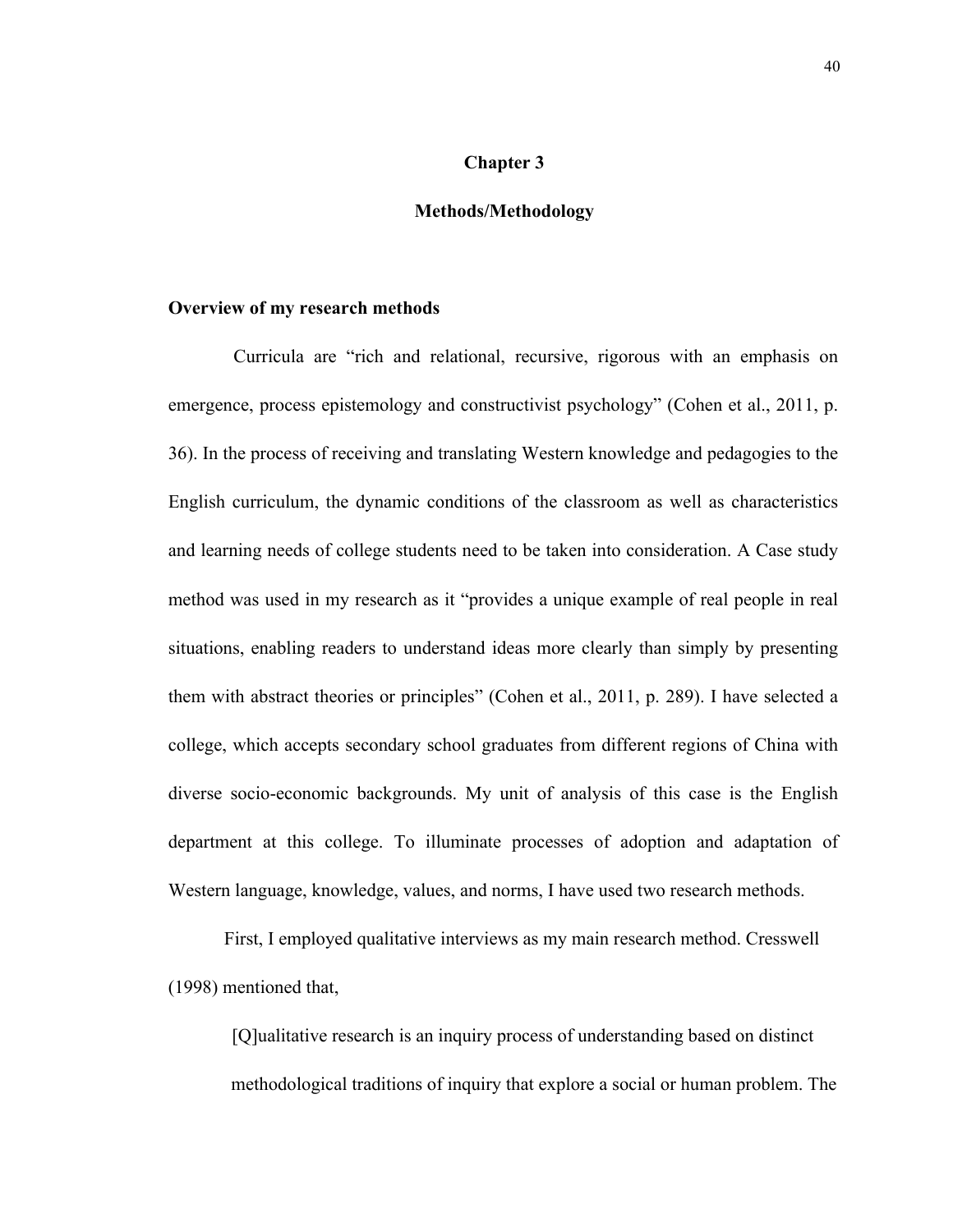# **Chapter 3**

# **Methods/Methodology**

### **Overview of my research methods**

 Curricula are "rich and relational, recursive, rigorous with an emphasis on emergence, process epistemology and constructivist psychology" (Cohen et al., 2011, p. 36). In the process of receiving and translating Western knowledge and pedagogies to the English curriculum, the dynamic conditions of the classroom as well as characteristics and learning needs of college students need to be taken into consideration. A Case study method was used in my research as it "provides a unique example of real people in real situations, enabling readers to understand ideas more clearly than simply by presenting them with abstract theories or principles" (Cohen et al., 2011, p. 289). I have selected a college, which accepts secondary school graduates from different regions of China with diverse socio-economic backgrounds. My unit of analysis of this case is the English department at this college. To illuminate processes of adoption and adaptation of Western language, knowledge, values, and norms, I have used two research methods.

First, I employed qualitative interviews as my main research method. Cresswell (1998) mentioned that,

[Q]ualitative research is an inquiry process of understanding based on distinct methodological traditions of inquiry that explore a social or human problem. The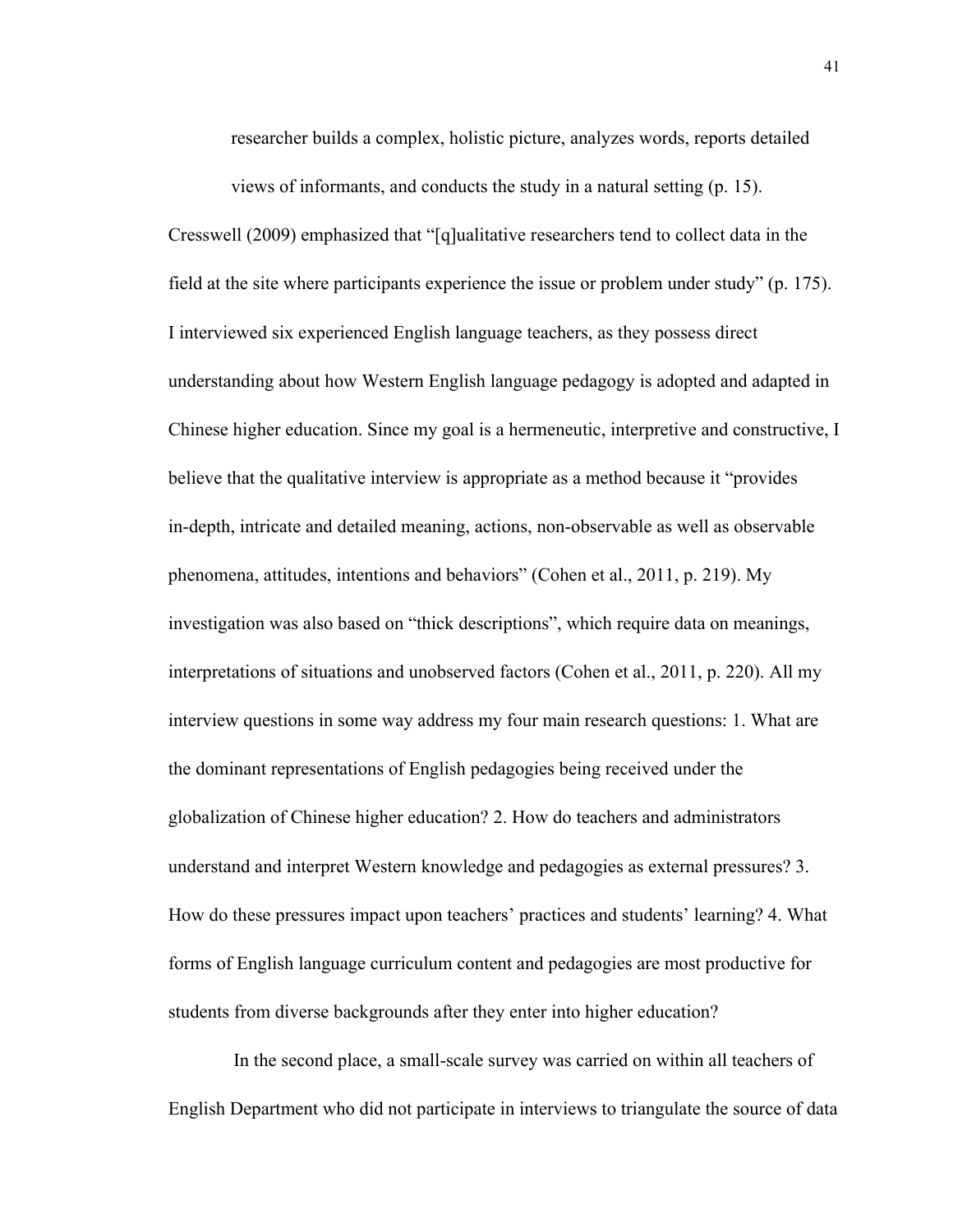researcher builds a complex, holistic picture, analyzes words, reports detailed

views of informants, and conducts the study in a natural setting (p. 15). Cresswell (2009) emphasized that "[q]ualitative researchers tend to collect data in the field at the site where participants experience the issue or problem under study" (p. 175). I interviewed six experienced English language teachers, as they possess direct understanding about how Western English language pedagogy is adopted and adapted in Chinese higher education. Since my goal is a hermeneutic, interpretive and constructive, I believe that the qualitative interview is appropriate as a method because it "provides in-depth, intricate and detailed meaning, actions, non-observable as well as observable phenomena, attitudes, intentions and behaviors" (Cohen et al., 2011, p. 219). My investigation was also based on "thick descriptions", which require data on meanings, interpretations of situations and unobserved factors (Cohen et al., 2011, p. 220). All my interview questions in some way address my four main research questions: 1. What are the dominant representations of English pedagogies being received under the globalization of Chinese higher education? 2. How do teachers and administrators understand and interpret Western knowledge and pedagogies as external pressures? 3. How do these pressures impact upon teachers' practices and students' learning? 4. What forms of English language curriculum content and pedagogies are most productive for students from diverse backgrounds after they enter into higher education?

In the second place, a small-scale survey was carried on within all teachers of English Department who did not participate in interviews to triangulate the source of data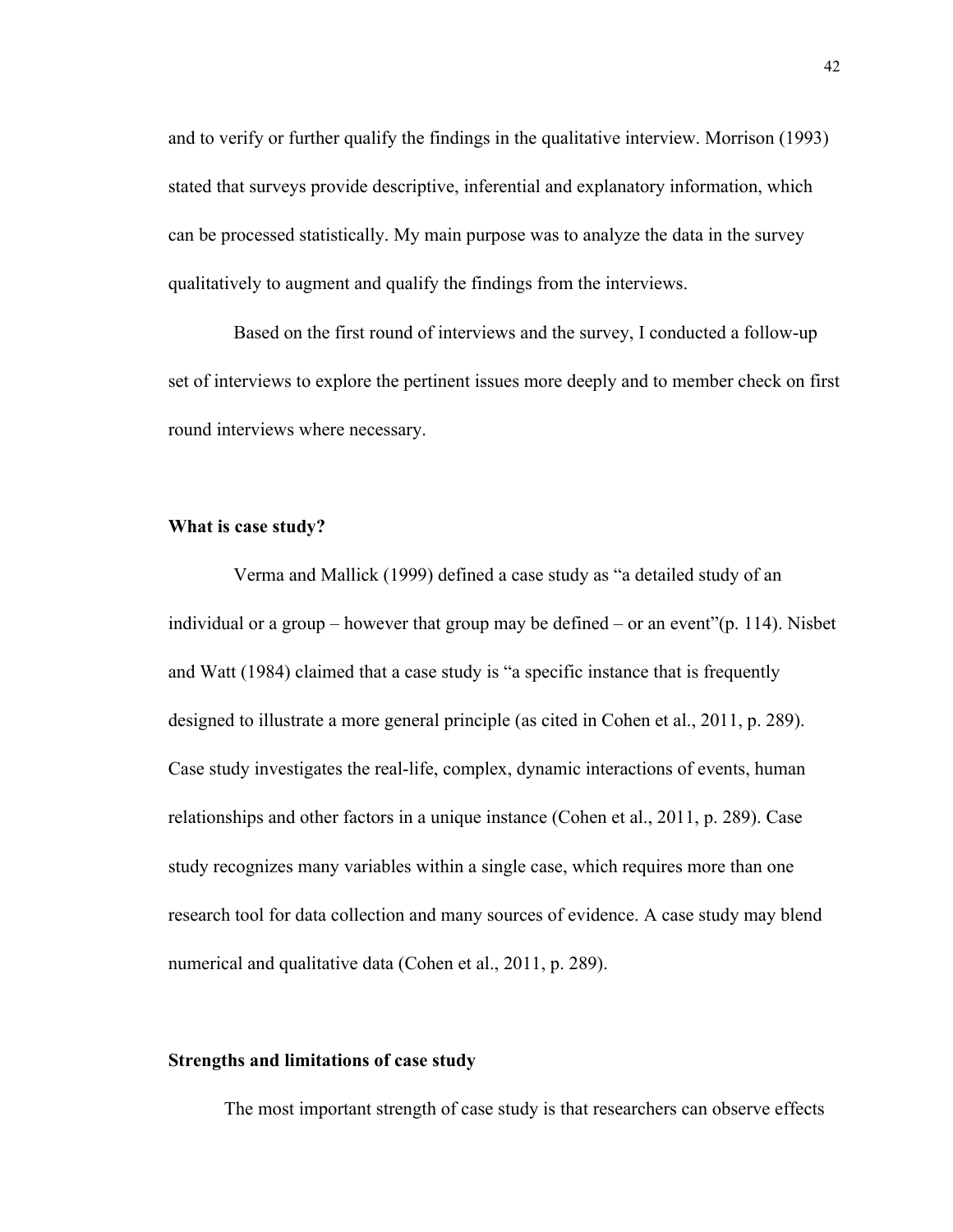and to verify or further qualify the findings in the qualitative interview. Morrison (1993) stated that surveys provide descriptive, inferential and explanatory information, which can be processed statistically. My main purpose was to analyze the data in the survey qualitatively to augment and qualify the findings from the interviews.

Based on the first round of interviews and the survey, I conducted a follow-up set of interviews to explore the pertinent issues more deeply and to member check on first round interviews where necessary.

# **What is case study?**

Verma and Mallick (1999) defined a case study as "a detailed study of an individual or a group – however that group may be defined – or an event"(p. 114). Nisbet and Watt (1984) claimed that a case study is "a specific instance that is frequently designed to illustrate a more general principle (as cited in Cohen et al., 2011, p. 289). Case study investigates the real-life, complex, dynamic interactions of events, human relationships and other factors in a unique instance (Cohen et al., 2011, p. 289). Case study recognizes many variables within a single case, which requires more than one research tool for data collection and many sources of evidence. A case study may blend numerical and qualitative data (Cohen et al., 2011, p. 289).

# **Strengths and limitations of case study**

The most important strength of case study is that researchers can observe effects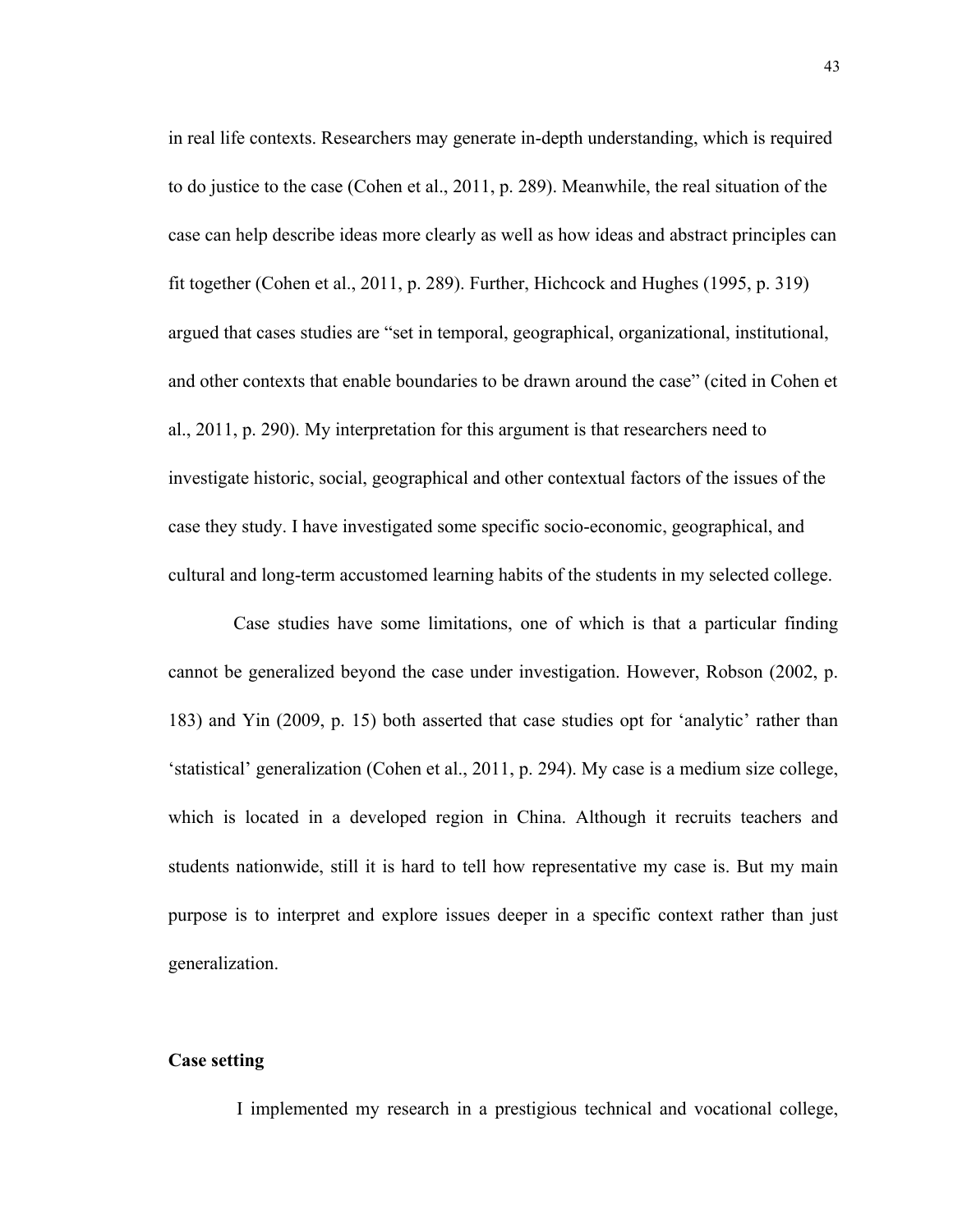in real life contexts. Researchers may generate in-depth understanding, which is required to do justice to the case (Cohen et al., 2011, p. 289). Meanwhile, the real situation of the case can help describe ideas more clearly as well as how ideas and abstract principles can fit together (Cohen et al., 2011, p. 289). Further, Hichcock and Hughes (1995, p. 319) argued that cases studies are "set in temporal, geographical, organizational, institutional, and other contexts that enable boundaries to be drawn around the case" (cited in Cohen et al., 2011, p. 290). My interpretation for this argument is that researchers need to investigate historic, social, geographical and other contextual factors of the issues of the case they study. I have investigated some specific socio-economic, geographical, and cultural and long-term accustomed learning habits of the students in my selected college.

 Case studies have some limitations, one of which is that a particular finding cannot be generalized beyond the case under investigation. However, Robson (2002, p. 183) and Yin (2009, p. 15) both asserted that case studies opt for 'analytic' rather than 'statistical' generalization (Cohen et al., 2011, p. 294). My case is a medium size college, which is located in a developed region in China. Although it recruits teachers and students nationwide, still it is hard to tell how representative my case is. But my main purpose is to interpret and explore issues deeper in a specific context rather than just generalization.

# **Case setting**

I implemented my research in a prestigious technical and vocational college,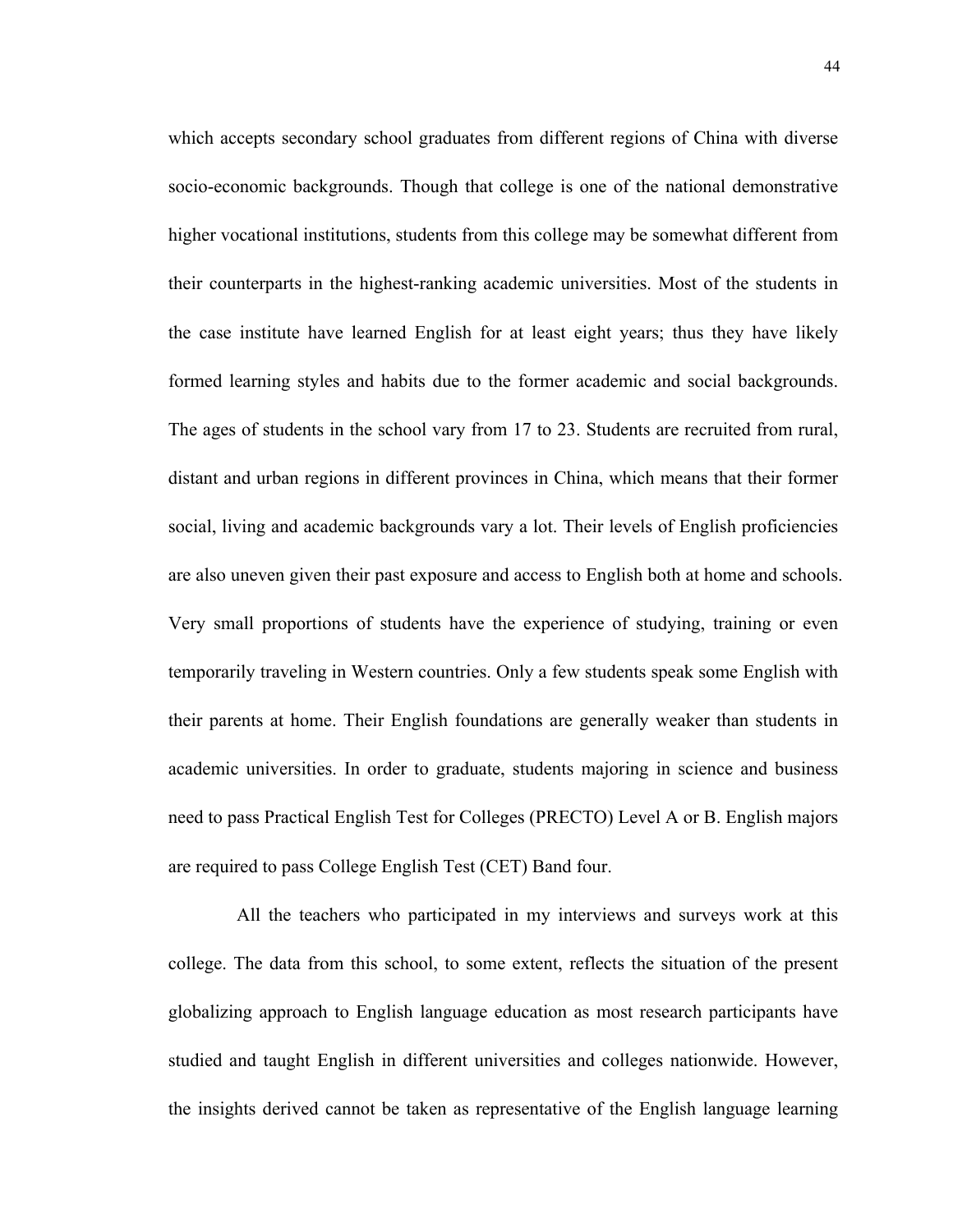which accepts secondary school graduates from different regions of China with diverse socio-economic backgrounds. Though that college is one of the national demonstrative higher vocational institutions, students from this college may be somewhat different from their counterparts in the highest-ranking academic universities. Most of the students in the case institute have learned English for at least eight years; thus they have likely formed learning styles and habits due to the former academic and social backgrounds. The ages of students in the school vary from 17 to 23. Students are recruited from rural, distant and urban regions in different provinces in China, which means that their former social, living and academic backgrounds vary a lot. Their levels of English proficiencies are also uneven given their past exposure and access to English both at home and schools. Very small proportions of students have the experience of studying, training or even temporarily traveling in Western countries. Only a few students speak some English with their parents at home. Their English foundations are generally weaker than students in academic universities. In order to graduate, students majoring in science and business need to pass Practical English Test for Colleges (PRECTO) Level A or B. English majors are required to pass College English Test (CET) Band four.

All the teachers who participated in my interviews and surveys work at this college. The data from this school, to some extent, reflects the situation of the present globalizing approach to English language education as most research participants have studied and taught English in different universities and colleges nationwide. However, the insights derived cannot be taken as representative of the English language learning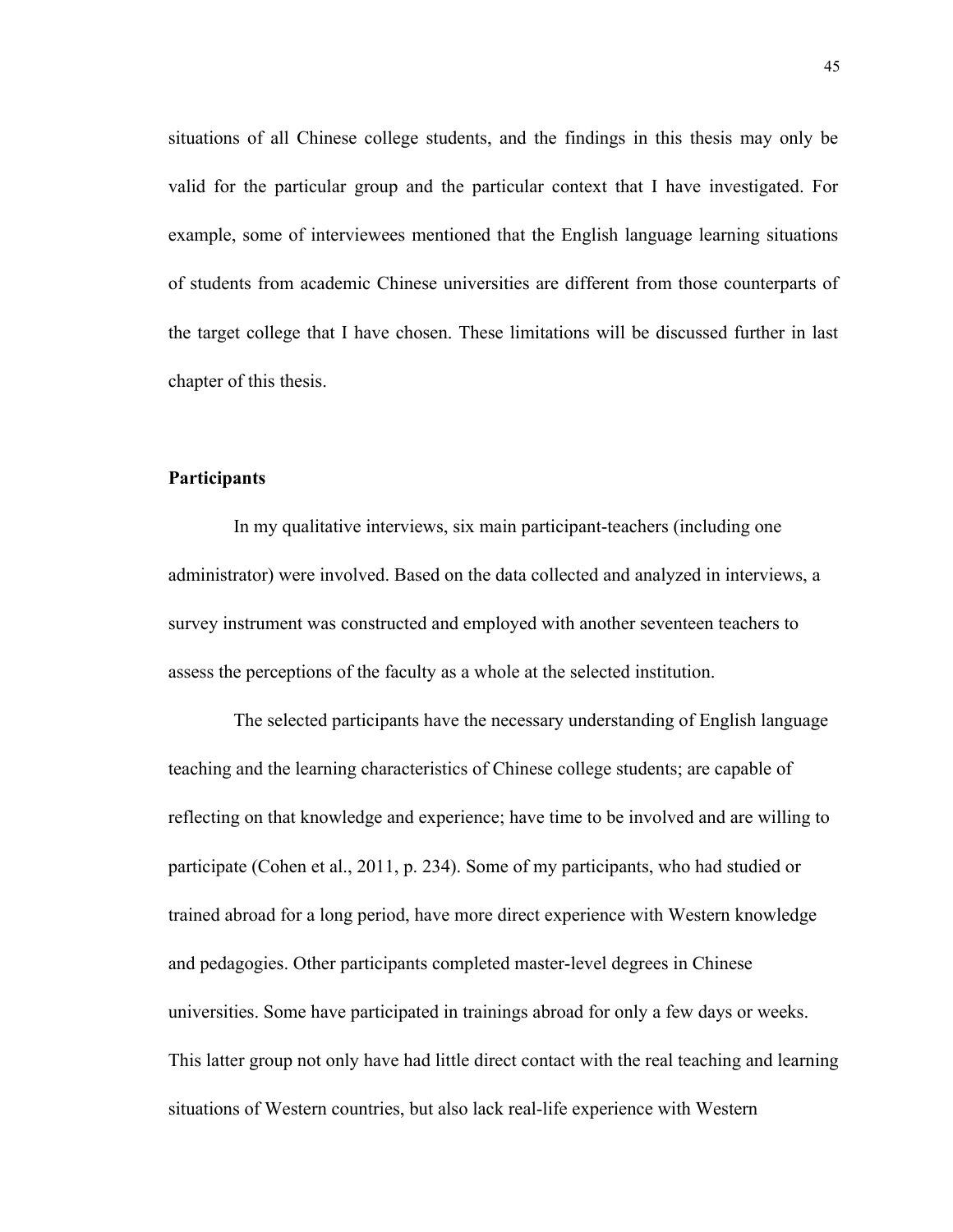situations of all Chinese college students, and the findings in this thesis may only be valid for the particular group and the particular context that I have investigated. For example, some of interviewees mentioned that the English language learning situations of students from academic Chinese universities are different from those counterparts of the target college that I have chosen. These limitations will be discussed further in last chapter of this thesis.

#### **Participants**

 In my qualitative interviews, six main participant-teachers (including one administrator) were involved. Based on the data collected and analyzed in interviews, a survey instrument was constructed and employed with another seventeen teachers to assess the perceptions of the faculty as a whole at the selected institution.

 The selected participants have the necessary understanding of English language teaching and the learning characteristics of Chinese college students; are capable of reflecting on that knowledge and experience; have time to be involved and are willing to participate (Cohen et al., 2011, p. 234). Some of my participants, who had studied or trained abroad for a long period, have more direct experience with Western knowledge and pedagogies. Other participants completed master-level degrees in Chinese universities. Some have participated in trainings abroad for only a few days or weeks. This latter group not only have had little direct contact with the real teaching and learning situations of Western countries, but also lack real-life experience with Western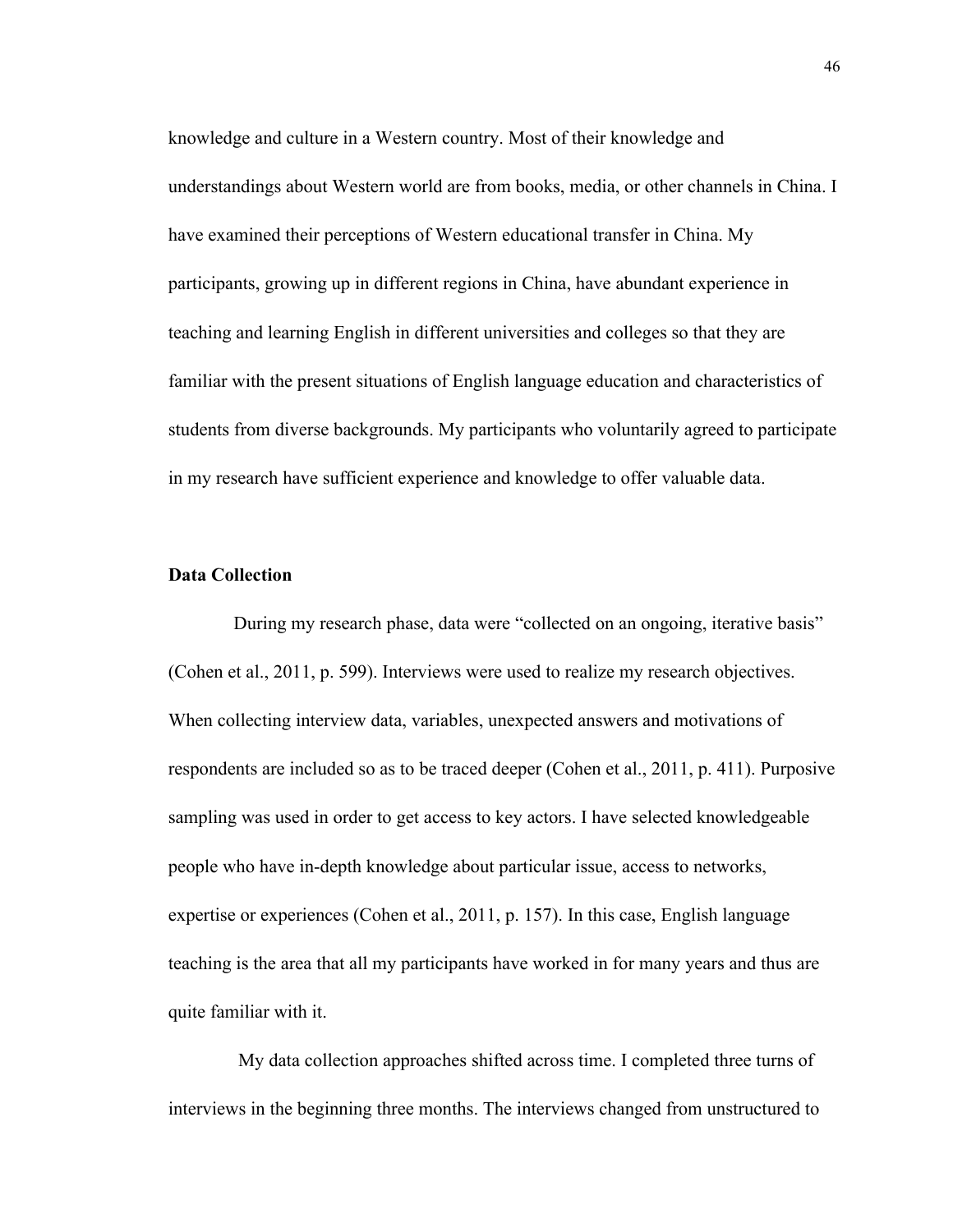knowledge and culture in a Western country. Most of their knowledge and understandings about Western world are from books, media, or other channels in China. I have examined their perceptions of Western educational transfer in China. My participants, growing up in different regions in China, have abundant experience in teaching and learning English in different universities and colleges so that they are familiar with the present situations of English language education and characteristics of students from diverse backgrounds. My participants who voluntarily agreed to participate in my research have sufficient experience and knowledge to offer valuable data.

# **Data Collection**

 During my research phase, data were "collected on an ongoing, iterative basis" (Cohen et al., 2011, p. 599). Interviews were used to realize my research objectives. When collecting interview data, variables, unexpected answers and motivations of respondents are included so as to be traced deeper (Cohen et al., 2011, p. 411). Purposive sampling was used in order to get access to key actors. I have selected knowledgeable people who have in-depth knowledge about particular issue, access to networks, expertise or experiences (Cohen et al., 2011, p. 157). In this case, English language teaching is the area that all my participants have worked in for many years and thus are quite familiar with it.

 My data collection approaches shifted across time. I completed three turns of interviews in the beginning three months. The interviews changed from unstructured to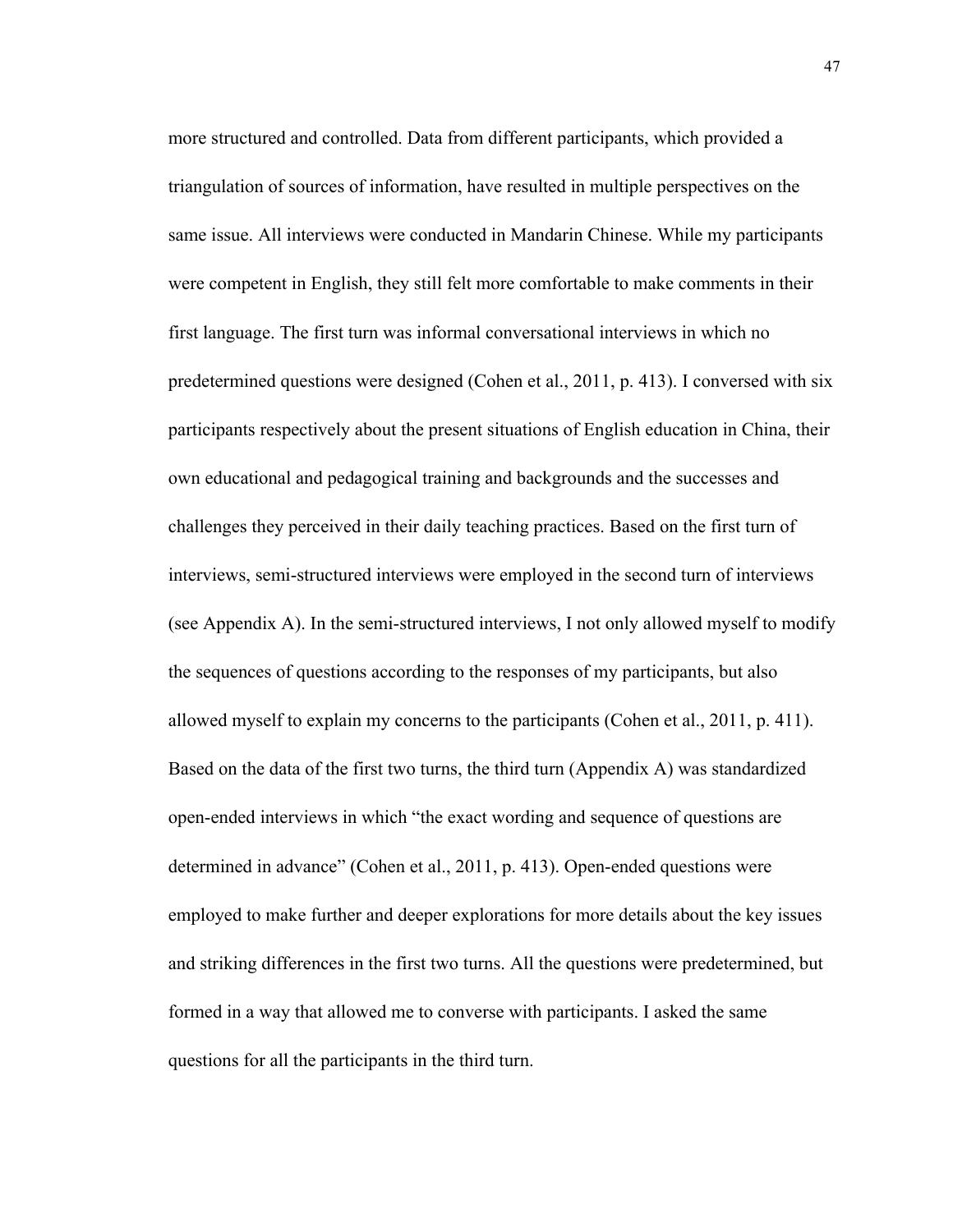more structured and controlled. Data from different participants, which provided a triangulation of sources of information, have resulted in multiple perspectives on the same issue. All interviews were conducted in Mandarin Chinese. While my participants were competent in English, they still felt more comfortable to make comments in their first language. The first turn was informal conversational interviews in which no predetermined questions were designed (Cohen et al., 2011, p. 413). I conversed with six participants respectively about the present situations of English education in China, their own educational and pedagogical training and backgrounds and the successes and challenges they perceived in their daily teaching practices. Based on the first turn of interviews, semi-structured interviews were employed in the second turn of interviews (see Appendix A). In the semi-structured interviews, I not only allowed myself to modify the sequences of questions according to the responses of my participants, but also allowed myself to explain my concerns to the participants (Cohen et al., 2011, p. 411). Based on the data of the first two turns, the third turn (Appendix A) was standardized open-ended interviews in which "the exact wording and sequence of questions are determined in advance" (Cohen et al., 2011, p. 413). Open-ended questions were employed to make further and deeper explorations for more details about the key issues and striking differences in the first two turns. All the questions were predetermined, but formed in a way that allowed me to converse with participants. I asked the same questions for all the participants in the third turn.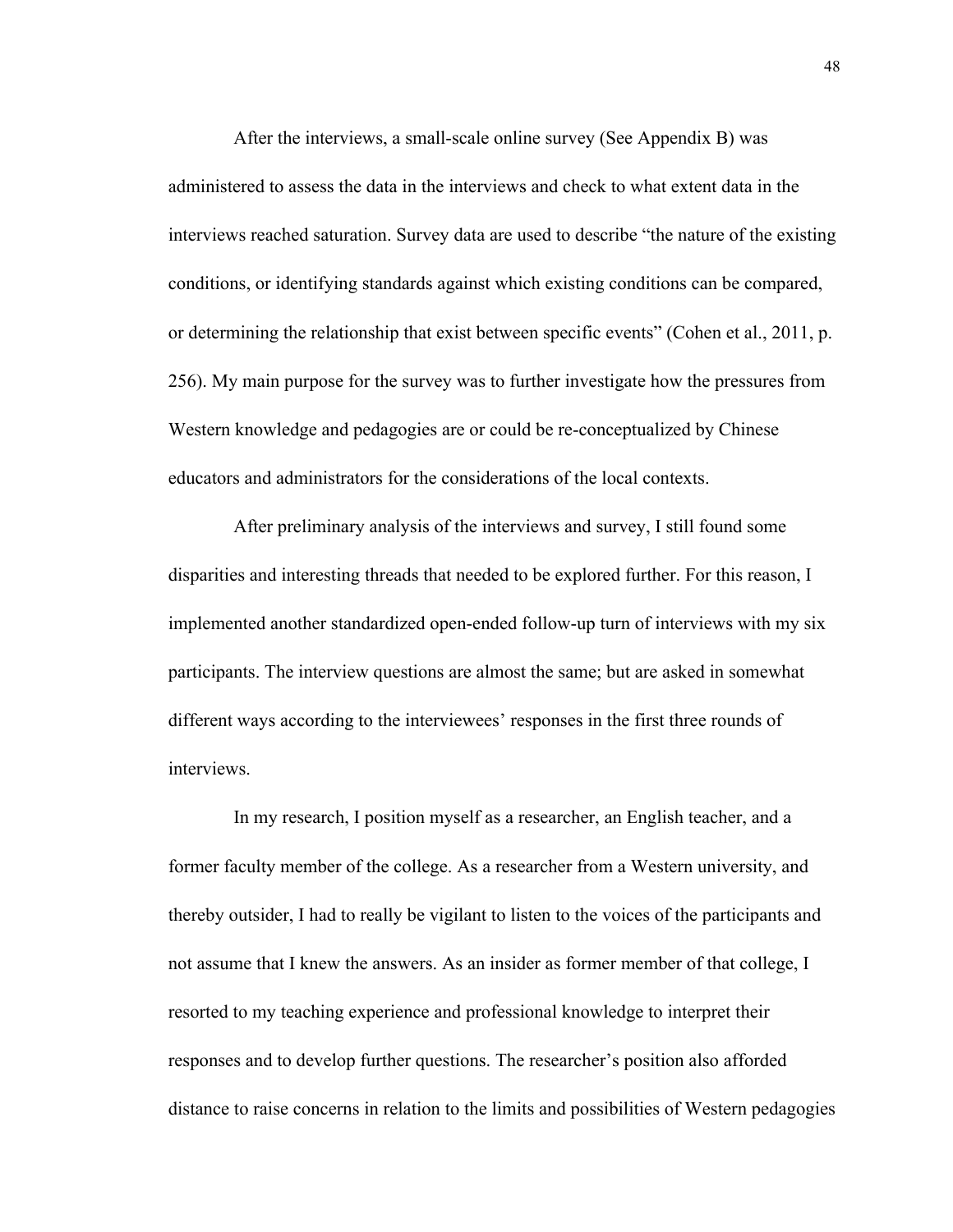After the interviews, a small-scale online survey (See Appendix B) was administered to assess the data in the interviews and check to what extent data in the interviews reached saturation. Survey data are used to describe "the nature of the existing conditions, or identifying standards against which existing conditions can be compared, or determining the relationship that exist between specific events" (Cohen et al., 2011, p. 256). My main purpose for the survey was to further investigate how the pressures from Western knowledge and pedagogies are or could be re-conceptualized by Chinese educators and administrators for the considerations of the local contexts.

 After preliminary analysis of the interviews and survey, I still found some disparities and interesting threads that needed to be explored further. For this reason, I implemented another standardized open-ended follow-up turn of interviews with my six participants. The interview questions are almost the same; but are asked in somewhat different ways according to the interviewees' responses in the first three rounds of interviews.

 In my research, I position myself as a researcher, an English teacher, and a former faculty member of the college. As a researcher from a Western university, and thereby outsider, I had to really be vigilant to listen to the voices of the participants and not assume that I knew the answers. As an insider as former member of that college, I resorted to my teaching experience and professional knowledge to interpret their responses and to develop further questions. The researcher's position also afforded distance to raise concerns in relation to the limits and possibilities of Western pedagogies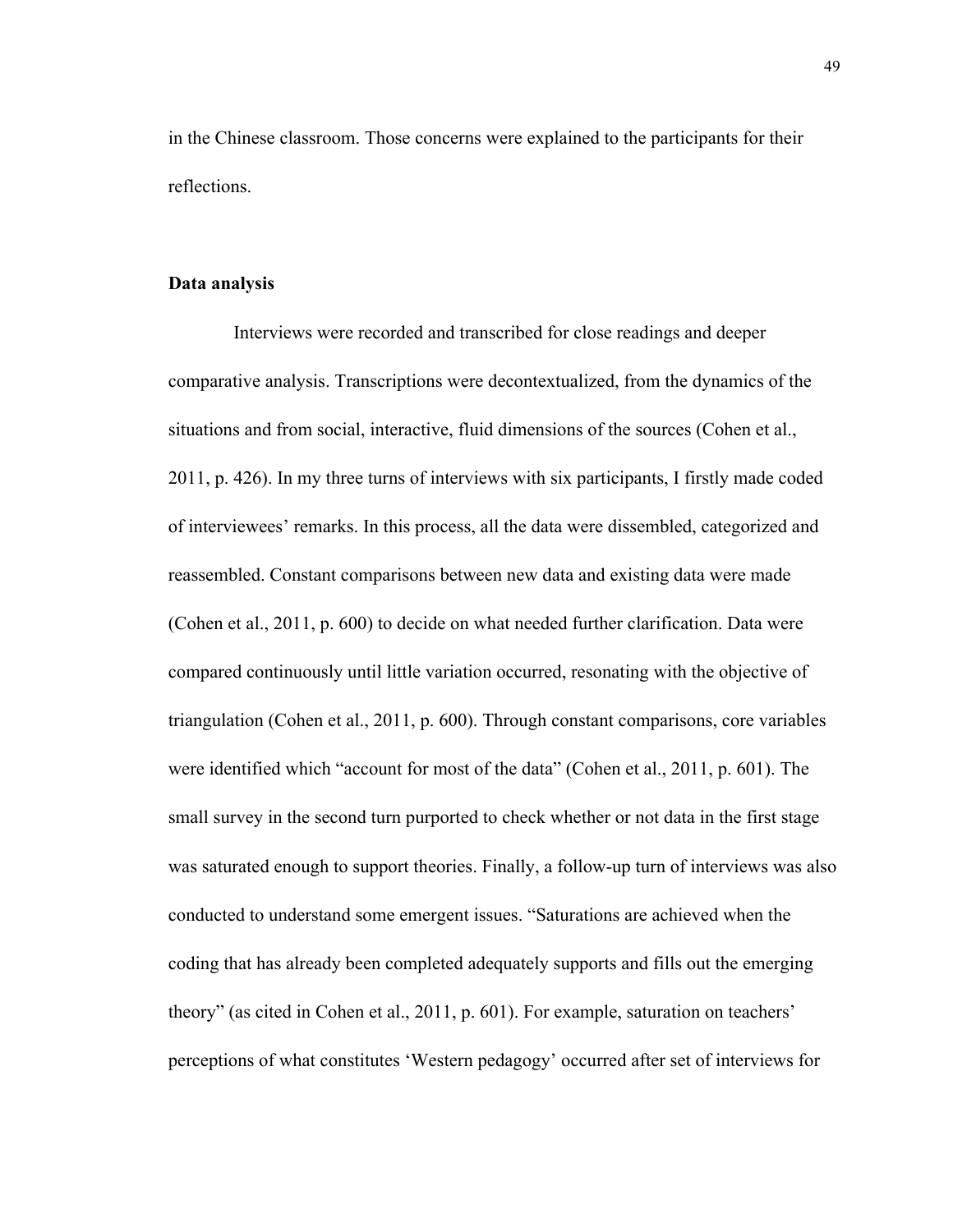in the Chinese classroom. Those concerns were explained to the participants for their reflections.

### **Data analysis**

Interviews were recorded and transcribed for close readings and deeper comparative analysis. Transcriptions were decontextualized, from the dynamics of the situations and from social, interactive, fluid dimensions of the sources (Cohen et al., 2011, p. 426). In my three turns of interviews with six participants, I firstly made coded of interviewees' remarks. In this process, all the data were dissembled, categorized and reassembled. Constant comparisons between new data and existing data were made (Cohen et al., 2011, p. 600) to decide on what needed further clarification. Data were compared continuously until little variation occurred, resonating with the objective of triangulation (Cohen et al., 2011, p. 600). Through constant comparisons, core variables were identified which "account for most of the data" (Cohen et al., 2011, p. 601). The small survey in the second turn purported to check whether or not data in the first stage was saturated enough to support theories. Finally, a follow-up turn of interviews was also conducted to understand some emergent issues. "Saturations are achieved when the coding that has already been completed adequately supports and fills out the emerging theory" (as cited in Cohen et al., 2011, p. 601). For example, saturation on teachers' perceptions of what constitutes 'Western pedagogy' occurred after set of interviews for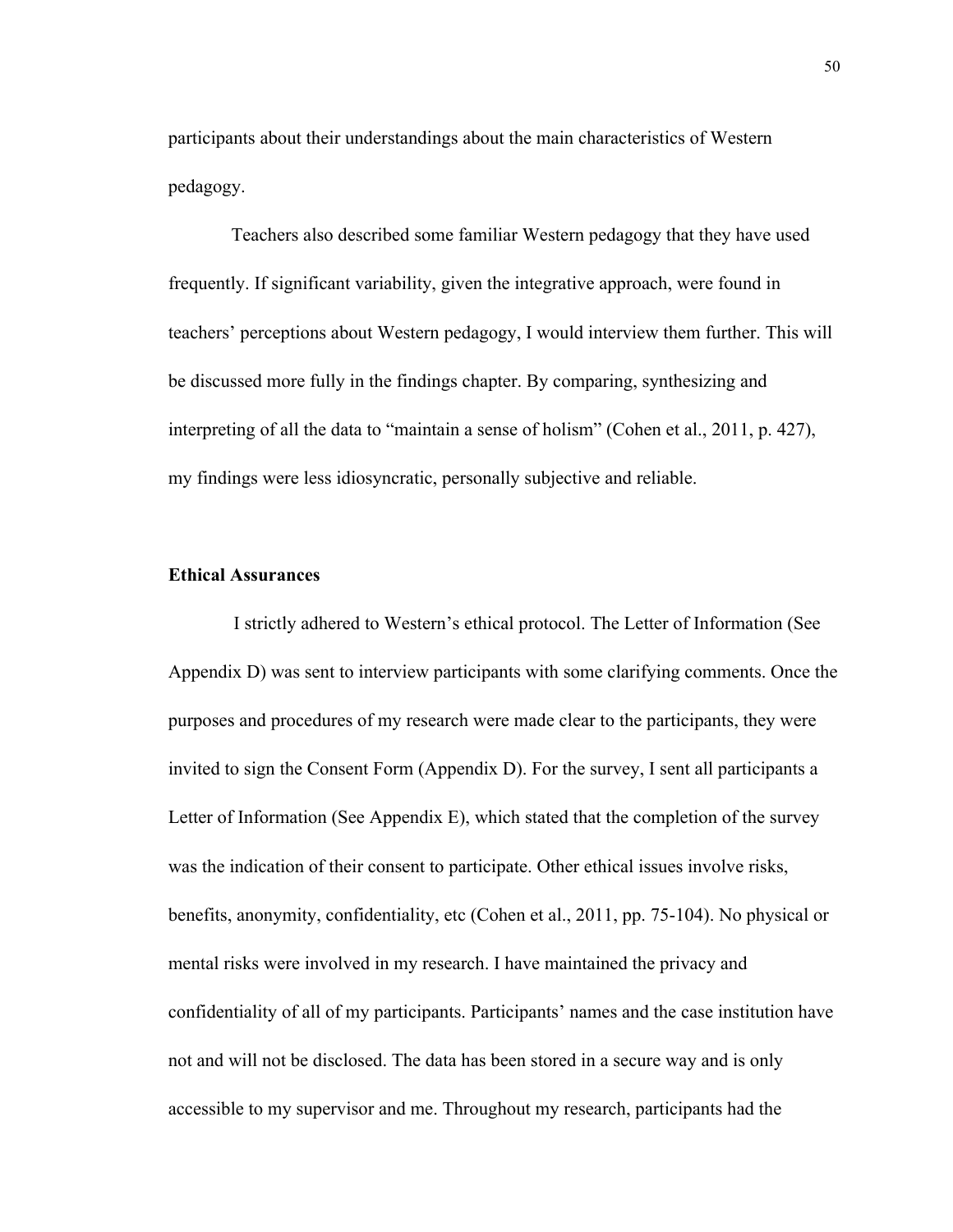participants about their understandings about the main characteristics of Western pedagogy.

Teachers also described some familiar Western pedagogy that they have used frequently. If significant variability, given the integrative approach, were found in teachers' perceptions about Western pedagogy, I would interview them further. This will be discussed more fully in the findings chapter. By comparing, synthesizing and interpreting of all the data to "maintain a sense of holism" (Cohen et al., 2011, p. 427), my findings were less idiosyncratic, personally subjective and reliable.

# **Ethical Assurances**

 I strictly adhered to Western's ethical protocol. The Letter of Information (See Appendix D) was sent to interview participants with some clarifying comments. Once the purposes and procedures of my research were made clear to the participants, they were invited to sign the Consent Form (Appendix D). For the survey, I sent all participants a Letter of Information (See Appendix E), which stated that the completion of the survey was the indication of their consent to participate. Other ethical issues involve risks, benefits, anonymity, confidentiality, etc (Cohen et al., 2011, pp. 75-104). No physical or mental risks were involved in my research. I have maintained the privacy and confidentiality of all of my participants. Participants' names and the case institution have not and will not be disclosed. The data has been stored in a secure way and is only accessible to my supervisor and me. Throughout my research, participants had the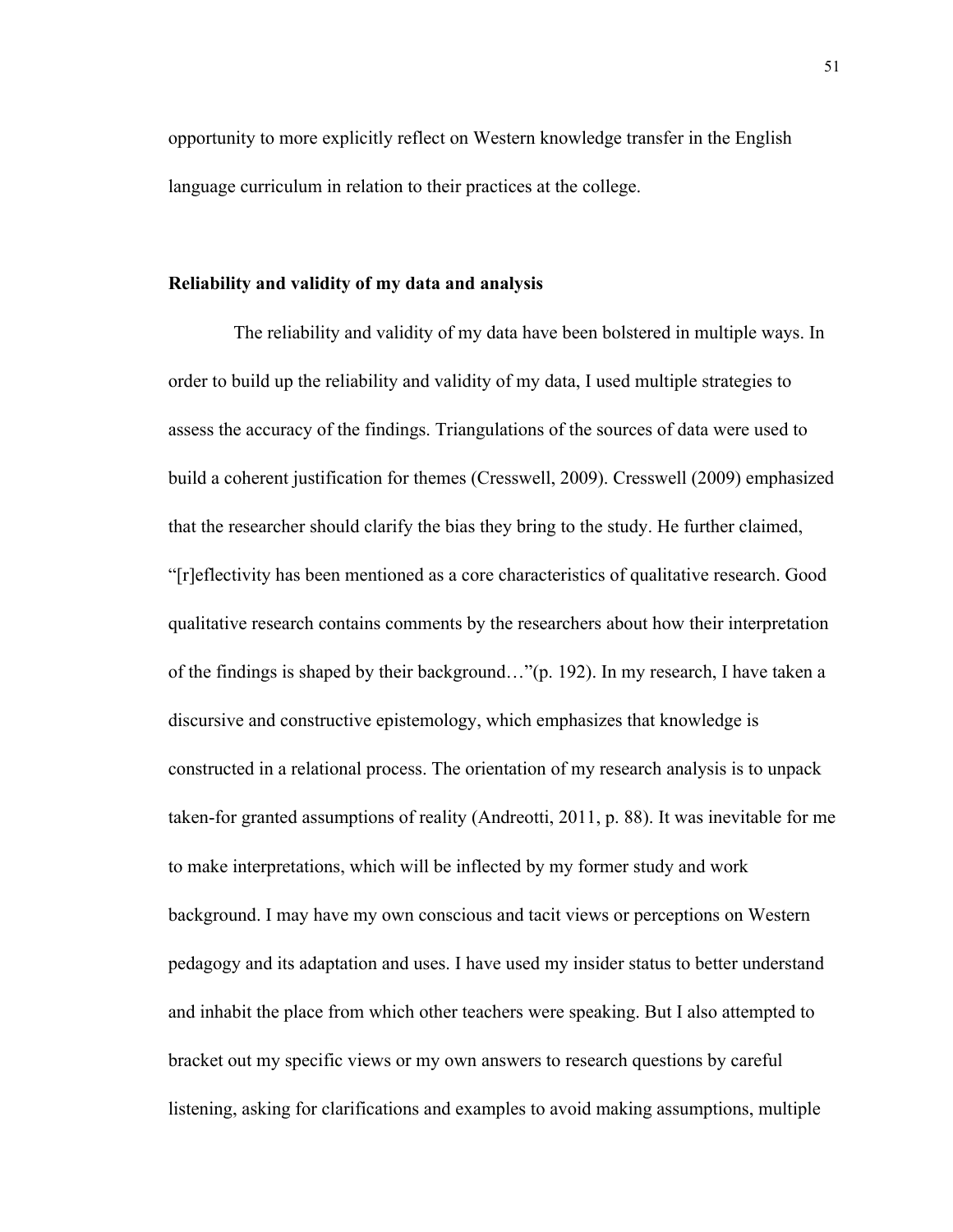opportunity to more explicitly reflect on Western knowledge transfer in the English language curriculum in relation to their practices at the college.

# **Reliability and validity of my data and analysis**

The reliability and validity of my data have been bolstered in multiple ways. In order to build up the reliability and validity of my data, I used multiple strategies to assess the accuracy of the findings. Triangulations of the sources of data were used to build a coherent justification for themes (Cresswell, 2009). Cresswell (2009) emphasized that the researcher should clarify the bias they bring to the study. He further claimed, "[r]eflectivity has been mentioned as a core characteristics of qualitative research. Good qualitative research contains comments by the researchers about how their interpretation of the findings is shaped by their background…"(p. 192). In my research, I have taken a discursive and constructive epistemology, which emphasizes that knowledge is constructed in a relational process. The orientation of my research analysis is to unpack taken-for granted assumptions of reality (Andreotti, 2011, p. 88). It was inevitable for me to make interpretations, which will be inflected by my former study and work background. I may have my own conscious and tacit views or perceptions on Western pedagogy and its adaptation and uses. I have used my insider status to better understand and inhabit the place from which other teachers were speaking. But I also attempted to bracket out my specific views or my own answers to research questions by careful listening, asking for clarifications and examples to avoid making assumptions, multiple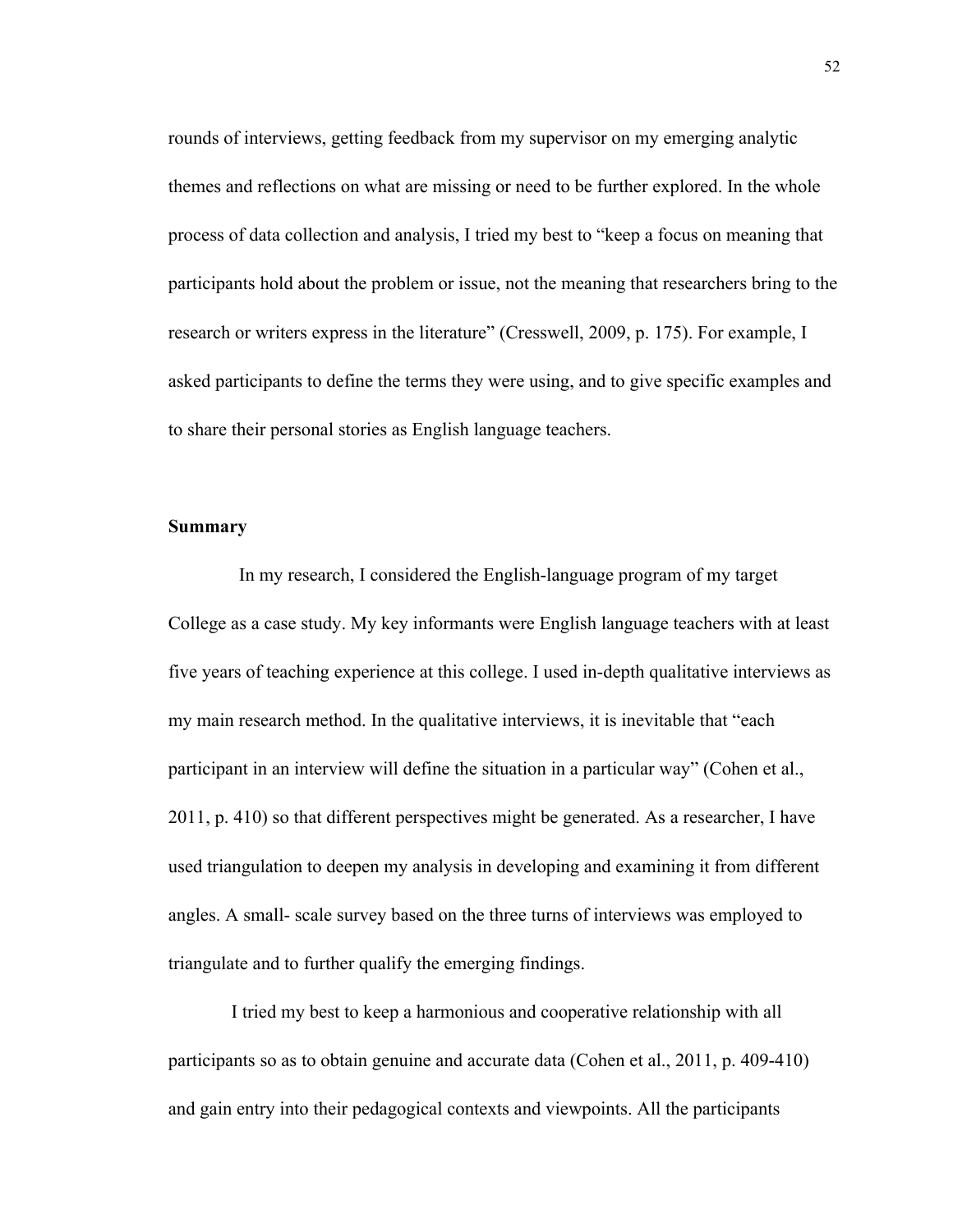rounds of interviews, getting feedback from my supervisor on my emerging analytic themes and reflections on what are missing or need to be further explored. In the whole process of data collection and analysis, I tried my best to "keep a focus on meaning that participants hold about the problem or issue, not the meaning that researchers bring to the research or writers express in the literature" (Cresswell, 2009, p. 175). For example, I asked participants to define the terms they were using, and to give specific examples and to share their personal stories as English language teachers.

# **Summary**

In my research, I considered the English-language program of my target College as a case study. My key informants were English language teachers with at least five years of teaching experience at this college. I used in-depth qualitative interviews as my main research method. In the qualitative interviews, it is inevitable that "each participant in an interview will define the situation in a particular way" (Cohen et al., 2011, p. 410) so that different perspectives might be generated. As a researcher, I have used triangulation to deepen my analysis in developing and examining it from different angles. A small- scale survey based on the three turns of interviews was employed to triangulate and to further qualify the emerging findings.

I tried my best to keep a harmonious and cooperative relationship with all participants so as to obtain genuine and accurate data (Cohen et al., 2011, p. 409-410) and gain entry into their pedagogical contexts and viewpoints. All the participants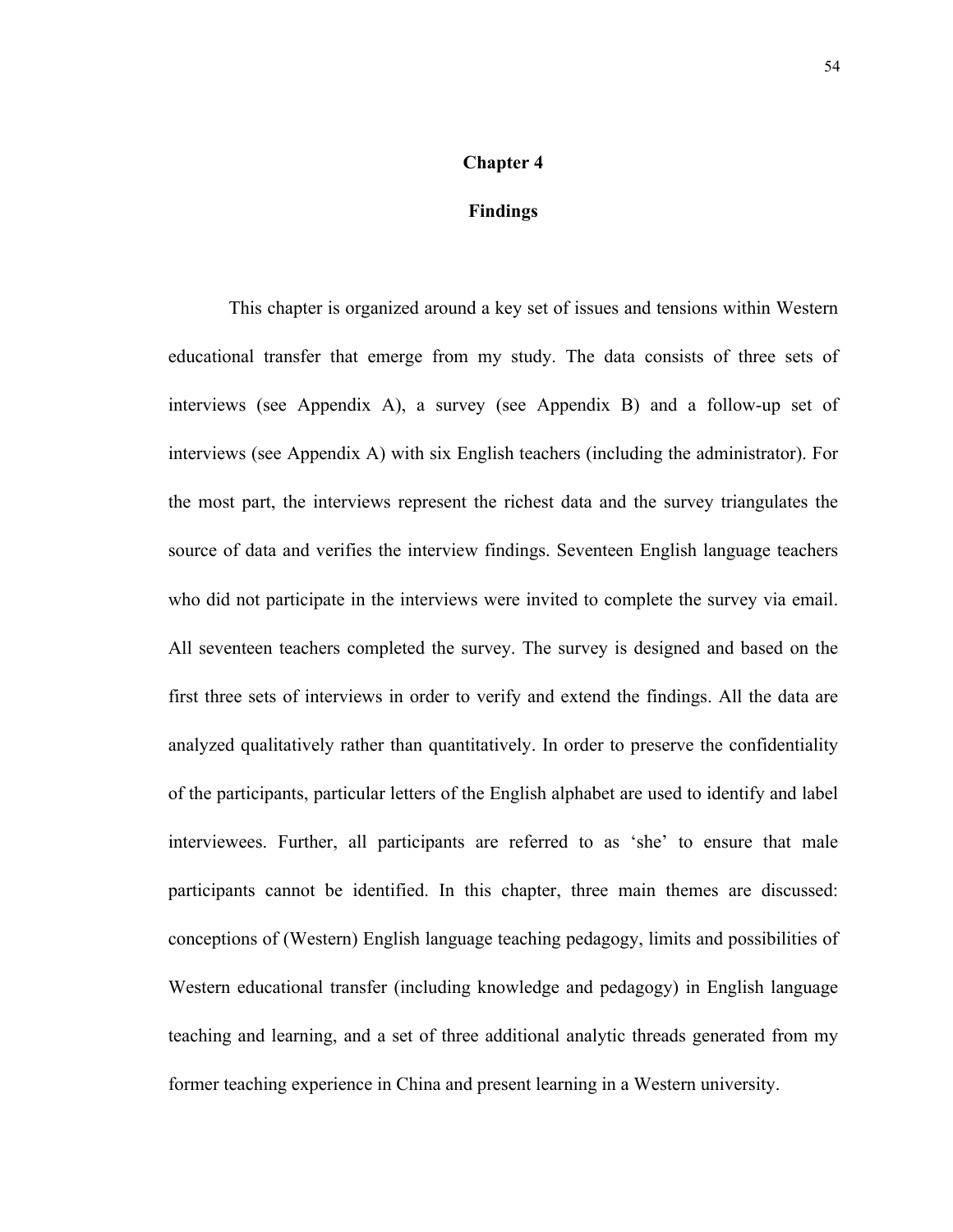#### **Chapter 4**

# **Findings**

 This chapter is organized around a key set of issues and tensions within Western educational transfer that emerge from my study. The data consists of three sets of interviews (see Appendix A), a survey (see Appendix B) and a follow-up set of interviews (see Appendix A) with six English teachers (including the administrator). For the most part, the interviews represent the richest data and the survey triangulates the source of data and verifies the interview findings. Seventeen English language teachers who did not participate in the interviews were invited to complete the survey via email. All seventeen teachers completed the survey. The survey is designed and based on the first three sets of interviews in order to verify and extend the findings. All the data are analyzed qualitatively rather than quantitatively. In order to preserve the confidentiality of the participants, particular letters of the English alphabet are used to identify and label interviewees. Further, all participants are referred to as 'she' to ensure that male participants cannot be identified. In this chapter, three main themes are discussed: conceptions of (Western) English language teaching pedagogy, limits and possibilities of Western educational transfer (including knowledge and pedagogy) in English language teaching and learning, and a set of three additional analytic threads generated from my former teaching experience in China and present learning in a Western university.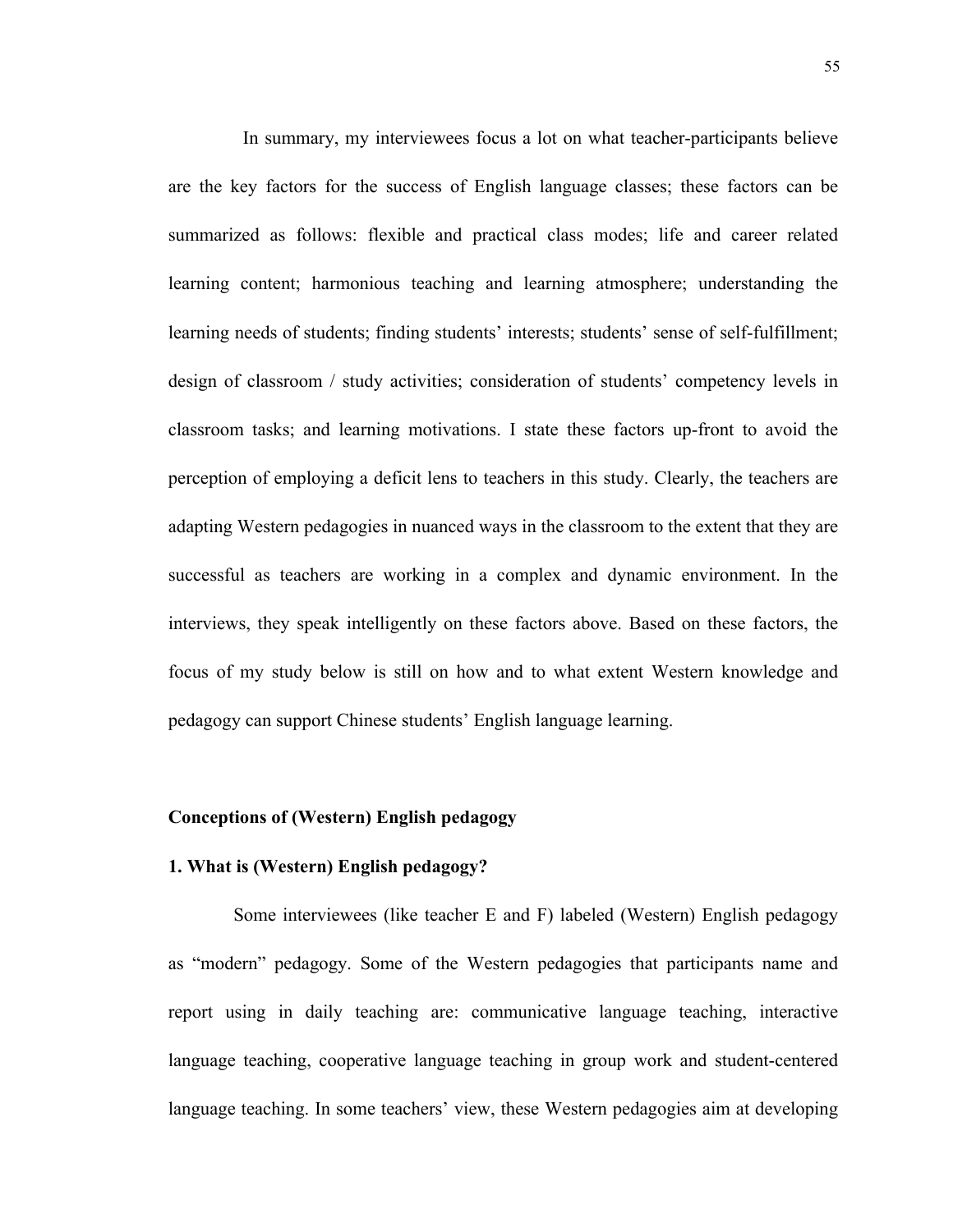In summary, my interviewees focus a lot on what teacher-participants believe are the key factors for the success of English language classes; these factors can be summarized as follows: flexible and practical class modes; life and career related learning content; harmonious teaching and learning atmosphere; understanding the learning needs of students; finding students' interests; students' sense of self-fulfillment; design of classroom / study activities; consideration of students' competency levels in classroom tasks; and learning motivations. I state these factors up-front to avoid the perception of employing a deficit lens to teachers in this study. Clearly, the teachers are adapting Western pedagogies in nuanced ways in the classroom to the extent that they are successful as teachers are working in a complex and dynamic environment. In the interviews, they speak intelligently on these factors above. Based on these factors, the focus of my study below is still on how and to what extent Western knowledge and pedagogy can support Chinese students' English language learning.

# **Conceptions of (Western) English pedagogy**

# **1. What is (Western) English pedagogy?**

 Some interviewees (like teacher E and F) labeled (Western) English pedagogy as "modern" pedagogy. Some of the Western pedagogies that participants name and report using in daily teaching are: communicative language teaching, interactive language teaching, cooperative language teaching in group work and student-centered language teaching. In some teachers' view, these Western pedagogies aim at developing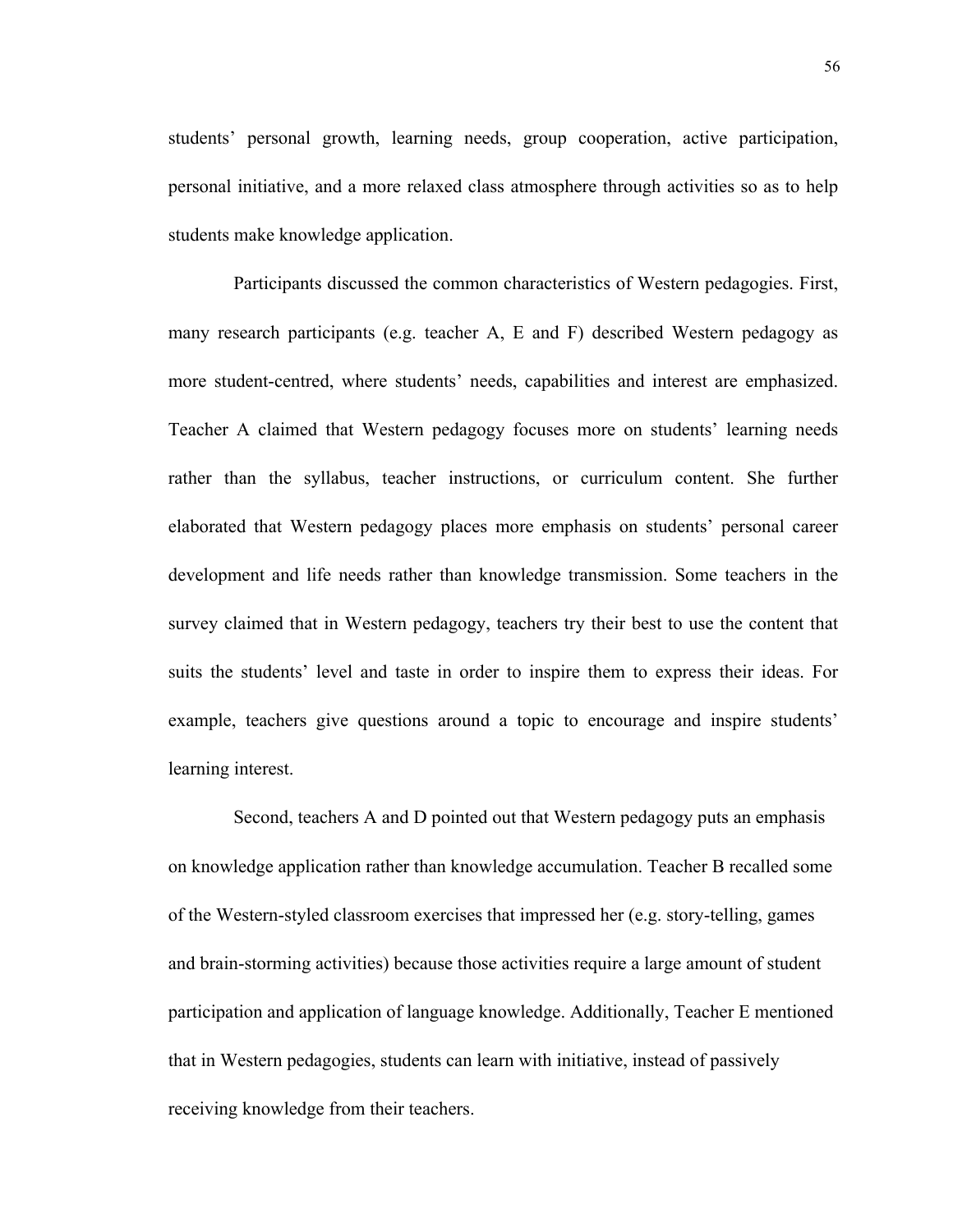students' personal growth, learning needs, group cooperation, active participation, personal initiative, and a more relaxed class atmosphere through activities so as to help students make knowledge application.

 Participants discussed the common characteristics of Western pedagogies. First, many research participants (e.g. teacher A, E and F) described Western pedagogy as more student-centred, where students' needs, capabilities and interest are emphasized. Teacher A claimed that Western pedagogy focuses more on students' learning needs rather than the syllabus, teacher instructions, or curriculum content. She further elaborated that Western pedagogy places more emphasis on students' personal career development and life needs rather than knowledge transmission. Some teachers in the survey claimed that in Western pedagogy, teachers try their best to use the content that suits the students' level and taste in order to inspire them to express their ideas. For example, teachers give questions around a topic to encourage and inspire students' learning interest.

 Second, teachers A and D pointed out that Western pedagogy puts an emphasis on knowledge application rather than knowledge accumulation. Teacher B recalled some of the Western-styled classroom exercises that impressed her (e.g. story-telling, games and brain-storming activities) because those activities require a large amount of student participation and application of language knowledge. Additionally, Teacher E mentioned that in Western pedagogies, students can learn with initiative, instead of passively receiving knowledge from their teachers.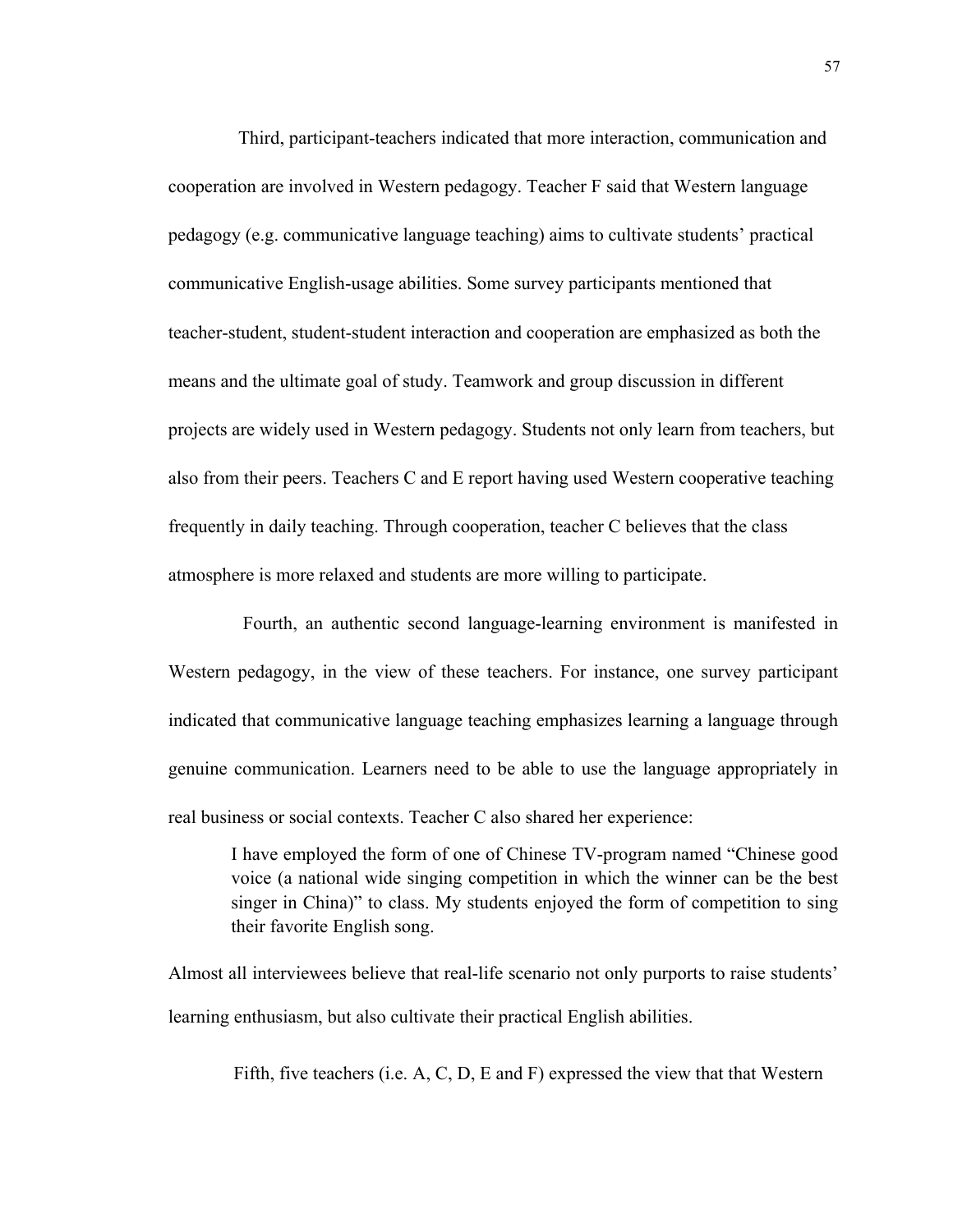Third, participant-teachers indicated that more interaction, communication and cooperation are involved in Western pedagogy. Teacher F said that Western language pedagogy (e.g. communicative language teaching) aims to cultivate students' practical communicative English-usage abilities. Some survey participants mentioned that teacher-student, student-student interaction and cooperation are emphasized as both the means and the ultimate goal of study. Teamwork and group discussion in different projects are widely used in Western pedagogy. Students not only learn from teachers, but also from their peers. Teachers C and E report having used Western cooperative teaching frequently in daily teaching. Through cooperation, teacher C believes that the class atmosphere is more relaxed and students are more willing to participate.

 Fourth, an authentic second language-learning environment is manifested in Western pedagogy, in the view of these teachers. For instance, one survey participant indicated that communicative language teaching emphasizes learning a language through genuine communication. Learners need to be able to use the language appropriately in real business or social contexts. Teacher C also shared her experience:

I have employed the form of one of Chinese TV-program named "Chinese good voice (a national wide singing competition in which the winner can be the best singer in China)" to class. My students enjoyed the form of competition to sing their favorite English song.

Almost all interviewees believe that real-life scenario not only purports to raise students' learning enthusiasm, but also cultivate their practical English abilities.

Fifth, five teachers (i.e. A, C, D, E and F) expressed the view that that Western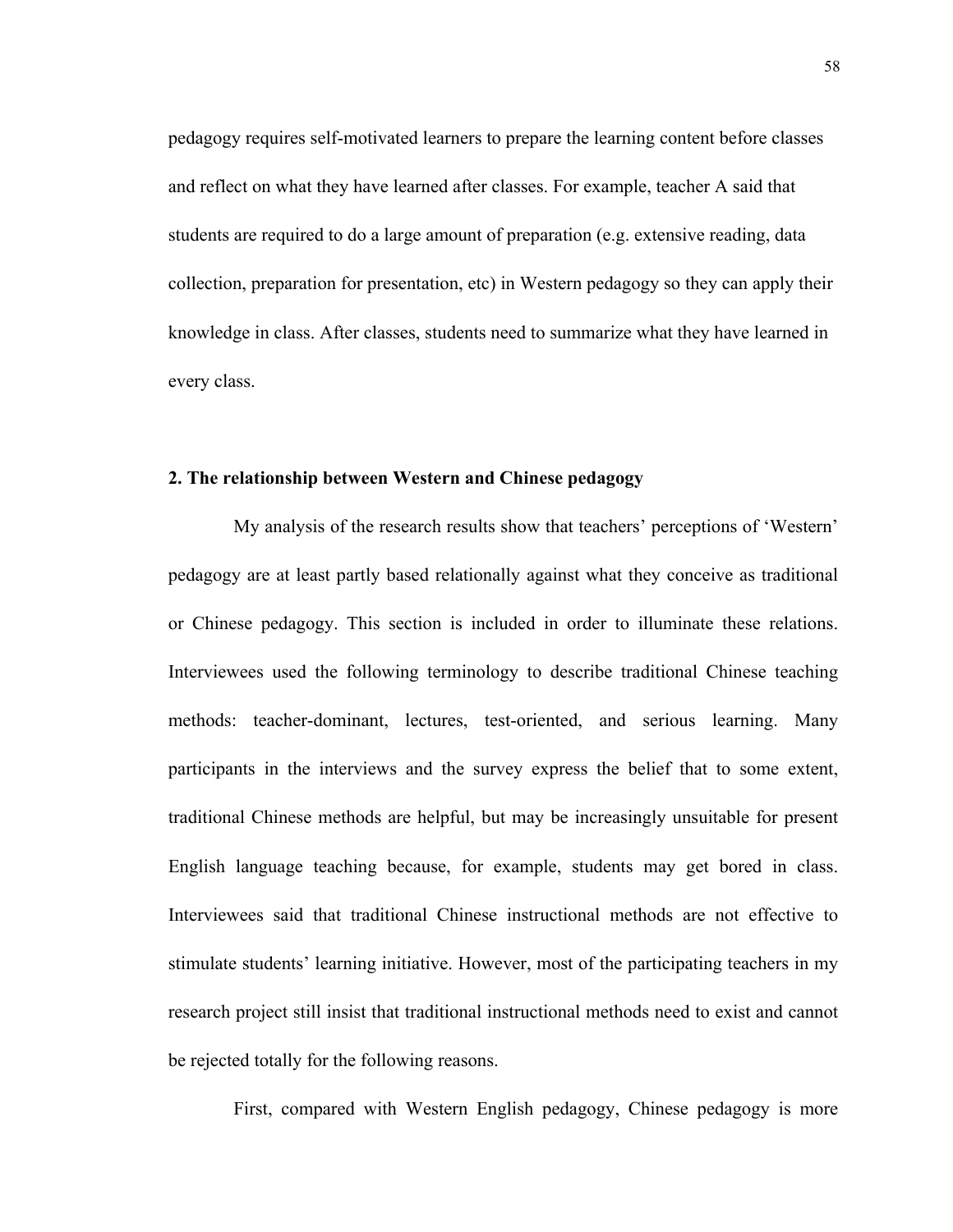pedagogy requires self-motivated learners to prepare the learning content before classes and reflect on what they have learned after classes. For example, teacher A said that students are required to do a large amount of preparation (e.g. extensive reading, data collection, preparation for presentation, etc) in Western pedagogy so they can apply their knowledge in class. After classes, students need to summarize what they have learned in every class.

# **2. The relationship between Western and Chinese pedagogy**

My analysis of the research results show that teachers' perceptions of 'Western' pedagogy are at least partly based relationally against what they conceive as traditional or Chinese pedagogy. This section is included in order to illuminate these relations. Interviewees used the following terminology to describe traditional Chinese teaching methods: teacher-dominant, lectures, test-oriented, and serious learning. Many participants in the interviews and the survey express the belief that to some extent, traditional Chinese methods are helpful, but may be increasingly unsuitable for present English language teaching because, for example, students may get bored in class. Interviewees said that traditional Chinese instructional methods are not effective to stimulate students' learning initiative. However, most of the participating teachers in my research project still insist that traditional instructional methods need to exist and cannot be rejected totally for the following reasons.

First, compared with Western English pedagogy, Chinese pedagogy is more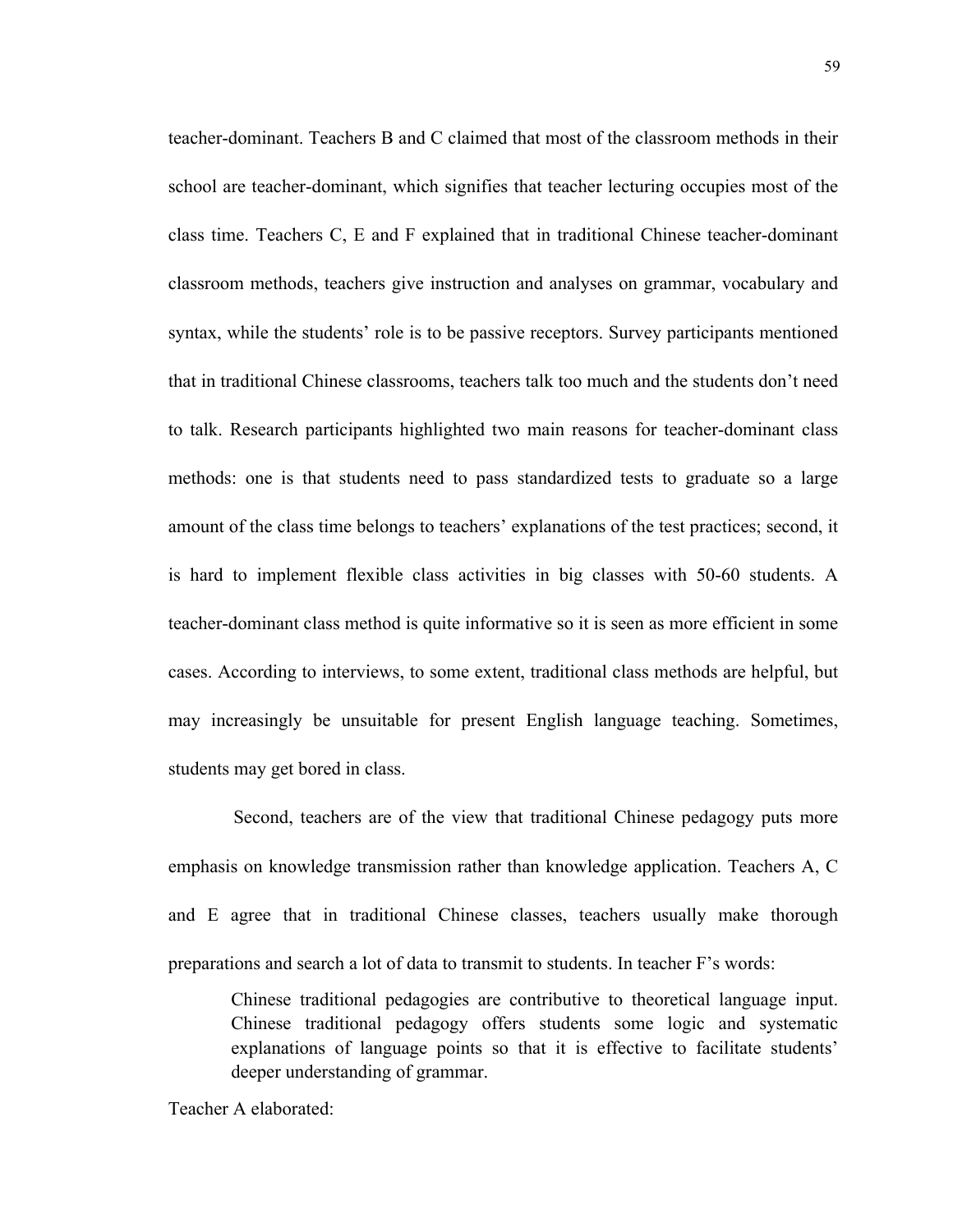teacher-dominant. Teachers B and C claimed that most of the classroom methods in their school are teacher-dominant, which signifies that teacher lecturing occupies most of the class time. Teachers C, E and F explained that in traditional Chinese teacher-dominant classroom methods, teachers give instruction and analyses on grammar, vocabulary and syntax, while the students' role is to be passive receptors. Survey participants mentioned that in traditional Chinese classrooms, teachers talk too much and the students don't need to talk. Research participants highlighted two main reasons for teacher-dominant class methods: one is that students need to pass standardized tests to graduate so a large amount of the class time belongs to teachers' explanations of the test practices; second, it is hard to implement flexible class activities in big classes with 50-60 students. A teacher-dominant class method is quite informative so it is seen as more efficient in some cases. According to interviews, to some extent, traditional class methods are helpful, but may increasingly be unsuitable for present English language teaching. Sometimes, students may get bored in class.

 Second, teachers are of the view that traditional Chinese pedagogy puts more emphasis on knowledge transmission rather than knowledge application. Teachers A, C and E agree that in traditional Chinese classes, teachers usually make thorough preparations and search a lot of data to transmit to students. In teacher F's words:

Chinese traditional pedagogies are contributive to theoretical language input. Chinese traditional pedagogy offers students some logic and systematic explanations of language points so that it is effective to facilitate students' deeper understanding of grammar.

Teacher A elaborated: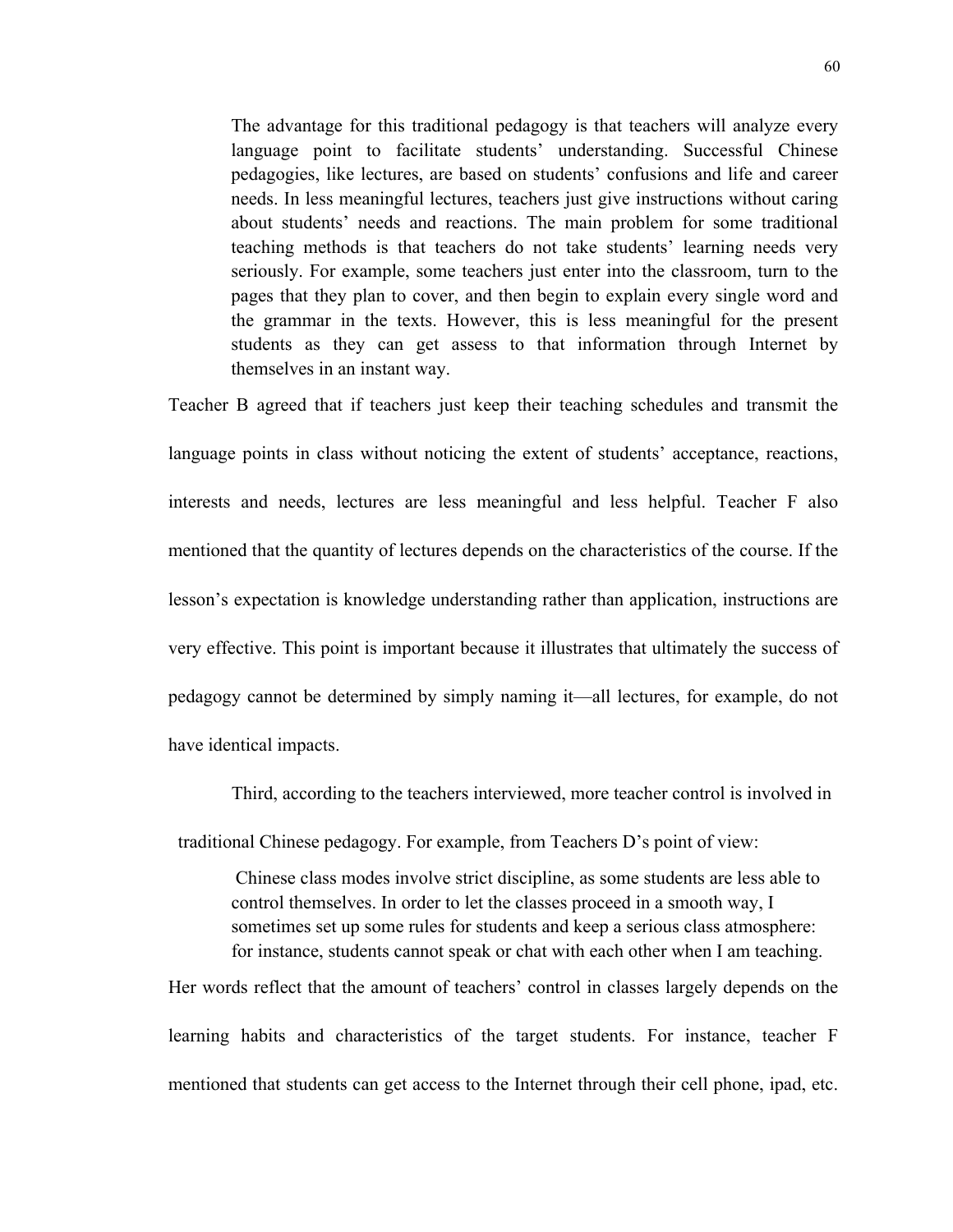The advantage for this traditional pedagogy is that teachers will analyze every language point to facilitate students' understanding. Successful Chinese pedagogies, like lectures, are based on students' confusions and life and career needs. In less meaningful lectures, teachers just give instructions without caring about students' needs and reactions. The main problem for some traditional teaching methods is that teachers do not take students' learning needs very seriously. For example, some teachers just enter into the classroom, turn to the pages that they plan to cover, and then begin to explain every single word and the grammar in the texts. However, this is less meaningful for the present students as they can get assess to that information through Internet by themselves in an instant way.

Teacher B agreed that if teachers just keep their teaching schedules and transmit the language points in class without noticing the extent of students' acceptance, reactions, interests and needs, lectures are less meaningful and less helpful. Teacher F also mentioned that the quantity of lectures depends on the characteristics of the course. If the lesson's expectation is knowledge understanding rather than application, instructions are very effective. This point is important because it illustrates that ultimately the success of pedagogy cannot be determined by simply naming it—all lectures, for example, do not have identical impacts.

Third, according to the teachers interviewed, more teacher control is involved in

traditional Chinese pedagogy. For example, from Teachers D's point of view:

 Chinese class modes involve strict discipline, as some students are less able to control themselves. In order to let the classes proceed in a smooth way, I sometimes set up some rules for students and keep a serious class atmosphere: for instance, students cannot speak or chat with each other when I am teaching.

Her words reflect that the amount of teachers' control in classes largely depends on the learning habits and characteristics of the target students. For instance, teacher F mentioned that students can get access to the Internet through their cell phone, ipad, etc.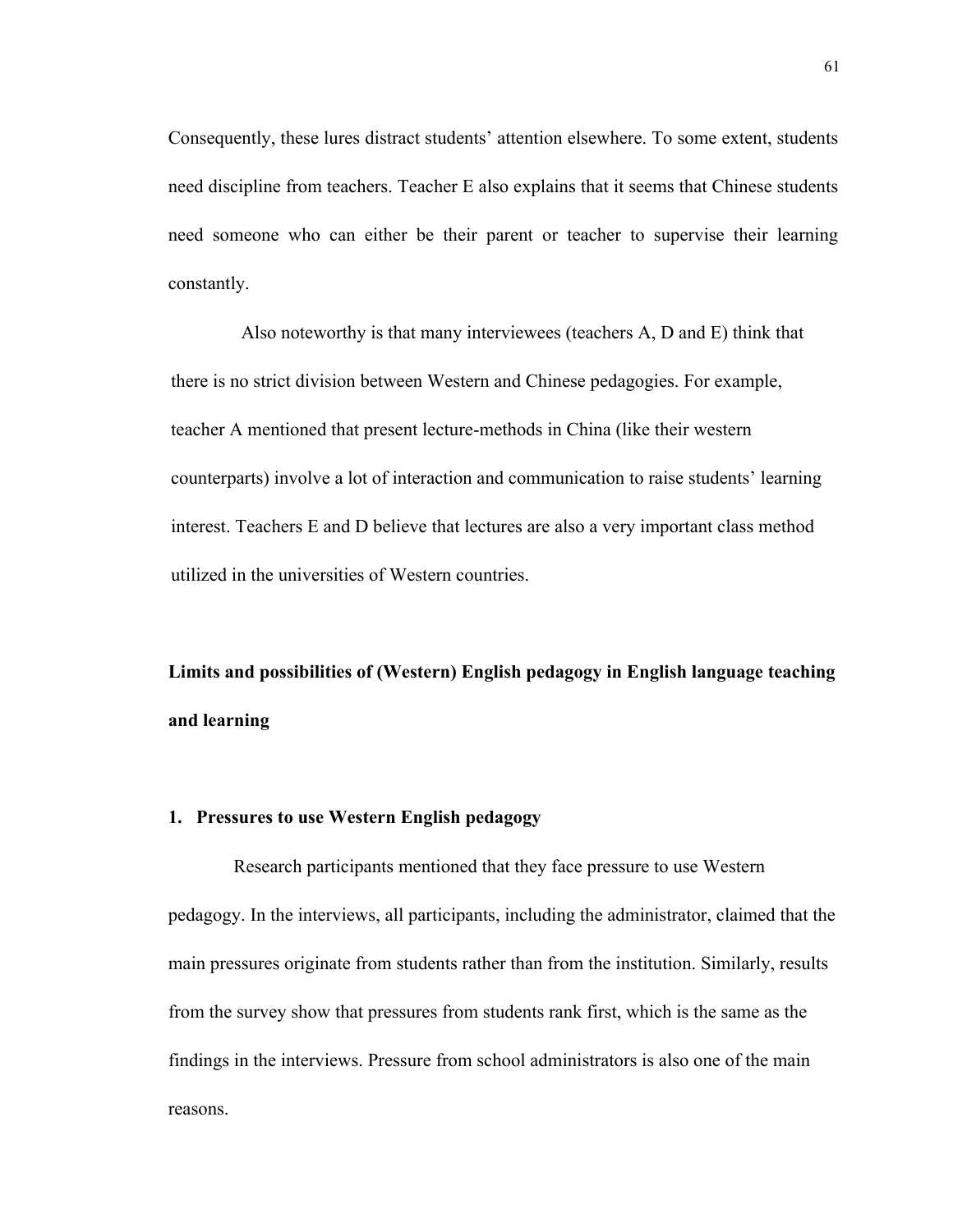Consequently, these lures distract students' attention elsewhere. To some extent, students need discipline from teachers. Teacher E also explains that it seems that Chinese students need someone who can either be their parent or teacher to supervise their learning constantly.

 Also noteworthy is that many interviewees (teachers A, D and E) think that there is no strict division between Western and Chinese pedagogies. For example, teacher A mentioned that present lecture-methods in China (like their western counterparts) involve a lot of interaction and communication to raise students' learning interest. Teachers E and D believe that lectures are also a very important class method utilized in the universities of Western countries.

**Limits and possibilities of (Western) English pedagogy in English language teaching and learning**

#### **1. Pressures to use Western English pedagogy**

Research participants mentioned that they face pressure to use Western pedagogy. In the interviews, all participants, including the administrator, claimed that the main pressures originate from students rather than from the institution. Similarly, results from the survey show that pressures from students rank first, which is the same as the findings in the interviews. Pressure from school administrators is also one of the main reasons.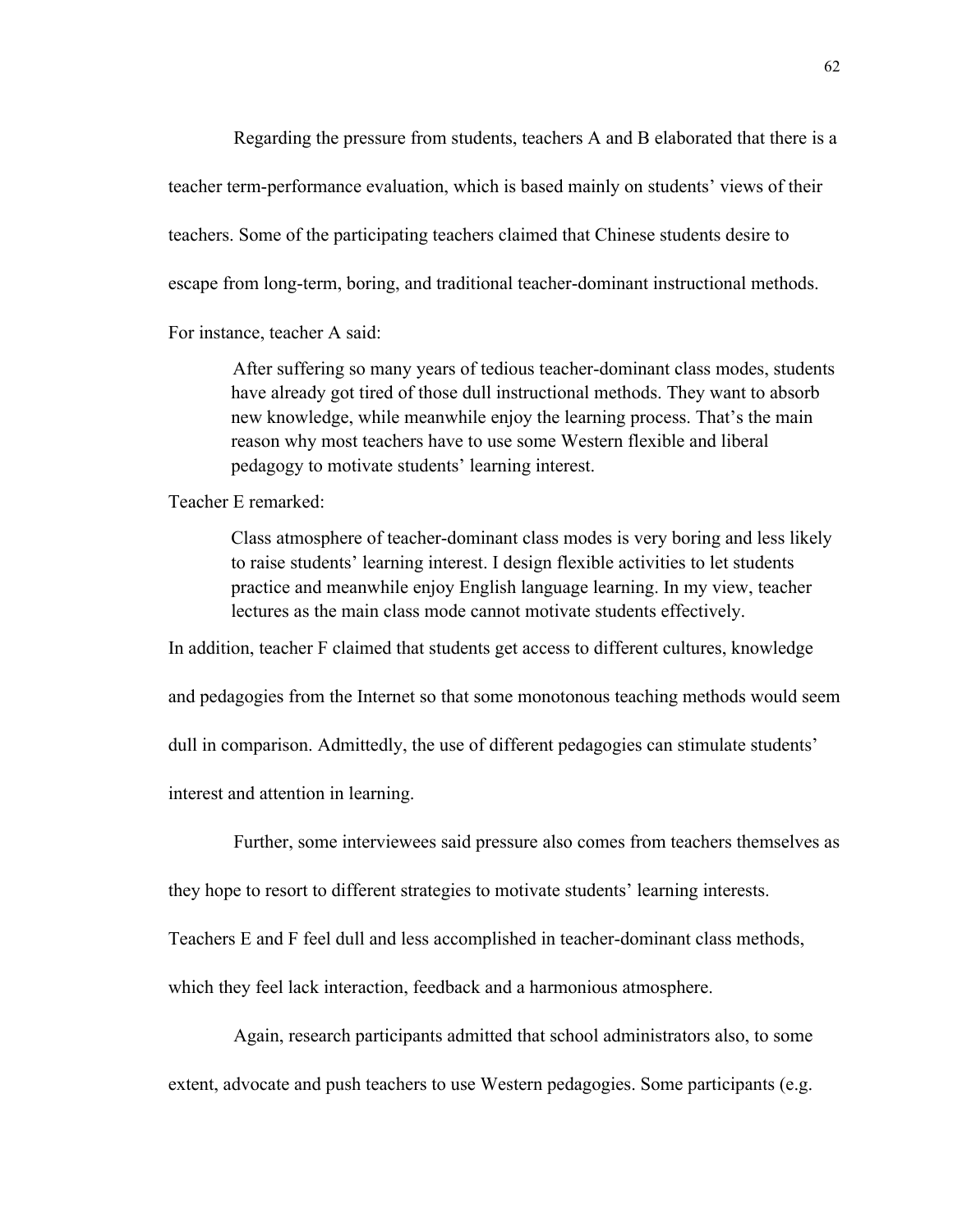Regarding the pressure from students, teachers A and B elaborated that there is a

teacher term-performance evaluation, which is based mainly on students' views of their

teachers. Some of the participating teachers claimed that Chinese students desire to

escape from long-term, boring, and traditional teacher-dominant instructional methods.

For instance, teacher A said:

After suffering so many years of tedious teacher-dominant class modes, students have already got tired of those dull instructional methods. They want to absorb new knowledge, while meanwhile enjoy the learning process. That's the main reason why most teachers have to use some Western flexible and liberal pedagogy to motivate students' learning interest.

Teacher E remarked:

Class atmosphere of teacher-dominant class modes is very boring and less likely to raise students' learning interest. I design flexible activities to let students practice and meanwhile enjoy English language learning. In my view, teacher lectures as the main class mode cannot motivate students effectively.

In addition, teacher F claimed that students get access to different cultures, knowledge

and pedagogies from the Internet so that some monotonous teaching methods would seem

dull in comparison. Admittedly, the use of different pedagogies can stimulate students'

interest and attention in learning.

Further, some interviewees said pressure also comes from teachers themselves as

they hope to resort to different strategies to motivate students' learning interests.

Teachers E and F feel dull and less accomplished in teacher-dominant class methods,

which they feel lack interaction, feedback and a harmonious atmosphere.

 Again, research participants admitted that school administrators also, to some extent, advocate and push teachers to use Western pedagogies. Some participants (e.g.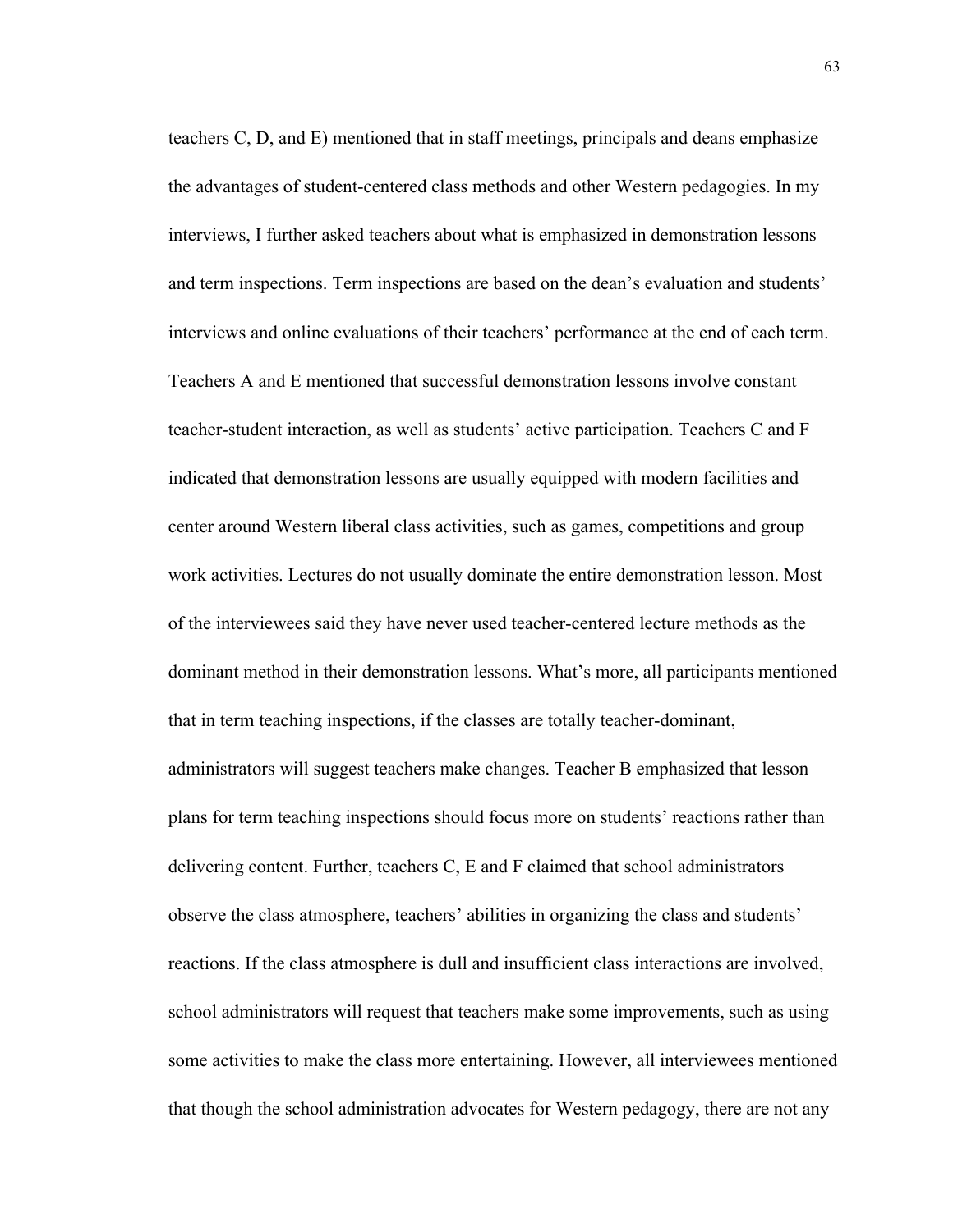teachers C, D, and E) mentioned that in staff meetings, principals and deans emphasize the advantages of student-centered class methods and other Western pedagogies. In my interviews, I further asked teachers about what is emphasized in demonstration lessons and term inspections. Term inspections are based on the dean's evaluation and students' interviews and online evaluations of their teachers' performance at the end of each term. Teachers A and E mentioned that successful demonstration lessons involve constant teacher-student interaction, as well as students' active participation. Teachers C and F indicated that demonstration lessons are usually equipped with modern facilities and center around Western liberal class activities, such as games, competitions and group work activities. Lectures do not usually dominate the entire demonstration lesson. Most of the interviewees said they have never used teacher-centered lecture methods as the dominant method in their demonstration lessons. What's more, all participants mentioned that in term teaching inspections, if the classes are totally teacher-dominant, administrators will suggest teachers make changes. Teacher B emphasized that lesson plans for term teaching inspections should focus more on students' reactions rather than delivering content. Further, teachers C, E and F claimed that school administrators observe the class atmosphere, teachers' abilities in organizing the class and students' reactions. If the class atmosphere is dull and insufficient class interactions are involved, school administrators will request that teachers make some improvements, such as using some activities to make the class more entertaining. However, all interviewees mentioned that though the school administration advocates for Western pedagogy, there are not any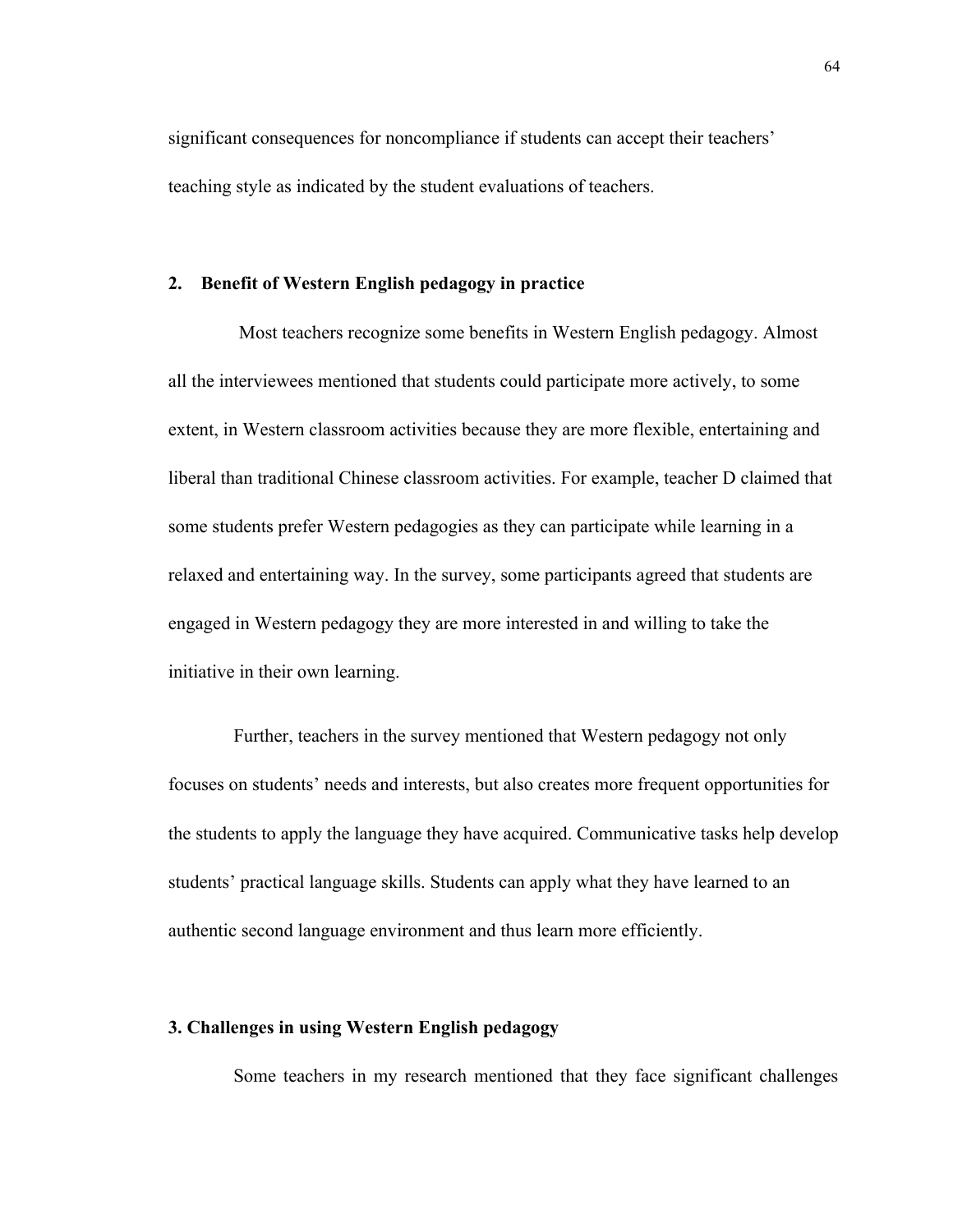significant consequences for noncompliance if students can accept their teachers' teaching style as indicated by the student evaluations of teachers.

# **2. Benefit of Western English pedagogy in practice**

Most teachers recognize some benefits in Western English pedagogy. Almost all the interviewees mentioned that students could participate more actively, to some extent, in Western classroom activities because they are more flexible, entertaining and liberal than traditional Chinese classroom activities. For example, teacher D claimed that some students prefer Western pedagogies as they can participate while learning in a relaxed and entertaining way. In the survey, some participants agreed that students are engaged in Western pedagogy they are more interested in and willing to take the initiative in their own learning.

Further, teachers in the survey mentioned that Western pedagogy not only focuses on students' needs and interests, but also creates more frequent opportunities for the students to apply the language they have acquired. Communicative tasks help develop students' practical language skills. Students can apply what they have learned to an authentic second language environment and thus learn more efficiently.

# **3. Challenges in using Western English pedagogy**

Some teachers in my research mentioned that they face significant challenges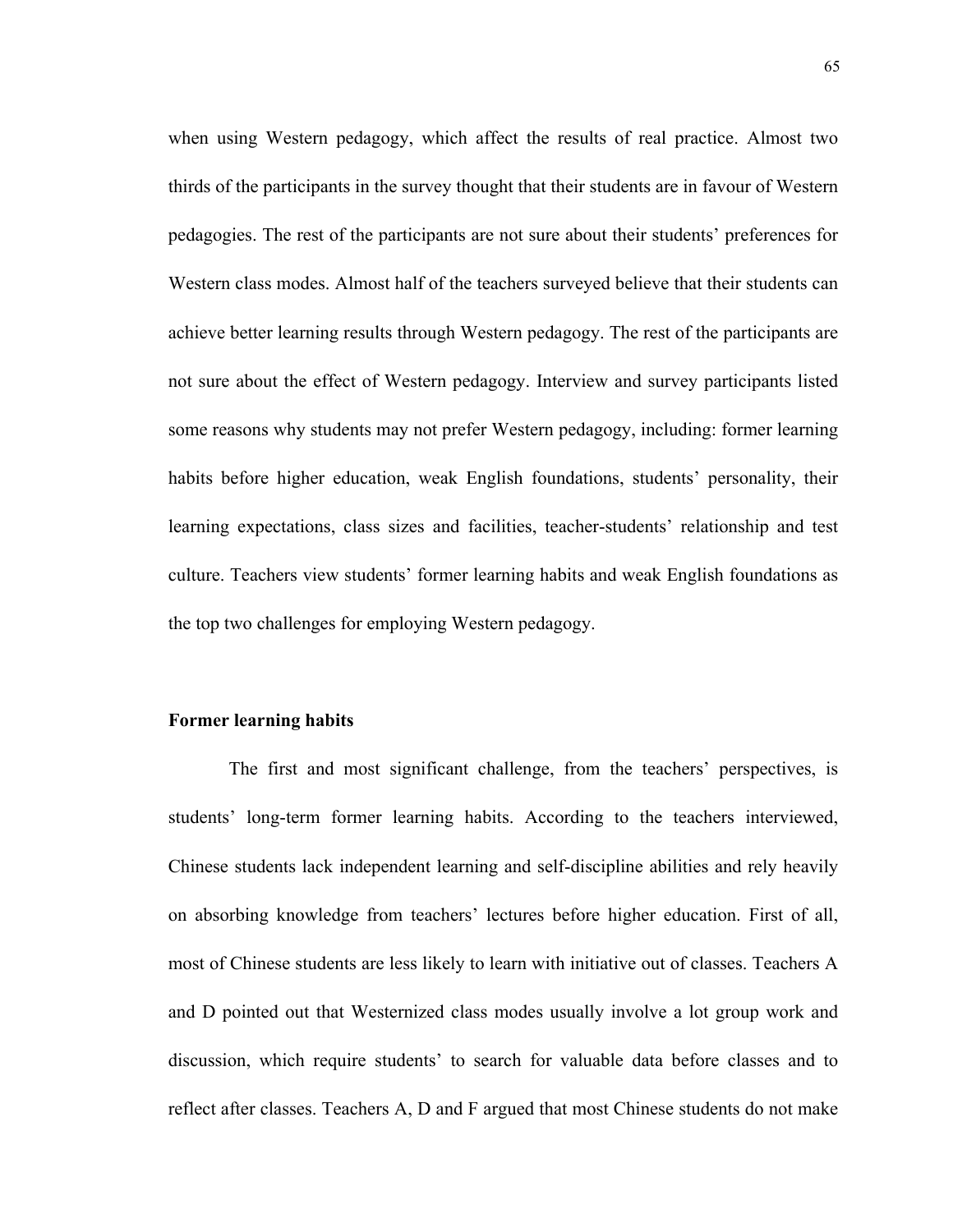when using Western pedagogy, which affect the results of real practice. Almost two thirds of the participants in the survey thought that their students are in favour of Western pedagogies. The rest of the participants are not sure about their students' preferences for Western class modes. Almost half of the teachers surveyed believe that their students can achieve better learning results through Western pedagogy. The rest of the participants are not sure about the effect of Western pedagogy. Interview and survey participants listed some reasons why students may not prefer Western pedagogy, including: former learning habits before higher education, weak English foundations, students' personality, their learning expectations, class sizes and facilities, teacher-students' relationship and test culture. Teachers view students' former learning habits and weak English foundations as the top two challenges for employing Western pedagogy.

# **Former learning habits**

The first and most significant challenge, from the teachers' perspectives, is students' long-term former learning habits. According to the teachers interviewed, Chinese students lack independent learning and self-discipline abilities and rely heavily on absorbing knowledge from teachers' lectures before higher education. First of all, most of Chinese students are less likely to learn with initiative out of classes. Teachers A and D pointed out that Westernized class modes usually involve a lot group work and discussion, which require students' to search for valuable data before classes and to reflect after classes. Teachers A, D and F argued that most Chinese students do not make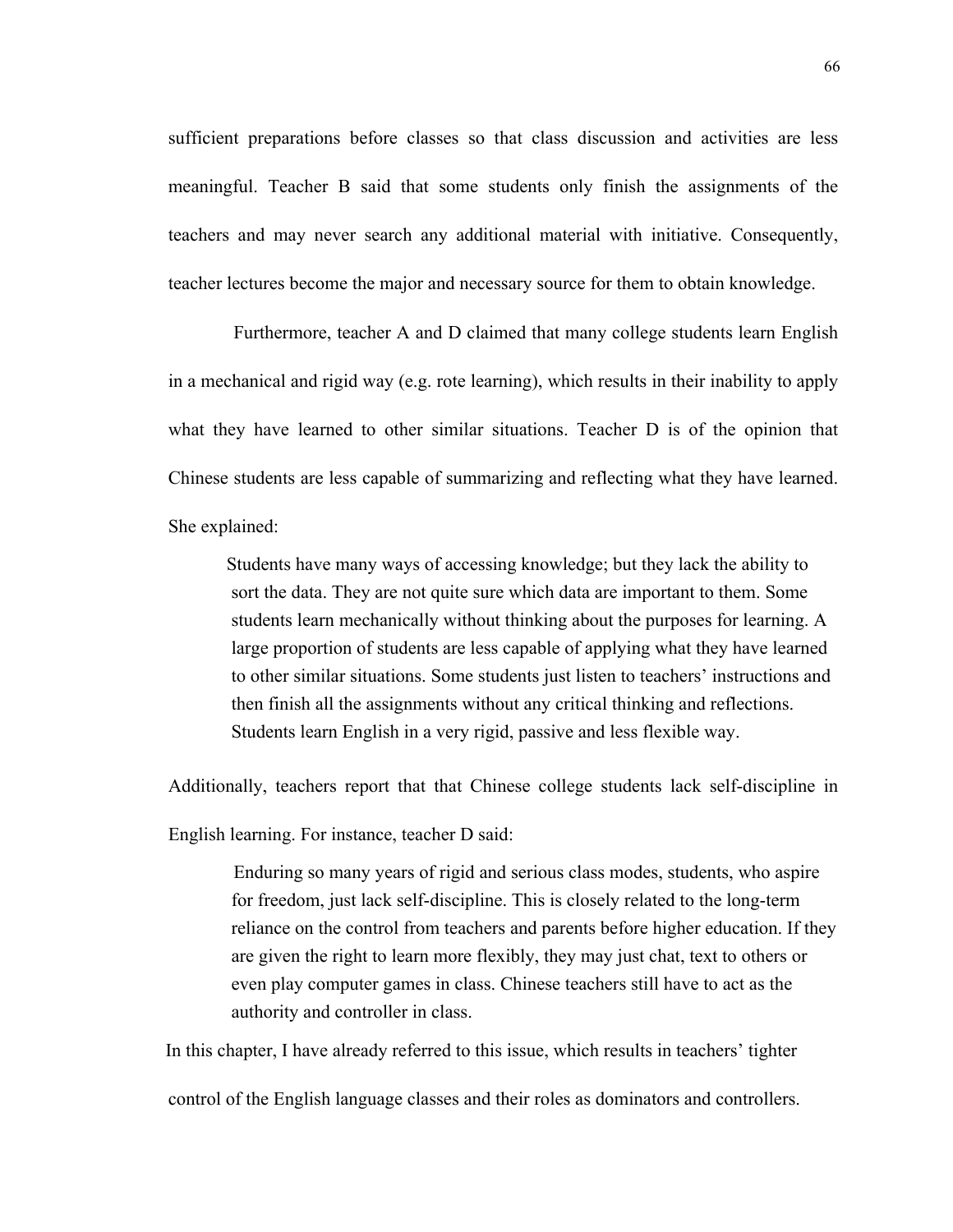sufficient preparations before classes so that class discussion and activities are less meaningful. Teacher B said that some students only finish the assignments of the teachers and may never search any additional material with initiative. Consequently, teacher lectures become the major and necessary source for them to obtain knowledge.

 Furthermore, teacher A and D claimed that many college students learn English in a mechanical and rigid way (e.g. rote learning), which results in their inability to apply what they have learned to other similar situations. Teacher D is of the opinion that Chinese students are less capable of summarizing and reflecting what they have learned. She explained:

 Students have many ways of accessing knowledge; but they lack the ability to sort the data. They are not quite sure which data are important to them. Some students learn mechanically without thinking about the purposes for learning. A large proportion of students are less capable of applying what they have learned to other similar situations. Some students just listen to teachers' instructions and then finish all the assignments without any critical thinking and reflections. Students learn English in a very rigid, passive and less flexible way.

Additionally, teachers report that that Chinese college students lack self-discipline in

English learning. For instance, teacher D said:

 Enduring so many years of rigid and serious class modes, students, who aspire for freedom, just lack self-discipline. This is closely related to the long-term reliance on the control from teachers and parents before higher education. If they are given the right to learn more flexibly, they may just chat, text to others or even play computer games in class. Chinese teachers still have to act as the authority and controller in class.

In this chapter, I have already referred to this issue, which results in teachers' tighter

control of the English language classes and their roles as dominators and controllers.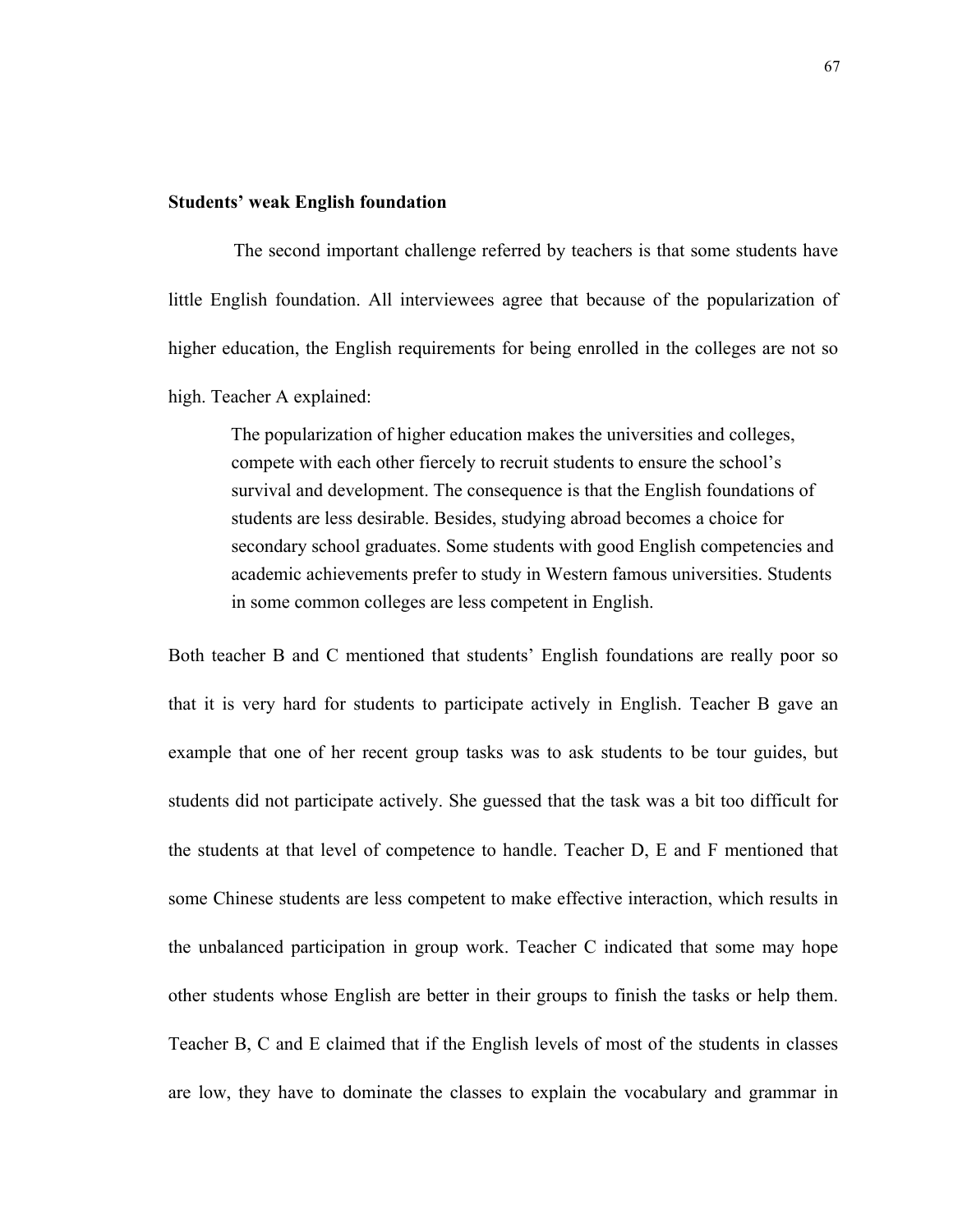#### **Students' weak English foundation**

 The second important challenge referred by teachers is that some students have little English foundation. All interviewees agree that because of the popularization of higher education, the English requirements for being enrolled in the colleges are not so high. Teacher A explained:

 The popularization of higher education makes the universities and colleges, compete with each other fiercely to recruit students to ensure the school's survival and development. The consequence is that the English foundations of students are less desirable. Besides, studying abroad becomes a choice for secondary school graduates. Some students with good English competencies and academic achievements prefer to study in Western famous universities. Students in some common colleges are less competent in English.

Both teacher B and C mentioned that students' English foundations are really poor so that it is very hard for students to participate actively in English. Teacher B gave an example that one of her recent group tasks was to ask students to be tour guides, but students did not participate actively. She guessed that the task was a bit too difficult for the students at that level of competence to handle. Teacher D, E and F mentioned that some Chinese students are less competent to make effective interaction, which results in the unbalanced participation in group work. Teacher C indicated that some may hope other students whose English are better in their groups to finish the tasks or help them. Teacher B, C and E claimed that if the English levels of most of the students in classes are low, they have to dominate the classes to explain the vocabulary and grammar in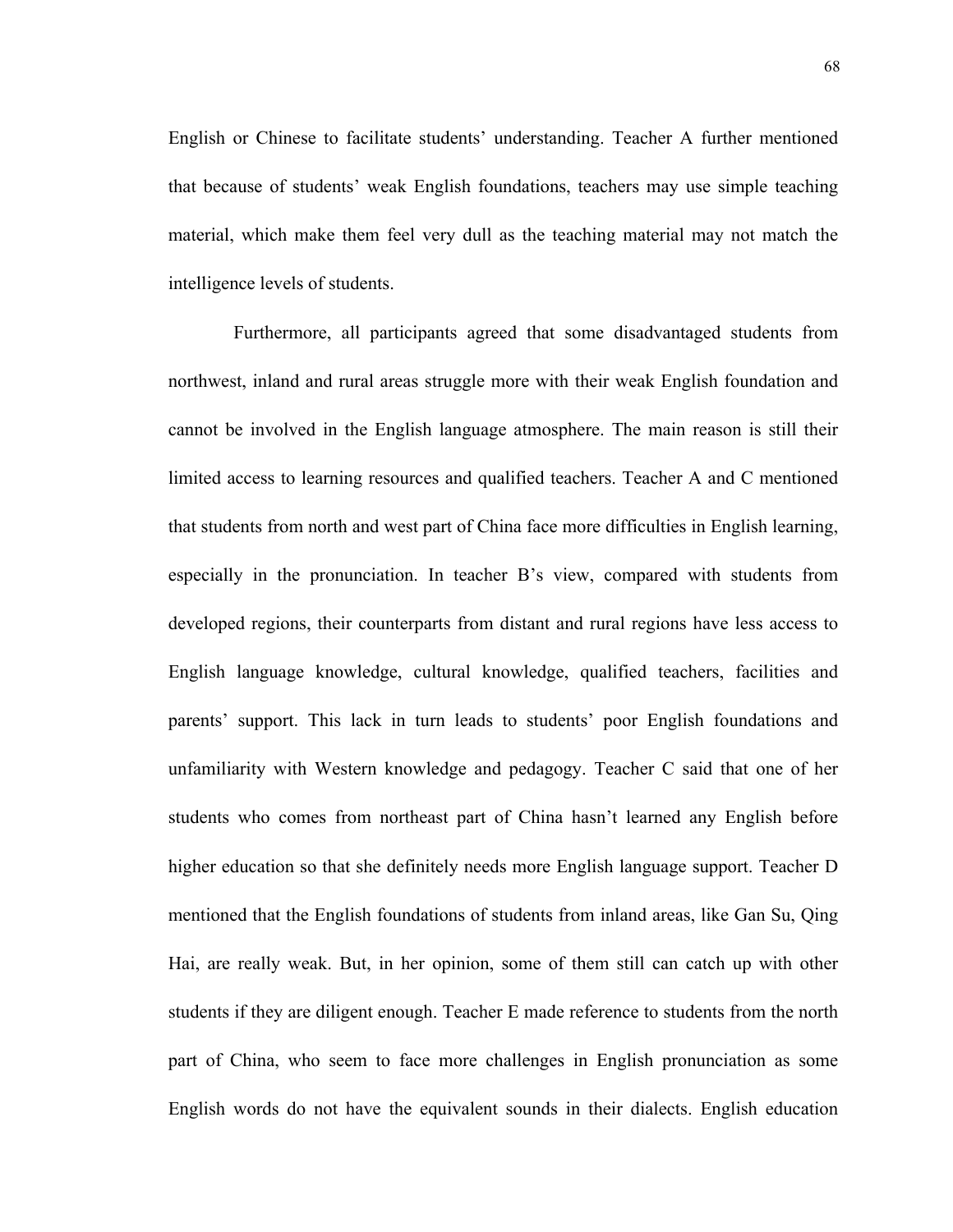English or Chinese to facilitate students' understanding. Teacher A further mentioned that because of students' weak English foundations, teachers may use simple teaching material, which make them feel very dull as the teaching material may not match the intelligence levels of students.

 Furthermore, all participants agreed that some disadvantaged students from northwest, inland and rural areas struggle more with their weak English foundation and cannot be involved in the English language atmosphere. The main reason is still their limited access to learning resources and qualified teachers. Teacher A and C mentioned that students from north and west part of China face more difficulties in English learning, especially in the pronunciation. In teacher B's view, compared with students from developed regions, their counterparts from distant and rural regions have less access to English language knowledge, cultural knowledge, qualified teachers, facilities and parents' support. This lack in turn leads to students' poor English foundations and unfamiliarity with Western knowledge and pedagogy. Teacher C said that one of her students who comes from northeast part of China hasn't learned any English before higher education so that she definitely needs more English language support. Teacher D mentioned that the English foundations of students from inland areas, like Gan Su, Qing Hai, are really weak. But, in her opinion, some of them still can catch up with other students if they are diligent enough. Teacher E made reference to students from the north part of China, who seem to face more challenges in English pronunciation as some English words do not have the equivalent sounds in their dialects. English education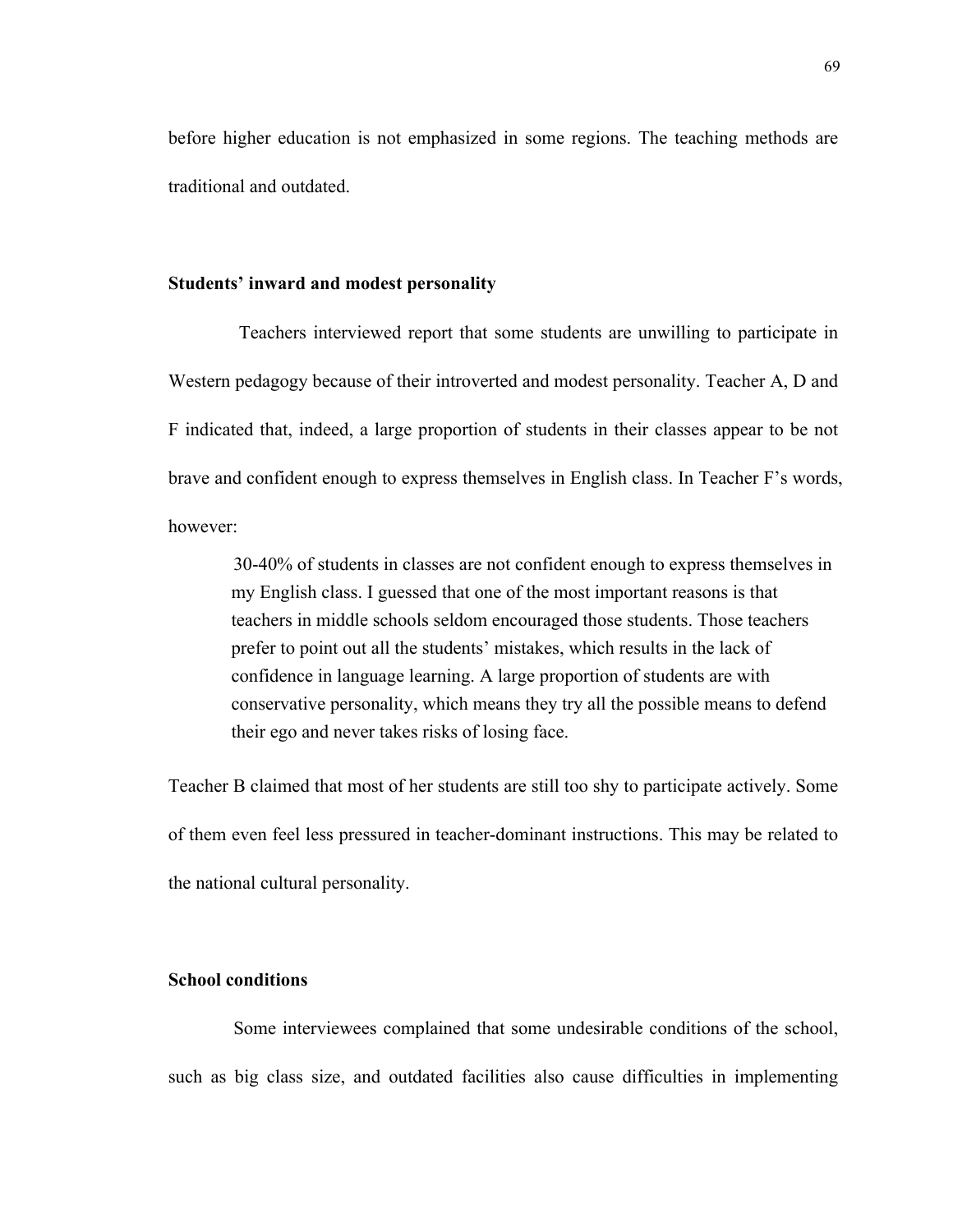before higher education is not emphasized in some regions. The teaching methods are traditional and outdated.

### **Students' inward and modest personality**

Teachers interviewed report that some students are unwilling to participate in Western pedagogy because of their introverted and modest personality. Teacher A, D and F indicated that, indeed, a large proportion of students in their classes appear to be not brave and confident enough to express themselves in English class. In Teacher F's words, however:

 30-40% of students in classes are not confident enough to express themselves in my English class. I guessed that one of the most important reasons is that teachers in middle schools seldom encouraged those students. Those teachers prefer to point out all the students' mistakes, which results in the lack of confidence in language learning. A large proportion of students are with conservative personality, which means they try all the possible means to defend their ego and never takes risks of losing face.

Teacher B claimed that most of her students are still too shy to participate actively. Some of them even feel less pressured in teacher-dominant instructions. This may be related to the national cultural personality.

# **School conditions**

 Some interviewees complained that some undesirable conditions of the school, such as big class size, and outdated facilities also cause difficulties in implementing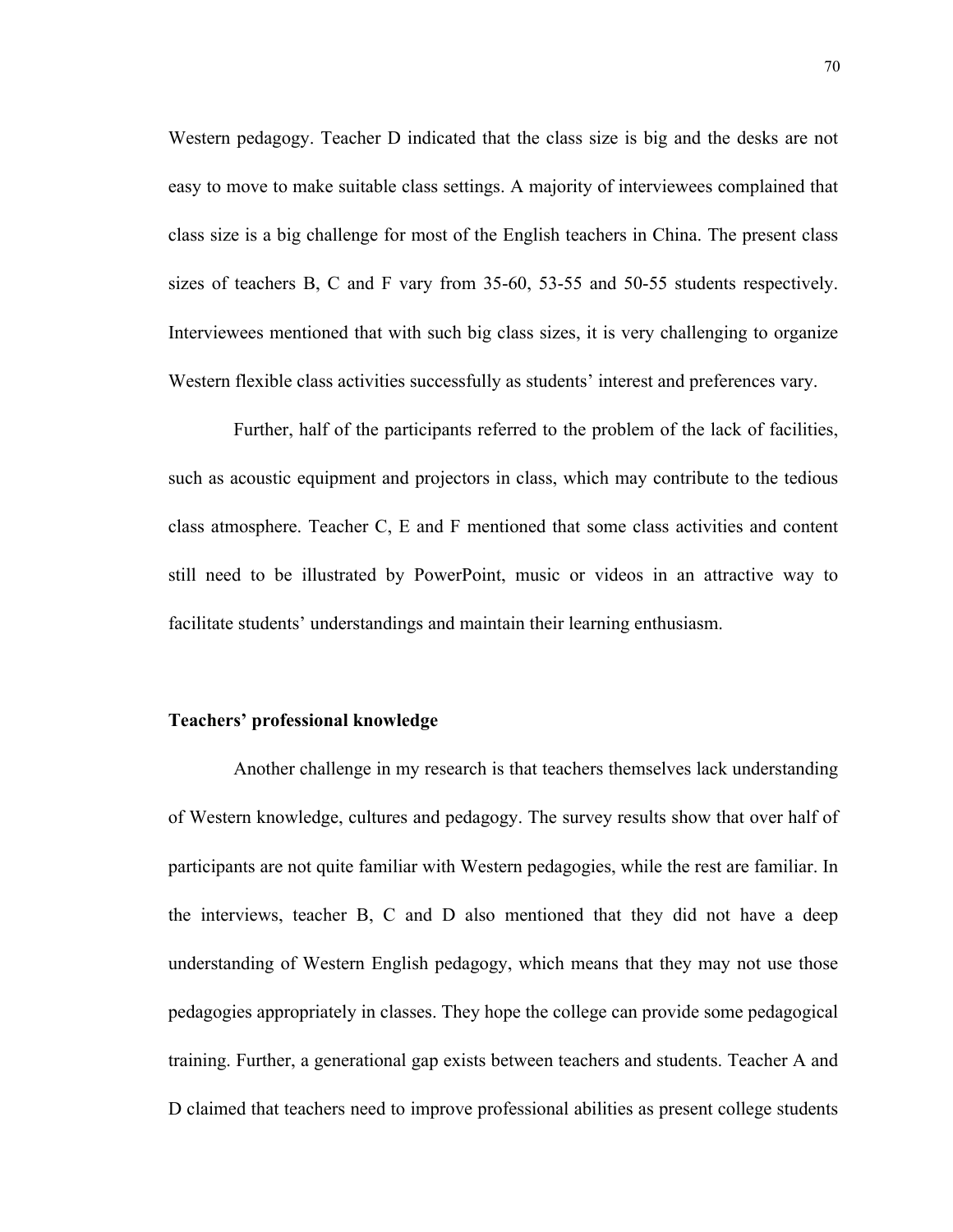Western pedagogy. Teacher D indicated that the class size is big and the desks are not easy to move to make suitable class settings. A majority of interviewees complained that class size is a big challenge for most of the English teachers in China. The present class sizes of teachers B, C and F vary from 35-60, 53-55 and 50-55 students respectively. Interviewees mentioned that with such big class sizes, it is very challenging to organize Western flexible class activities successfully as students' interest and preferences vary.

 Further, half of the participants referred to the problem of the lack of facilities, such as acoustic equipment and projectors in class, which may contribute to the tedious class atmosphere. Teacher C, E and F mentioned that some class activities and content still need to be illustrated by PowerPoint, music or videos in an attractive way to facilitate students' understandings and maintain their learning enthusiasm.

#### **Teachers' professional knowledge**

 Another challenge in my research is that teachers themselves lack understanding of Western knowledge, cultures and pedagogy. The survey results show that over half of participants are not quite familiar with Western pedagogies, while the rest are familiar. In the interviews, teacher B, C and D also mentioned that they did not have a deep understanding of Western English pedagogy, which means that they may not use those pedagogies appropriately in classes. They hope the college can provide some pedagogical training. Further, a generational gap exists between teachers and students. Teacher A and D claimed that teachers need to improve professional abilities as present college students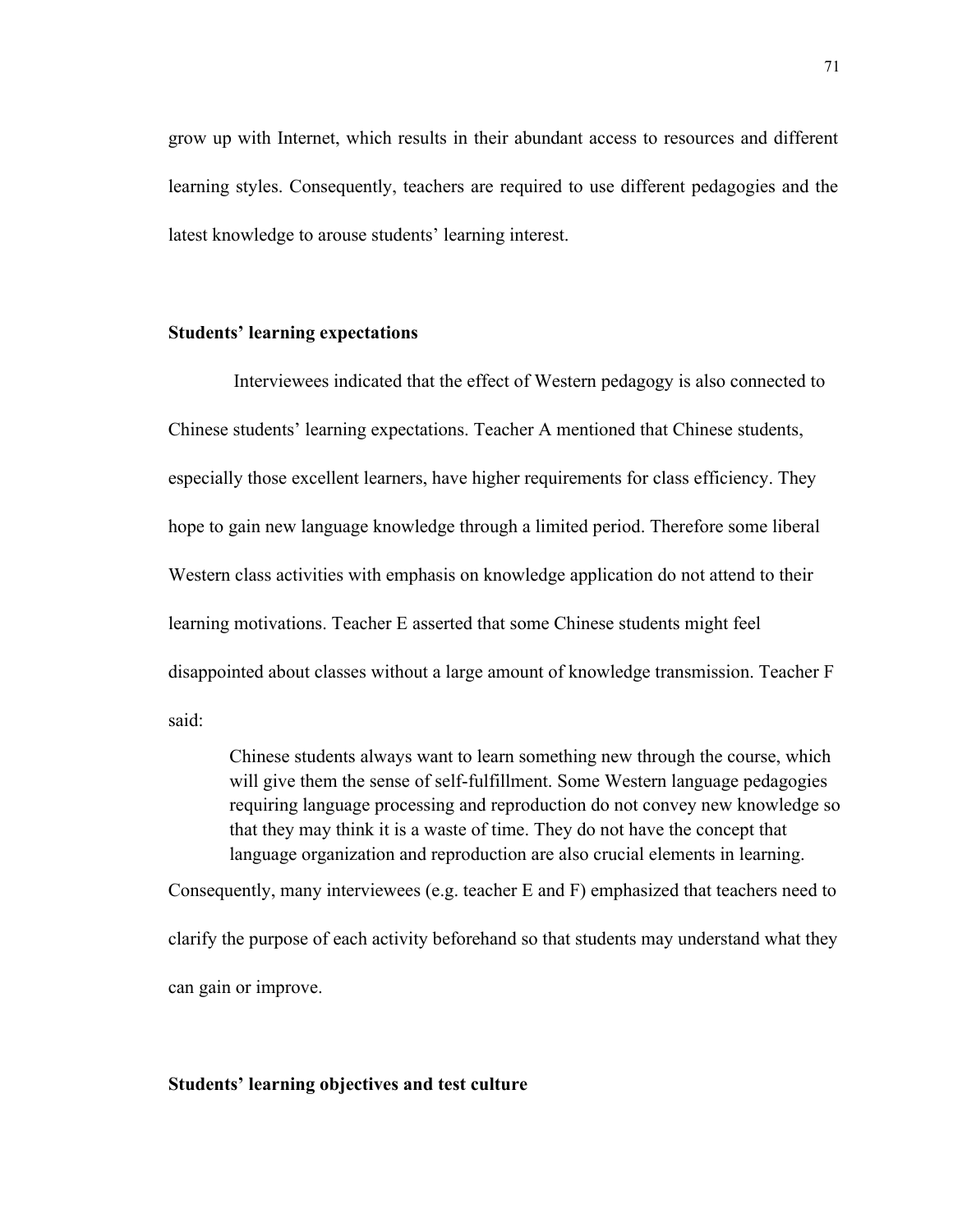grow up with Internet, which results in their abundant access to resources and different learning styles. Consequently, teachers are required to use different pedagogies and the latest knowledge to arouse students' learning interest.

# **Students' learning expectations**

 Interviewees indicated that the effect of Western pedagogy is also connected to Chinese students' learning expectations. Teacher A mentioned that Chinese students, especially those excellent learners, have higher requirements for class efficiency. They hope to gain new language knowledge through a limited period. Therefore some liberal Western class activities with emphasis on knowledge application do not attend to their learning motivations. Teacher E asserted that some Chinese students might feel disappointed about classes without a large amount of knowledge transmission. Teacher F said:

Chinese students always want to learn something new through the course, which will give them the sense of self-fulfillment. Some Western language pedagogies requiring language processing and reproduction do not convey new knowledge so that they may think it is a waste of time. They do not have the concept that language organization and reproduction are also crucial elements in learning.

Consequently, many interviewees (e.g. teacher E and F) emphasized that teachers need to clarify the purpose of each activity beforehand so that students may understand what they can gain or improve.

#### **Students' learning objectives and test culture**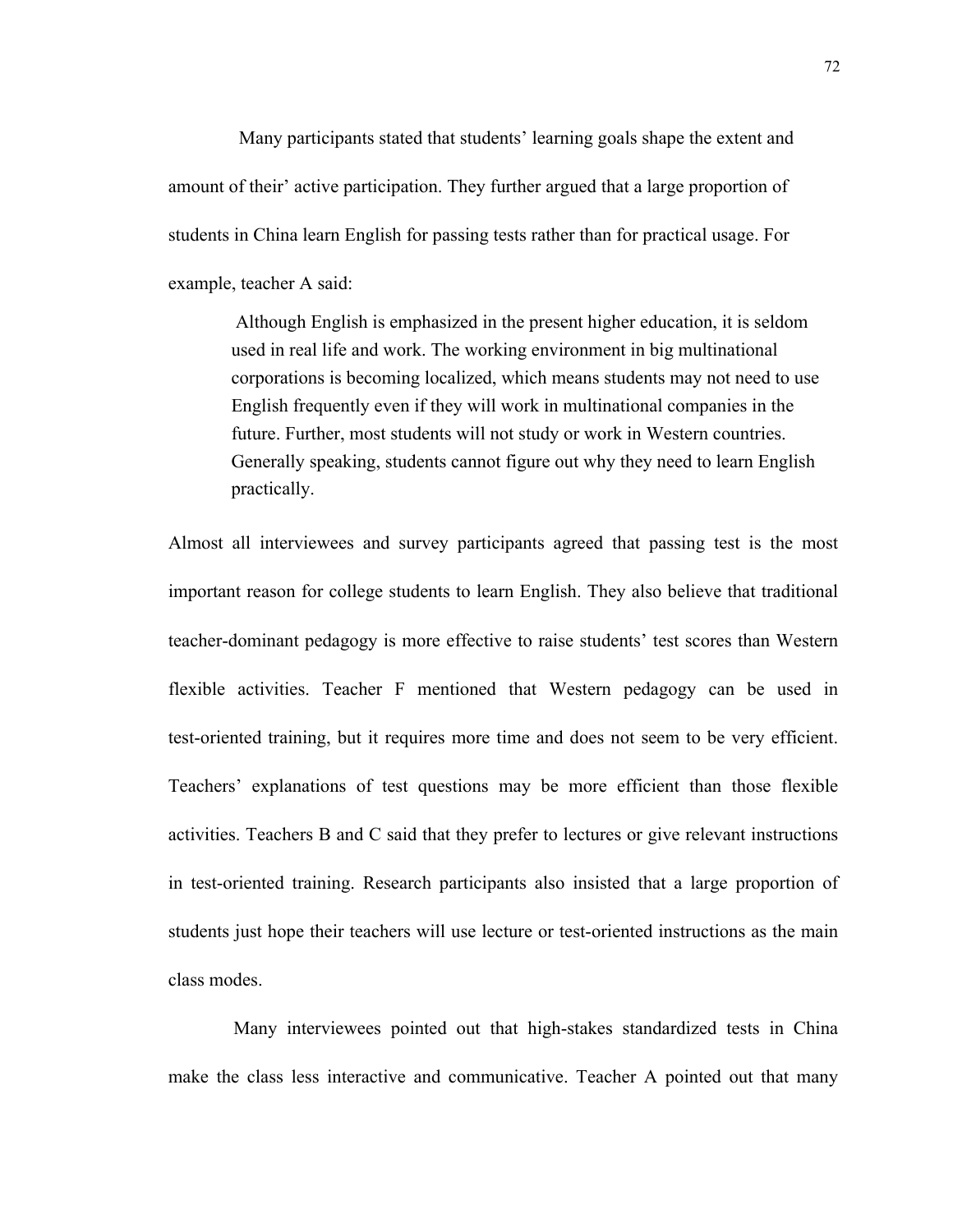Many participants stated that students' learning goals shape the extent and amount of their' active participation. They further argued that a large proportion of students in China learn English for passing tests rather than for practical usage. For example, teacher A said:

 Although English is emphasized in the present higher education, it is seldom used in real life and work. The working environment in big multinational corporations is becoming localized, which means students may not need to use English frequently even if they will work in multinational companies in the future. Further, most students will not study or work in Western countries. Generally speaking, students cannot figure out why they need to learn English practically.

Almost all interviewees and survey participants agreed that passing test is the most important reason for college students to learn English. They also believe that traditional teacher-dominant pedagogy is more effective to raise students' test scores than Western flexible activities. Teacher F mentioned that Western pedagogy can be used in test-oriented training, but it requires more time and does not seem to be very efficient. Teachers' explanations of test questions may be more efficient than those flexible activities. Teachers B and C said that they prefer to lectures or give relevant instructions in test-oriented training. Research participants also insisted that a large proportion of students just hope their teachers will use lecture or test-oriented instructions as the main class modes.

 Many interviewees pointed out that high-stakes standardized tests in China make the class less interactive and communicative. Teacher A pointed out that many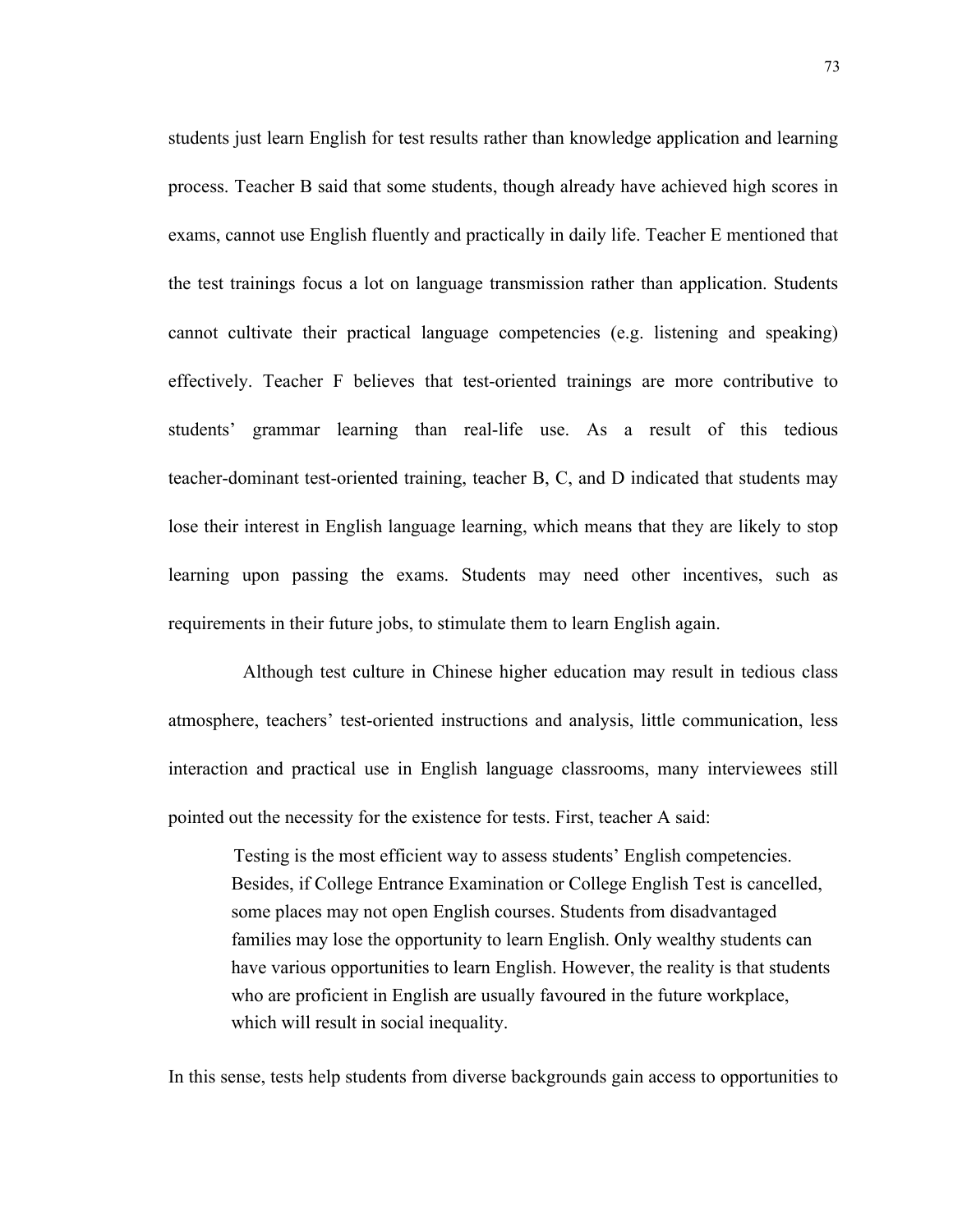students just learn English for test results rather than knowledge application and learning process. Teacher B said that some students, though already have achieved high scores in exams, cannot use English fluently and practically in daily life. Teacher E mentioned that the test trainings focus a lot on language transmission rather than application. Students cannot cultivate their practical language competencies (e.g. listening and speaking) effectively. Teacher F believes that test-oriented trainings are more contributive to students' grammar learning than real-life use. As a result of this tedious teacher-dominant test-oriented training, teacher B, C, and D indicated that students may lose their interest in English language learning, which means that they are likely to stop learning upon passing the exams. Students may need other incentives, such as requirements in their future jobs, to stimulate them to learn English again.

Although test culture in Chinese higher education may result in tedious class atmosphere, teachers' test-oriented instructions and analysis, little communication, less interaction and practical use in English language classrooms, many interviewees still pointed out the necessity for the existence for tests. First, teacher A said:

 Testing is the most efficient way to assess students' English competencies. Besides, if College Entrance Examination or College English Test is cancelled, some places may not open English courses. Students from disadvantaged families may lose the opportunity to learn English. Only wealthy students can have various opportunities to learn English. However, the reality is that students who are proficient in English are usually favoured in the future workplace, which will result in social inequality.

In this sense, tests help students from diverse backgrounds gain access to opportunities to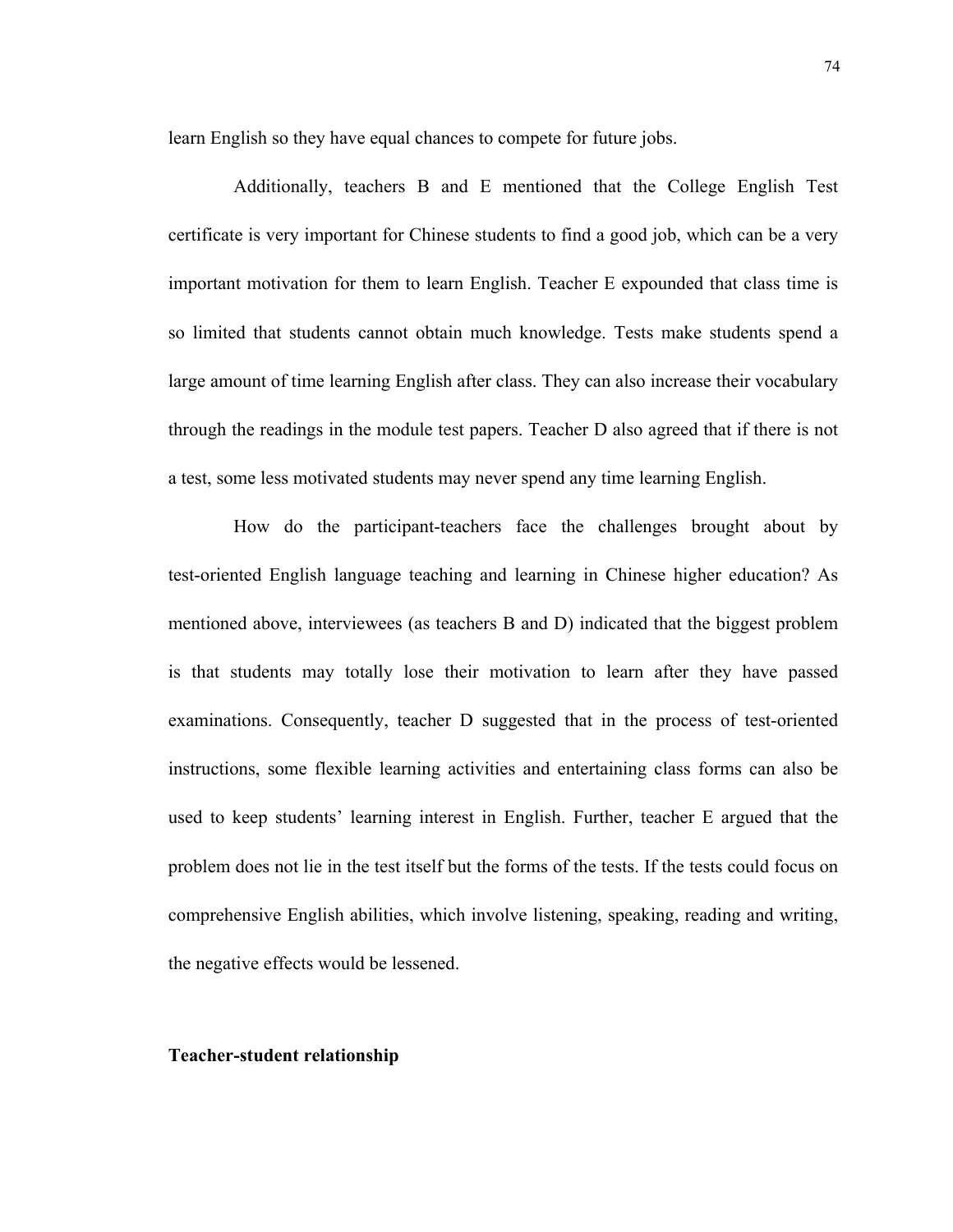learn English so they have equal chances to compete for future jobs.

 Additionally, teachers B and E mentioned that the College English Test certificate is very important for Chinese students to find a good job, which can be a very important motivation for them to learn English. Teacher E expounded that class time is so limited that students cannot obtain much knowledge. Tests make students spend a large amount of time learning English after class. They can also increase their vocabulary through the readings in the module test papers. Teacher D also agreed that if there is not a test, some less motivated students may never spend any time learning English.

 How do the participant-teachers face the challenges brought about by test-oriented English language teaching and learning in Chinese higher education? As mentioned above, interviewees (as teachers B and D) indicated that the biggest problem is that students may totally lose their motivation to learn after they have passed examinations. Consequently, teacher D suggested that in the process of test-oriented instructions, some flexible learning activities and entertaining class forms can also be used to keep students' learning interest in English. Further, teacher E argued that the problem does not lie in the test itself but the forms of the tests. If the tests could focus on comprehensive English abilities, which involve listening, speaking, reading and writing, the negative effects would be lessened.

#### **Teacher-student relationship**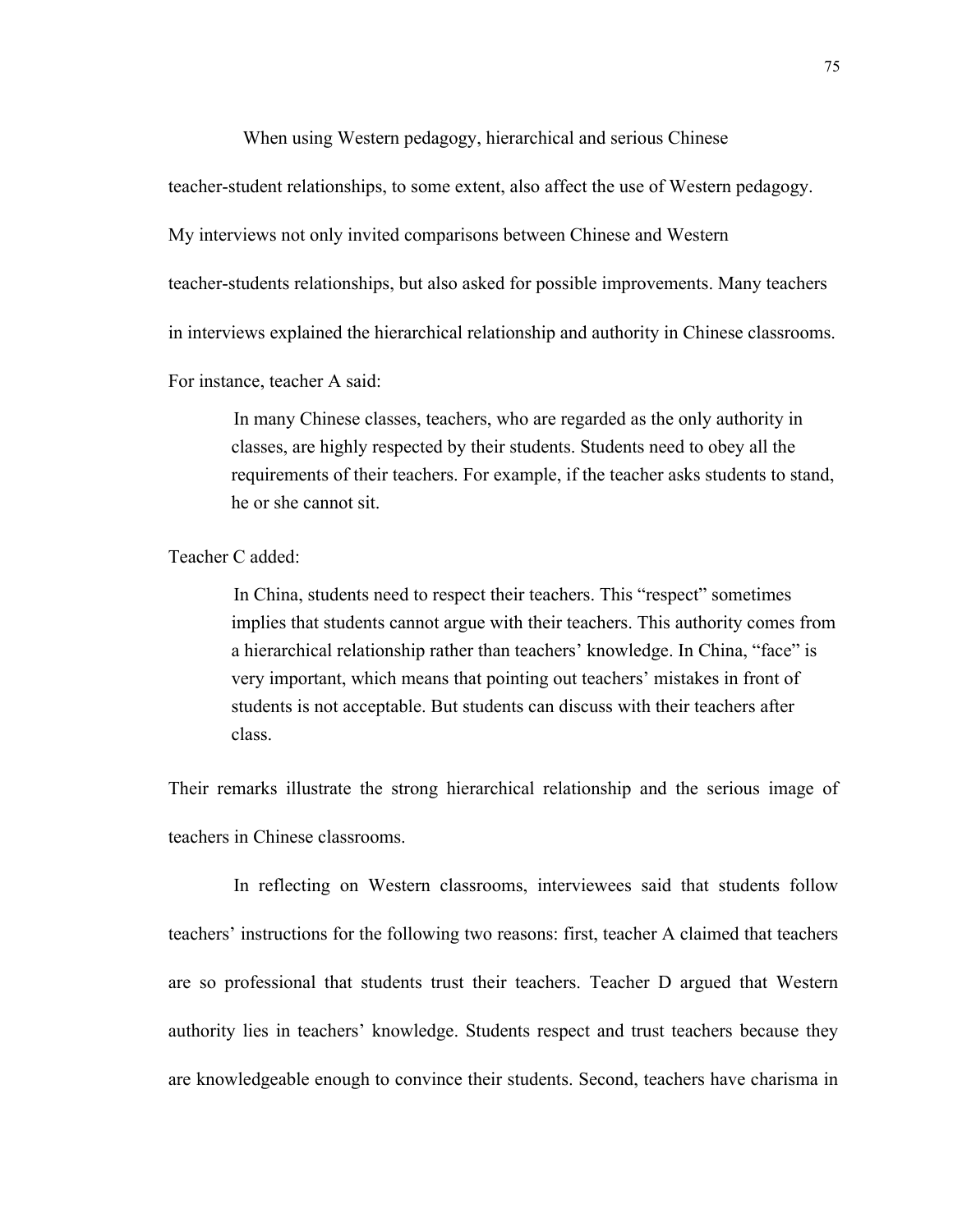When using Western pedagogy, hierarchical and serious Chinese

teacher-student relationships, to some extent, also affect the use of Western pedagogy.

My interviews not only invited comparisons between Chinese and Western

teacher-students relationships, but also asked for possible improvements. Many teachers

in interviews explained the hierarchical relationship and authority in Chinese classrooms.

For instance, teacher A said:

 In many Chinese classes, teachers, who are regarded as the only authority in classes, are highly respected by their students. Students need to obey all the requirements of their teachers. For example, if the teacher asks students to stand, he or she cannot sit.

Teacher C added:

 In China, students need to respect their teachers. This "respect" sometimes implies that students cannot argue with their teachers. This authority comes from a hierarchical relationship rather than teachers' knowledge. In China, "face" is very important, which means that pointing out teachers' mistakes in front of students is not acceptable. But students can discuss with their teachers after class.

Their remarks illustrate the strong hierarchical relationship and the serious image of teachers in Chinese classrooms.

 In reflecting on Western classrooms, interviewees said that students follow teachers' instructions for the following two reasons: first, teacher A claimed that teachers are so professional that students trust their teachers. Teacher D argued that Western authority lies in teachers' knowledge. Students respect and trust teachers because they are knowledgeable enough to convince their students. Second, teachers have charisma in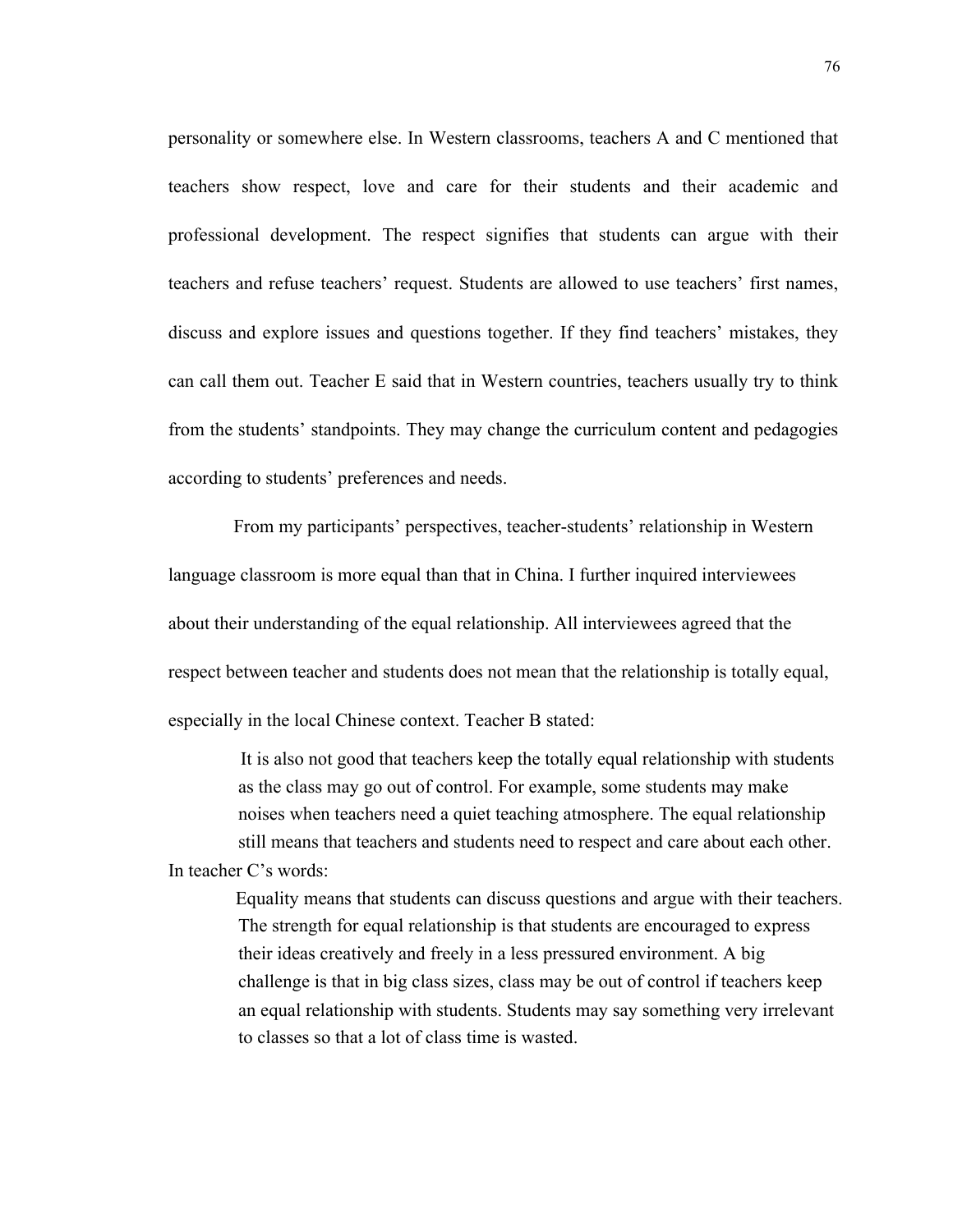personality or somewhere else. In Western classrooms, teachers A and C mentioned that teachers show respect, love and care for their students and their academic and professional development. The respect signifies that students can argue with their teachers and refuse teachers' request. Students are allowed to use teachers' first names, discuss and explore issues and questions together. If they find teachers' mistakes, they can call them out. Teacher E said that in Western countries, teachers usually try to think from the students' standpoints. They may change the curriculum content and pedagogies according to students' preferences and needs.

 From my participants' perspectives, teacher-students' relationship in Western language classroom is more equal than that in China. I further inquired interviewees about their understanding of the equal relationship. All interviewees agreed that the respect between teacher and students does not mean that the relationship is totally equal, especially in the local Chinese context. Teacher B stated:

 It is also not good that teachers keep the totally equal relationship with students as the class may go out of control. For example, some students may make noises when teachers need a quiet teaching atmosphere. The equal relationship still means that teachers and students need to respect and care about each other. In teacher C's words:

 Equality means that students can discuss questions and argue with their teachers. The strength for equal relationship is that students are encouraged to express their ideas creatively and freely in a less pressured environment. A big challenge is that in big class sizes, class may be out of control if teachers keep an equal relationship with students. Students may say something very irrelevant to classes so that a lot of class time is wasted.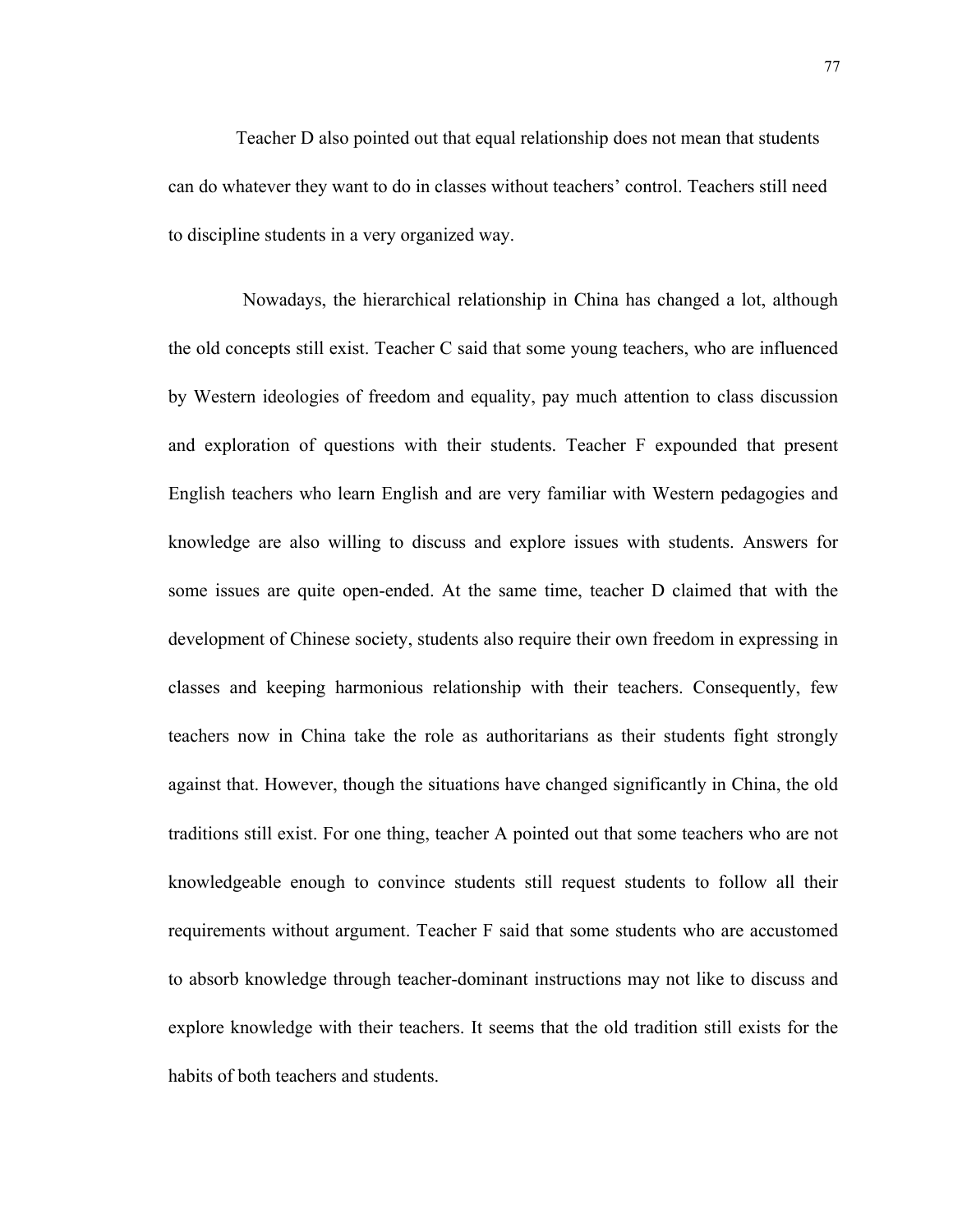Teacher D also pointed out that equal relationship does not mean that students can do whatever they want to do in classes without teachers' control. Teachers still need to discipline students in a very organized way.

 Nowadays, the hierarchical relationship in China has changed a lot, although the old concepts still exist. Teacher C said that some young teachers, who are influenced by Western ideologies of freedom and equality, pay much attention to class discussion and exploration of questions with their students. Teacher F expounded that present English teachers who learn English and are very familiar with Western pedagogies and knowledge are also willing to discuss and explore issues with students. Answers for some issues are quite open-ended. At the same time, teacher D claimed that with the development of Chinese society, students also require their own freedom in expressing in classes and keeping harmonious relationship with their teachers. Consequently, few teachers now in China take the role as authoritarians as their students fight strongly against that. However, though the situations have changed significantly in China, the old traditions still exist. For one thing, teacher A pointed out that some teachers who are not knowledgeable enough to convince students still request students to follow all their requirements without argument. Teacher F said that some students who are accustomed to absorb knowledge through teacher-dominant instructions may not like to discuss and explore knowledge with their teachers. It seems that the old tradition still exists for the habits of both teachers and students.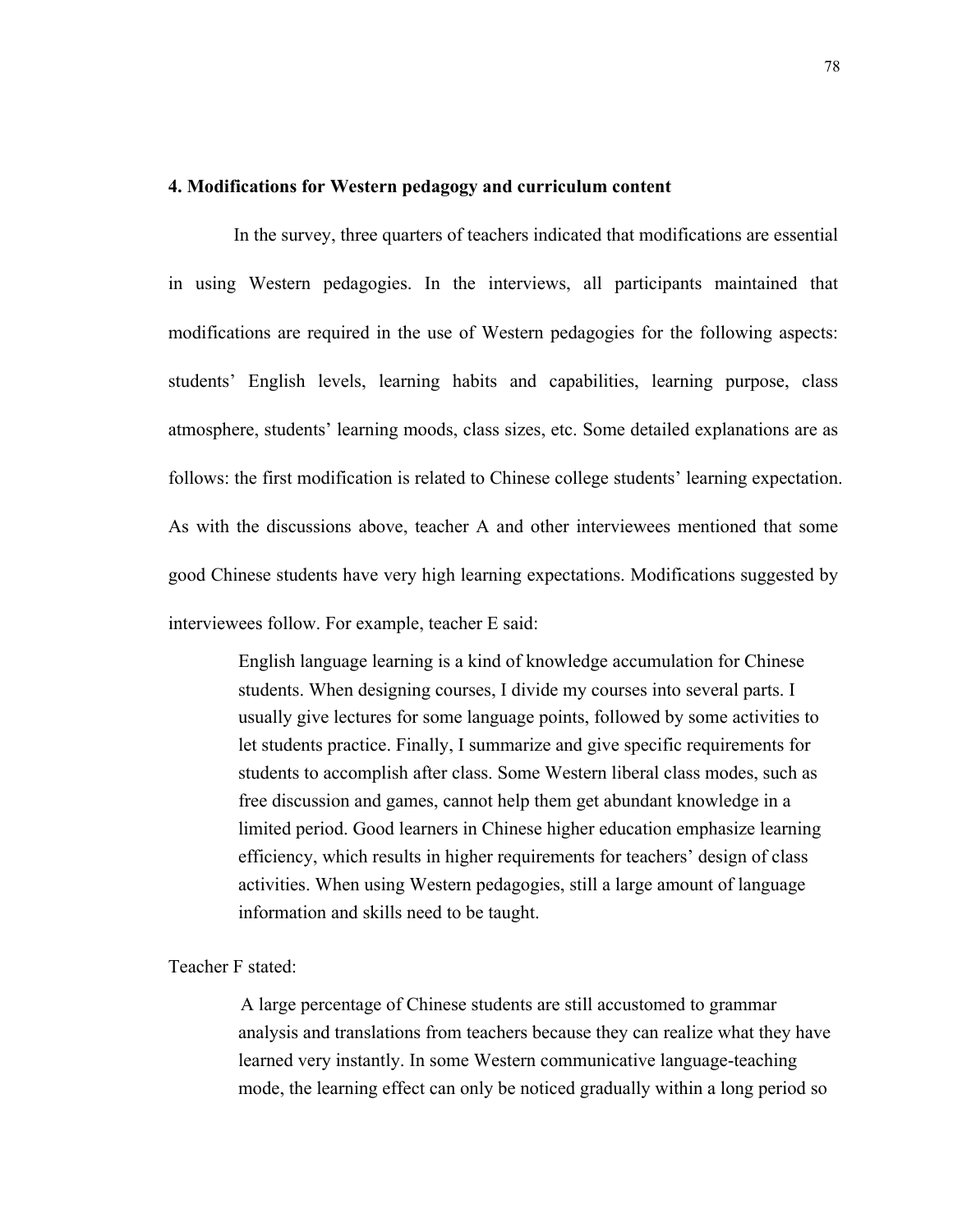## **4. Modifications for Western pedagogy and curriculum content**

 In the survey, three quarters of teachers indicated that modifications are essential in using Western pedagogies. In the interviews, all participants maintained that modifications are required in the use of Western pedagogies for the following aspects: students' English levels, learning habits and capabilities, learning purpose, class atmosphere, students' learning moods, class sizes, etc. Some detailed explanations are as follows: the first modification is related to Chinese college students' learning expectation. As with the discussions above, teacher A and other interviewees mentioned that some good Chinese students have very high learning expectations. Modifications suggested by interviewees follow. For example, teacher E said:

> English language learning is a kind of knowledge accumulation for Chinese students. When designing courses, I divide my courses into several parts. I usually give lectures for some language points, followed by some activities to let students practice. Finally, I summarize and give specific requirements for students to accomplish after class. Some Western liberal class modes, such as free discussion and games, cannot help them get abundant knowledge in a limited period. Good learners in Chinese higher education emphasize learning efficiency, which results in higher requirements for teachers' design of class activities. When using Western pedagogies, still a large amount of language information and skills need to be taught.

# Teacher F stated:

 A large percentage of Chinese students are still accustomed to grammar analysis and translations from teachers because they can realize what they have learned very instantly. In some Western communicative language-teaching mode, the learning effect can only be noticed gradually within a long period so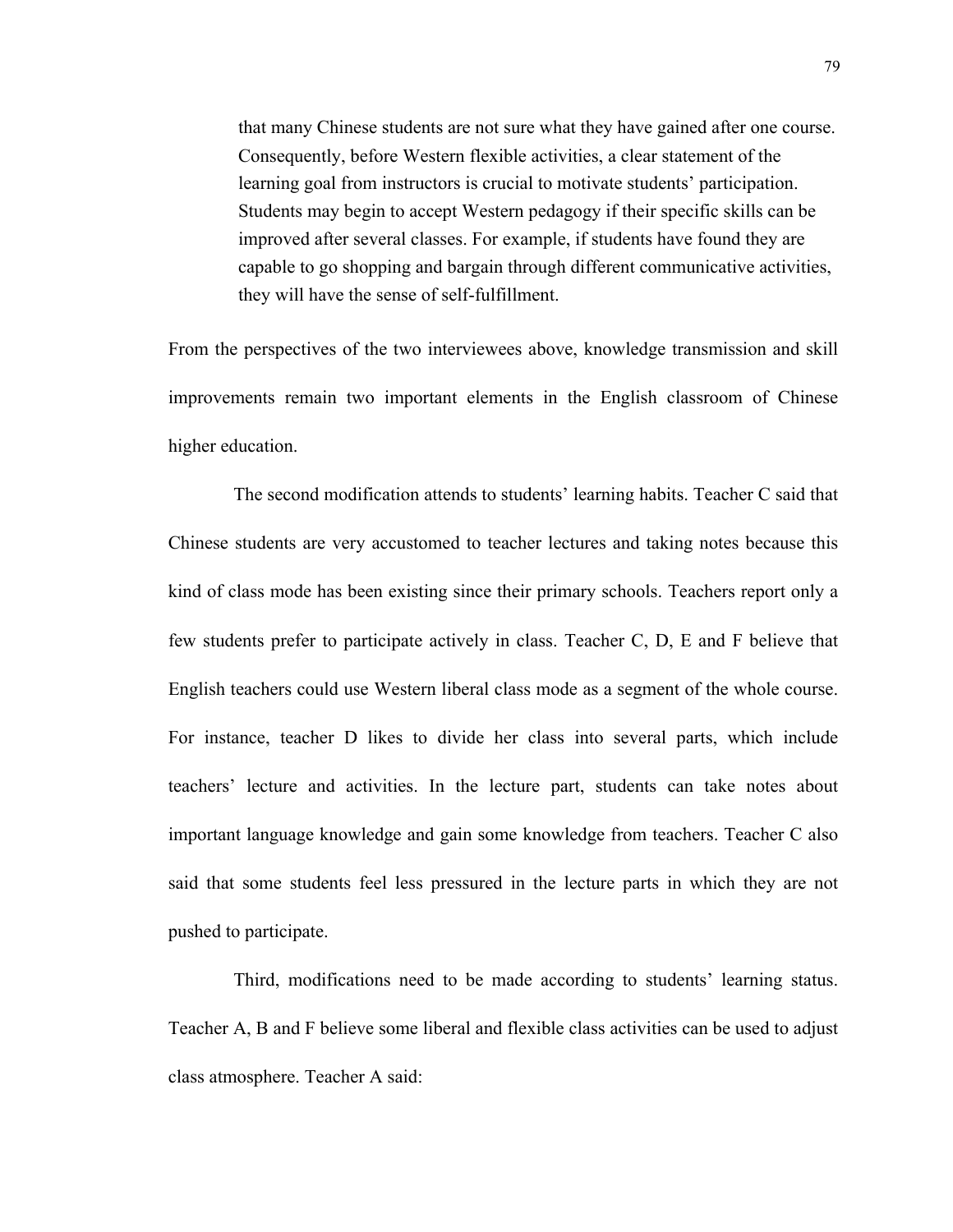that many Chinese students are not sure what they have gained after one course. Consequently, before Western flexible activities, a clear statement of the learning goal from instructors is crucial to motivate students' participation. Students may begin to accept Western pedagogy if their specific skills can be improved after several classes. For example, if students have found they are capable to go shopping and bargain through different communicative activities, they will have the sense of self-fulfillment.

From the perspectives of the two interviewees above, knowledge transmission and skill improvements remain two important elements in the English classroom of Chinese higher education.

 The second modification attends to students' learning habits. Teacher C said that Chinese students are very accustomed to teacher lectures and taking notes because this kind of class mode has been existing since their primary schools. Teachers report only a few students prefer to participate actively in class. Teacher C, D, E and F believe that English teachers could use Western liberal class mode as a segment of the whole course. For instance, teacher D likes to divide her class into several parts, which include teachers' lecture and activities. In the lecture part, students can take notes about important language knowledge and gain some knowledge from teachers. Teacher C also said that some students feel less pressured in the lecture parts in which they are not pushed to participate.

 Third, modifications need to be made according to students' learning status. Teacher A, B and F believe some liberal and flexible class activities can be used to adjust class atmosphere. Teacher A said: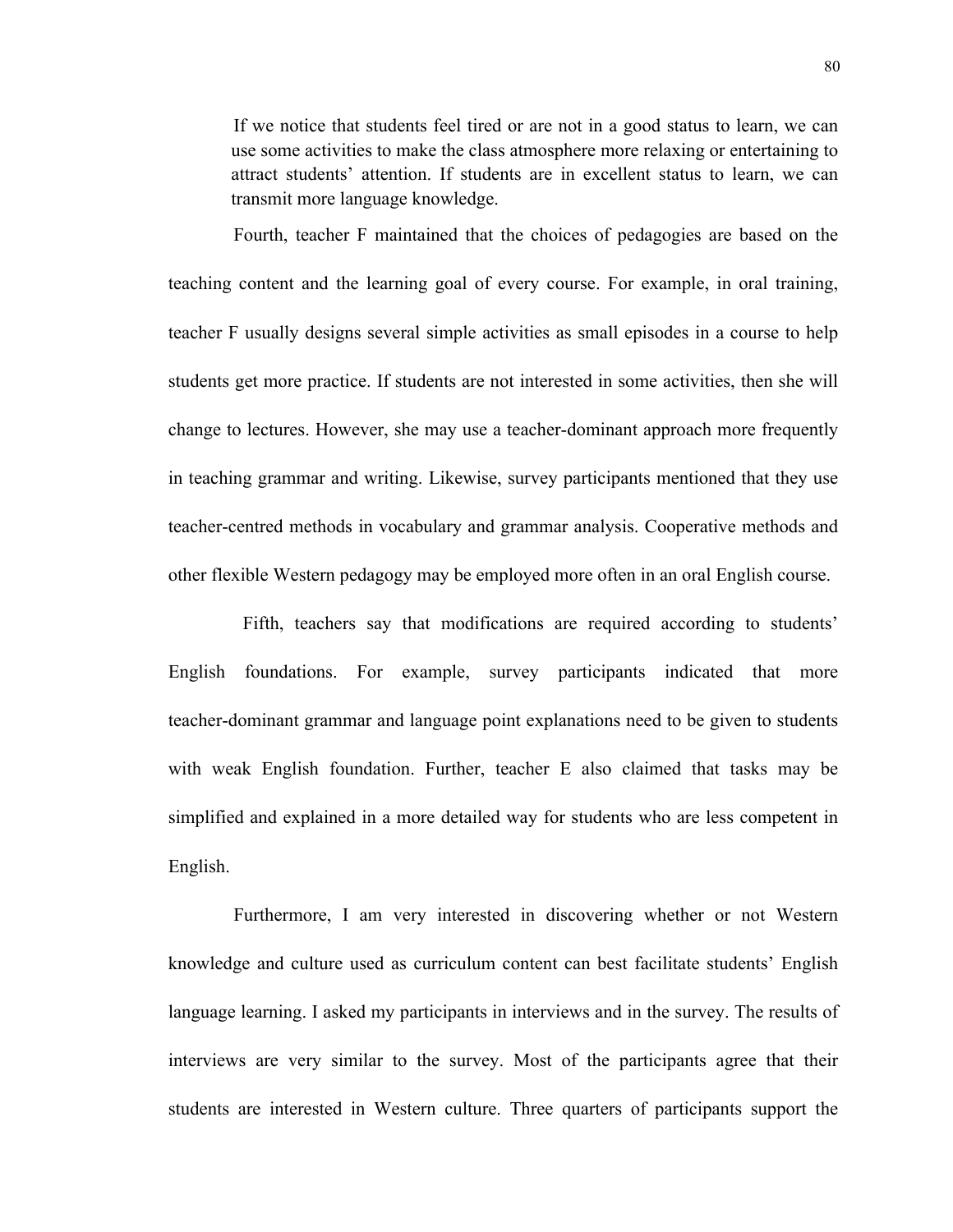If we notice that students feel tired or are not in a good status to learn, we can use some activities to make the class atmosphere more relaxing or entertaining to attract students' attention. If students are in excellent status to learn, we can transmit more language knowledge.

 Fourth, teacher F maintained that the choices of pedagogies are based on the teaching content and the learning goal of every course. For example, in oral training, teacher F usually designs several simple activities as small episodes in a course to help students get more practice. If students are not interested in some activities, then she will change to lectures. However, she may use a teacher-dominant approach more frequently in teaching grammar and writing. Likewise, survey participants mentioned that they use teacher-centred methods in vocabulary and grammar analysis. Cooperative methods and other flexible Western pedagogy may be employed more often in an oral English course.

 Fifth, teachers say that modifications are required according to students' English foundations. For example, survey participants indicated that more teacher-dominant grammar and language point explanations need to be given to students with weak English foundation. Further, teacher E also claimed that tasks may be simplified and explained in a more detailed way for students who are less competent in English.

 Furthermore, I am very interested in discovering whether or not Western knowledge and culture used as curriculum content can best facilitate students' English language learning. I asked my participants in interviews and in the survey. The results of interviews are very similar to the survey. Most of the participants agree that their students are interested in Western culture. Three quarters of participants support the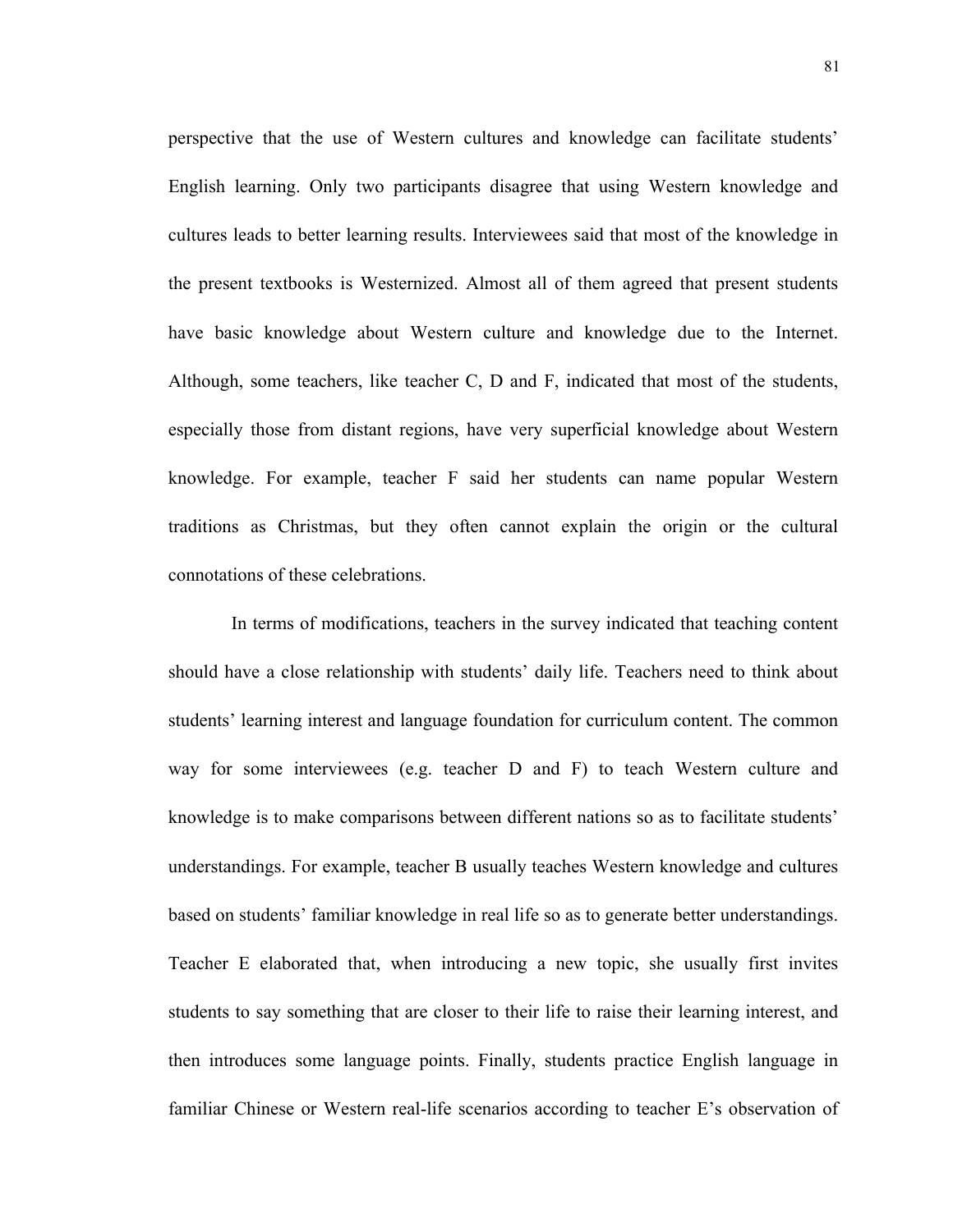perspective that the use of Western cultures and knowledge can facilitate students' English learning. Only two participants disagree that using Western knowledge and cultures leads to better learning results. Interviewees said that most of the knowledge in the present textbooks is Westernized. Almost all of them agreed that present students have basic knowledge about Western culture and knowledge due to the Internet. Although, some teachers, like teacher C, D and F, indicated that most of the students, especially those from distant regions, have very superficial knowledge about Western knowledge. For example, teacher F said her students can name popular Western traditions as Christmas, but they often cannot explain the origin or the cultural connotations of these celebrations.

In terms of modifications, teachers in the survey indicated that teaching content should have a close relationship with students' daily life. Teachers need to think about students' learning interest and language foundation for curriculum content. The common way for some interviewees (e.g. teacher D and F) to teach Western culture and knowledge is to make comparisons between different nations so as to facilitate students' understandings. For example, teacher B usually teaches Western knowledge and cultures based on students' familiar knowledge in real life so as to generate better understandings. Teacher E elaborated that, when introducing a new topic, she usually first invites students to say something that are closer to their life to raise their learning interest, and then introduces some language points. Finally, students practice English language in familiar Chinese or Western real-life scenarios according to teacher E's observation of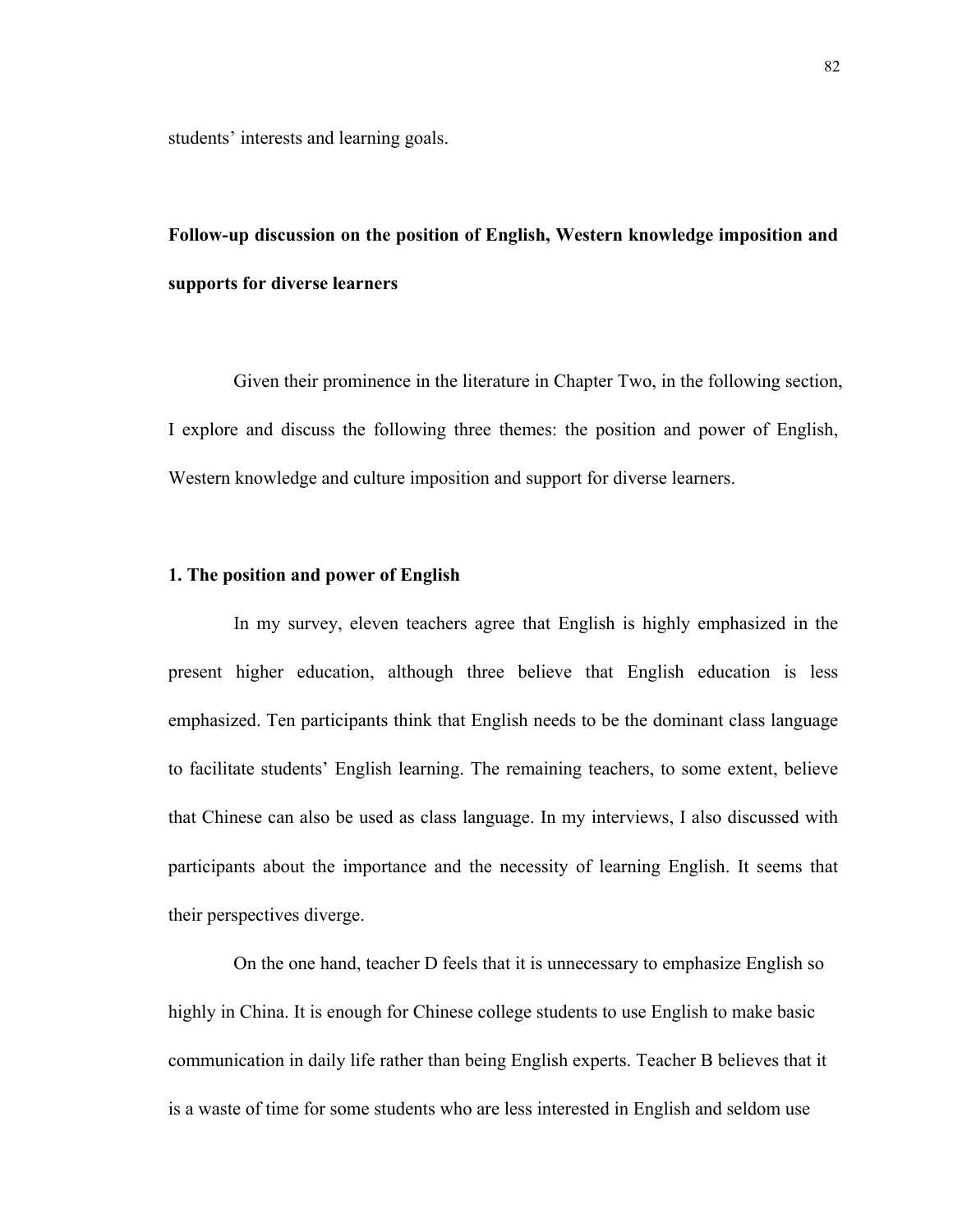students' interests and learning goals.

# **Follow-up discussion on the position of English, Western knowledge imposition and supports for diverse learners**

 Given their prominence in the literature in Chapter Two, in the following section, I explore and discuss the following three themes: the position and power of English, Western knowledge and culture imposition and support for diverse learners.

# **1. The position and power of English**

 In my survey, eleven teachers agree that English is highly emphasized in the present higher education, although three believe that English education is less emphasized. Ten participants think that English needs to be the dominant class language to facilitate students' English learning. The remaining teachers, to some extent, believe that Chinese can also be used as class language. In my interviews, I also discussed with participants about the importance and the necessity of learning English. It seems that their perspectives diverge.

On the one hand, teacher D feels that it is unnecessary to emphasize English so highly in China. It is enough for Chinese college students to use English to make basic communication in daily life rather than being English experts. Teacher B believes that it is a waste of time for some students who are less interested in English and seldom use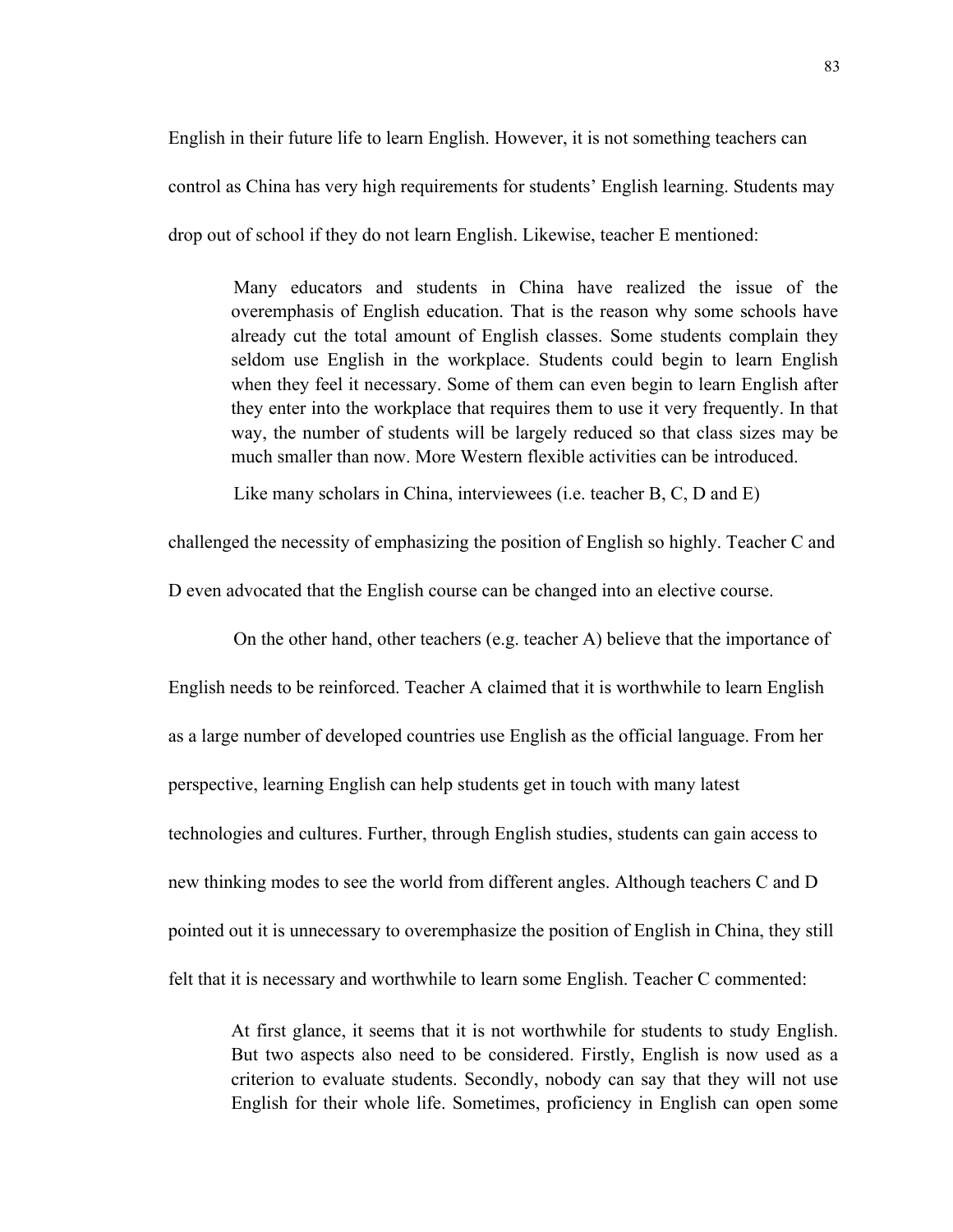English in their future life to learn English. However, it is not something teachers can control as China has very high requirements for students' English learning. Students may drop out of school if they do not learn English. Likewise, teacher E mentioned:

 Many educators and students in China have realized the issue of the overemphasis of English education. That is the reason why some schools have already cut the total amount of English classes. Some students complain they seldom use English in the workplace. Students could begin to learn English when they feel it necessary. Some of them can even begin to learn English after they enter into the workplace that requires them to use it very frequently. In that way, the number of students will be largely reduced so that class sizes may be much smaller than now. More Western flexible activities can be introduced.

Like many scholars in China, interviewees (i.e. teacher B, C, D and E)

challenged the necessity of emphasizing the position of English so highly. Teacher C and

D even advocated that the English course can be changed into an elective course.

On the other hand, other teachers (e.g. teacher A) believe that the importance of English needs to be reinforced. Teacher A claimed that it is worthwhile to learn English as a large number of developed countries use English as the official language. From her perspective, learning English can help students get in touch with many latest technologies and cultures. Further, through English studies, students can gain access to new thinking modes to see the world from different angles. Although teachers C and D pointed out it is unnecessary to overemphasize the position of English in China, they still felt that it is necessary and worthwhile to learn some English. Teacher C commented:

At first glance, it seems that it is not worthwhile for students to study English. But two aspects also need to be considered. Firstly, English is now used as a criterion to evaluate students. Secondly, nobody can say that they will not use English for their whole life. Sometimes, proficiency in English can open some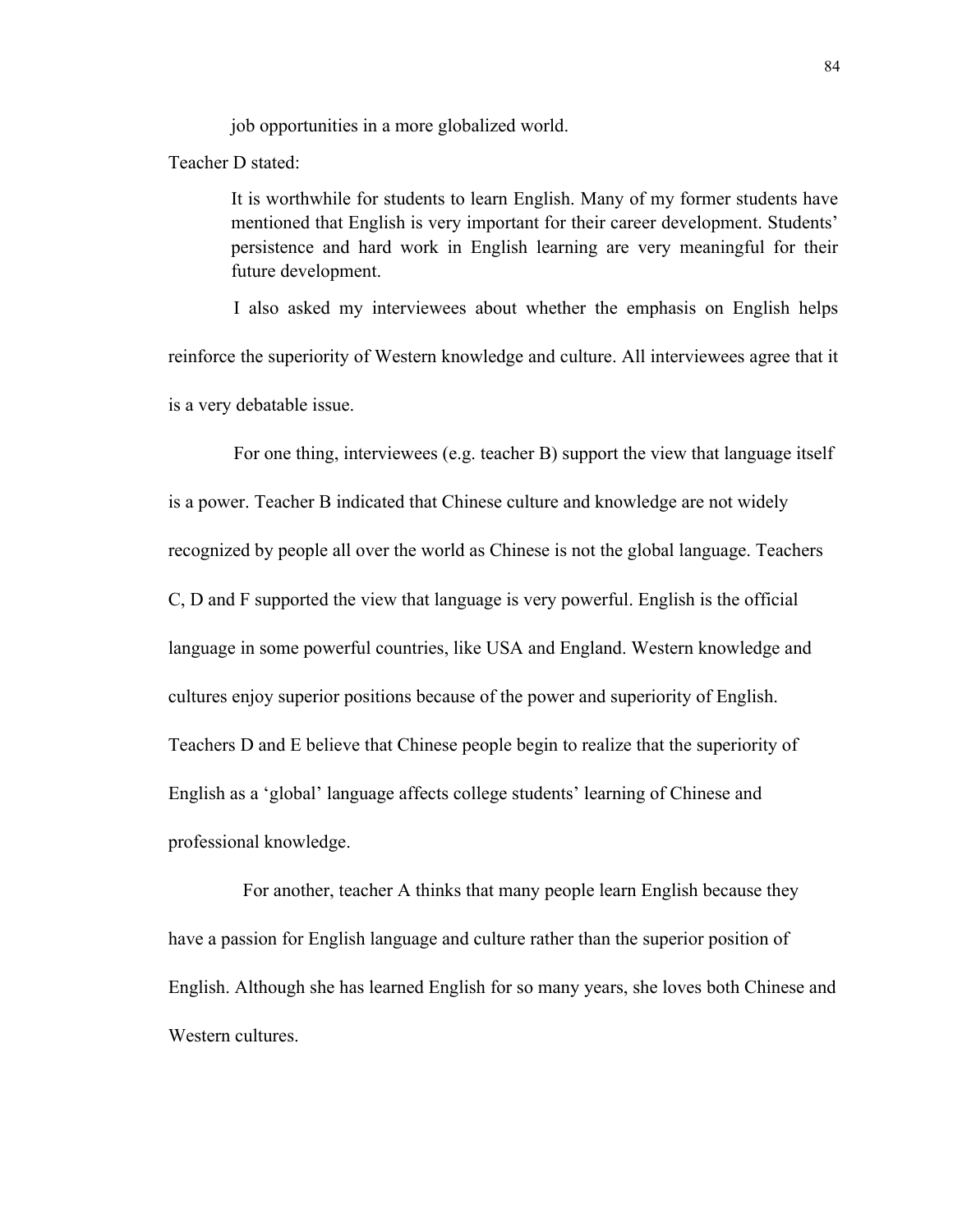job opportunities in a more globalized world.

Teacher D stated:

It is worthwhile for students to learn English. Many of my former students have mentioned that English is very important for their career development. Students' persistence and hard work in English learning are very meaningful for their future development.

 I also asked my interviewees about whether the emphasis on English helps reinforce the superiority of Western knowledge and culture. All interviewees agree that it is a very debatable issue.

 For one thing, interviewees (e.g. teacher B) support the view that language itself is a power. Teacher B indicated that Chinese culture and knowledge are not widely recognized by people all over the world as Chinese is not the global language. Teachers C, D and F supported the view that language is very powerful. English is the official language in some powerful countries, like USA and England. Western knowledge and cultures enjoy superior positions because of the power and superiority of English. Teachers D and E believe that Chinese people begin to realize that the superiority of English as a 'global' language affects college students' learning of Chinese and professional knowledge.

 For another, teacher A thinks that many people learn English because they have a passion for English language and culture rather than the superior position of English. Although she has learned English for so many years, she loves both Chinese and Western cultures.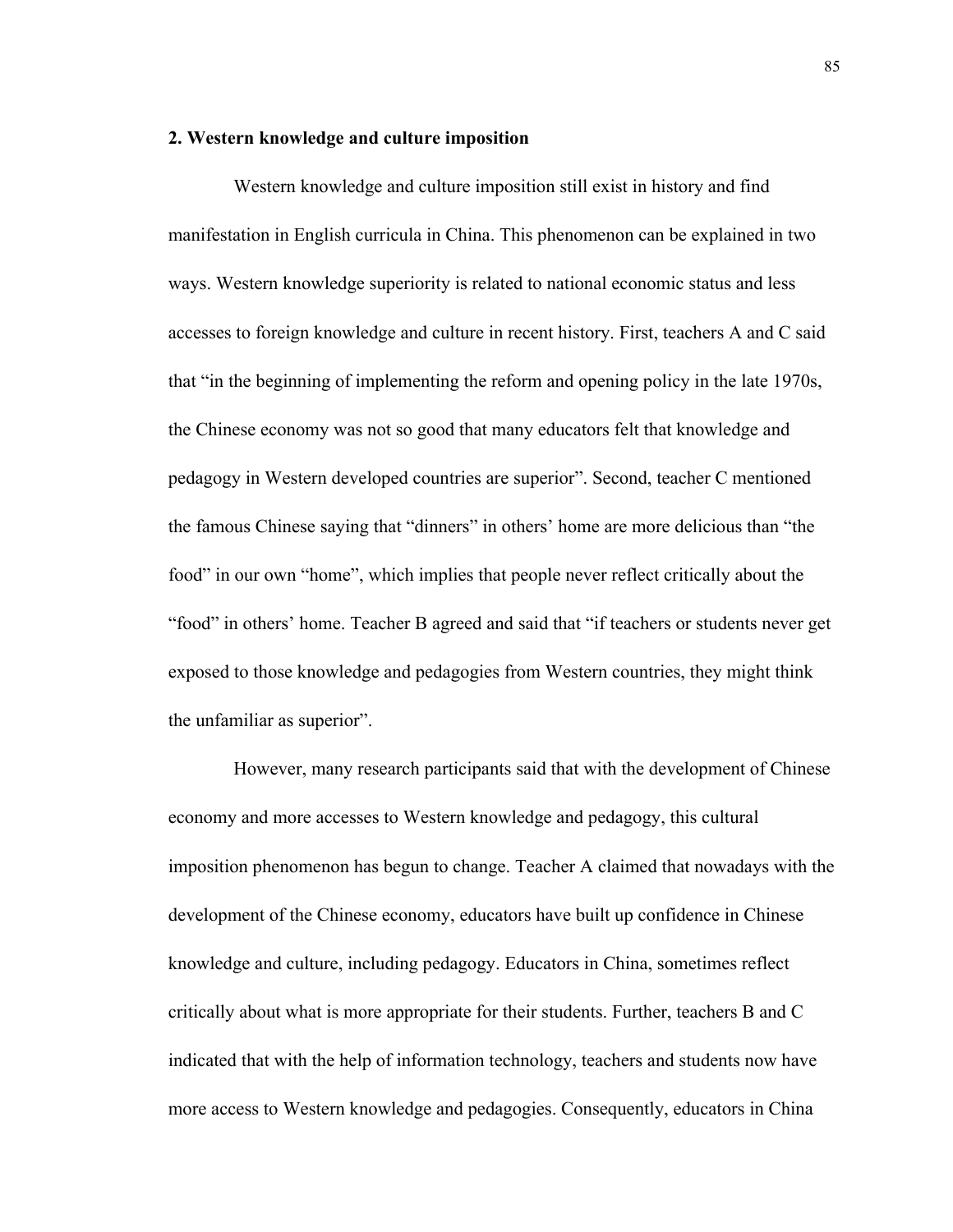# **2. Western knowledge and culture imposition**

 Western knowledge and culture imposition still exist in history and find manifestation in English curricula in China. This phenomenon can be explained in two ways. Western knowledge superiority is related to national economic status and less accesses to foreign knowledge and culture in recent history. First, teachers A and C said that "in the beginning of implementing the reform and opening policy in the late 1970s, the Chinese economy was not so good that many educators felt that knowledge and pedagogy in Western developed countries are superior". Second, teacher C mentioned the famous Chinese saying that "dinners" in others' home are more delicious than "the food" in our own "home", which implies that people never reflect critically about the "food" in others' home. Teacher B agreed and said that "if teachers or students never get exposed to those knowledge and pedagogies from Western countries, they might think the unfamiliar as superior".

 However, many research participants said that with the development of Chinese economy and more accesses to Western knowledge and pedagogy, this cultural imposition phenomenon has begun to change. Teacher A claimed that nowadays with the development of the Chinese economy, educators have built up confidence in Chinese knowledge and culture, including pedagogy. Educators in China, sometimes reflect critically about what is more appropriate for their students. Further, teachers B and C indicated that with the help of information technology, teachers and students now have more access to Western knowledge and pedagogies. Consequently, educators in China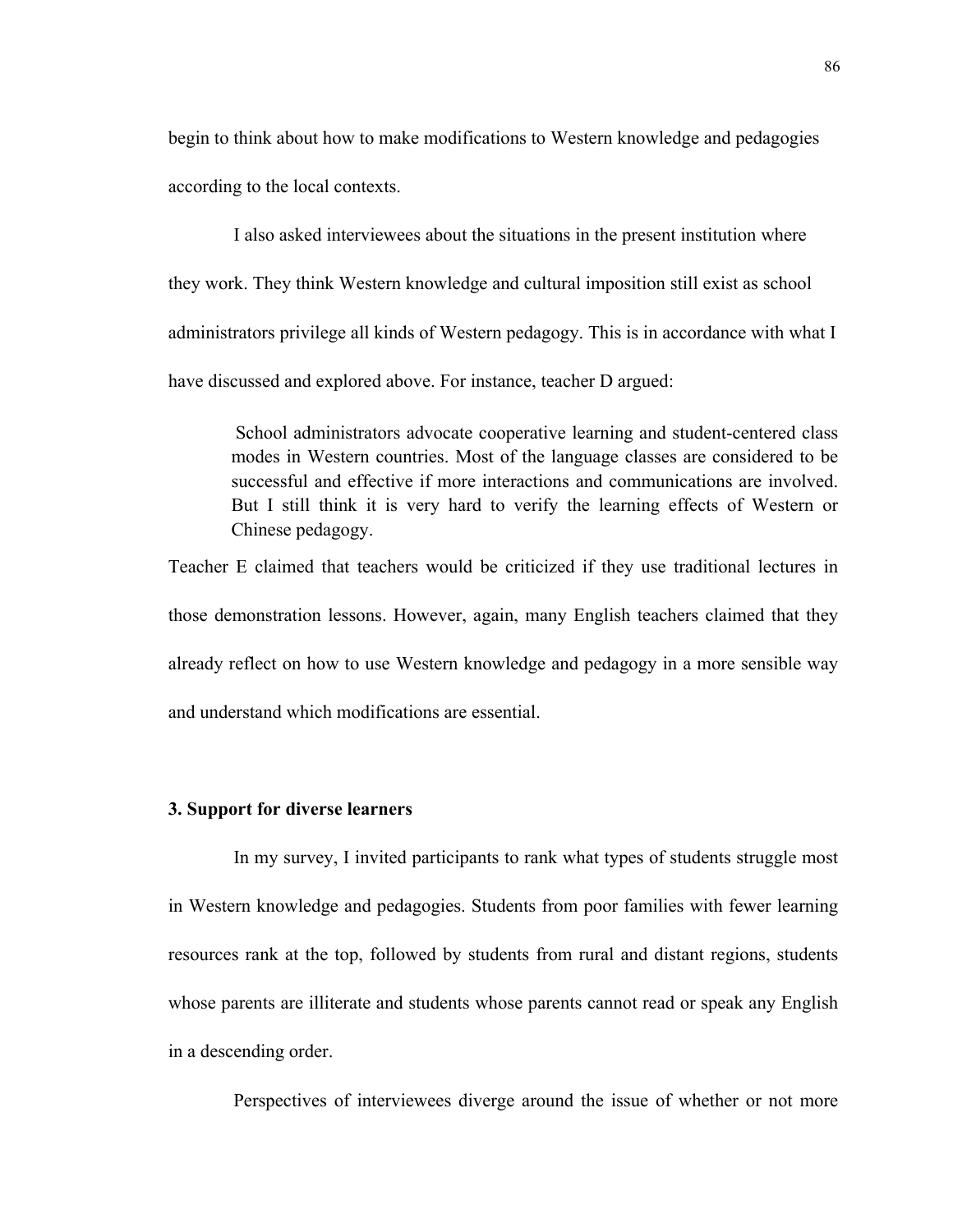begin to think about how to make modifications to Western knowledge and pedagogies according to the local contexts.

 I also asked interviewees about the situations in the present institution where they work. They think Western knowledge and cultural imposition still exist as school administrators privilege all kinds of Western pedagogy. This is in accordance with what I have discussed and explored above. For instance, teacher D argued:

 School administrators advocate cooperative learning and student-centered class modes in Western countries. Most of the language classes are considered to be successful and effective if more interactions and communications are involved. But I still think it is very hard to verify the learning effects of Western or Chinese pedagogy.

Teacher E claimed that teachers would be criticized if they use traditional lectures in those demonstration lessons. However, again, many English teachers claimed that they already reflect on how to use Western knowledge and pedagogy in a more sensible way and understand which modifications are essential.

#### **3. Support for diverse learners**

 In my survey, I invited participants to rank what types of students struggle most in Western knowledge and pedagogies. Students from poor families with fewer learning resources rank at the top, followed by students from rural and distant regions, students whose parents are illiterate and students whose parents cannot read or speak any English in a descending order.

Perspectives of interviewees diverge around the issue of whether or not more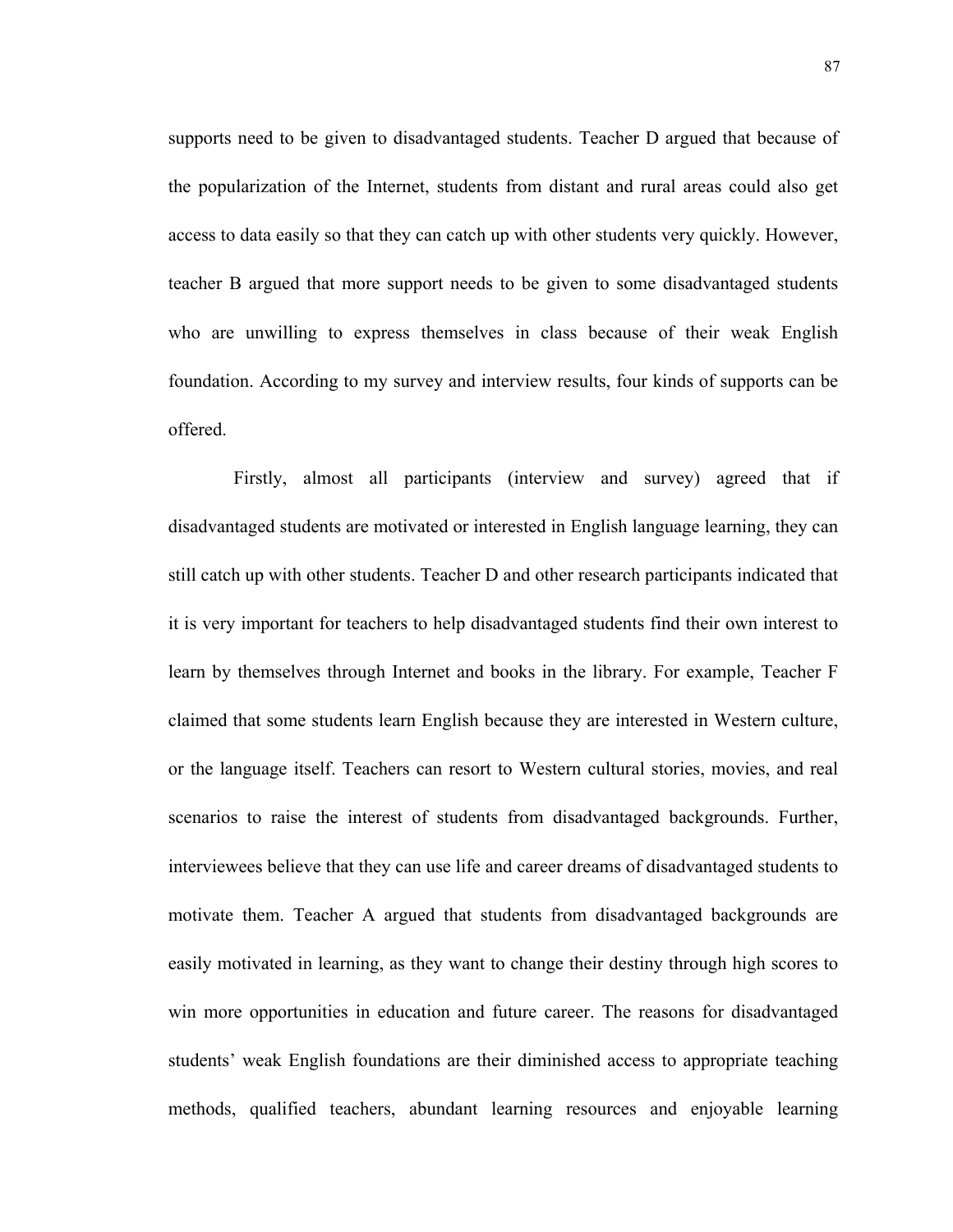supports need to be given to disadvantaged students. Teacher D argued that because of the popularization of the Internet, students from distant and rural areas could also get access to data easily so that they can catch up with other students very quickly. However, teacher B argued that more support needs to be given to some disadvantaged students who are unwilling to express themselves in class because of their weak English foundation. According to my survey and interview results, four kinds of supports can be offered.

 Firstly, almost all participants (interview and survey) agreed that if disadvantaged students are motivated or interested in English language learning, they can still catch up with other students. Teacher D and other research participants indicated that it is very important for teachers to help disadvantaged students find their own interest to learn by themselves through Internet and books in the library. For example, Teacher F claimed that some students learn English because they are interested in Western culture, or the language itself. Teachers can resort to Western cultural stories, movies, and real scenarios to raise the interest of students from disadvantaged backgrounds. Further, interviewees believe that they can use life and career dreams of disadvantaged students to motivate them. Teacher A argued that students from disadvantaged backgrounds are easily motivated in learning, as they want to change their destiny through high scores to win more opportunities in education and future career. The reasons for disadvantaged students' weak English foundations are their diminished access to appropriate teaching methods, qualified teachers, abundant learning resources and enjoyable learning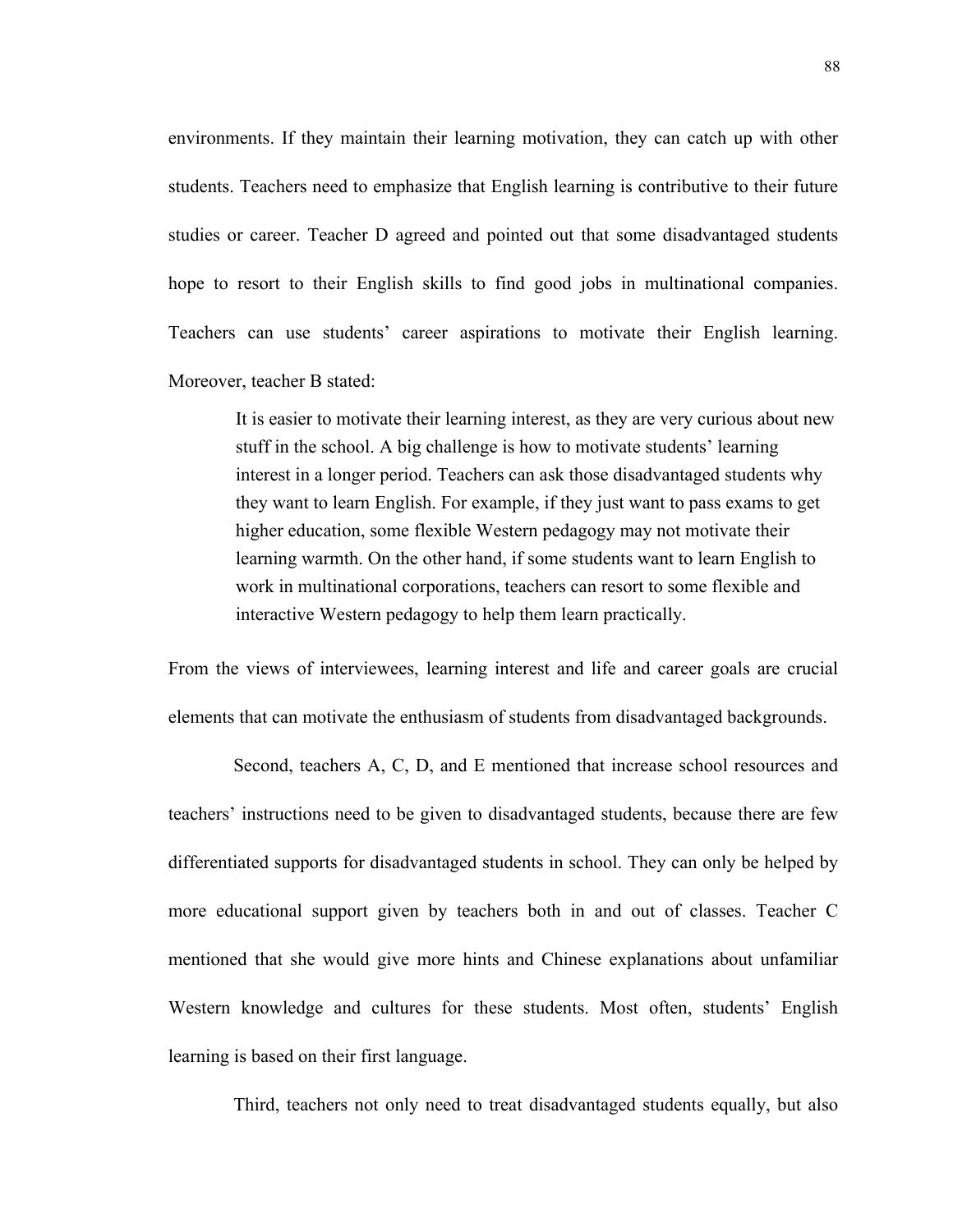environments. If they maintain their learning motivation, they can catch up with other students. Teachers need to emphasize that English learning is contributive to their future studies or career. Teacher D agreed and pointed out that some disadvantaged students hope to resort to their English skills to find good jobs in multinational companies. Teachers can use students' career aspirations to motivate their English learning. Moreover, teacher B stated:

It is easier to motivate their learning interest, as they are very curious about new stuff in the school. A big challenge is how to motivate students' learning interest in a longer period. Teachers can ask those disadvantaged students why they want to learn English. For example, if they just want to pass exams to get higher education, some flexible Western pedagogy may not motivate their learning warmth. On the other hand, if some students want to learn English to work in multinational corporations, teachers can resort to some flexible and interactive Western pedagogy to help them learn practically.

From the views of interviewees, learning interest and life and career goals are crucial elements that can motivate the enthusiasm of students from disadvantaged backgrounds.

 Second, teachers A, C, D, and E mentioned that increase school resources and teachers' instructions need to be given to disadvantaged students, because there are few differentiated supports for disadvantaged students in school. They can only be helped by more educational support given by teachers both in and out of classes. Teacher C mentioned that she would give more hints and Chinese explanations about unfamiliar Western knowledge and cultures for these students. Most often, students' English learning is based on their first language.

Third, teachers not only need to treat disadvantaged students equally, but also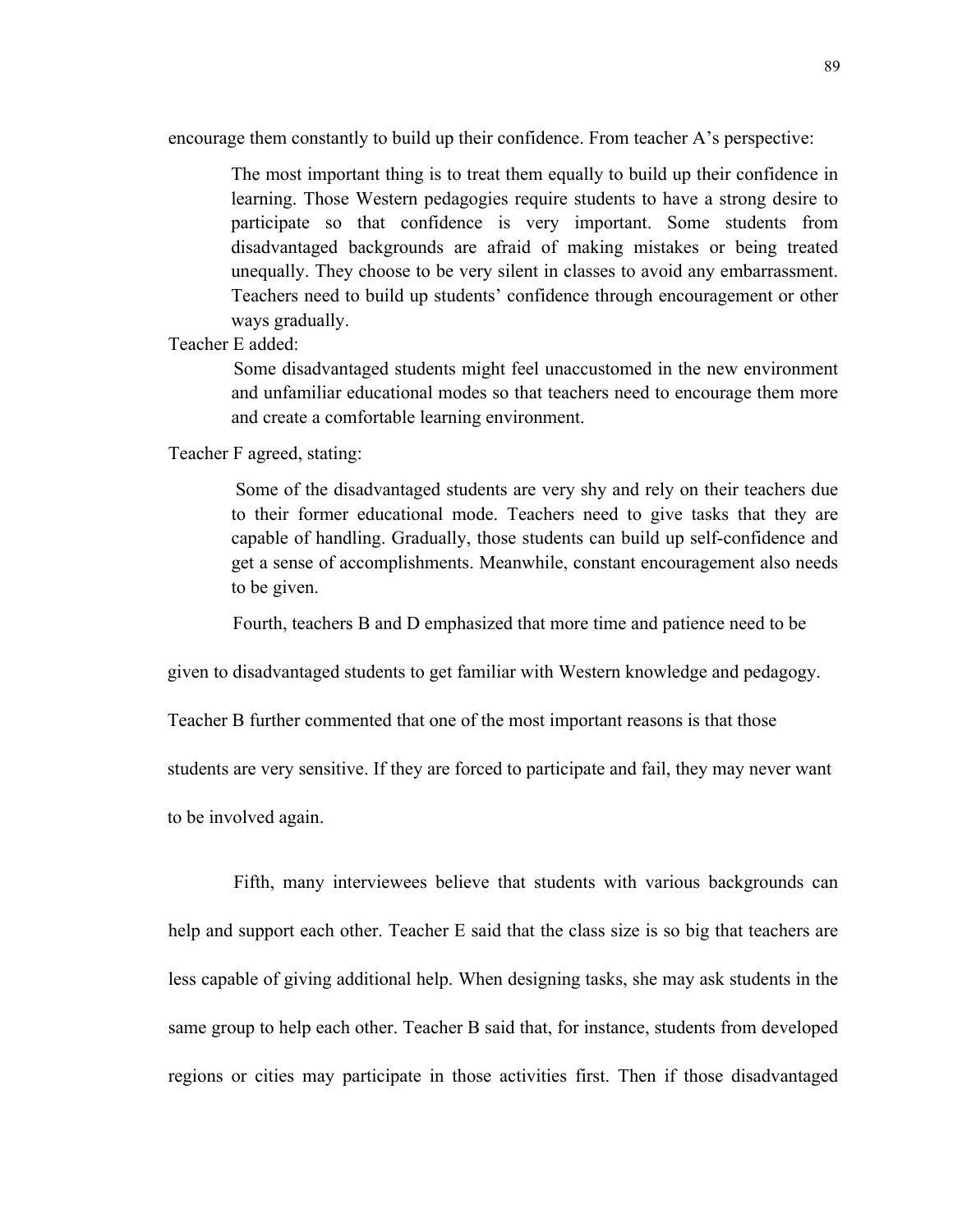encourage them constantly to build up their confidence. From teacher A's perspective:

The most important thing is to treat them equally to build up their confidence in learning. Those Western pedagogies require students to have a strong desire to participate so that confidence is very important. Some students from disadvantaged backgrounds are afraid of making mistakes or being treated unequally. They choose to be very silent in classes to avoid any embarrassment. Teachers need to build up students' confidence through encouragement or other ways gradually.

Teacher E added:

 Some disadvantaged students might feel unaccustomed in the new environment and unfamiliar educational modes so that teachers need to encourage them more and create a comfortable learning environment.

Teacher F agreed, stating:

 Some of the disadvantaged students are very shy and rely on their teachers due to their former educational mode. Teachers need to give tasks that they are capable of handling. Gradually, those students can build up self-confidence and get a sense of accomplishments. Meanwhile, constant encouragement also needs to be given.

Fourth, teachers B and D emphasized that more time and patience need to be

given to disadvantaged students to get familiar with Western knowledge and pedagogy.

Teacher B further commented that one of the most important reasons is that those

students are very sensitive. If they are forced to participate and fail, they may never want

to be involved again.

 Fifth, many interviewees believe that students with various backgrounds can help and support each other. Teacher E said that the class size is so big that teachers are less capable of giving additional help. When designing tasks, she may ask students in the same group to help each other. Teacher B said that, for instance, students from developed regions or cities may participate in those activities first. Then if those disadvantaged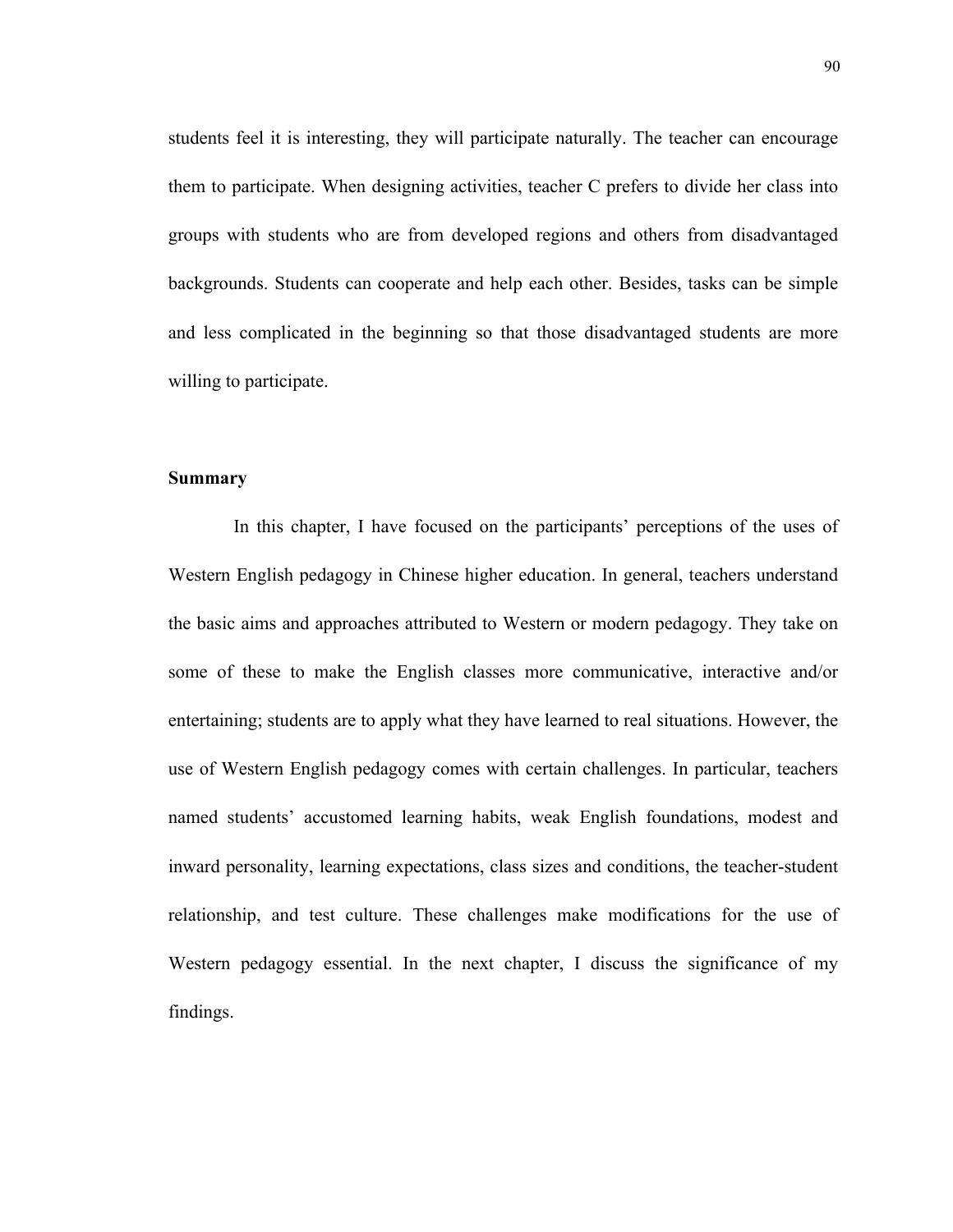students feel it is interesting, they will participate naturally. The teacher can encourage them to participate. When designing activities, teacher C prefers to divide her class into groups with students who are from developed regions and others from disadvantaged backgrounds. Students can cooperate and help each other. Besides, tasks can be simple and less complicated in the beginning so that those disadvantaged students are more willing to participate.

#### **Summary**

 In this chapter, I have focused on the participants' perceptions of the uses of Western English pedagogy in Chinese higher education. In general, teachers understand the basic aims and approaches attributed to Western or modern pedagogy. They take on some of these to make the English classes more communicative, interactive and/or entertaining; students are to apply what they have learned to real situations. However, the use of Western English pedagogy comes with certain challenges. In particular, teachers named students' accustomed learning habits, weak English foundations, modest and inward personality, learning expectations, class sizes and conditions, the teacher-student relationship, and test culture. These challenges make modifications for the use of Western pedagogy essential. In the next chapter, I discuss the significance of my findings.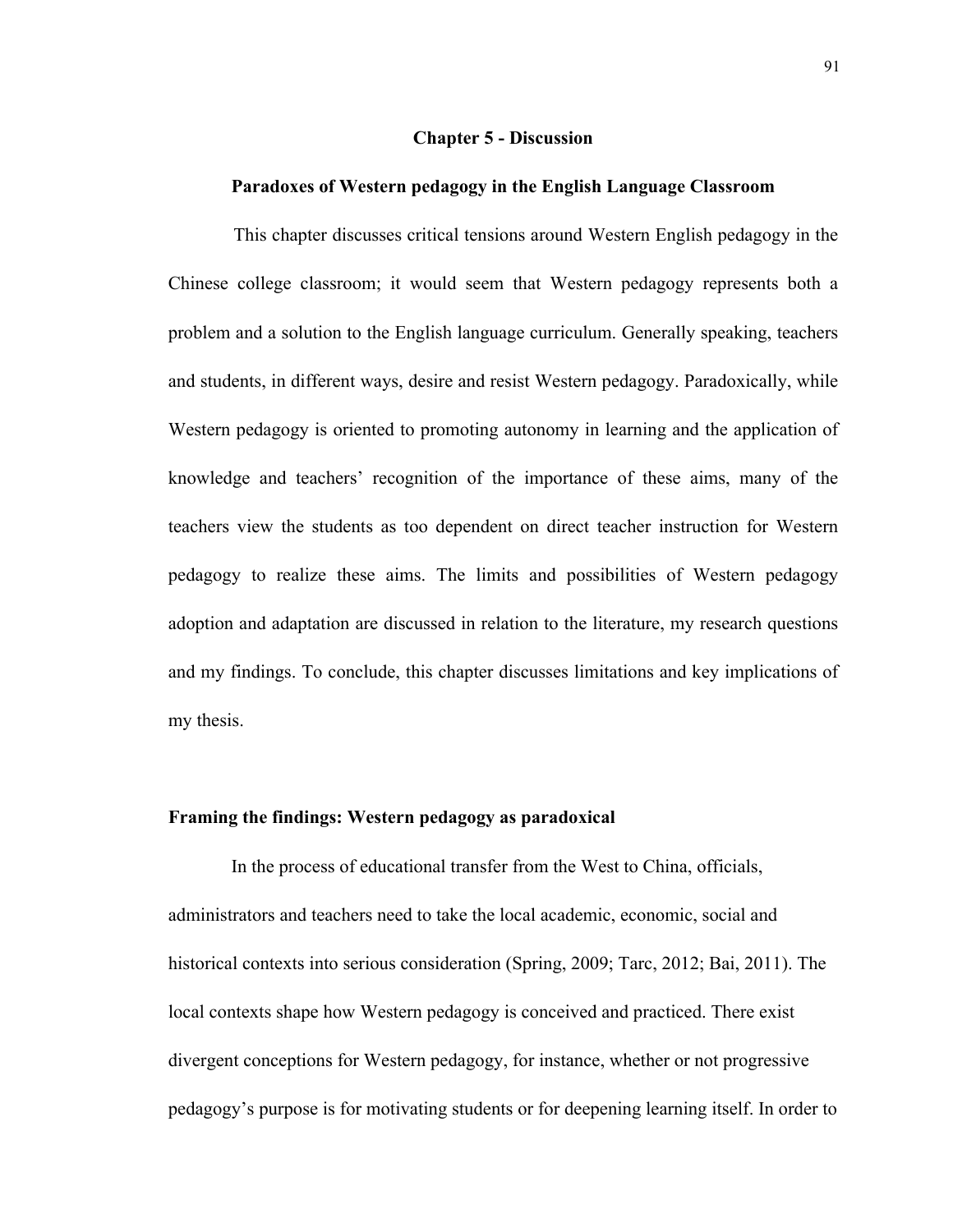# **Chapter 5 - Discussion**

#### **Paradoxes of Western pedagogy in the English Language Classroom**

 This chapter discusses critical tensions around Western English pedagogy in the Chinese college classroom; it would seem that Western pedagogy represents both a problem and a solution to the English language curriculum. Generally speaking, teachers and students, in different ways, desire and resist Western pedagogy. Paradoxically, while Western pedagogy is oriented to promoting autonomy in learning and the application of knowledge and teachers' recognition of the importance of these aims, many of the teachers view the students as too dependent on direct teacher instruction for Western pedagogy to realize these aims. The limits and possibilities of Western pedagogy adoption and adaptation are discussed in relation to the literature, my research questions and my findings. To conclude, this chapter discusses limitations and key implications of my thesis.

# **Framing the findings: Western pedagogy as paradoxical**

In the process of educational transfer from the West to China, officials, administrators and teachers need to take the local academic, economic, social and historical contexts into serious consideration (Spring, 2009; Tarc, 2012; Bai, 2011). The local contexts shape how Western pedagogy is conceived and practiced. There exist divergent conceptions for Western pedagogy, for instance, whether or not progressive pedagogy's purpose is for motivating students or for deepening learning itself. In order to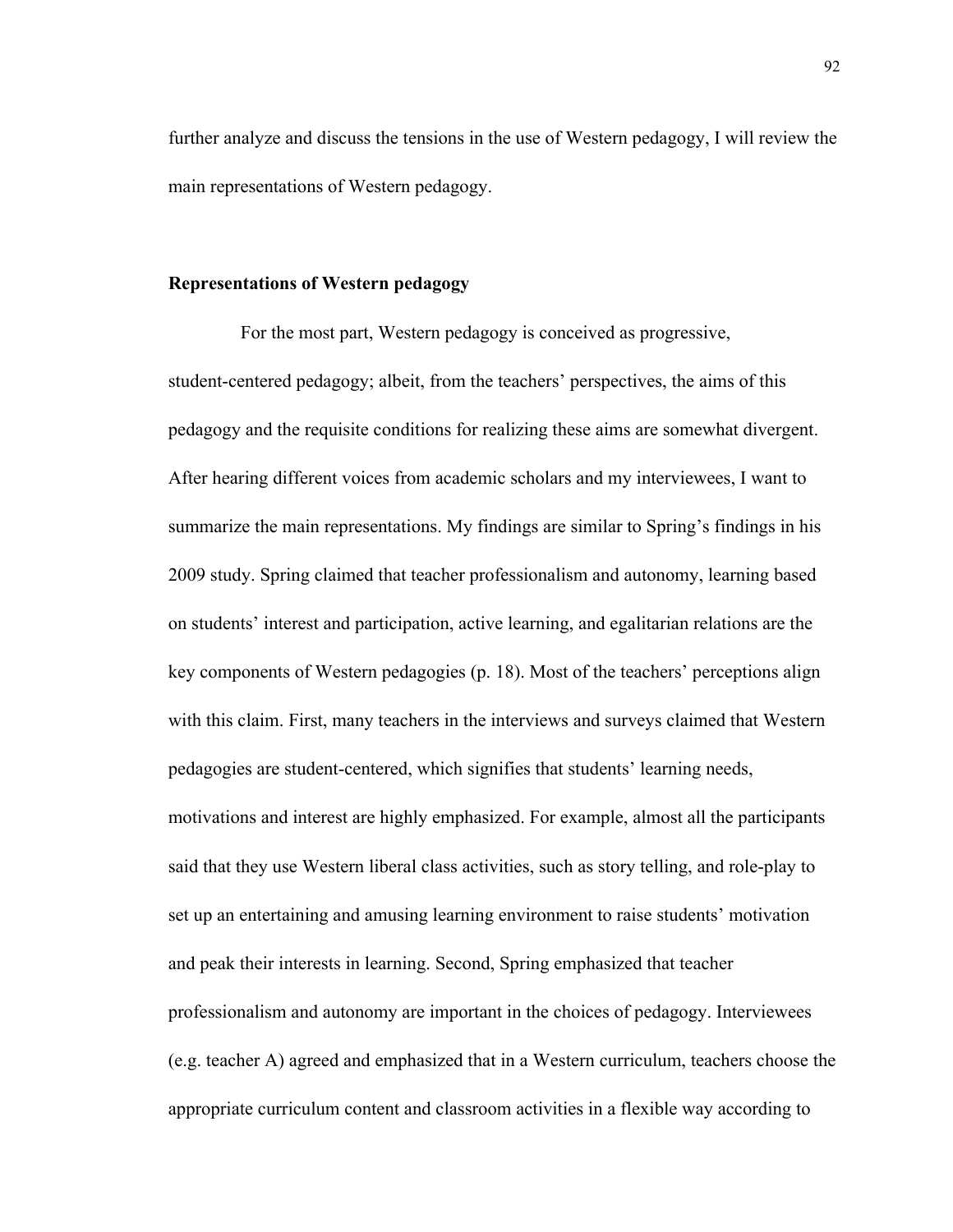further analyze and discuss the tensions in the use of Western pedagogy, I will review the main representations of Western pedagogy.

# **Representations of Western pedagogy**

For the most part, Western pedagogy is conceived as progressive, student-centered pedagogy; albeit, from the teachers' perspectives, the aims of this pedagogy and the requisite conditions for realizing these aims are somewhat divergent. After hearing different voices from academic scholars and my interviewees, I want to summarize the main representations. My findings are similar to Spring's findings in his 2009 study. Spring claimed that teacher professionalism and autonomy, learning based on students' interest and participation, active learning, and egalitarian relations are the key components of Western pedagogies (p. 18). Most of the teachers' perceptions align with this claim. First, many teachers in the interviews and surveys claimed that Western pedagogies are student-centered, which signifies that students' learning needs, motivations and interest are highly emphasized. For example, almost all the participants said that they use Western liberal class activities, such as story telling, and role-play to set up an entertaining and amusing learning environment to raise students' motivation and peak their interests in learning. Second, Spring emphasized that teacher professionalism and autonomy are important in the choices of pedagogy. Interviewees (e.g. teacher A) agreed and emphasized that in a Western curriculum, teachers choose the appropriate curriculum content and classroom activities in a flexible way according to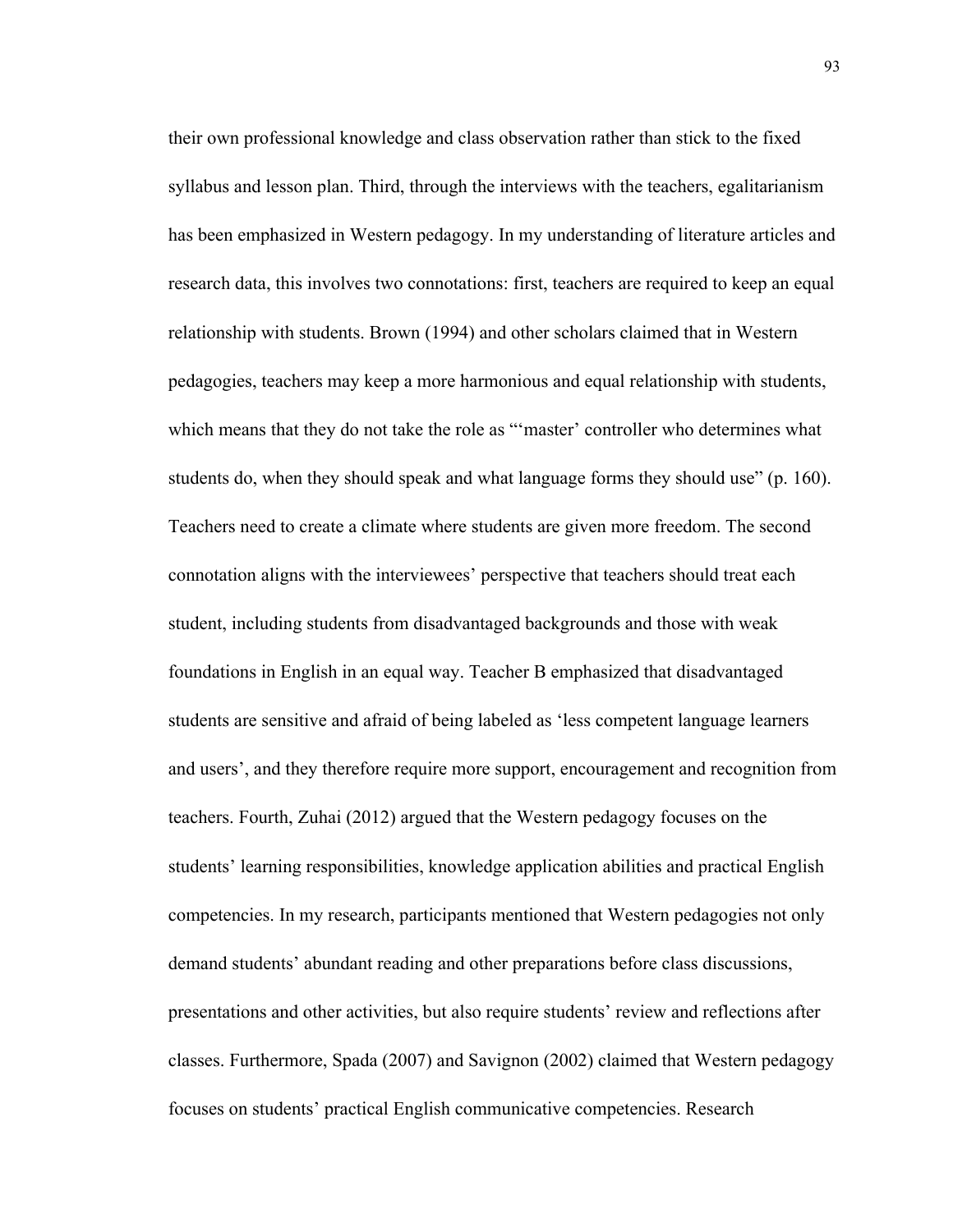their own professional knowledge and class observation rather than stick to the fixed syllabus and lesson plan. Third, through the interviews with the teachers, egalitarianism has been emphasized in Western pedagogy. In my understanding of literature articles and research data, this involves two connotations: first, teachers are required to keep an equal relationship with students. Brown (1994) and other scholars claimed that in Western pedagogies, teachers may keep a more harmonious and equal relationship with students, which means that they do not take the role as ""master" controller who determines what students do, when they should speak and what language forms they should use" (p. 160). Teachers need to create a climate where students are given more freedom. The second connotation aligns with the interviewees' perspective that teachers should treat each student, including students from disadvantaged backgrounds and those with weak foundations in English in an equal way. Teacher B emphasized that disadvantaged students are sensitive and afraid of being labeled as 'less competent language learners and users', and they therefore require more support, encouragement and recognition from teachers. Fourth, Zuhai (2012) argued that the Western pedagogy focuses on the students' learning responsibilities, knowledge application abilities and practical English competencies. In my research, participants mentioned that Western pedagogies not only demand students' abundant reading and other preparations before class discussions, presentations and other activities, but also require students' review and reflections after classes. Furthermore, Spada (2007) and Savignon (2002) claimed that Western pedagogy focuses on students' practical English communicative competencies. Research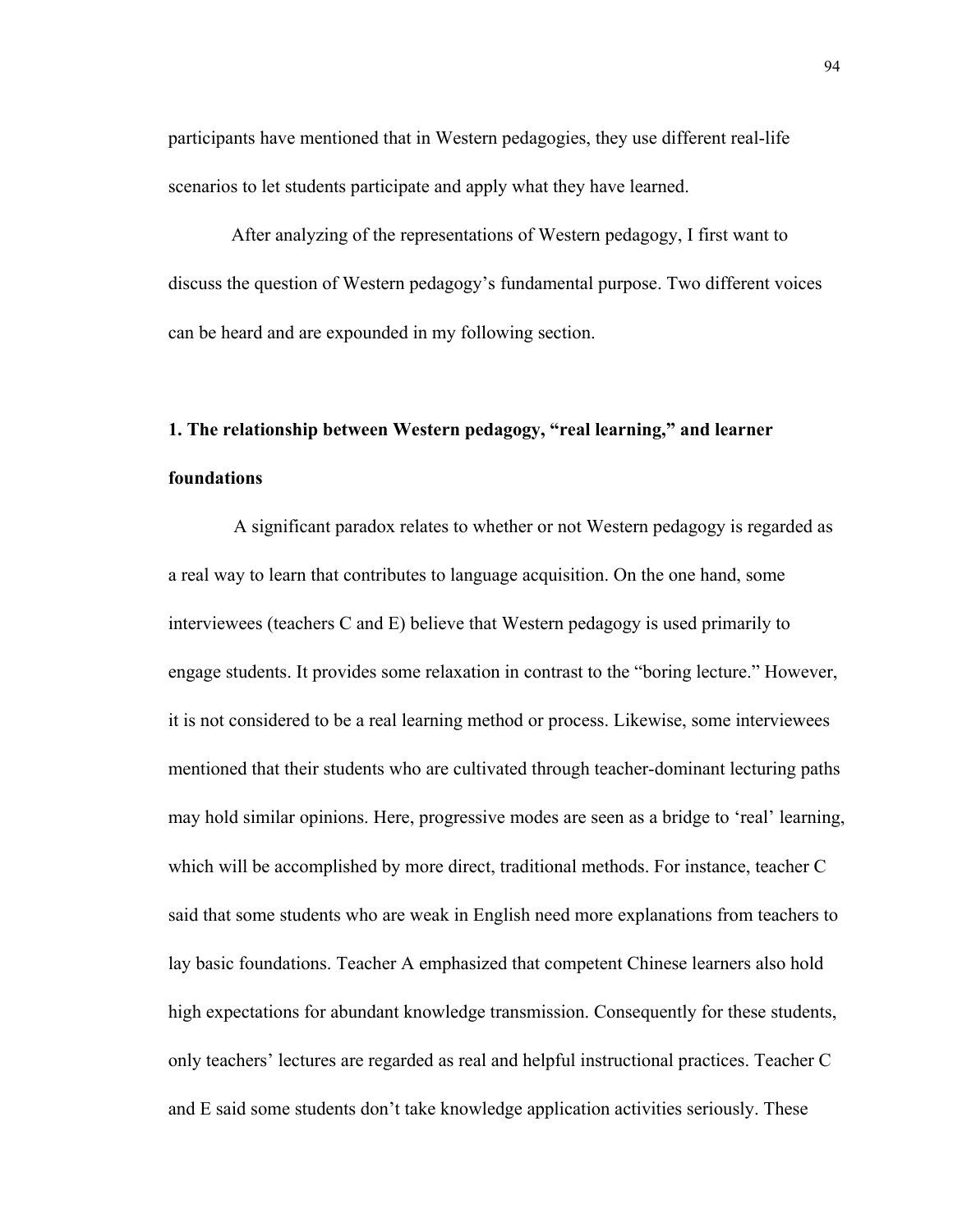participants have mentioned that in Western pedagogies, they use different real-life scenarios to let students participate and apply what they have learned.

After analyzing of the representations of Western pedagogy, I first want to discuss the question of Western pedagogy's fundamental purpose. Two different voices can be heard and are expounded in my following section.

# **1. The relationship between Western pedagogy, "real learning," and learner foundations**

A significant paradox relates to whether or not Western pedagogy is regarded as a real way to learn that contributes to language acquisition. On the one hand, some interviewees (teachers C and E) believe that Western pedagogy is used primarily to engage students. It provides some relaxation in contrast to the "boring lecture." However, it is not considered to be a real learning method or process. Likewise, some interviewees mentioned that their students who are cultivated through teacher-dominant lecturing paths may hold similar opinions. Here, progressive modes are seen as a bridge to 'real' learning, which will be accomplished by more direct, traditional methods. For instance, teacher C said that some students who are weak in English need more explanations from teachers to lay basic foundations. Teacher A emphasized that competent Chinese learners also hold high expectations for abundant knowledge transmission. Consequently for these students, only teachers' lectures are regarded as real and helpful instructional practices. Teacher C and E said some students don't take knowledge application activities seriously. These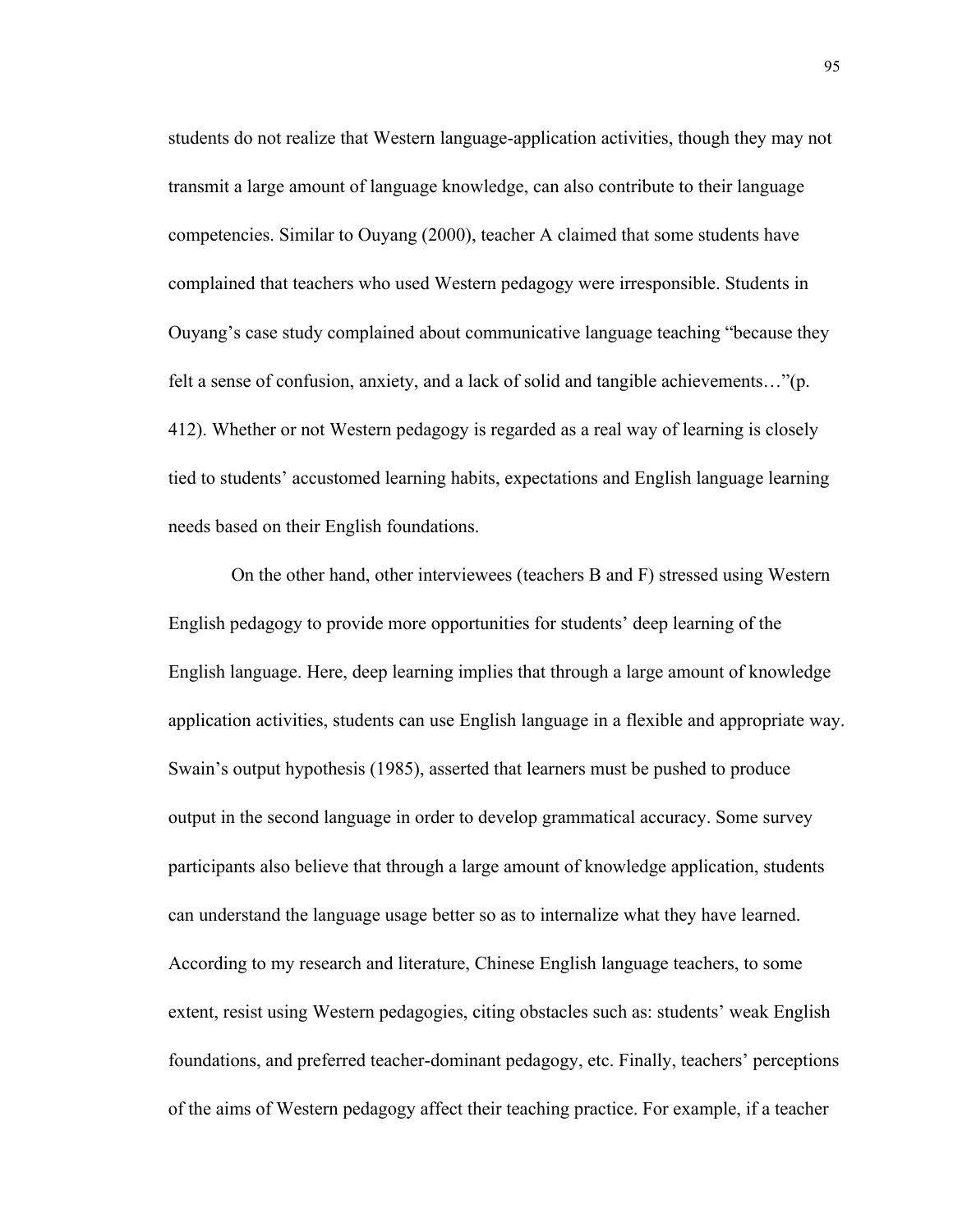students do not realize that Western language-application activities, though they may not transmit a large amount of language knowledge, can also contribute to their language competencies. Similar to Ouyang (2000), teacher A claimed that some students have complained that teachers who used Western pedagogy were irresponsible. Students in Ouyang's case study complained about communicative language teaching "because they felt a sense of confusion, anxiety, and a lack of solid and tangible achievements…"(p. 412). Whether or not Western pedagogy is regarded as a real way of learning is closely tied to students' accustomed learning habits, expectations and English language learning needs based on their English foundations.

On the other hand, other interviewees (teachers B and F) stressed using Western English pedagogy to provide more opportunities for students' deep learning of the English language. Here, deep learning implies that through a large amount of knowledge application activities, students can use English language in a flexible and appropriate way. Swain's output hypothesis (1985), asserted that learners must be pushed to produce output in the second language in order to develop grammatical accuracy. Some survey participants also believe that through a large amount of knowledge application, students can understand the language usage better so as to internalize what they have learned. According to my research and literature, Chinese English language teachers, to some extent, resist using Western pedagogies, citing obstacles such as: students' weak English foundations, and preferred teacher-dominant pedagogy, etc. Finally, teachers' perceptions of the aims of Western pedagogy affect their teaching practice. For example, if a teacher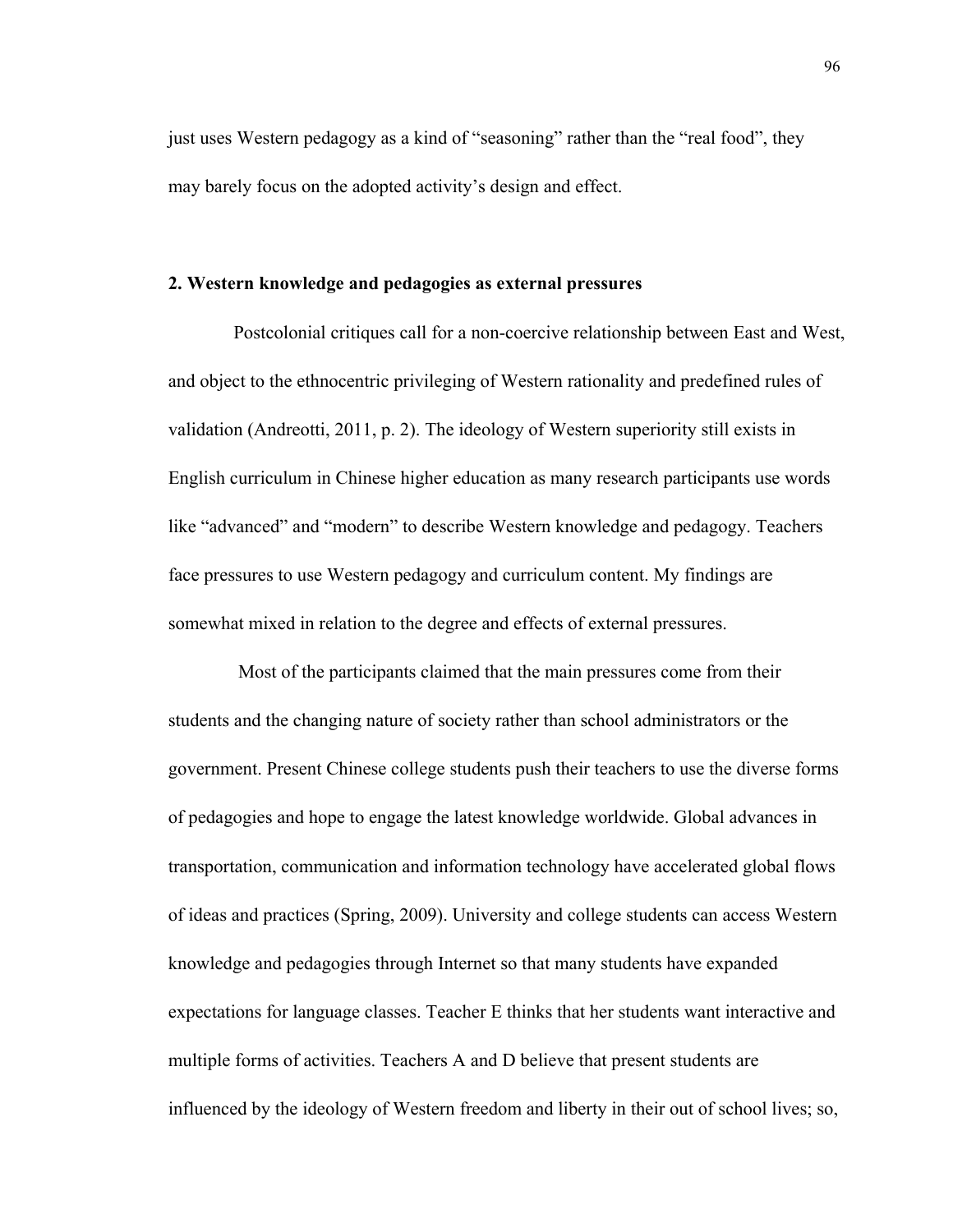just uses Western pedagogy as a kind of "seasoning" rather than the "real food", they may barely focus on the adopted activity's design and effect.

#### **2. Western knowledge and pedagogies as external pressures**

 Postcolonial critiques call for a non-coercive relationship between East and West, and object to the ethnocentric privileging of Western rationality and predefined rules of validation (Andreotti, 2011, p. 2). The ideology of Western superiority still exists in English curriculum in Chinese higher education as many research participants use words like "advanced" and "modern" to describe Western knowledge and pedagogy. Teachers face pressures to use Western pedagogy and curriculum content. My findings are somewhat mixed in relation to the degree and effects of external pressures.

 Most of the participants claimed that the main pressures come from their students and the changing nature of society rather than school administrators or the government. Present Chinese college students push their teachers to use the diverse forms of pedagogies and hope to engage the latest knowledge worldwide. Global advances in transportation, communication and information technology have accelerated global flows of ideas and practices (Spring, 2009). University and college students can access Western knowledge and pedagogies through Internet so that many students have expanded expectations for language classes. Teacher E thinks that her students want interactive and multiple forms of activities. Teachers A and D believe that present students are influenced by the ideology of Western freedom and liberty in their out of school lives; so,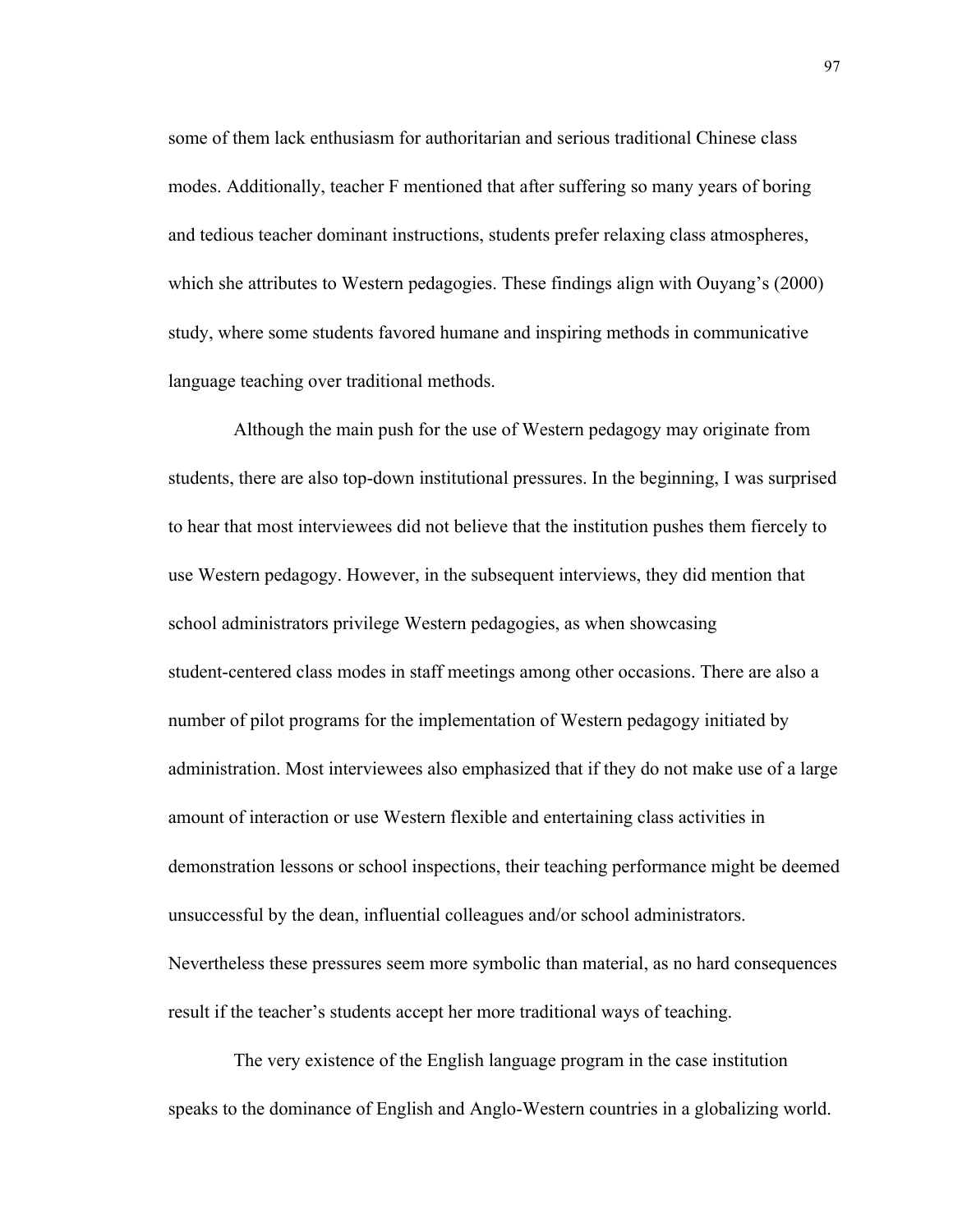some of them lack enthusiasm for authoritarian and serious traditional Chinese class modes. Additionally, teacher F mentioned that after suffering so many years of boring and tedious teacher dominant instructions, students prefer relaxing class atmospheres, which she attributes to Western pedagogies. These findings align with Ouyang's (2000) study, where some students favored humane and inspiring methods in communicative language teaching over traditional methods.

 Although the main push for the use of Western pedagogy may originate from students, there are also top-down institutional pressures. In the beginning, I was surprised to hear that most interviewees did not believe that the institution pushes them fiercely to use Western pedagogy. However, in the subsequent interviews, they did mention that school administrators privilege Western pedagogies, as when showcasing student-centered class modes in staff meetings among other occasions. There are also a number of pilot programs for the implementation of Western pedagogy initiated by administration. Most interviewees also emphasized that if they do not make use of a large amount of interaction or use Western flexible and entertaining class activities in demonstration lessons or school inspections, their teaching performance might be deemed unsuccessful by the dean, influential colleagues and/or school administrators. Nevertheless these pressures seem more symbolic than material, as no hard consequences result if the teacher's students accept her more traditional ways of teaching.

 The very existence of the English language program in the case institution speaks to the dominance of English and Anglo-Western countries in a globalizing world.

97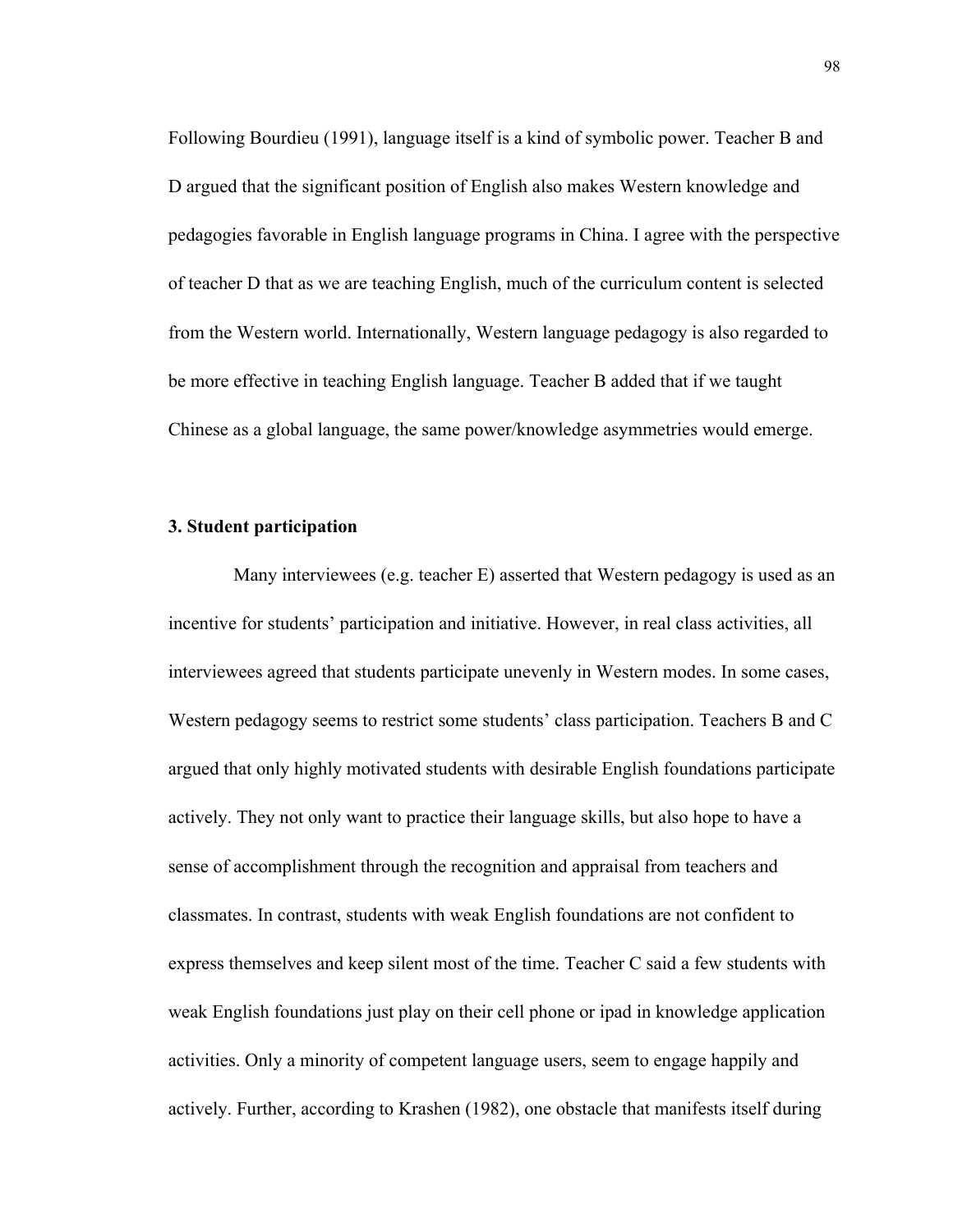Following Bourdieu (1991), language itself is a kind of symbolic power. Teacher B and D argued that the significant position of English also makes Western knowledge and pedagogies favorable in English language programs in China. I agree with the perspective of teacher D that as we are teaching English, much of the curriculum content is selected from the Western world. Internationally, Western language pedagogy is also regarded to be more effective in teaching English language. Teacher B added that if we taught Chinese as a global language, the same power/knowledge asymmetries would emerge.

# **3. Student participation**

Many interviewees (e.g. teacher E) asserted that Western pedagogy is used as an incentive for students' participation and initiative. However, in real class activities, all interviewees agreed that students participate unevenly in Western modes. In some cases, Western pedagogy seems to restrict some students' class participation. Teachers B and C argued that only highly motivated students with desirable English foundations participate actively. They not only want to practice their language skills, but also hope to have a sense of accomplishment through the recognition and appraisal from teachers and classmates. In contrast, students with weak English foundations are not confident to express themselves and keep silent most of the time. Teacher C said a few students with weak English foundations just play on their cell phone or ipad in knowledge application activities. Only a minority of competent language users, seem to engage happily and actively. Further, according to Krashen (1982), one obstacle that manifests itself during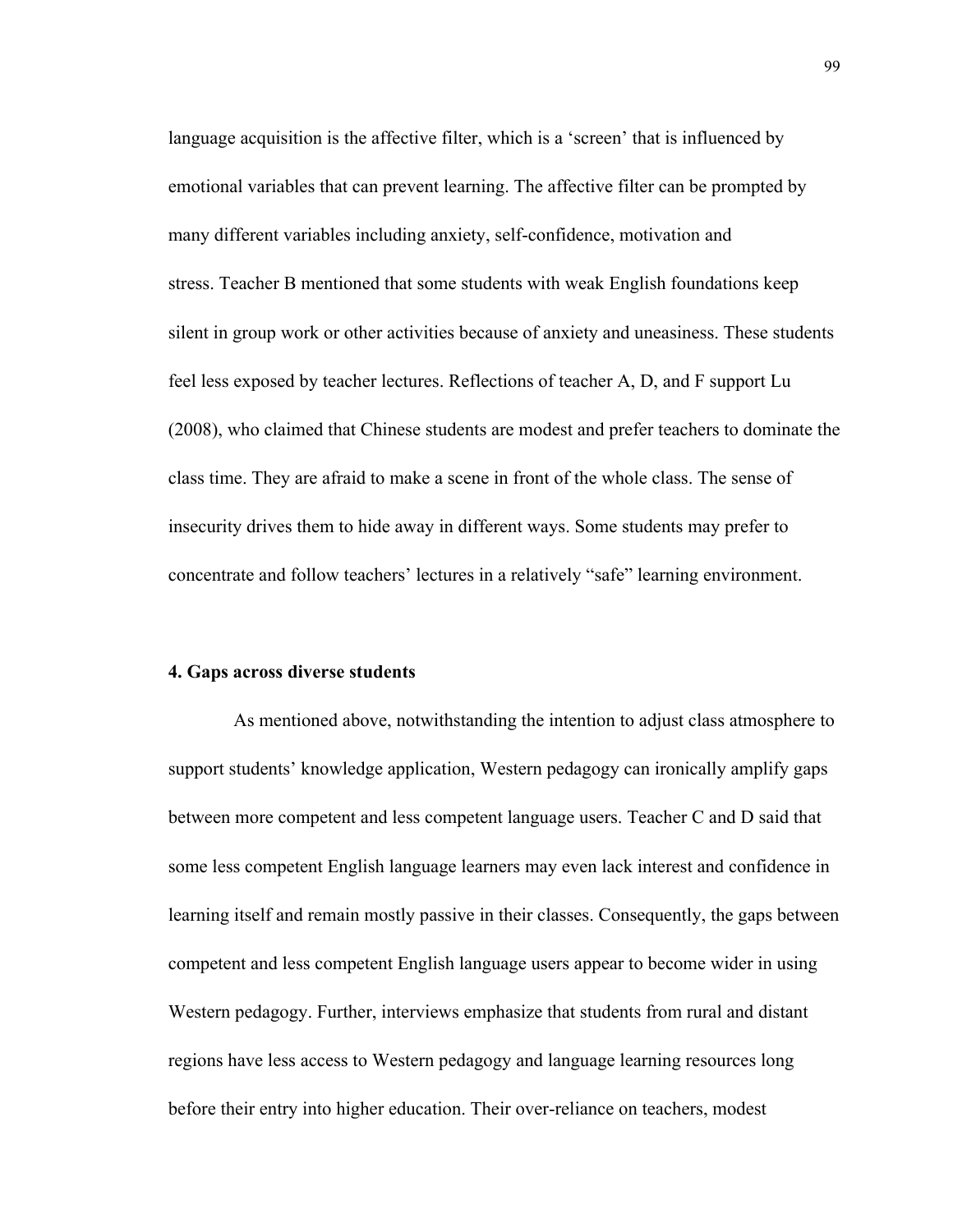language acquisition is the affective filter, which is a 'screen' that is influenced by emotional variables that can prevent learning. The affective filter can be prompted by many different variables including anxiety, self-confidence, motivation and stress. Teacher B mentioned that some students with weak English foundations keep silent in group work or other activities because of anxiety and uneasiness. These students feel less exposed by teacher lectures. Reflections of teacher A, D, and F support Lu (2008), who claimed that Chinese students are modest and prefer teachers to dominate the class time. They are afraid to make a scene in front of the whole class. The sense of insecurity drives them to hide away in different ways. Some students may prefer to concentrate and follow teachers' lectures in a relatively "safe" learning environment.

#### **4. Gaps across diverse students**

As mentioned above, notwithstanding the intention to adjust class atmosphere to support students' knowledge application, Western pedagogy can ironically amplify gaps between more competent and less competent language users. Teacher C and D said that some less competent English language learners may even lack interest and confidence in learning itself and remain mostly passive in their classes. Consequently, the gaps between competent and less competent English language users appear to become wider in using Western pedagogy. Further, interviews emphasize that students from rural and distant regions have less access to Western pedagogy and language learning resources long before their entry into higher education. Their over-reliance on teachers, modest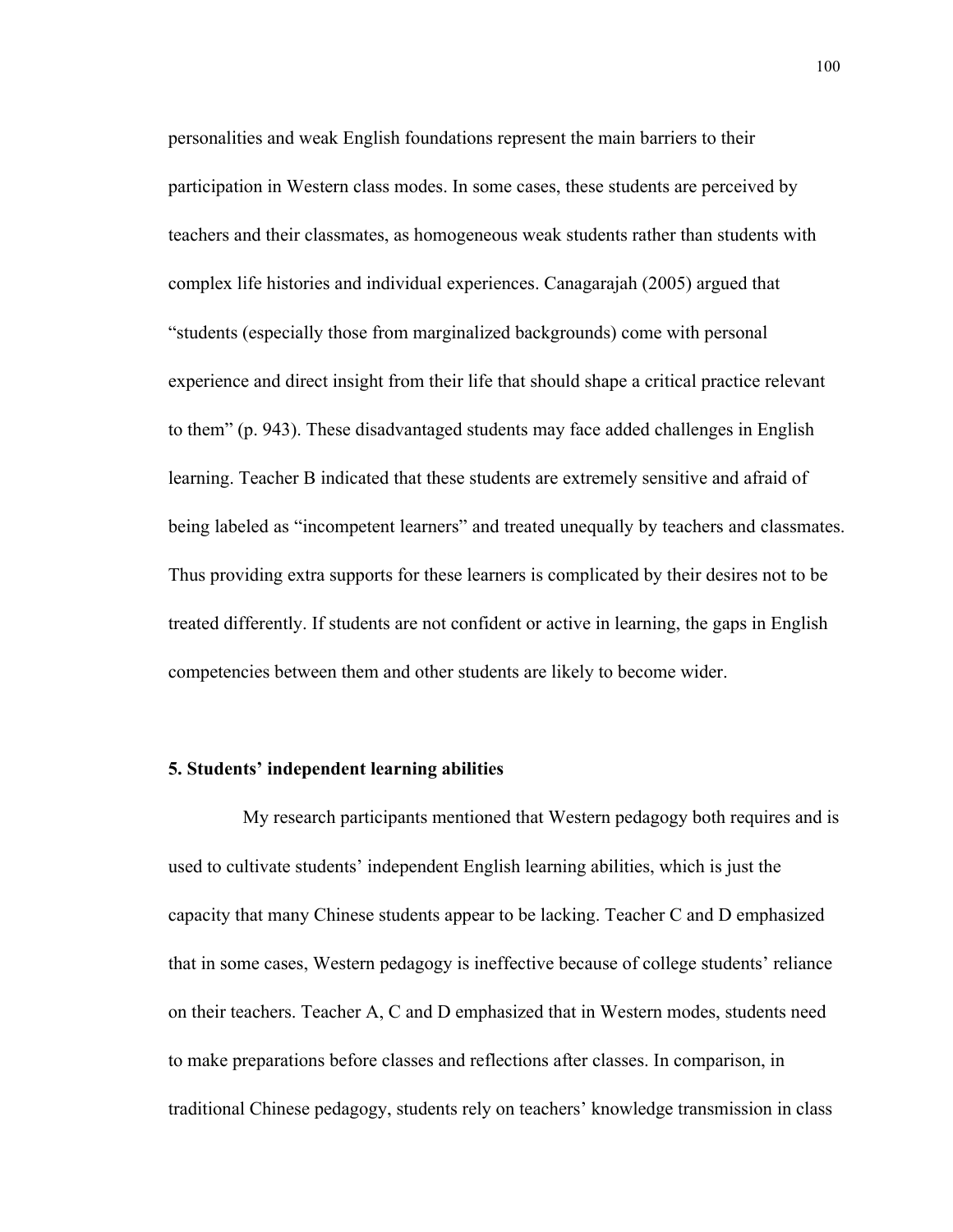personalities and weak English foundations represent the main barriers to their participation in Western class modes. In some cases, these students are perceived by teachers and their classmates, as homogeneous weak students rather than students with complex life histories and individual experiences. Canagarajah (2005) argued that "students (especially those from marginalized backgrounds) come with personal experience and direct insight from their life that should shape a critical practice relevant to them" (p. 943). These disadvantaged students may face added challenges in English learning. Teacher B indicated that these students are extremely sensitive and afraid of being labeled as "incompetent learners" and treated unequally by teachers and classmates. Thus providing extra supports for these learners is complicated by their desires not to be treated differently. If students are not confident or active in learning, the gaps in English competencies between them and other students are likely to become wider.

#### **5. Students' independent learning abilities**

 My research participants mentioned that Western pedagogy both requires and is used to cultivate students' independent English learning abilities, which is just the capacity that many Chinese students appear to be lacking. Teacher C and D emphasized that in some cases, Western pedagogy is ineffective because of college students' reliance on their teachers. Teacher A, C and D emphasized that in Western modes, students need to make preparations before classes and reflections after classes. In comparison, in traditional Chinese pedagogy, students rely on teachers' knowledge transmission in class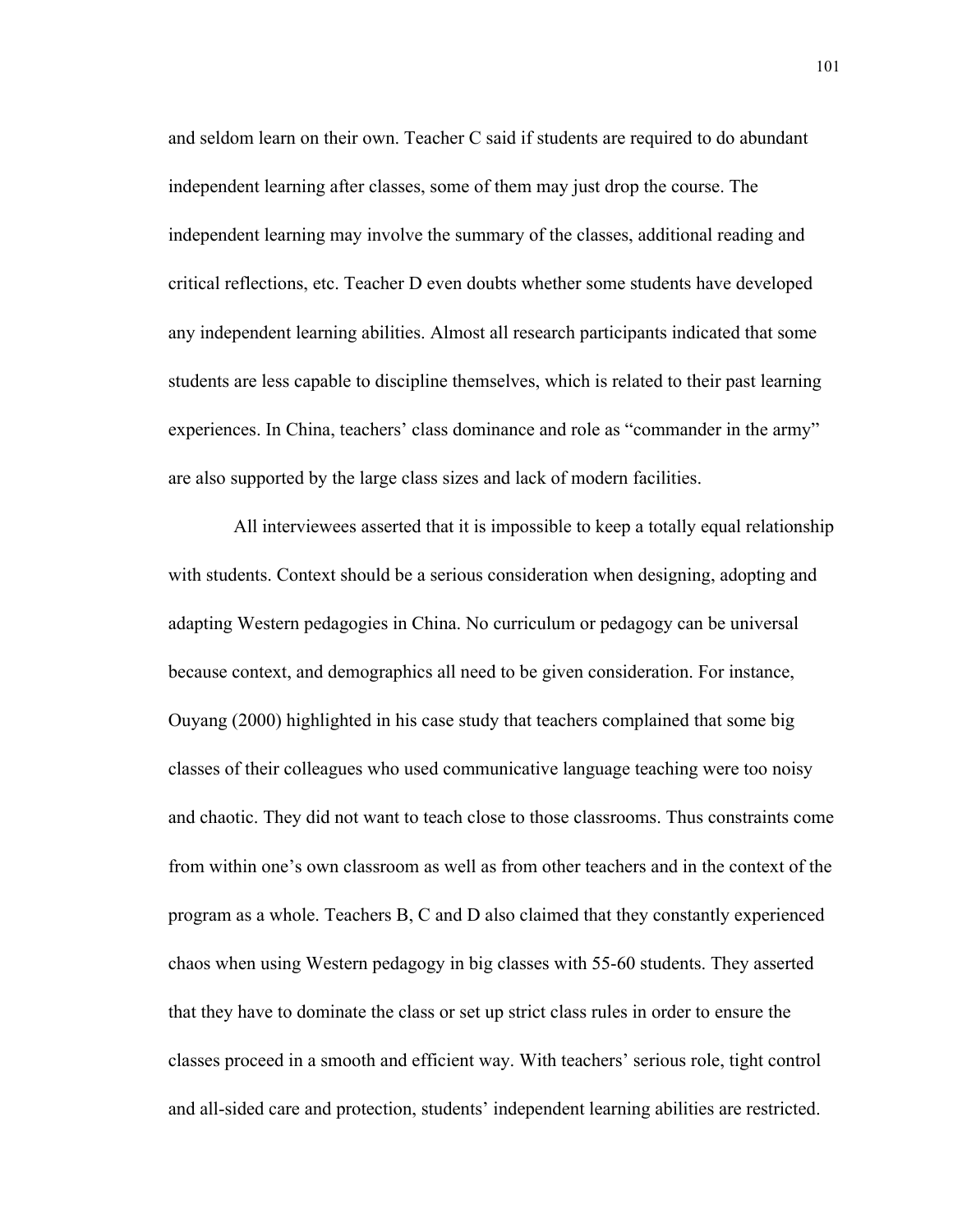and seldom learn on their own. Teacher C said if students are required to do abundant independent learning after classes, some of them may just drop the course. The independent learning may involve the summary of the classes, additional reading and critical reflections, etc. Teacher D even doubts whether some students have developed any independent learning abilities. Almost all research participants indicated that some students are less capable to discipline themselves, which is related to their past learning experiences. In China, teachers' class dominance and role as "commander in the army" are also supported by the large class sizes and lack of modern facilities.

All interviewees asserted that it is impossible to keep a totally equal relationship with students. Context should be a serious consideration when designing, adopting and adapting Western pedagogies in China. No curriculum or pedagogy can be universal because context, and demographics all need to be given consideration. For instance, Ouyang (2000) highlighted in his case study that teachers complained that some big classes of their colleagues who used communicative language teaching were too noisy and chaotic. They did not want to teach close to those classrooms. Thus constraints come from within one's own classroom as well as from other teachers and in the context of the program as a whole. Teachers B, C and D also claimed that they constantly experienced chaos when using Western pedagogy in big classes with 55-60 students. They asserted that they have to dominate the class or set up strict class rules in order to ensure the classes proceed in a smooth and efficient way. With teachers' serious role, tight control and all-sided care and protection, students' independent learning abilities are restricted.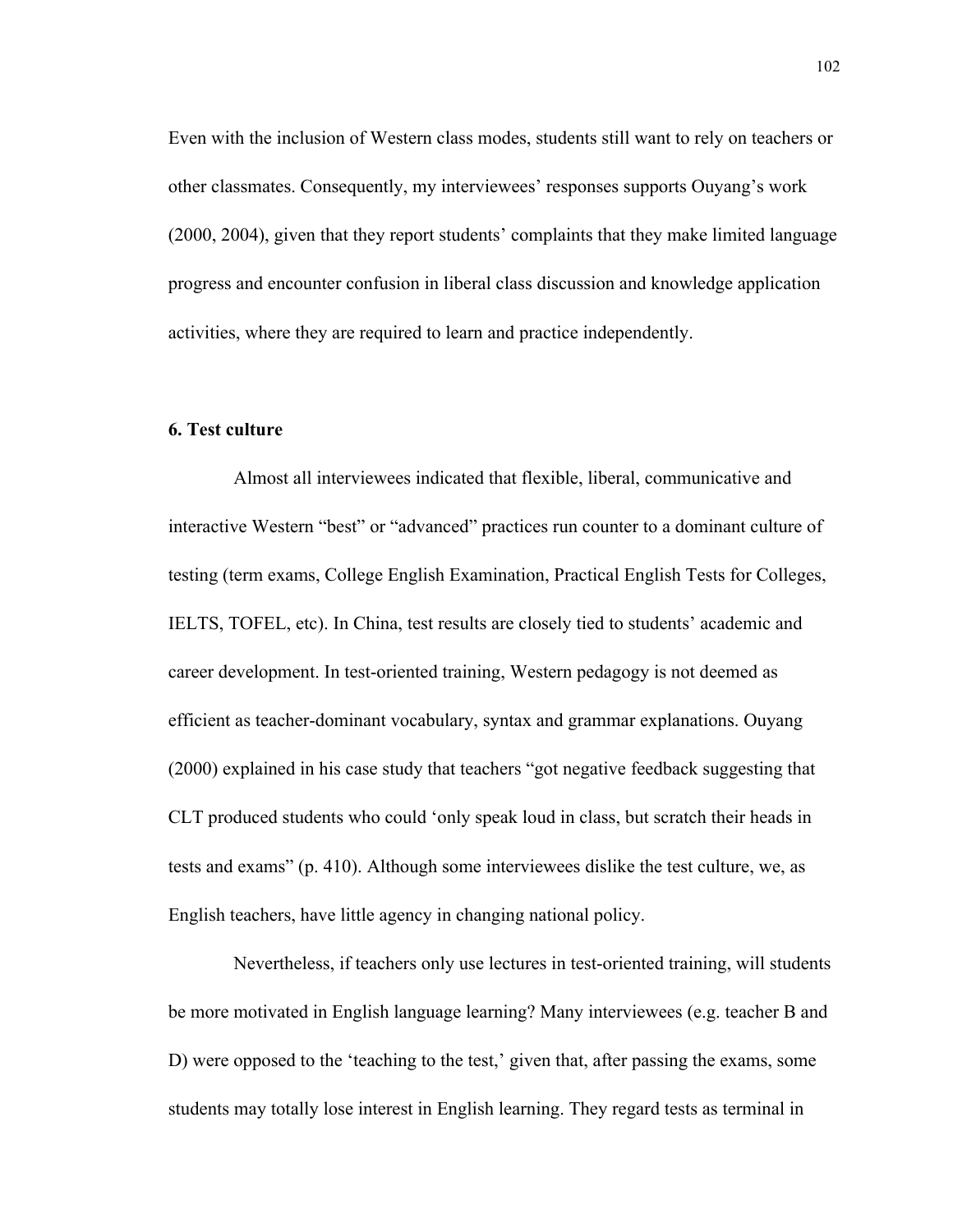Even with the inclusion of Western class modes, students still want to rely on teachers or other classmates. Consequently, my interviewees' responses supports Ouyang's work (2000, 2004), given that they report students' complaints that they make limited language progress and encounter confusion in liberal class discussion and knowledge application activities, where they are required to learn and practice independently.

### **6. Test culture**

Almost all interviewees indicated that flexible, liberal, communicative and interactive Western "best" or "advanced" practices run counter to a dominant culture of testing (term exams, College English Examination, Practical English Tests for Colleges, IELTS, TOFEL, etc). In China, test results are closely tied to students' academic and career development. In test-oriented training, Western pedagogy is not deemed as efficient as teacher-dominant vocabulary, syntax and grammar explanations. Ouyang (2000) explained in his case study that teachers "got negative feedback suggesting that CLT produced students who could 'only speak loud in class, but scratch their heads in tests and exams" (p. 410). Although some interviewees dislike the test culture, we, as English teachers, have little agency in changing national policy.

Nevertheless, if teachers only use lectures in test-oriented training, will students be more motivated in English language learning? Many interviewees (e.g. teacher B and D) were opposed to the 'teaching to the test,' given that, after passing the exams, some students may totally lose interest in English learning. They regard tests as terminal in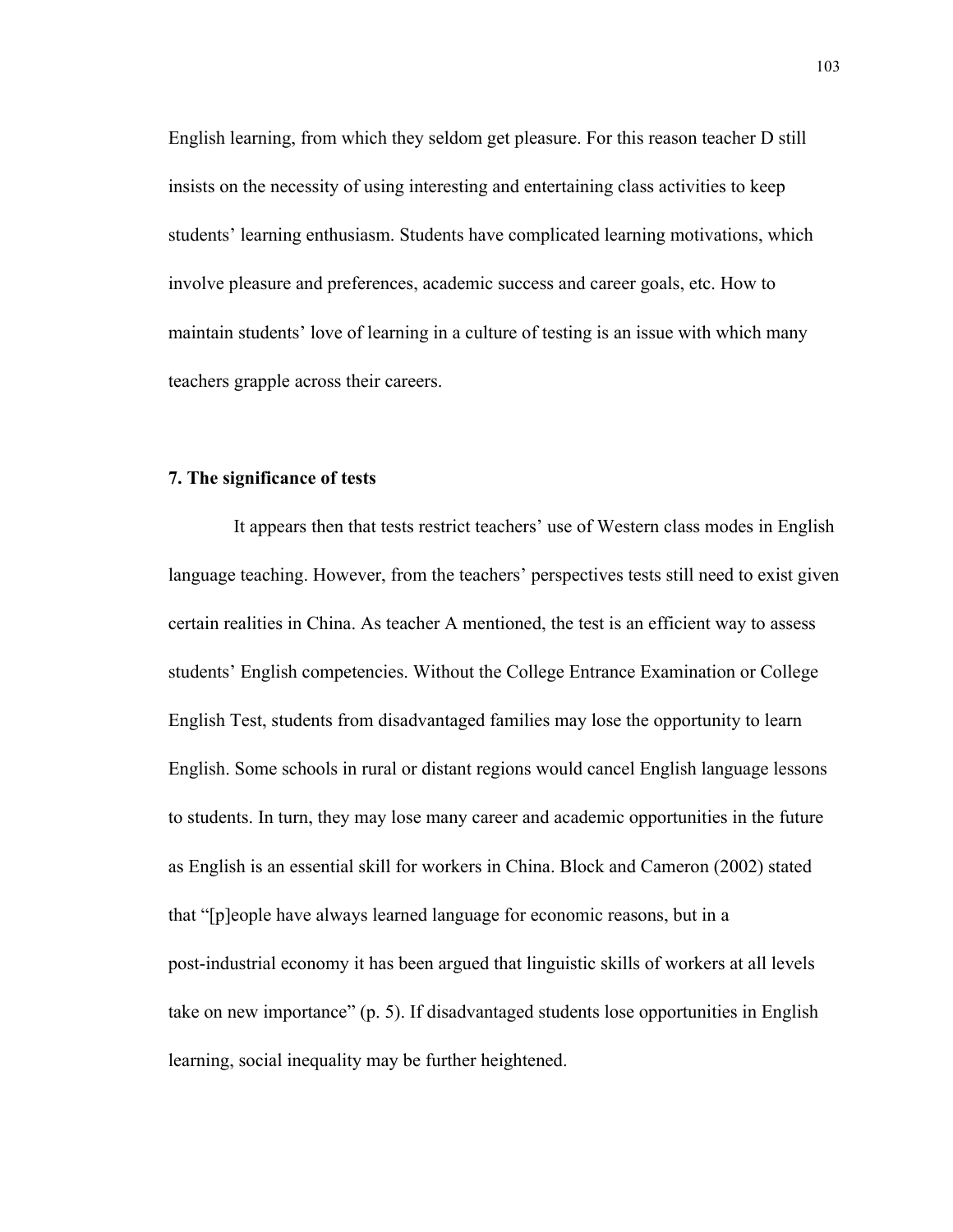English learning, from which they seldom get pleasure. For this reason teacher D still insists on the necessity of using interesting and entertaining class activities to keep students' learning enthusiasm. Students have complicated learning motivations, which involve pleasure and preferences, academic success and career goals, etc. How to maintain students' love of learning in a culture of testing is an issue with which many teachers grapple across their careers.

#### **7. The significance of tests**

It appears then that tests restrict teachers' use of Western class modes in English language teaching. However, from the teachers' perspectives tests still need to exist given certain realities in China. As teacher A mentioned, the test is an efficient way to assess students' English competencies. Without the College Entrance Examination or College English Test, students from disadvantaged families may lose the opportunity to learn English. Some schools in rural or distant regions would cancel English language lessons to students. In turn, they may lose many career and academic opportunities in the future as English is an essential skill for workers in China. Block and Cameron (2002) stated that "[p]eople have always learned language for economic reasons, but in a post-industrial economy it has been argued that linguistic skills of workers at all levels take on new importance" (p. 5). If disadvantaged students lose opportunities in English learning, social inequality may be further heightened.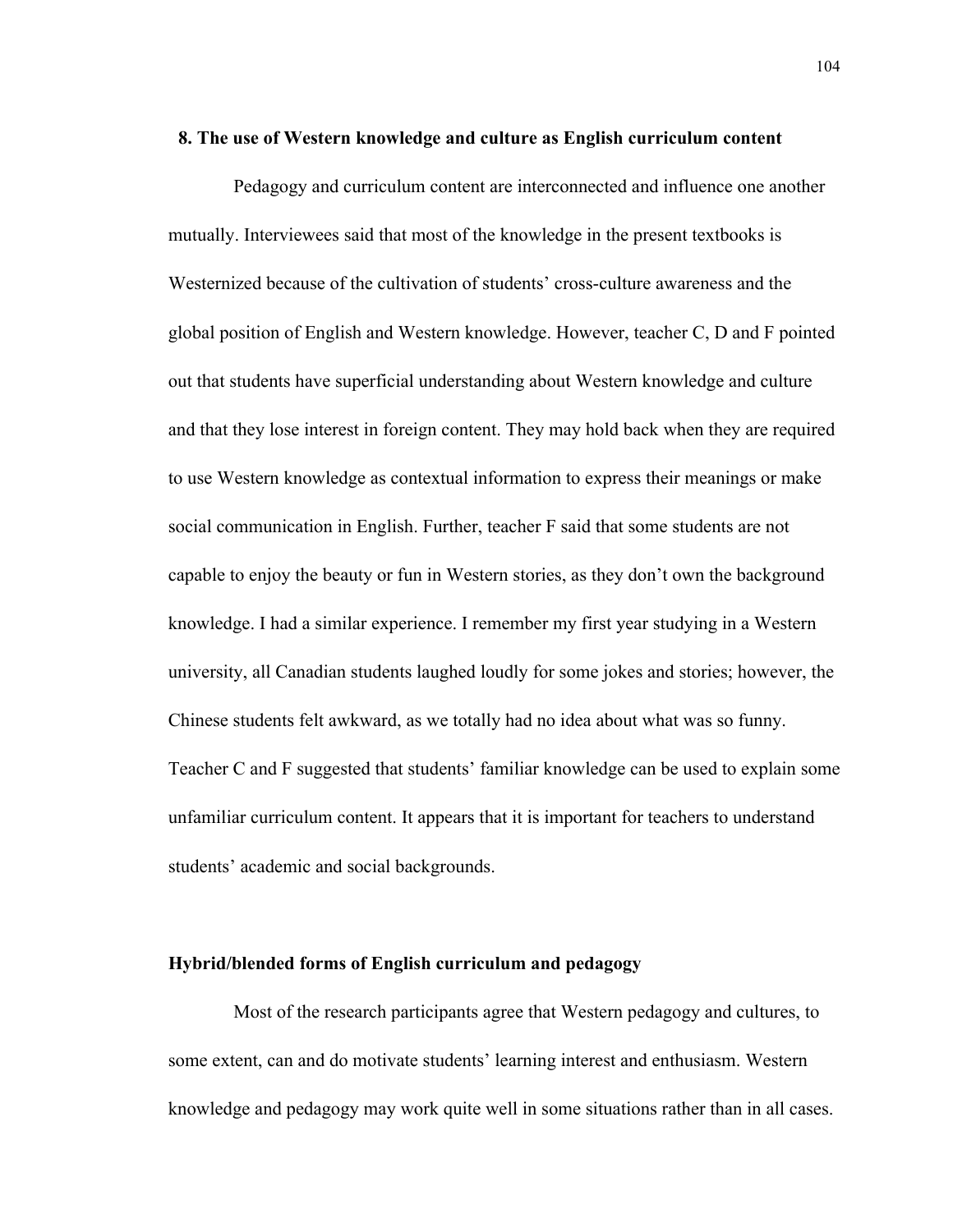#### **8. The use of Western knowledge and culture as English curriculum content**

Pedagogy and curriculum content are interconnected and influence one another mutually. Interviewees said that most of the knowledge in the present textbooks is Westernized because of the cultivation of students' cross-culture awareness and the global position of English and Western knowledge. However, teacher C, D and F pointed out that students have superficial understanding about Western knowledge and culture and that they lose interest in foreign content. They may hold back when they are required to use Western knowledge as contextual information to express their meanings or make social communication in English. Further, teacher F said that some students are not capable to enjoy the beauty or fun in Western stories, as they don't own the background knowledge. I had a similar experience. I remember my first year studying in a Western university, all Canadian students laughed loudly for some jokes and stories; however, the Chinese students felt awkward, as we totally had no idea about what was so funny. Teacher C and F suggested that students' familiar knowledge can be used to explain some unfamiliar curriculum content. It appears that it is important for teachers to understand students' academic and social backgrounds.

### **Hybrid/blended forms of English curriculum and pedagogy**

Most of the research participants agree that Western pedagogy and cultures, to some extent, can and do motivate students' learning interest and enthusiasm. Western knowledge and pedagogy may work quite well in some situations rather than in all cases.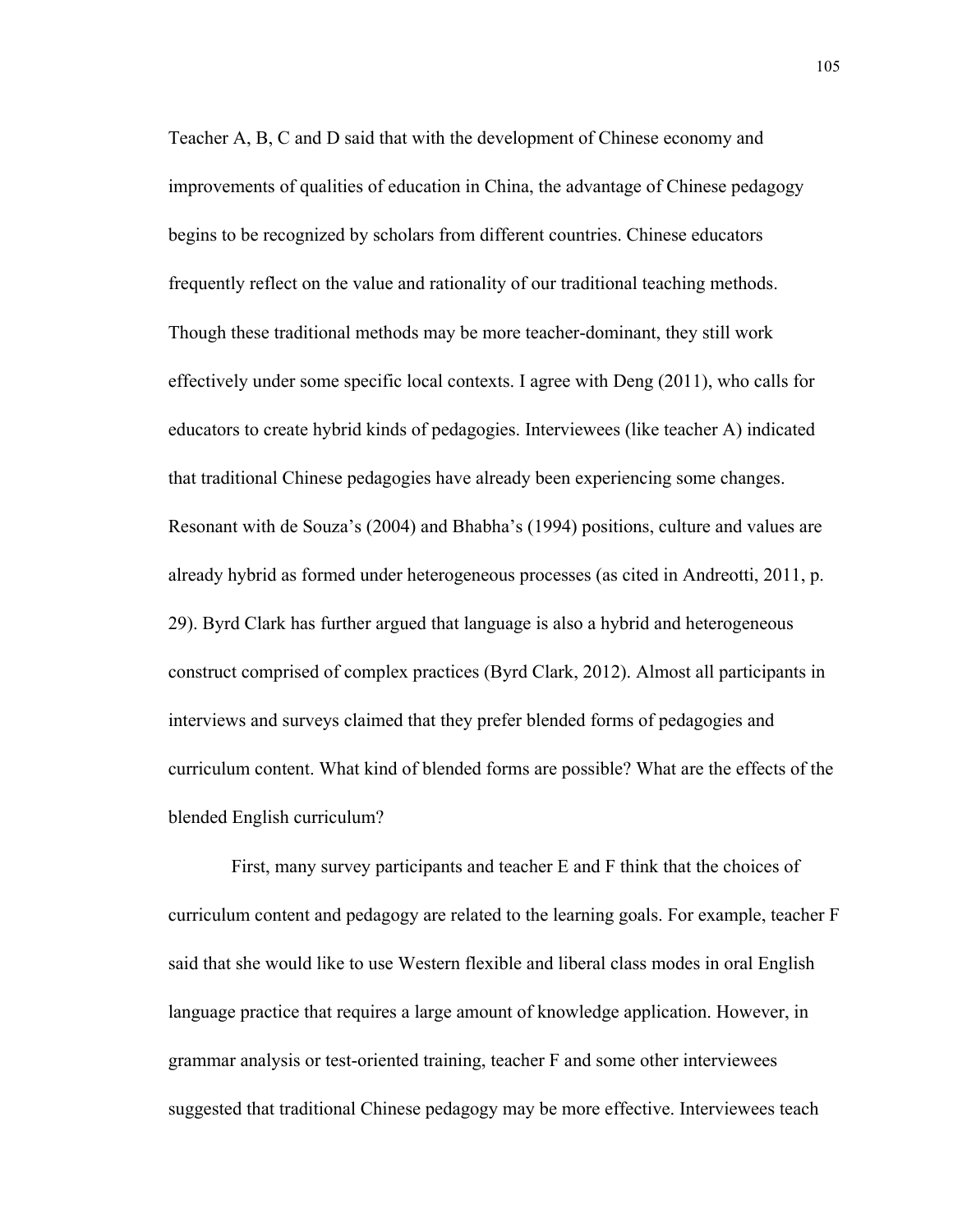Teacher A, B, C and D said that with the development of Chinese economy and improvements of qualities of education in China, the advantage of Chinese pedagogy begins to be recognized by scholars from different countries. Chinese educators frequently reflect on the value and rationality of our traditional teaching methods. Though these traditional methods may be more teacher-dominant, they still work effectively under some specific local contexts. I agree with Deng (2011), who calls for educators to create hybrid kinds of pedagogies. Interviewees (like teacher A) indicated that traditional Chinese pedagogies have already been experiencing some changes. Resonant with de Souza's (2004) and Bhabha's (1994) positions, culture and values are already hybrid as formed under heterogeneous processes (as cited in Andreotti, 2011, p. 29). Byrd Clark has further argued that language is also a hybrid and heterogeneous construct comprised of complex practices (Byrd Clark, 2012). Almost all participants in interviews and surveys claimed that they prefer blended forms of pedagogies and curriculum content. What kind of blended forms are possible? What are the effects of the blended English curriculum?

First, many survey participants and teacher E and F think that the choices of curriculum content and pedagogy are related to the learning goals. For example, teacher F said that she would like to use Western flexible and liberal class modes in oral English language practice that requires a large amount of knowledge application. However, in grammar analysis or test-oriented training, teacher F and some other interviewees suggested that traditional Chinese pedagogy may be more effective. Interviewees teach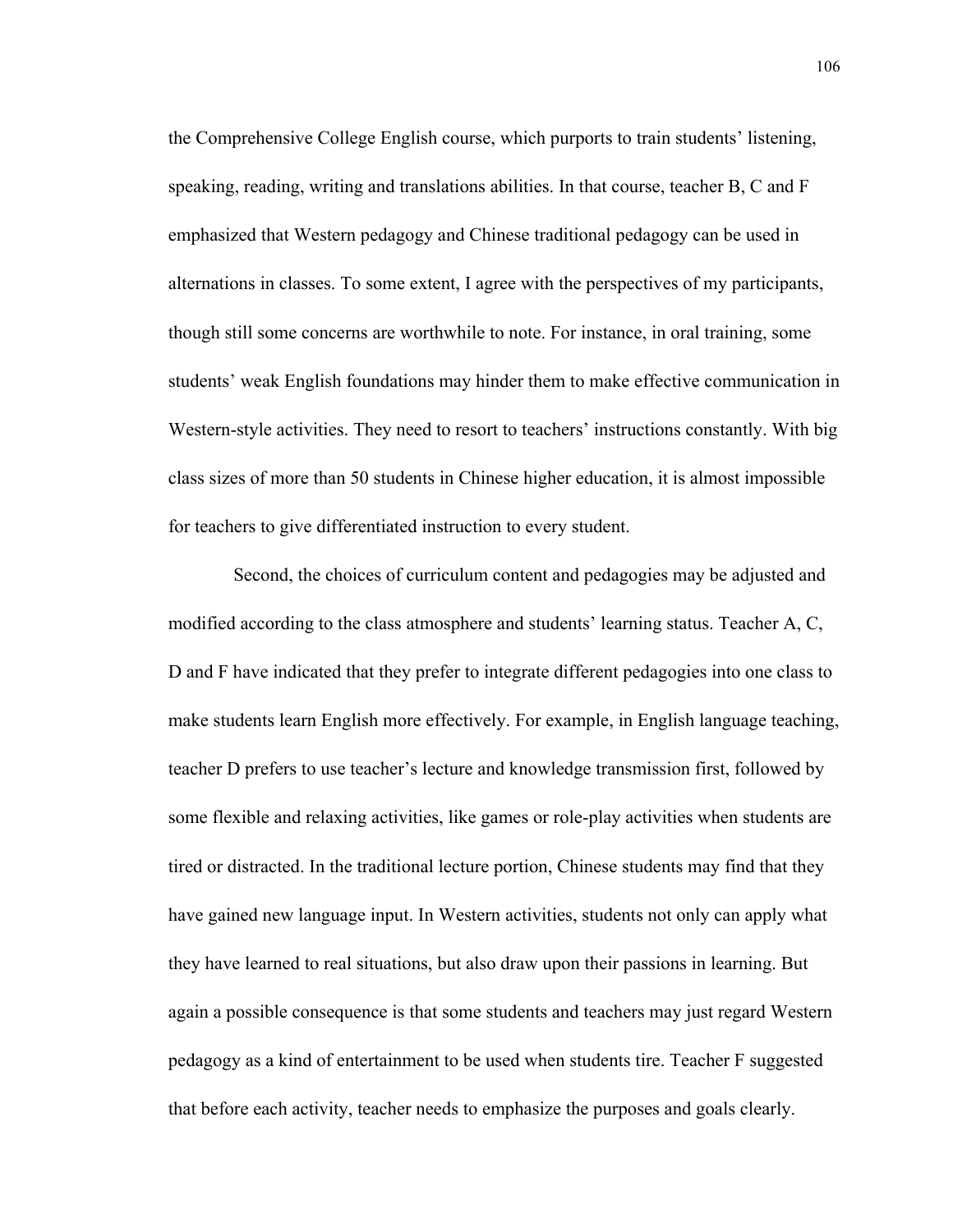the Comprehensive College English course, which purports to train students' listening, speaking, reading, writing and translations abilities. In that course, teacher B, C and F emphasized that Western pedagogy and Chinese traditional pedagogy can be used in alternations in classes. To some extent, I agree with the perspectives of my participants, though still some concerns are worthwhile to note. For instance, in oral training, some students' weak English foundations may hinder them to make effective communication in Western-style activities. They need to resort to teachers' instructions constantly. With big class sizes of more than 50 students in Chinese higher education, it is almost impossible for teachers to give differentiated instruction to every student.

 Second, the choices of curriculum content and pedagogies may be adjusted and modified according to the class atmosphere and students' learning status. Teacher A, C, D and F have indicated that they prefer to integrate different pedagogies into one class to make students learn English more effectively. For example, in English language teaching, teacher D prefers to use teacher's lecture and knowledge transmission first, followed by some flexible and relaxing activities, like games or role-play activities when students are tired or distracted. In the traditional lecture portion, Chinese students may find that they have gained new language input. In Western activities, students not only can apply what they have learned to real situations, but also draw upon their passions in learning. But again a possible consequence is that some students and teachers may just regard Western pedagogy as a kind of entertainment to be used when students tire. Teacher F suggested that before each activity, teacher needs to emphasize the purposes and goals clearly.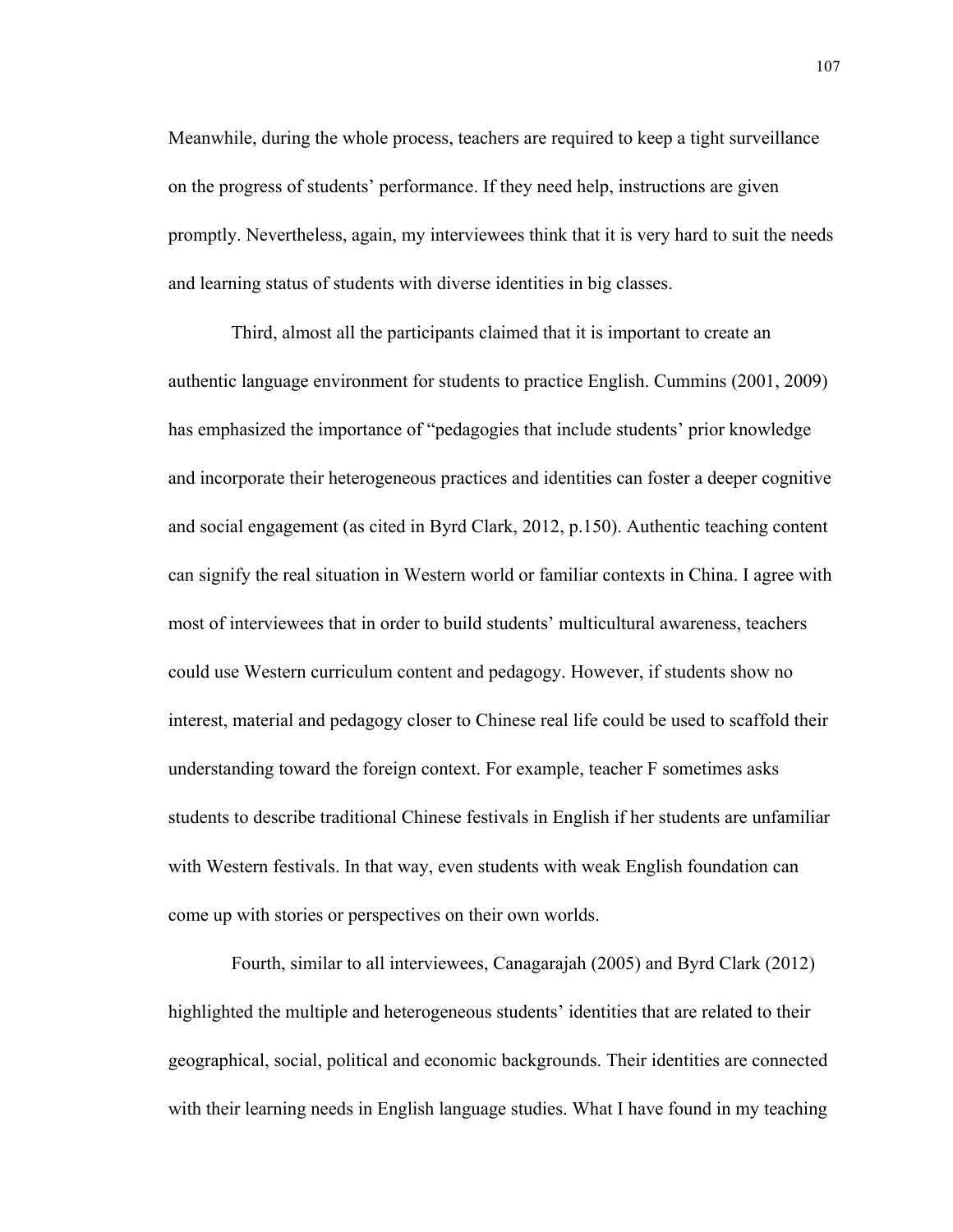Meanwhile, during the whole process, teachers are required to keep a tight surveillance on the progress of students' performance. If they need help, instructions are given promptly. Nevertheless, again, my interviewees think that it is very hard to suit the needs and learning status of students with diverse identities in big classes.

Third, almost all the participants claimed that it is important to create an authentic language environment for students to practice English. Cummins (2001, 2009) has emphasized the importance of "pedagogies that include students' prior knowledge and incorporate their heterogeneous practices and identities can foster a deeper cognitive and social engagement (as cited in Byrd Clark, 2012, p.150). Authentic teaching content can signify the real situation in Western world or familiar contexts in China. I agree with most of interviewees that in order to build students' multicultural awareness, teachers could use Western curriculum content and pedagogy. However, if students show no interest, material and pedagogy closer to Chinese real life could be used to scaffold their understanding toward the foreign context. For example, teacher F sometimes asks students to describe traditional Chinese festivals in English if her students are unfamiliar with Western festivals. In that way, even students with weak English foundation can come up with stories or perspectives on their own worlds.

Fourth, similar to all interviewees, Canagarajah (2005) and Byrd Clark (2012) highlighted the multiple and heterogeneous students' identities that are related to their geographical, social, political and economic backgrounds. Their identities are connected with their learning needs in English language studies. What I have found in my teaching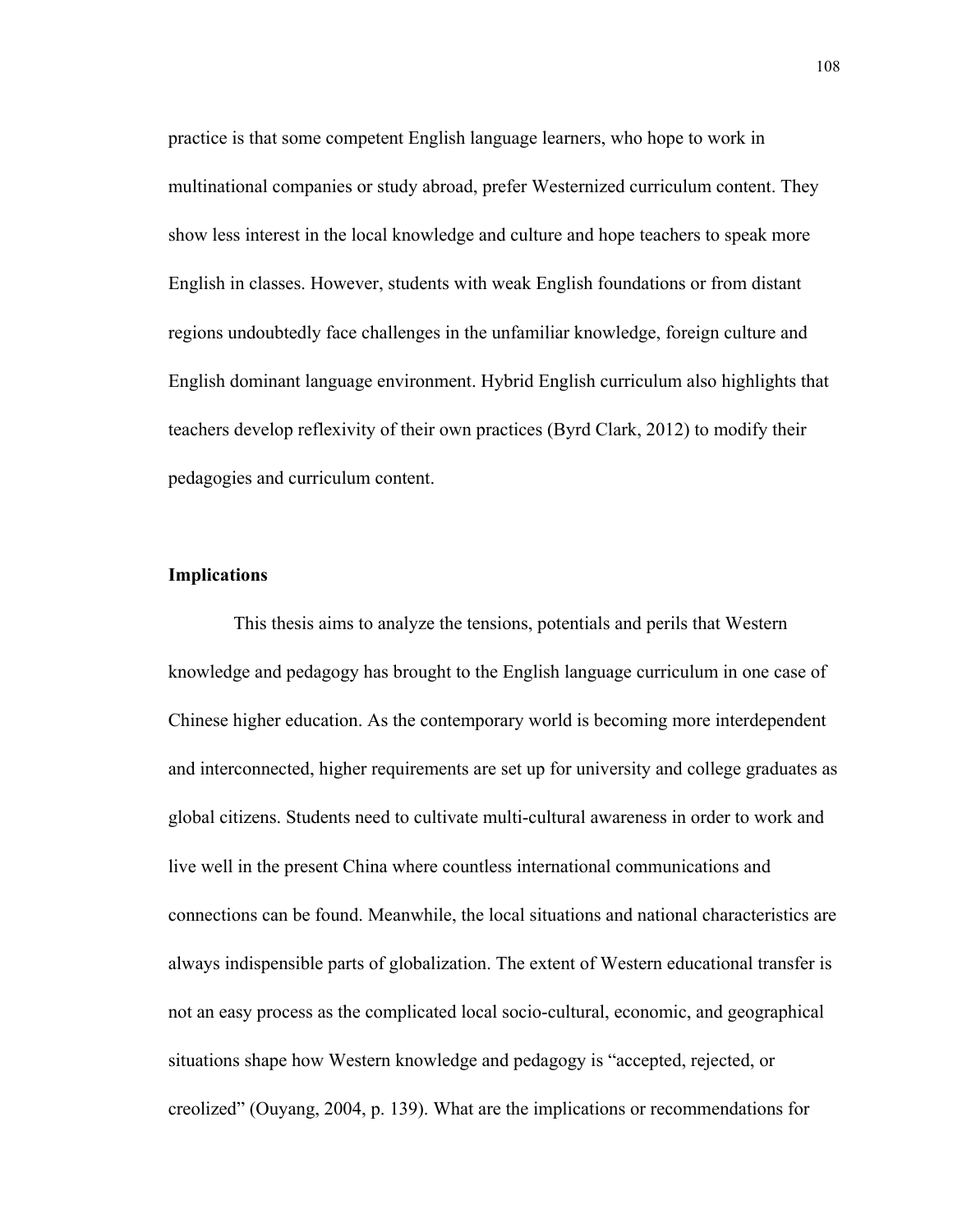practice is that some competent English language learners, who hope to work in multinational companies or study abroad, prefer Westernized curriculum content. They show less interest in the local knowledge and culture and hope teachers to speak more English in classes. However, students with weak English foundations or from distant regions undoubtedly face challenges in the unfamiliar knowledge, foreign culture and English dominant language environment. Hybrid English curriculum also highlights that teachers develop reflexivity of their own practices (Byrd Clark, 2012) to modify their pedagogies and curriculum content.

#### **Implications**

 This thesis aims to analyze the tensions, potentials and perils that Western knowledge and pedagogy has brought to the English language curriculum in one case of Chinese higher education. As the contemporary world is becoming more interdependent and interconnected, higher requirements are set up for university and college graduates as global citizens. Students need to cultivate multi-cultural awareness in order to work and live well in the present China where countless international communications and connections can be found. Meanwhile, the local situations and national characteristics are always indispensible parts of globalization. The extent of Western educational transfer is not an easy process as the complicated local socio-cultural, economic, and geographical situations shape how Western knowledge and pedagogy is "accepted, rejected, or creolized" (Ouyang, 2004, p. 139). What are the implications or recommendations for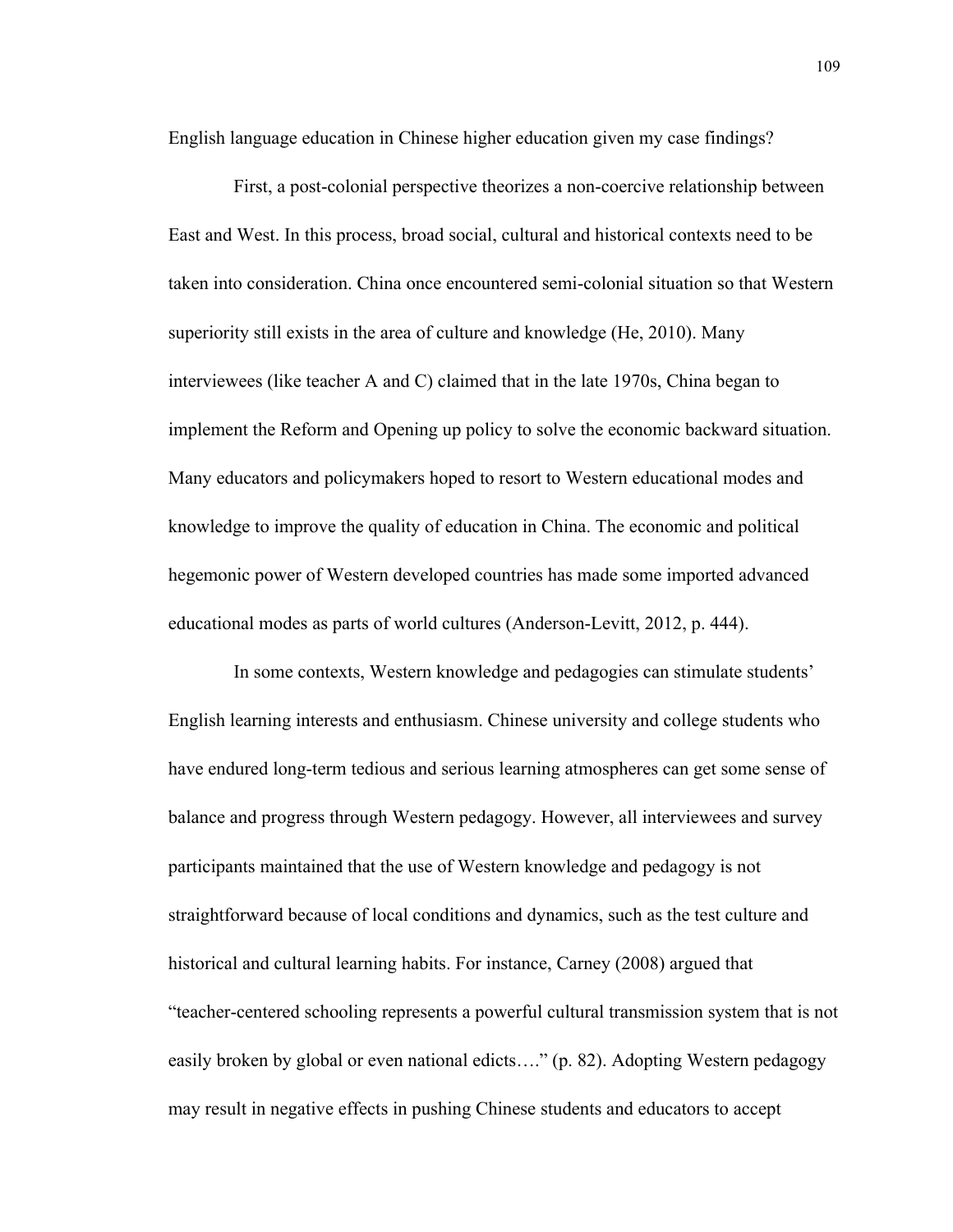English language education in Chinese higher education given my case findings?

First, a post-colonial perspective theorizes a non-coercive relationship between East and West. In this process, broad social, cultural and historical contexts need to be taken into consideration. China once encountered semi-colonial situation so that Western superiority still exists in the area of culture and knowledge (He, 2010). Many interviewees (like teacher A and C) claimed that in the late 1970s, China began to implement the Reform and Opening up policy to solve the economic backward situation. Many educators and policymakers hoped to resort to Western educational modes and knowledge to improve the quality of education in China. The economic and political hegemonic power of Western developed countries has made some imported advanced educational modes as parts of world cultures (Anderson-Levitt, 2012, p. 444).

In some contexts, Western knowledge and pedagogies can stimulate students' English learning interests and enthusiasm. Chinese university and college students who have endured long-term tedious and serious learning atmospheres can get some sense of balance and progress through Western pedagogy. However, all interviewees and survey participants maintained that the use of Western knowledge and pedagogy is not straightforward because of local conditions and dynamics, such as the test culture and historical and cultural learning habits. For instance, Carney (2008) argued that "teacher-centered schooling represents a powerful cultural transmission system that is not easily broken by global or even national edicts…." (p. 82). Adopting Western pedagogy may result in negative effects in pushing Chinese students and educators to accept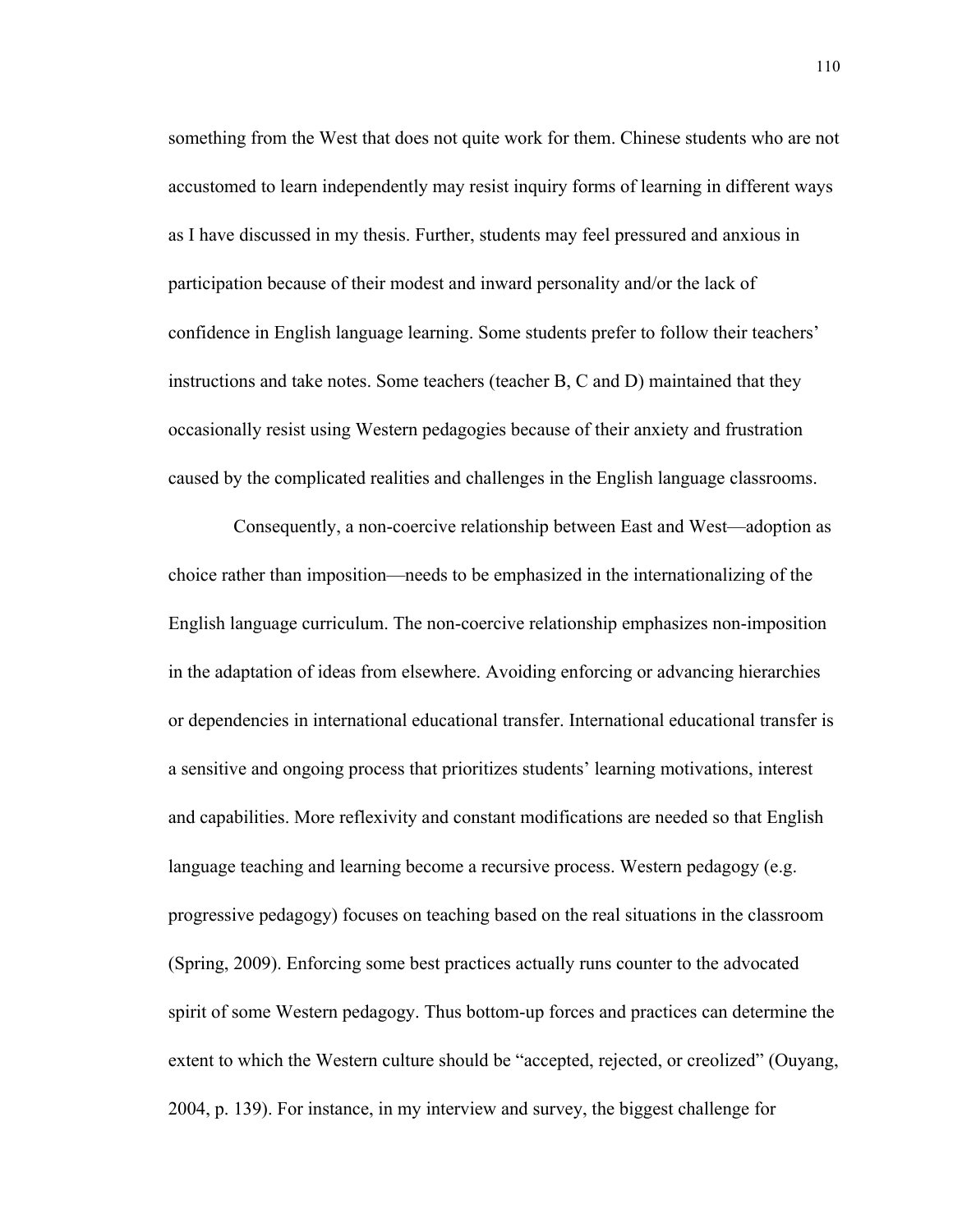something from the West that does not quite work for them. Chinese students who are not accustomed to learn independently may resist inquiry forms of learning in different ways as I have discussed in my thesis. Further, students may feel pressured and anxious in participation because of their modest and inward personality and/or the lack of confidence in English language learning. Some students prefer to follow their teachers' instructions and take notes. Some teachers (teacher B, C and D) maintained that they occasionally resist using Western pedagogies because of their anxiety and frustration caused by the complicated realities and challenges in the English language classrooms.

Consequently, a non-coercive relationship between East and West—adoption as choice rather than imposition—needs to be emphasized in the internationalizing of the English language curriculum. The non-coercive relationship emphasizes non-imposition in the adaptation of ideas from elsewhere. Avoiding enforcing or advancing hierarchies or dependencies in international educational transfer. International educational transfer is a sensitive and ongoing process that prioritizes students' learning motivations, interest and capabilities. More reflexivity and constant modifications are needed so that English language teaching and learning become a recursive process. Western pedagogy (e.g. progressive pedagogy) focuses on teaching based on the real situations in the classroom (Spring, 2009). Enforcing some best practices actually runs counter to the advocated spirit of some Western pedagogy. Thus bottom-up forces and practices can determine the extent to which the Western culture should be "accepted, rejected, or creolized" (Ouyang, 2004, p. 139). For instance, in my interview and survey, the biggest challenge for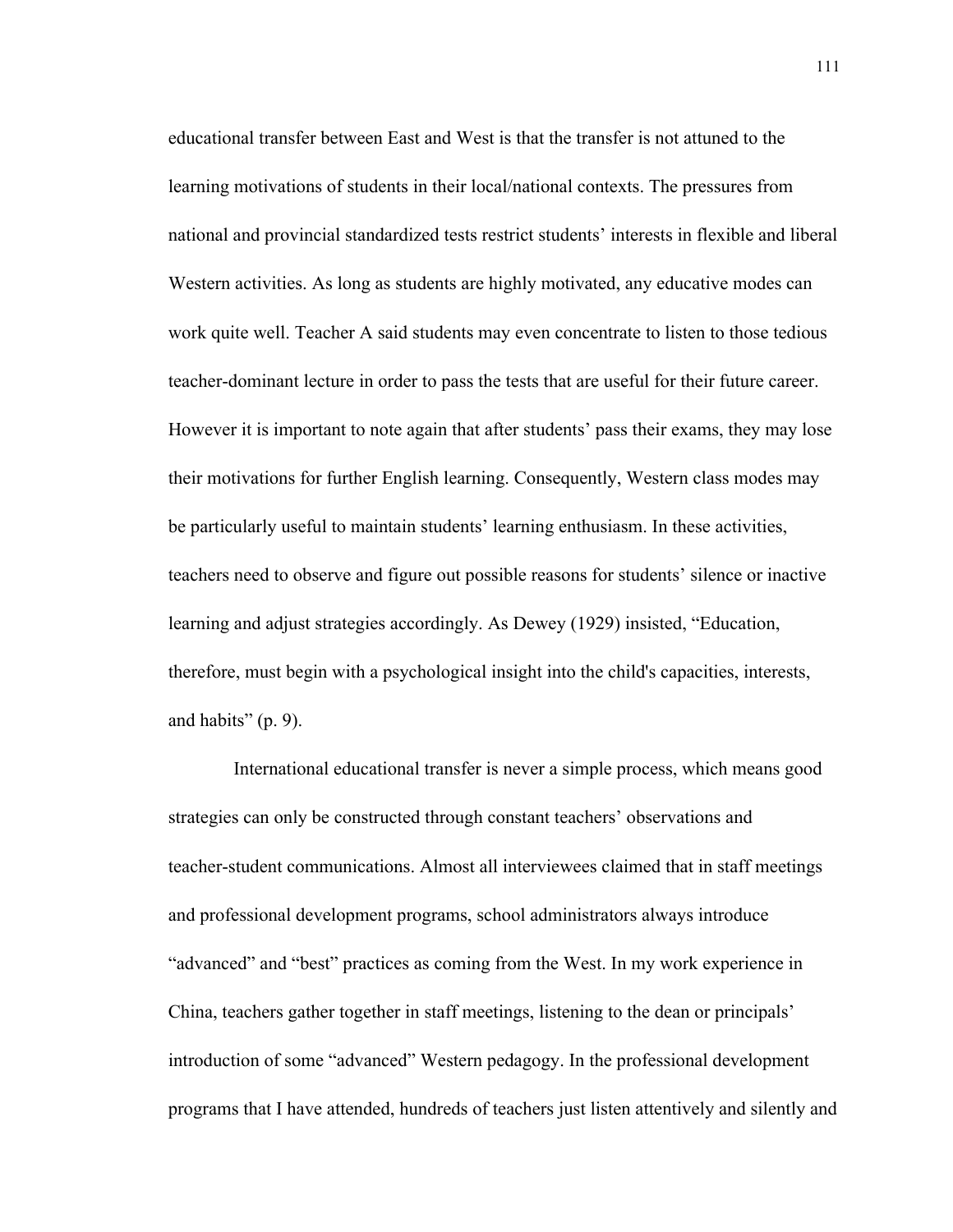educational transfer between East and West is that the transfer is not attuned to the learning motivations of students in their local/national contexts. The pressures from national and provincial standardized tests restrict students' interests in flexible and liberal Western activities. As long as students are highly motivated, any educative modes can work quite well. Teacher A said students may even concentrate to listen to those tedious teacher-dominant lecture in order to pass the tests that are useful for their future career. However it is important to note again that after students' pass their exams, they may lose their motivations for further English learning. Consequently, Western class modes may be particularly useful to maintain students' learning enthusiasm. In these activities, teachers need to observe and figure out possible reasons for students' silence or inactive learning and adjust strategies accordingly. As Dewey (1929) insisted, "Education, therefore, must begin with a psychological insight into the child's capacities, interests, and habits"  $(p, 9)$ .

International educational transfer is never a simple process, which means good strategies can only be constructed through constant teachers' observations and teacher-student communications. Almost all interviewees claimed that in staff meetings and professional development programs, school administrators always introduce "advanced" and "best" practices as coming from the West. In my work experience in China, teachers gather together in staff meetings, listening to the dean or principals' introduction of some "advanced" Western pedagogy. In the professional development programs that I have attended, hundreds of teachers just listen attentively and silently and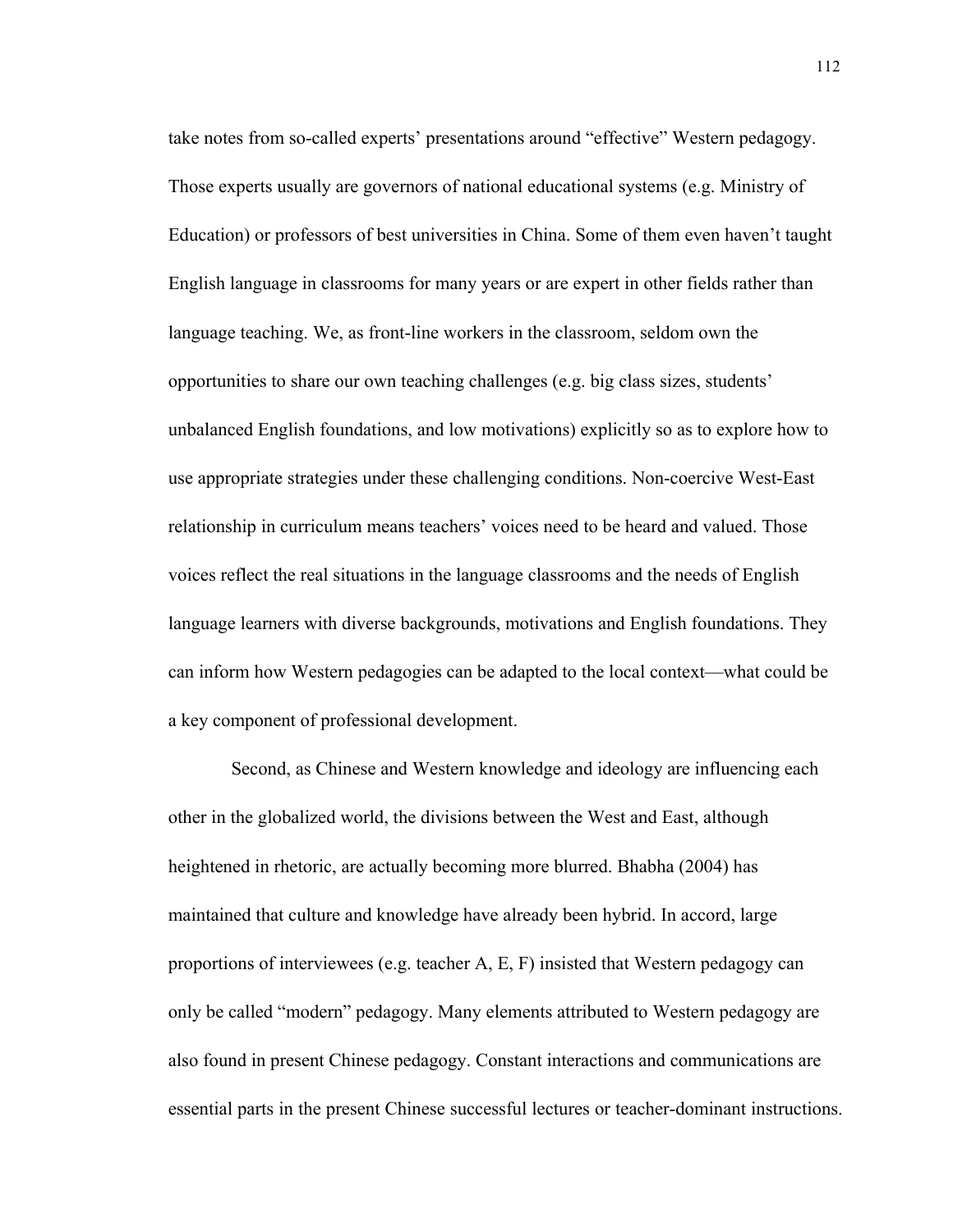take notes from so-called experts' presentations around "effective" Western pedagogy. Those experts usually are governors of national educational systems (e.g. Ministry of Education) or professors of best universities in China. Some of them even haven't taught English language in classrooms for many years or are expert in other fields rather than language teaching. We, as front-line workers in the classroom, seldom own the opportunities to share our own teaching challenges (e.g. big class sizes, students' unbalanced English foundations, and low motivations) explicitly so as to explore how to use appropriate strategies under these challenging conditions. Non-coercive West-East relationship in curriculum means teachers' voices need to be heard and valued. Those voices reflect the real situations in the language classrooms and the needs of English language learners with diverse backgrounds, motivations and English foundations. They can inform how Western pedagogies can be adapted to the local context—what could be a key component of professional development.

Second, as Chinese and Western knowledge and ideology are influencing each other in the globalized world, the divisions between the West and East, although heightened in rhetoric, are actually becoming more blurred. Bhabha (2004) has maintained that culture and knowledge have already been hybrid. In accord, large proportions of interviewees (e.g. teacher A, E, F) insisted that Western pedagogy can only be called "modern" pedagogy. Many elements attributed to Western pedagogy are also found in present Chinese pedagogy. Constant interactions and communications are essential parts in the present Chinese successful lectures or teacher-dominant instructions.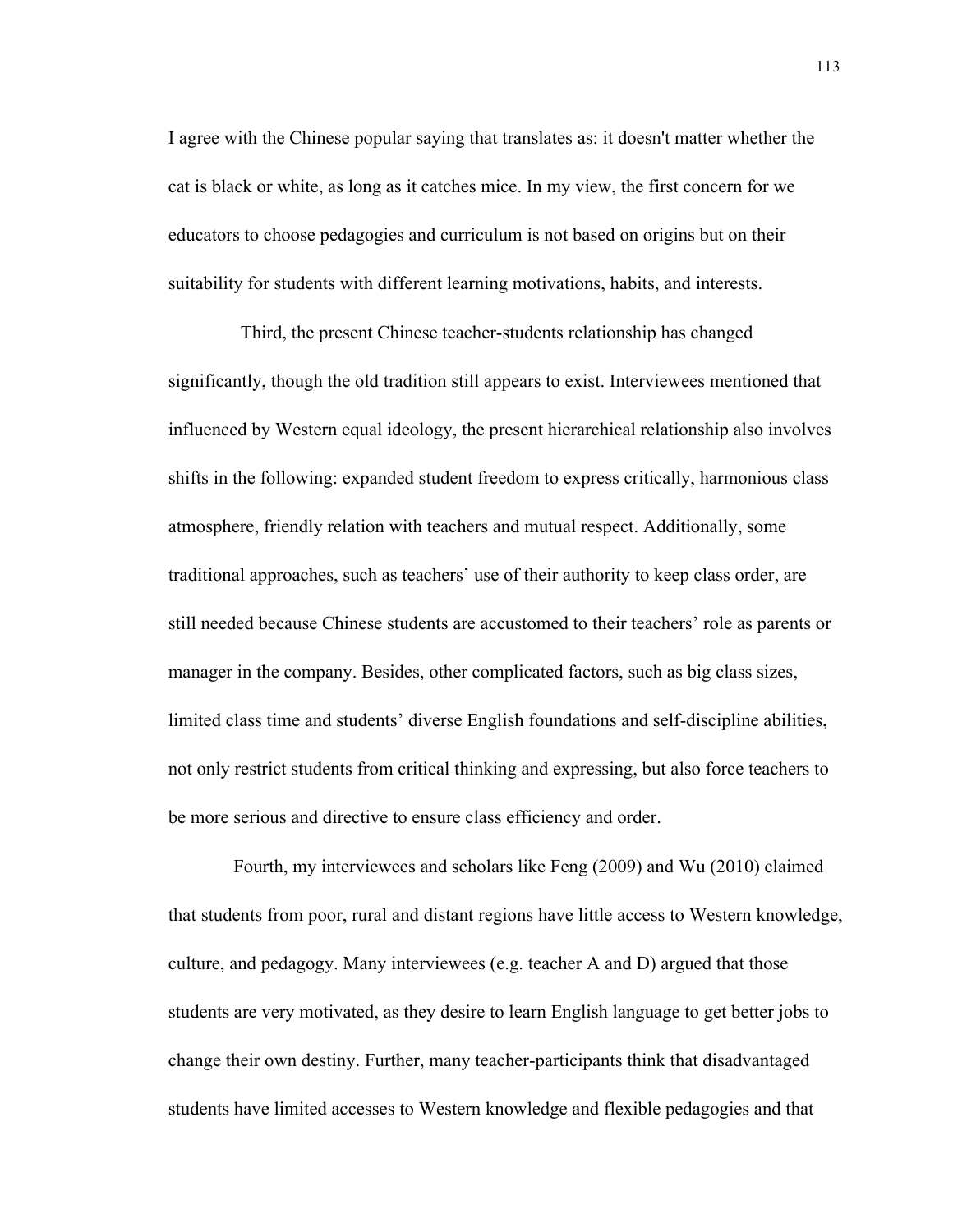I agree with the Chinese popular saying that translates as: it doesn't matter whether the cat is black or white, as long as it catches mice. In my view, the first concern for we educators to choose pedagogies and curriculum is not based on origins but on their suitability for students with different learning motivations, habits, and interests.

Third, the present Chinese teacher-students relationship has changed significantly, though the old tradition still appears to exist. Interviewees mentioned that influenced by Western equal ideology, the present hierarchical relationship also involves shifts in the following: expanded student freedom to express critically, harmonious class atmosphere, friendly relation with teachers and mutual respect. Additionally, some traditional approaches, such as teachers' use of their authority to keep class order, are still needed because Chinese students are accustomed to their teachers' role as parents or manager in the company. Besides, other complicated factors, such as big class sizes, limited class time and students' diverse English foundations and self-discipline abilities, not only restrict students from critical thinking and expressing, but also force teachers to be more serious and directive to ensure class efficiency and order.

 Fourth, my interviewees and scholars like Feng (2009) and Wu (2010) claimed that students from poor, rural and distant regions have little access to Western knowledge, culture, and pedagogy. Many interviewees (e.g. teacher A and D) argued that those students are very motivated, as they desire to learn English language to get better jobs to change their own destiny. Further, many teacher-participants think that disadvantaged students have limited accesses to Western knowledge and flexible pedagogies and that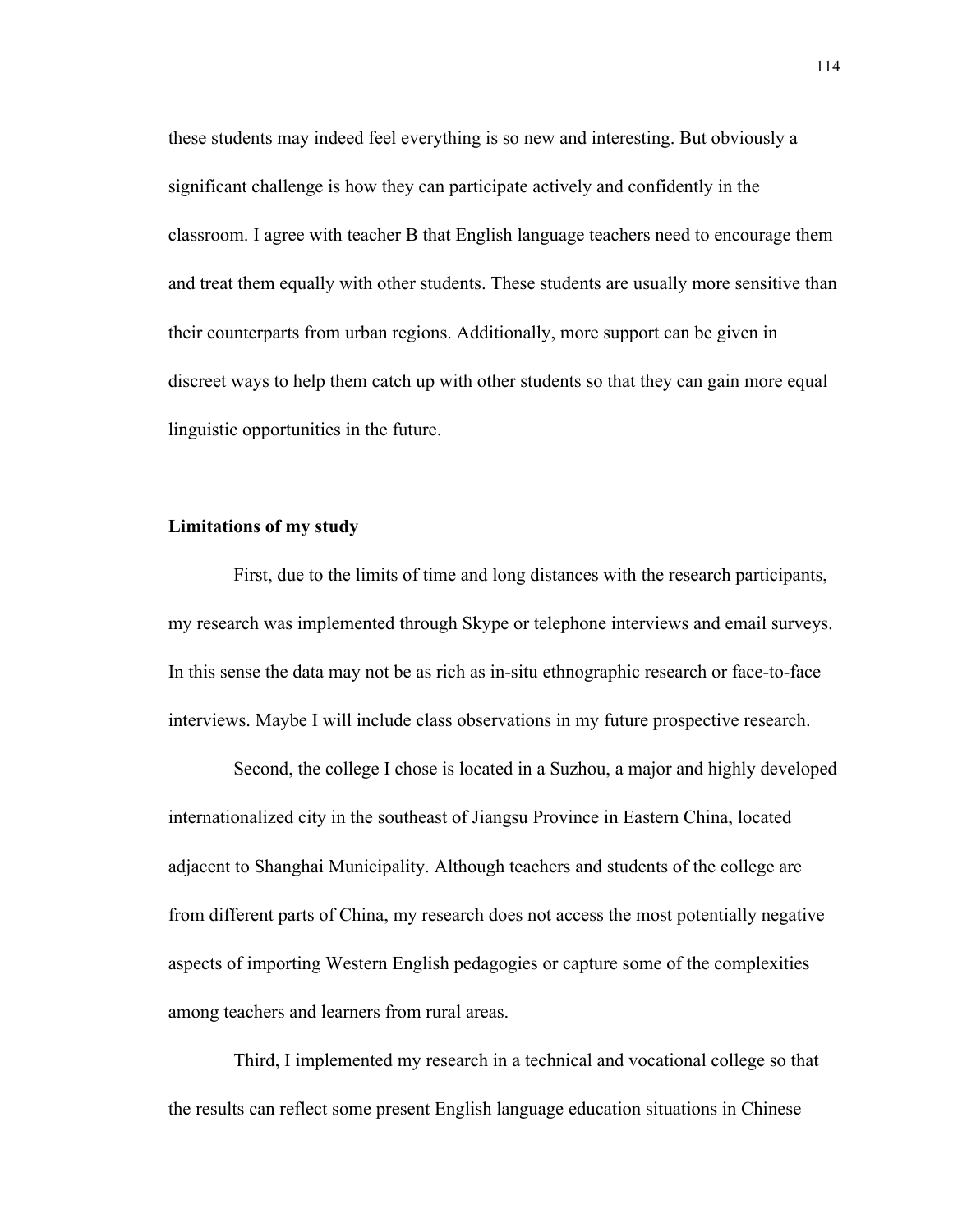these students may indeed feel everything is so new and interesting. But obviously a significant challenge is how they can participate actively and confidently in the classroom. I agree with teacher B that English language teachers need to encourage them and treat them equally with other students. These students are usually more sensitive than their counterparts from urban regions. Additionally, more support can be given in discreet ways to help them catch up with other students so that they can gain more equal linguistic opportunities in the future.

### **Limitations of my study**

 First, due to the limits of time and long distances with the research participants, my research was implemented through Skype or telephone interviews and email surveys. In this sense the data may not be as rich as in-situ ethnographic research or face-to-face interviews. Maybe I will include class observations in my future prospective research.

 Second, the college I chose is located in a Suzhou, a major and highly developed internationalized city in the southeast of Jiangsu Province in Eastern China, located adjacent to Shanghai Municipality. Although teachers and students of the college are from different parts of China, my research does not access the most potentially negative aspects of importing Western English pedagogies or capture some of the complexities among teachers and learners from rural areas.

 Third, I implemented my research in a technical and vocational college so that the results can reflect some present English language education situations in Chinese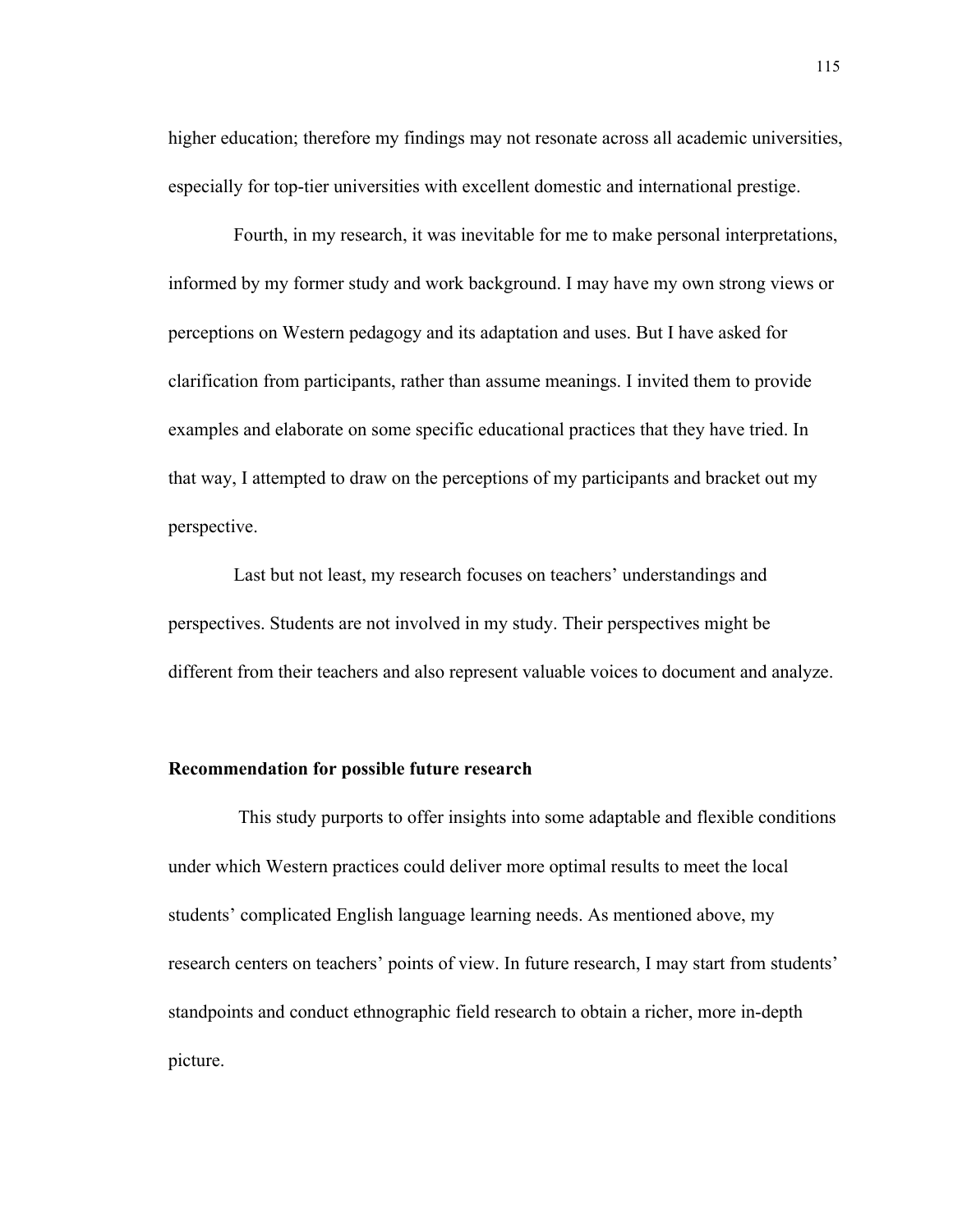higher education; therefore my findings may not resonate across all academic universities, especially for top-tier universities with excellent domestic and international prestige.

 Fourth, in my research, it was inevitable for me to make personal interpretations, informed by my former study and work background. I may have my own strong views or perceptions on Western pedagogy and its adaptation and uses. But I have asked for clarification from participants, rather than assume meanings. I invited them to provide examples and elaborate on some specific educational practices that they have tried. In that way, I attempted to draw on the perceptions of my participants and bracket out my perspective.

Last but not least, my research focuses on teachers' understandings and perspectives. Students are not involved in my study. Their perspectives might be different from their teachers and also represent valuable voices to document and analyze.

#### **Recommendation for possible future research**

This study purports to offer insights into some adaptable and flexible conditions under which Western practices could deliver more optimal results to meet the local students' complicated English language learning needs. As mentioned above, my research centers on teachers' points of view. In future research, I may start from students' standpoints and conduct ethnographic field research to obtain a richer, more in-depth picture.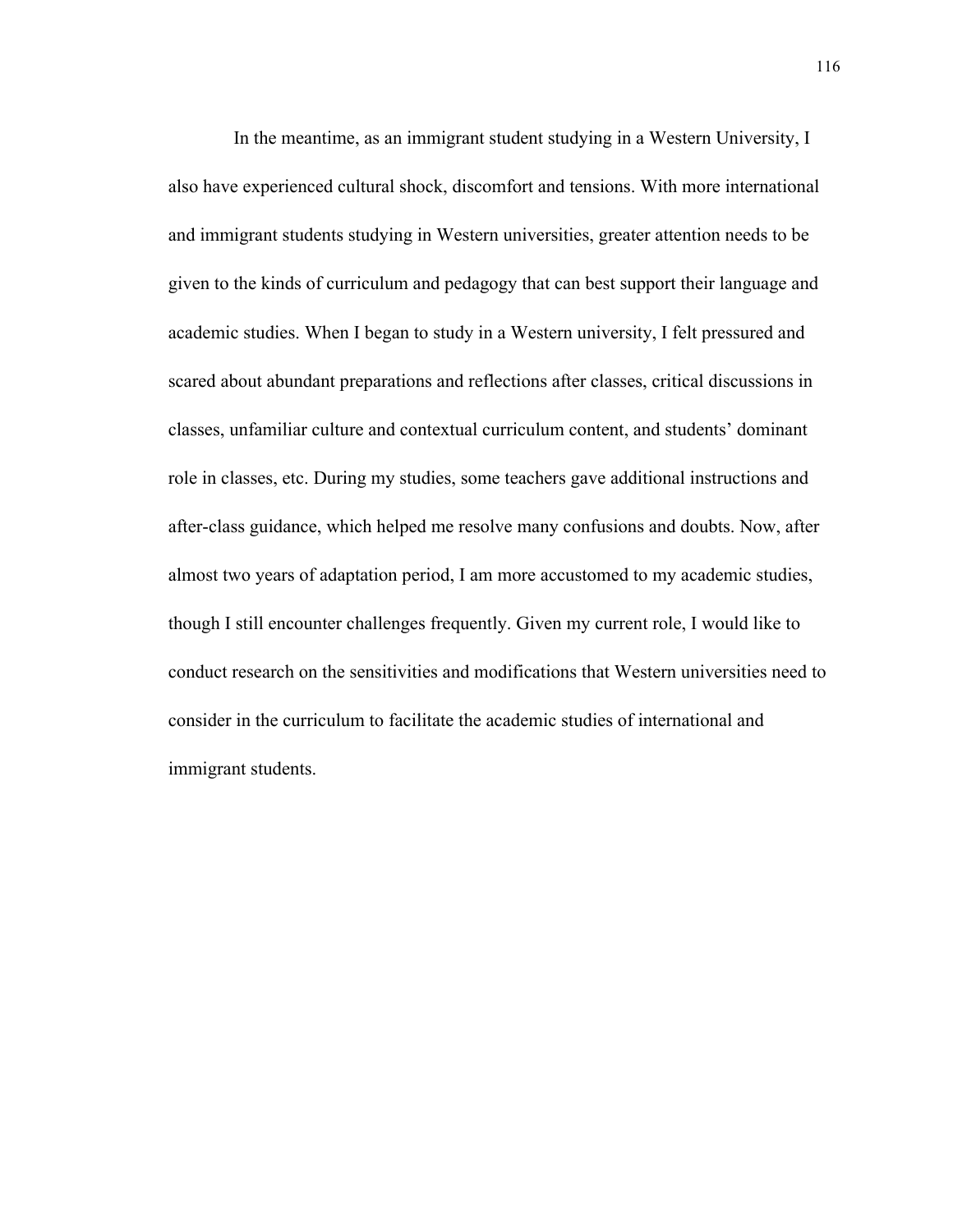In the meantime, as an immigrant student studying in a Western University, I also have experienced cultural shock, discomfort and tensions. With more international and immigrant students studying in Western universities, greater attention needs to be given to the kinds of curriculum and pedagogy that can best support their language and academic studies. When I began to study in a Western university, I felt pressured and scared about abundant preparations and reflections after classes, critical discussions in classes, unfamiliar culture and contextual curriculum content, and students' dominant role in classes, etc. During my studies, some teachers gave additional instructions and after-class guidance, which helped me resolve many confusions and doubts. Now, after almost two years of adaptation period, I am more accustomed to my academic studies, though I still encounter challenges frequently. Given my current role, I would like to conduct research on the sensitivities and modifications that Western universities need to consider in the curriculum to facilitate the academic studies of international and immigrant students.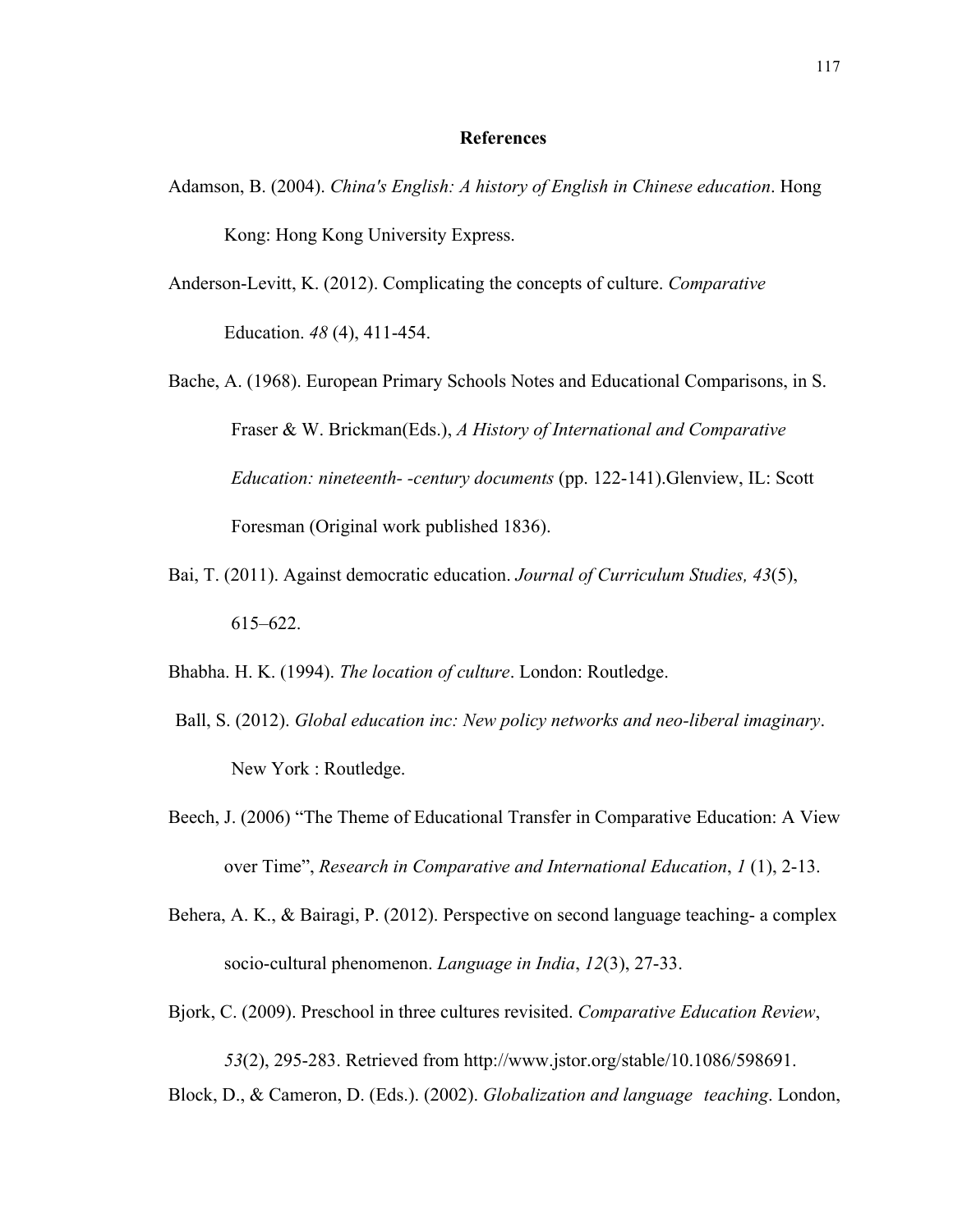#### **References**

- Adamson, B. (2004). *China's English: A history of English in Chinese education*. Hong Kong: Hong Kong University Express.
- Anderson-Levitt, K. (2012). Complicating the concepts of culture. *Comparative*  Education. *48* (4), 411-454.
- Bache, A. (1968). European Primary Schools Notes and Educational Comparisons, in S. Fraser & W. Brickman(Eds.), *A History of International and Comparative Education: nineteenth- -century documents* (pp. 122-141).Glenview, IL: Scott Foresman (Original work published 1836).
- Bai, T. (2011). Against democratic education. *Journal of Curriculum Studies, 43*(5), 615–622.
- Bhabha. H. K. (1994). *The location of culture*. London: Routledge.
- Ball, S. (2012). *Global education inc: New policy networks and neo-liberal imaginary*. New York : Routledge.
- Beech, J. (2006) "The Theme of Educational Transfer in Comparative Education: A View over Time", *Research in Comparative and International Education*, *1* (1), 2-13.
- Behera, A. K., & Bairagi, P. (2012). Perspective on second language teaching- a complex socio-cultural phenomenon. *Language in India*, *12*(3), 27-33.
- Bjork, C. (2009). Preschool in three cultures revisited. *Comparative Education Review*,

*53*(2), 295-283. Retrieved from http://www.jstor.org/stable/10.1086/598691.

Block, D., & Cameron, D. (Eds.). (2002). *Globalization and language teaching*. London,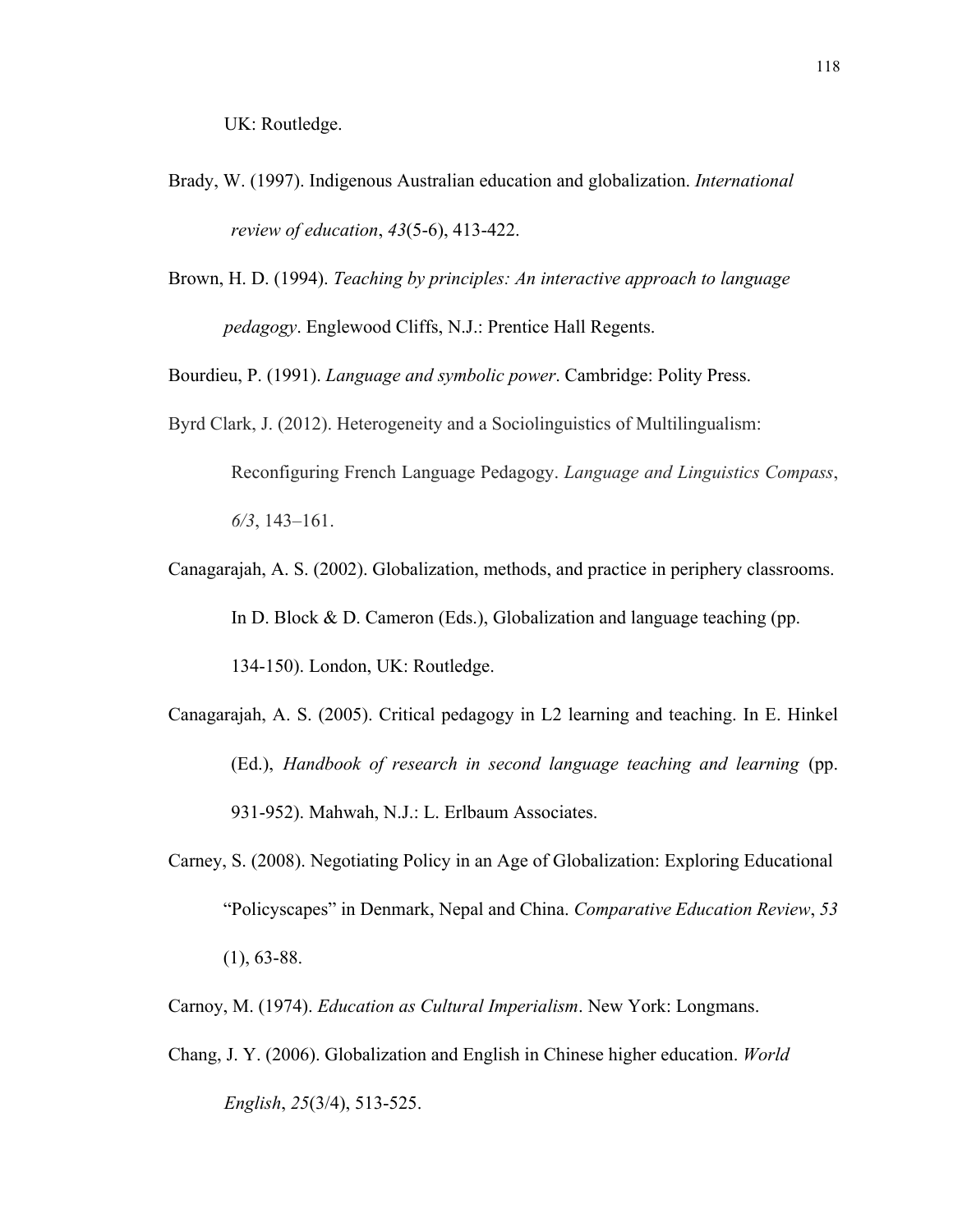- Brady, W. (1997). Indigenous Australian education and globalization. *International review of education*, *43*(5-6), 413-422.
- Brown, H. D. (1994). *Teaching by principles: An interactive approach to language pedagogy*. Englewood Cliffs, N.J.: Prentice Hall Regents.

Bourdieu, P. (1991). *Language and symbolic power*. Cambridge: Polity Press.

- Byrd Clark, J. (2012). Heterogeneity and a Sociolinguistics of Multilingualism: Reconfiguring French Language Pedagogy. *Language and Linguistics Compass*, *6/3*, 143–161.
- Canagarajah, A. S. (2002). Globalization, methods, and practice in periphery classrooms. In D. Block & D. Cameron (Eds.), Globalization and language teaching (pp. 134-150). London, UK: Routledge.
- Canagarajah, A. S. (2005). Critical pedagogy in L2 learning and teaching. In E. Hinkel (Ed.), *Handbook of research in second language teaching and learning* (pp. 931-952). Mahwah, N.J.: L. Erlbaum Associates.
- Carney, S. (2008). Negotiating Policy in an Age of Globalization: Exploring Educational "Policyscapes" in Denmark, Nepal and China. *Comparative Education Review*, *53*  $(1), 63-88.$
- Carnoy, M. (1974). *Education as Cultural Imperialism*. New York: Longmans.
- Chang, J. Y. (2006). Globalization and English in Chinese higher education. *World English*, *25*(3/4), 513-525.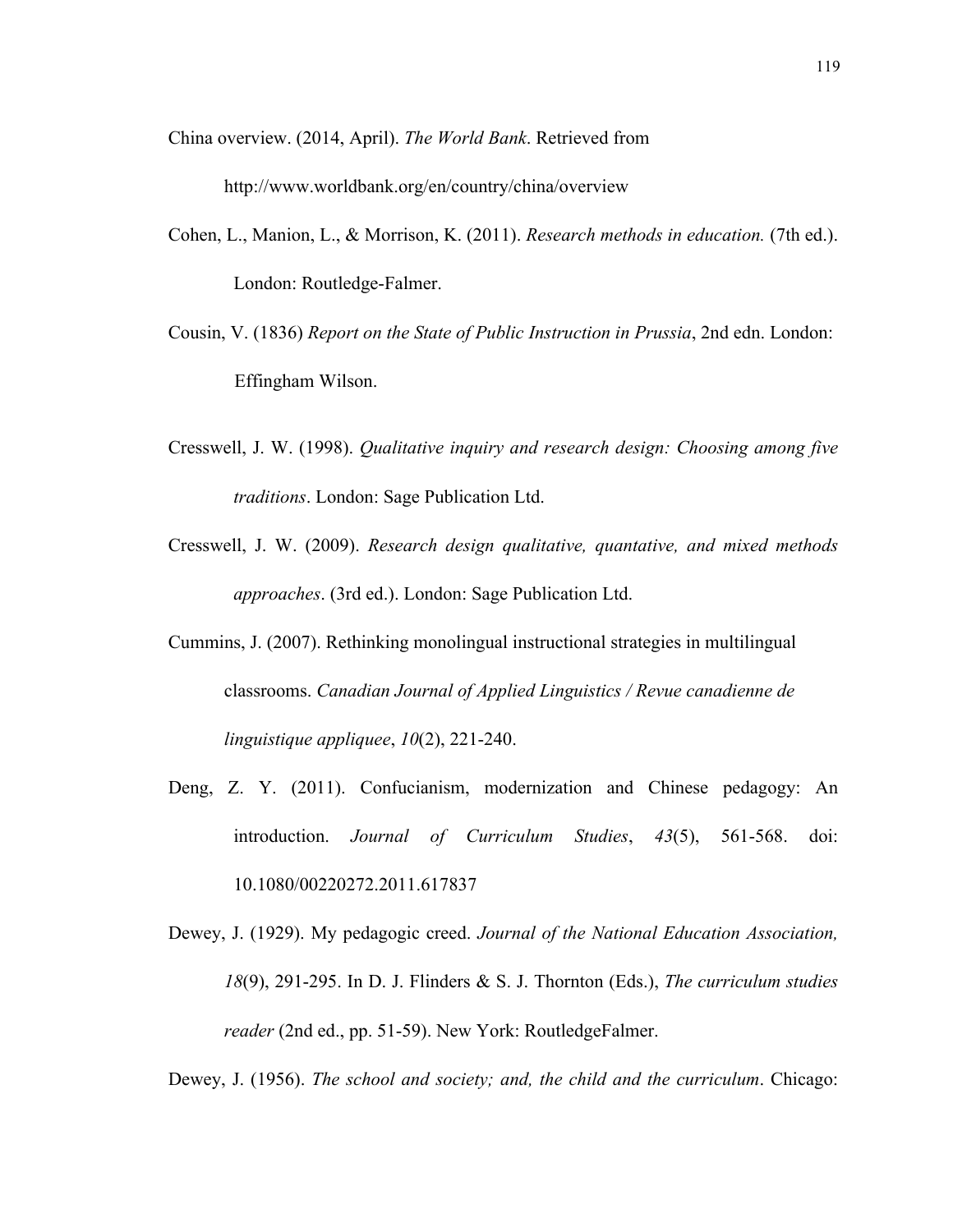China overview. (2014, April). *The World Bank*. Retrieved from

http://www.worldbank.org/en/country/china/overview

- Cohen, L., Manion, L., & Morrison, K. (2011). *Research methods in education.* (7th ed.). London: Routledge-Falmer.
- Cousin, V. (1836) *Report on the State of Public Instruction in Prussia*, 2nd edn. London: Effingham Wilson.
- Cresswell, J. W. (1998). *Qualitative inquiry and research design: Choosing among five traditions*. London: Sage Publication Ltd.
- Cresswell, J. W. (2009). *Research design qualitative, quantative, and mixed methods approaches*. (3rd ed.). London: Sage Publication Ltd.
- Cummins, J. (2007). Rethinking monolingual instructional strategies in multilingual classrooms. *Canadian Journal of Applied Linguistics / Revue canadienne de linguistique appliquee*, *10*(2), 221-240.
- Deng, Z. Y. (2011). Confucianism, modernization and Chinese pedagogy: An introduction. *Journal of Curriculum Studies*, *43*(5), 561-568. doi: 10.1080/00220272.2011.617837
- Dewey, J. (1929). My pedagogic creed. *Journal of the National Education Association, 18*(9), 291-295. In D. J. Flinders & S. J. Thornton (Eds.), *The curriculum studies reader* (2nd ed., pp. 51-59). New York: RoutledgeFalmer.

Dewey, J. (1956). *The school and society; and, the child and the curriculum*. Chicago: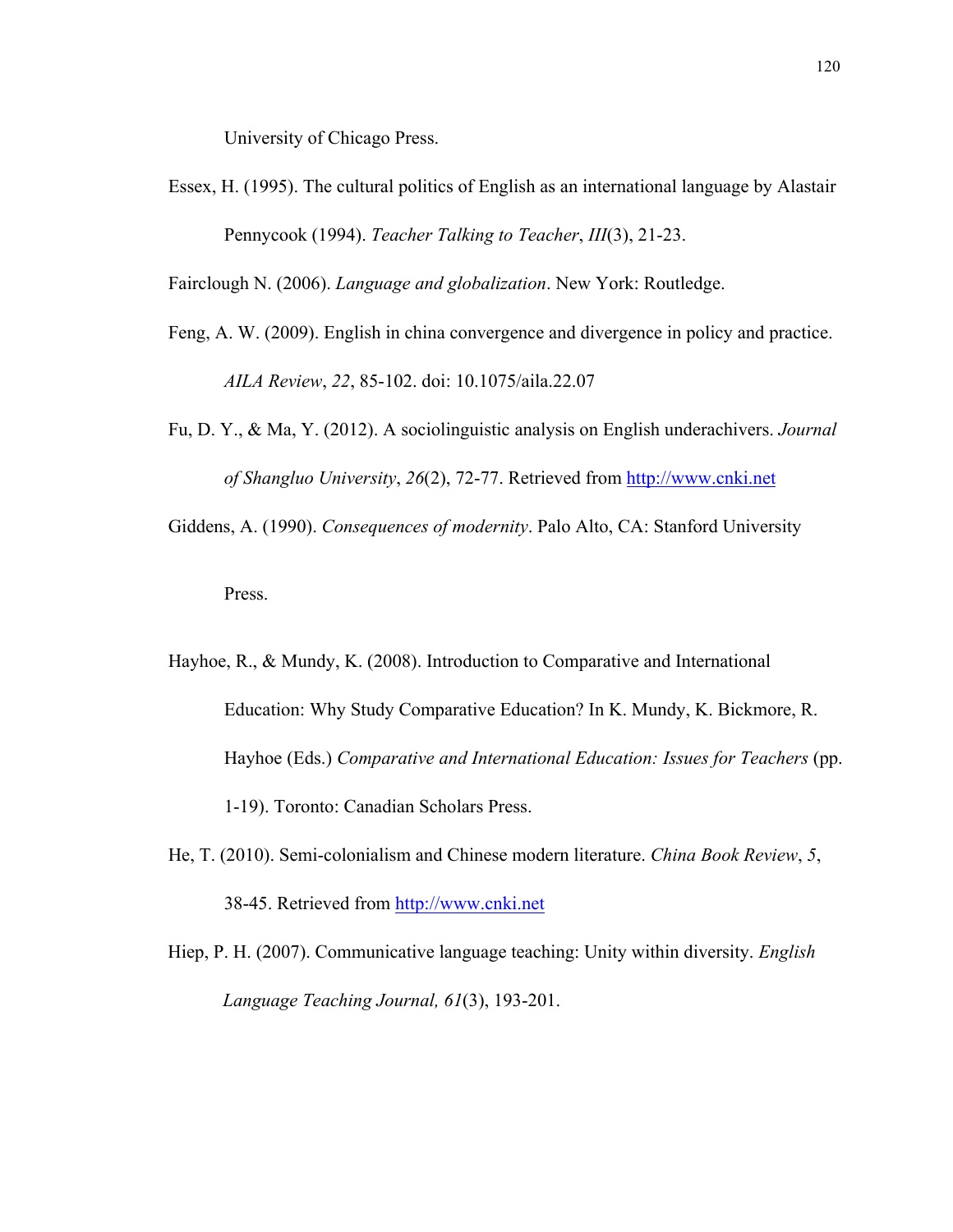University of Chicago Press.

Essex, H. (1995). The cultural politics of English as an international language by Alastair Pennycook (1994). *Teacher Talking to Teacher*, *III*(3), 21-23.

Fairclough N. (2006). *Language and globalization*. New York: Routledge.

- Feng, A. W. (2009). English in china convergence and divergence in policy and practice. *AILA Review*, *22*, 85-102. doi: 10.1075/aila.22.07
- Fu, D. Y., & Ma, Y. (2012). A sociolinguistic analysis on English underachivers. *Journal of Shangluo University*, *26*(2), 72-77. Retrieved from http://www.cnki.net
- Giddens, A. (1990). *Consequences of modernity*. Palo Alto, CA: Stanford University

Press.

- Hayhoe, R., & Mundy, K. (2008). Introduction to Comparative and International Education: Why Study Comparative Education? In K. Mundy, K. Bickmore, R. Hayhoe (Eds.) *Comparative and International Education: Issues for Teachers* (pp. 1-19). Toronto: Canadian Scholars Press.
- He, T. (2010). Semi-colonialism and Chinese modern literature. *China Book Review*, *5*, 38-45. Retrieved from http://www.cnki.net
- Hiep, P. H. (2007). Communicative language teaching: Unity within diversity. *English Language Teaching Journal, 61*(3), 193-201.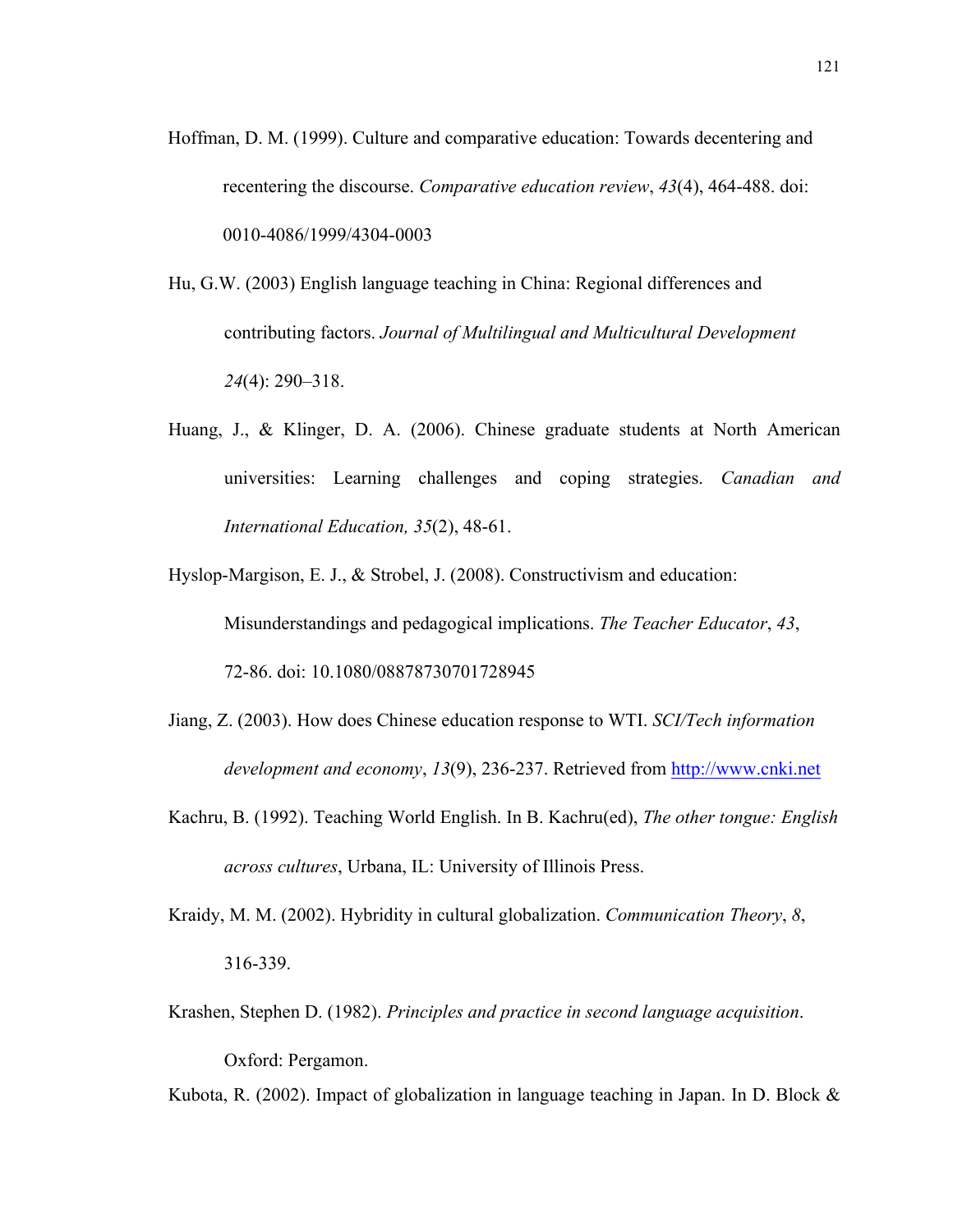- Hoffman, D. M. (1999). Culture and comparative education: Towards decentering and recentering the discourse. *Comparative education review*, *43*(4), 464-488. doi: 0010-4086/1999/4304-0003
- Hu, G.W. (2003) English language teaching in China: Regional differences and contributing factors. *Journal of Multilingual and Multicultural Development 24*(4): 290–318.
- Huang, J., & Klinger, D. A. (2006). Chinese graduate students at North American universities: Learning challenges and coping strategies. *Canadian and International Education, 35*(2), 48-61.
- Hyslop-Margison, E. J., & Strobel, J. (2008). Constructivism and education: Misunderstandings and pedagogical implications. *The Teacher Educator*, *43*,

72-86. doi: 10.1080/08878730701728945

- Jiang, Z. (2003). How does Chinese education response to WTI. *SCI/Tech information development and economy*, *13*(9), 236-237. Retrieved from http://www.cnki.net
- Kachru, B. (1992). Teaching World English. In B. Kachru(ed), *The other tongue: English across cultures*, Urbana, IL: University of Illinois Press.
- Kraidy, M. M. (2002). Hybridity in cultural globalization. *Communication Theory*, *8*, 316-339.
- Krashen, Stephen D. (1982). *Principles and practice in second language acquisition*.

Oxford: Pergamon.

Kubota, R. (2002). Impact of globalization in language teaching in Japan. In D. Block &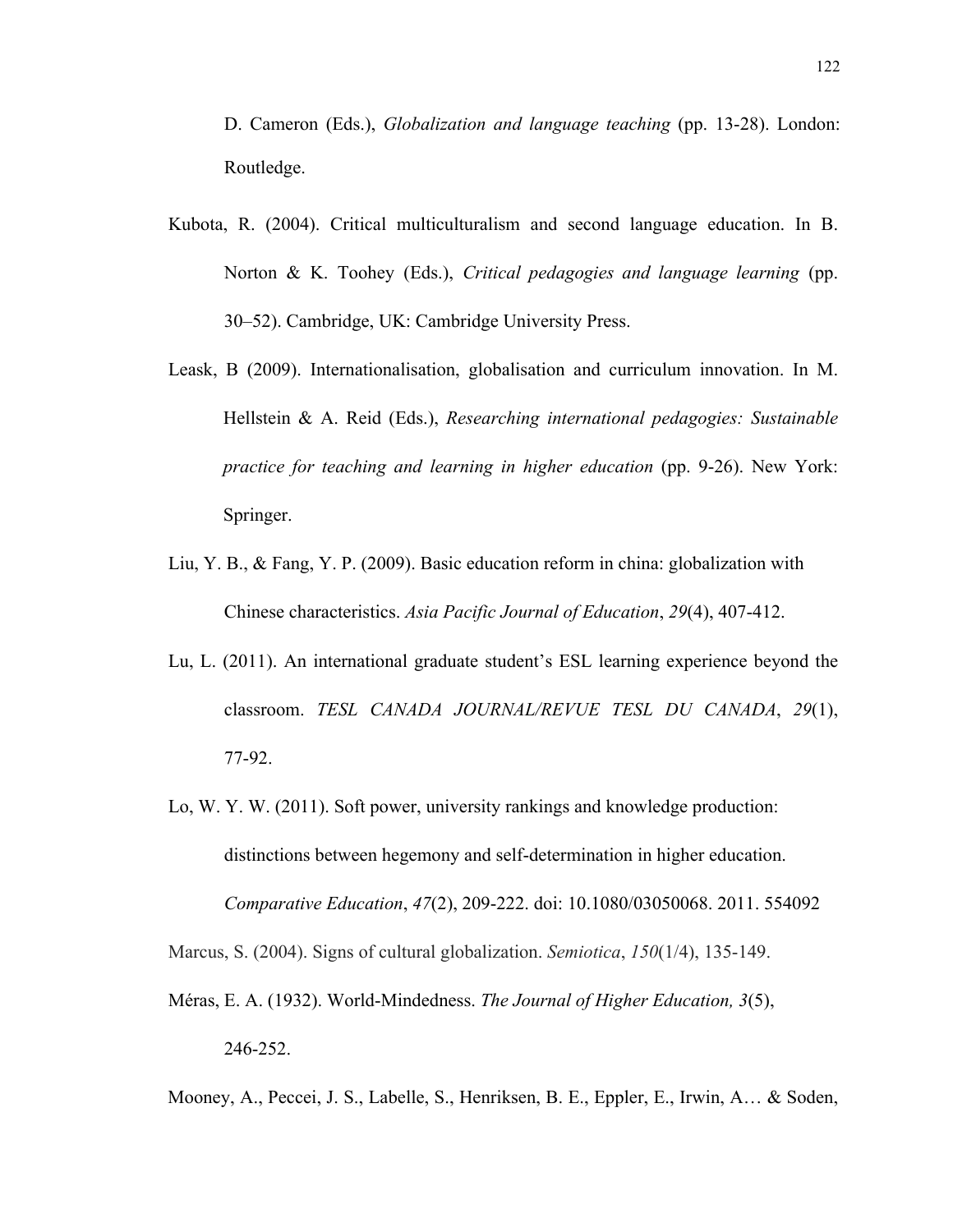D. Cameron (Eds.), *Globalization and language teaching* (pp. 13-28). London: Routledge.

- Kubota, R. (2004). Critical multiculturalism and second language education. In B. Norton & K. Toohey (Eds.), *Critical pedagogies and language learning* (pp. 30–52). Cambridge, UK: Cambridge University Press.
- Leask, B (2009). Internationalisation, globalisation and curriculum innovation. In M. Hellstein & A. Reid (Eds.), *Researching international pedagogies: Sustainable practice for teaching and learning in higher education* (pp. 9-26). New York: Springer.
- Liu, Y. B., & Fang, Y. P. (2009). Basic education reform in china: globalization with Chinese characteristics. *Asia Pacific Journal of Education*, *29*(4), 407-412.
- Lu, L. (2011). An international graduate student's ESL learning experience beyond the classroom. *TESL CANADA JOURNAL/REVUE TESL DU CANADA*, *29*(1), 77-92.
- Lo, W. Y. W. (2011). Soft power, university rankings and knowledge production: distinctions between hegemony and self-determination in higher education. *Comparative Education*, *47*(2), 209-222. doi: 10.1080/03050068. 2011. 554092

Marcus, S. (2004). Signs of cultural globalization. *Semiotica*, *150*(1/4), 135-149.

- Méras, E. A. (1932). World-Mindedness. *The Journal of Higher Education, 3*(5), 246-252.
- Mooney, A., Peccei, J. S., Labelle, S., Henriksen, B. E., Eppler, E., Irwin, A… & Soden,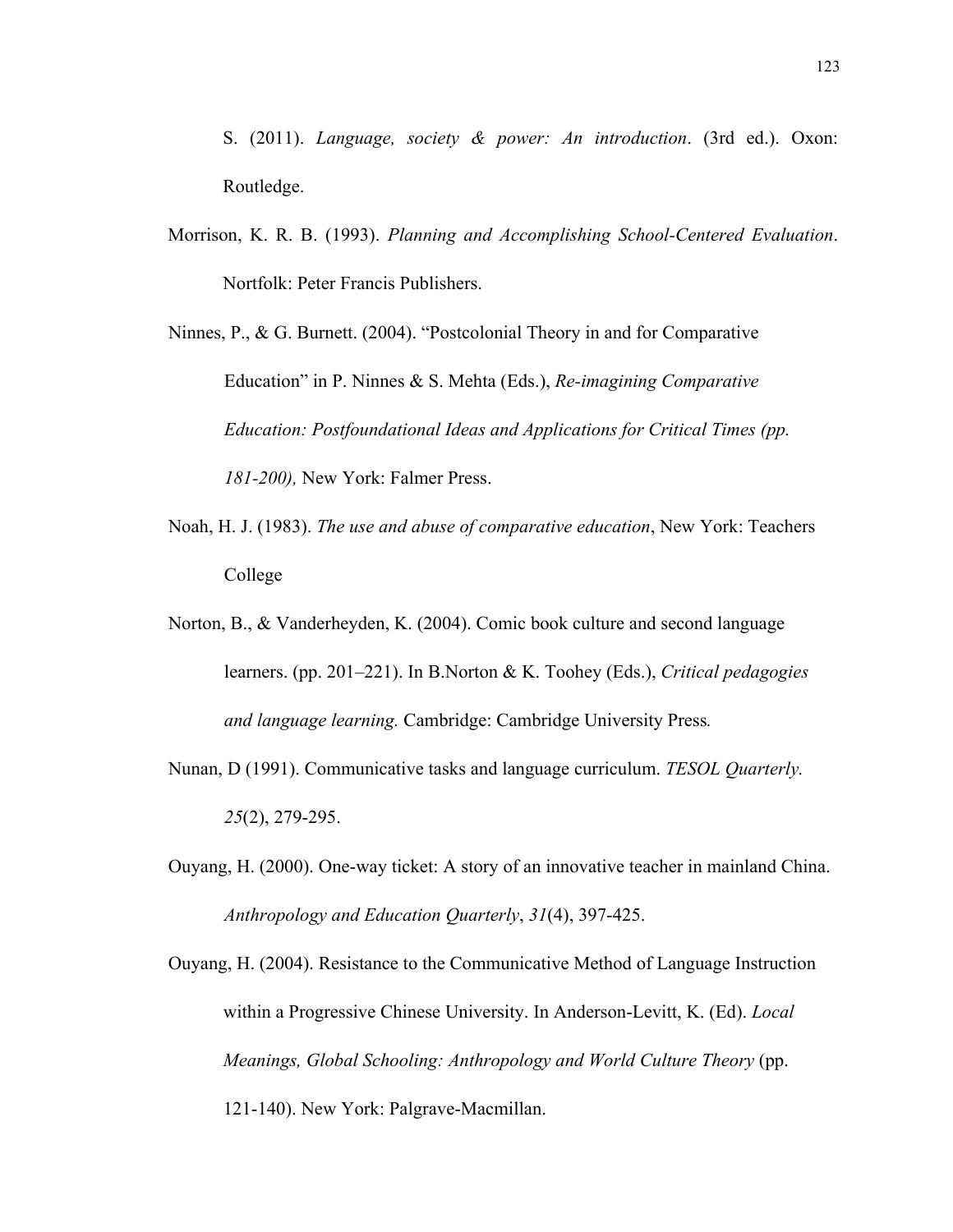- S. (2011). *Language, society & power: An introduction*. (3rd ed.). Oxon: Routledge.
- Morrison, K. R. B. (1993). *Planning and Accomplishing School-Centered Evaluation*. Nortfolk: Peter Francis Publishers.

Ninnes, P., & G. Burnett. (2004). "Postcolonial Theory in and for Comparative Education" in P. Ninnes & S. Mehta (Eds.), *Re-imagining Comparative Education: Postfoundational Ideas and Applications for Critical Times (pp. 181-200),* New York: Falmer Press.

- Noah, H. J. (1983). *The use and abuse of comparative education*, New York: Teachers College
- Norton, B., & Vanderheyden, K. (2004). Comic book culture and second language learners. (pp. 201–221). In B.Norton & K. Toohey (Eds.), *Critical pedagogies and language learning.* Cambridge: Cambridge University Press*.*
- Nunan, D (1991). Communicative tasks and language curriculum. *TESOL Quarterly. 25*(2), 279-295.
- Ouyang, H. (2000). One-way ticket: A story of an innovative teacher in mainland China. *Anthropology and Education Quarterly*, *31*(4), 397-425.

Ouyang, H. (2004). Resistance to the Communicative Method of Language Instruction within a Progressive Chinese University. In Anderson-Levitt, K. (Ed). *Local Meanings, Global Schooling: Anthropology and World Culture Theory* (pp. 121-140). New York: Palgrave-Macmillan.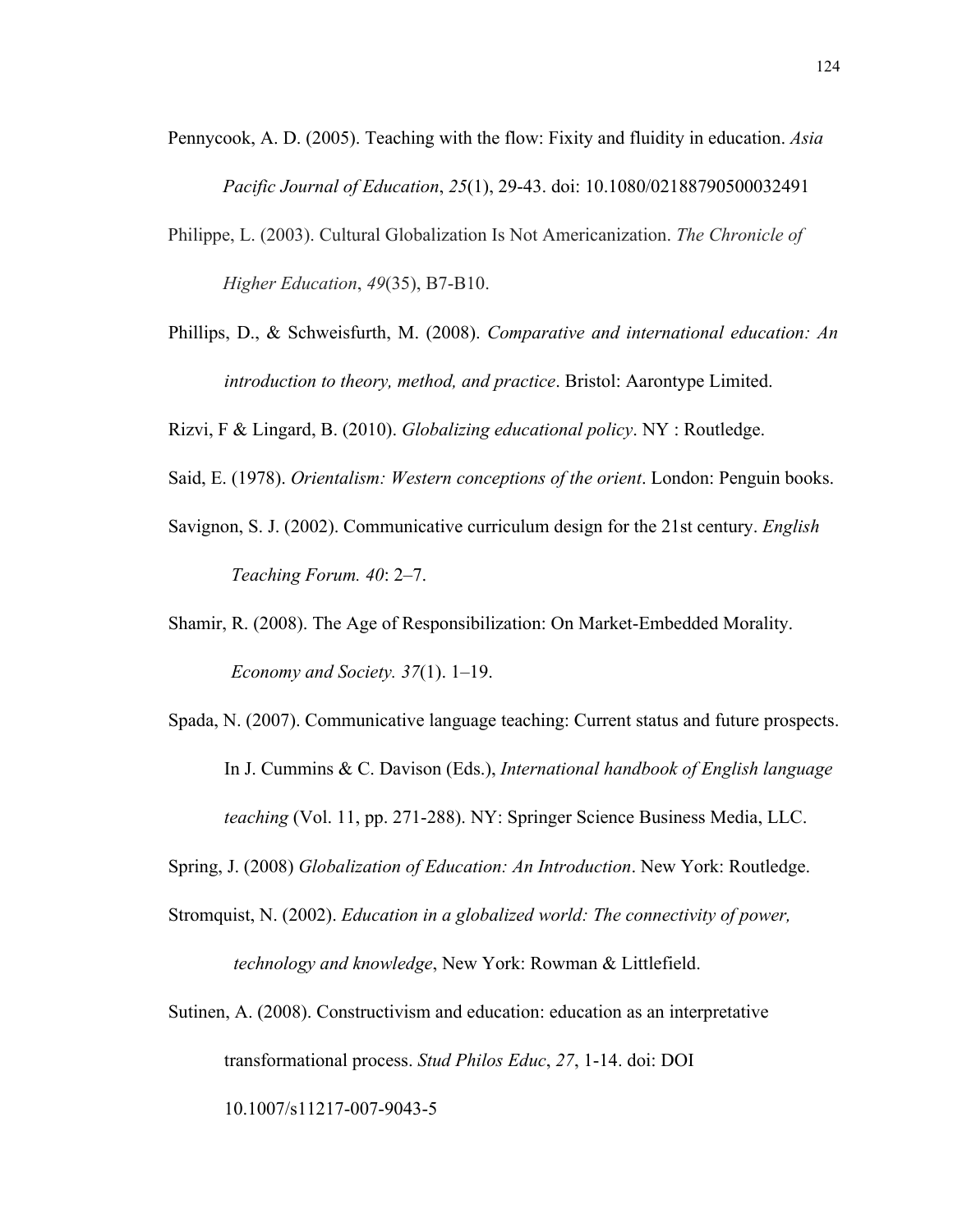Pennycook, A. D. (2005). Teaching with the flow: Fixity and fluidity in education. *Asia* 

*Pacific Journal of Education*, *25*(1), 29-43. doi: 10.1080/02188790500032491

- Philippe, L. (2003). Cultural Globalization Is Not Americanization. *The Chronicle of Higher Education*, *49*(35), B7-B10.
- Phillips, D., & Schweisfurth, M. (2008). *Comparative and international education: An introduction to theory, method, and practice*. Bristol: Aarontype Limited.
- Rizvi, F & Lingard, B. (2010). *Globalizing educational policy*. NY : Routledge.
- Said, E. (1978). *Orientalism: Western conceptions of the orient*. London: Penguin books.
- Savignon, S. J. (2002). Communicative curriculum design for the 21st century. *English Teaching Forum. 40*: 2–7.
- Shamir, R. (2008). The Age of Responsibilization: On Market-Embedded Morality. *Economy and Society. 37*(1). 1–19.
- Spada, N. (2007). Communicative language teaching: Current status and future prospects. In J. Cummins & C. Davison (Eds.), *International handbook of English language teaching* (Vol. 11, pp. 271-288). NY: Springer Science Business Media, LLC.
- Spring, J. (2008) *Globalization of Education: An Introduction*. New York: Routledge.
- Stromquist, N. (2002). *Education in a globalized world: The connectivity of power, technology and knowledge*, New York: Rowman & Littlefield.
- Sutinen, A. (2008). Constructivism and education: education as an interpretative transformational process. *Stud Philos Educ*, *27*, 1-14. doi: DOI 10.1007/s11217-007-9043-5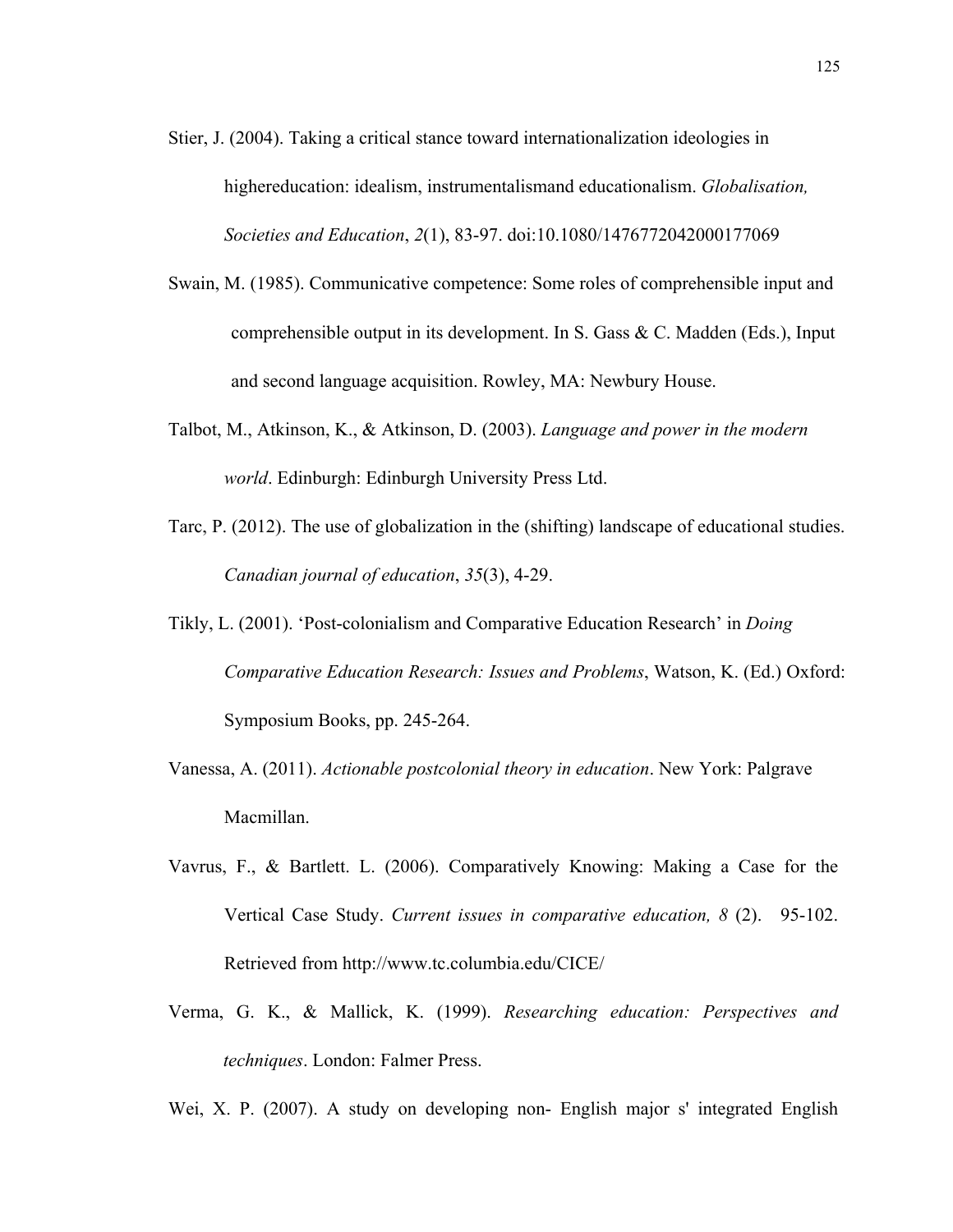- Stier, J. (2004). Taking a critical stance toward internationalization ideologies in highereducation: idealism, instrumentalismand educationalism. *Globalisation, Societies and Education*, *2*(1), 83-97. doi:10.1080/1476772042000177069
- Swain, M. (1985). Communicative competence: Some roles of comprehensible input and comprehensible output in its development. In S. Gass & C. Madden (Eds.), Input and second language acquisition. Rowley, MA: Newbury House.
- Talbot, M., Atkinson, K., & Atkinson, D. (2003). *Language and power in the modern world*. Edinburgh: Edinburgh University Press Ltd.
- Tarc, P. (2012). The use of globalization in the (shifting) landscape of educational studies. *Canadian journal of education*, *35*(3), 4-29.
- Tikly, L. (2001). 'Post-colonialism and Comparative Education Research' in *Doing Comparative Education Research: Issues and Problems*, Watson, K. (Ed.) Oxford: Symposium Books, pp. 245-264.
- Vanessa, A. (2011). *Actionable postcolonial theory in education*. New York: Palgrave Macmillan.
- Vavrus, F., & Bartlett. L. (2006). Comparatively Knowing: Making a Case for the Vertical Case Study. *Current issues in comparative education, 8* (2). 95-102. Retrieved from http://www.tc.columbia.edu/CICE/
- Verma, G. K., & Mallick, K. (1999). *Researching education: Perspectives and techniques*. London: Falmer Press.

Wei, X. P. (2007). A study on developing non- English major s' integrated English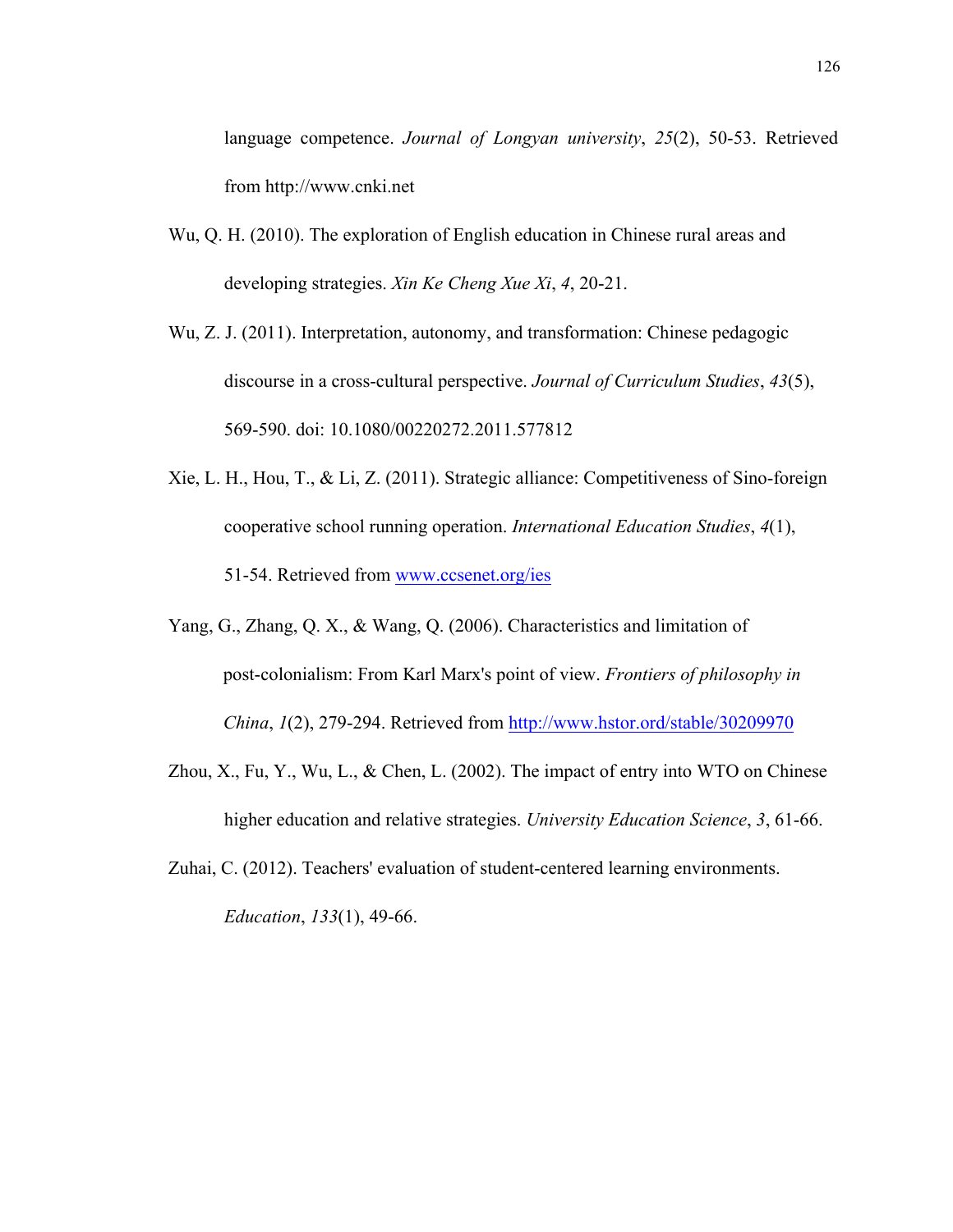language competence. *Journal of Longyan university*, *25*(2), 50-53. Retrieved from http://www.cnki.net

- Wu, Q. H. (2010). The exploration of English education in Chinese rural areas and developing strategies. *Xin Ke Cheng Xue Xi*, *4*, 20-21.
- Wu, Z. J. (2011). Interpretation, autonomy, and transformation: Chinese pedagogic discourse in a cross-cultural perspective. *Journal of Curriculum Studies*, *43*(5), 569-590. doi: 10.1080/00220272.2011.577812
- Xie, L. H., Hou, T., & Li, Z. (2011). Strategic alliance: Competitiveness of Sino-foreign cooperative school running operation. *International Education Studies*, *4*(1), 51-54. Retrieved from www.ccsenet.org/ies
- Yang, G., Zhang, Q. X., & Wang, Q. (2006). Characteristics and limitation of post-colonialism: From Karl Marx's point of view. *Frontiers of philosophy in China*, *1*(2), 279-294. Retrieved from http://www.hstor.ord/stable/30209970
- Zhou, X., Fu, Y., Wu, L., & Chen, L. (2002). The impact of entry into WTO on Chinese higher education and relative strategies. *University Education Science*, *3*, 61-66.
- Zuhai, C. (2012). Teachers' evaluation of student-centered learning environments. *Education*, *133*(1), 49-66.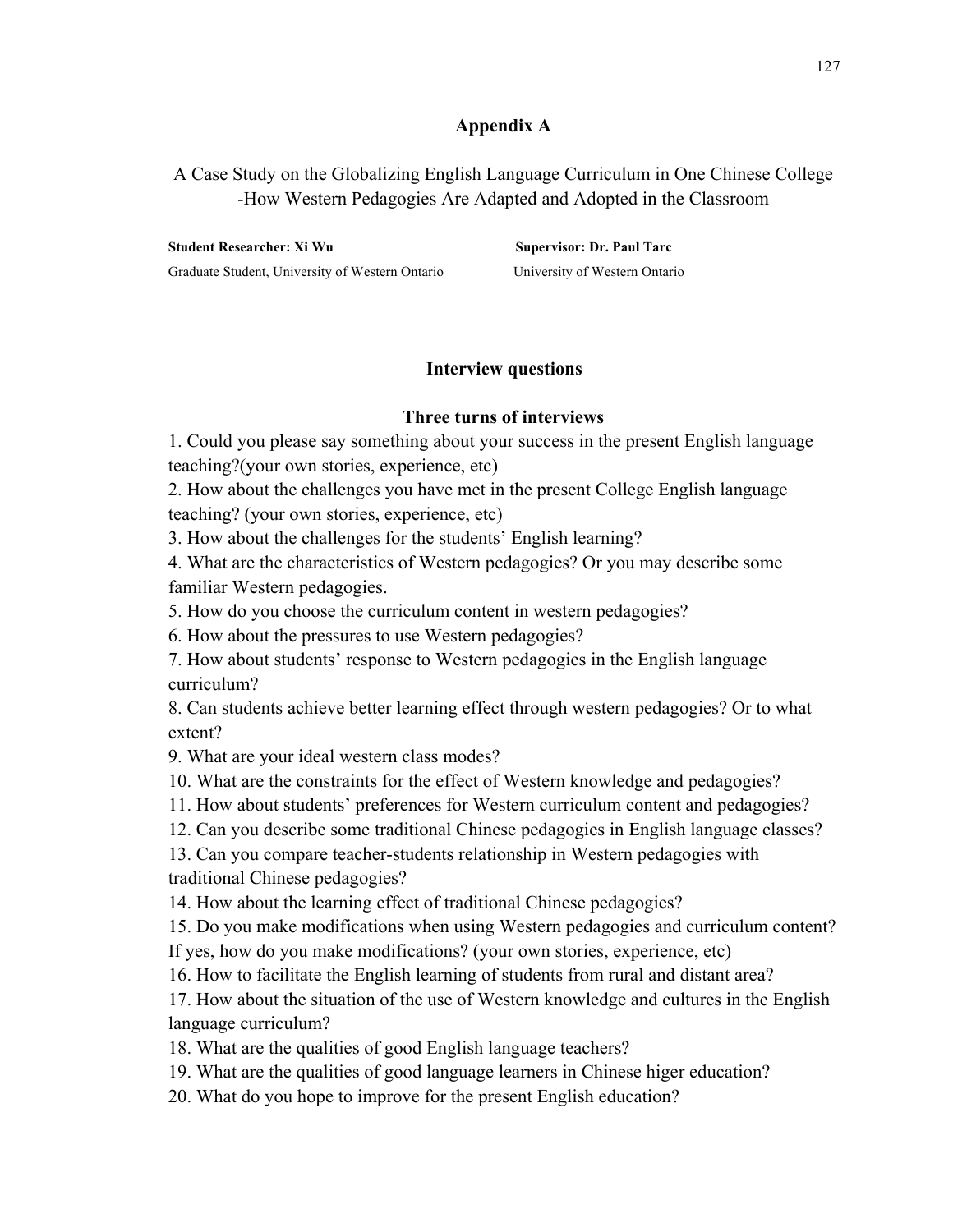### **Appendix A**

A Case Study on the Globalizing English Language Curriculum in One Chinese College -How Western Pedagogies Are Adapted and Adopted in the Classroom

**Student Researcher: Xi Wu Supervisor: Dr. Paul Tarc** Graduate Student, University of Western Ontario University of Western Ontario

### **Interview questions**

### **Three turns of interviews**

1. Could you please say something about your success in the present English language teaching?(your own stories, experience, etc)

2. How about the challenges you have met in the present College English language teaching? (your own stories, experience, etc)

3. How about the challenges for the students' English learning?

4. What are the characteristics of Western pedagogies? Or you may describe some familiar Western pedagogies.

5. How do you choose the curriculum content in western pedagogies?

6. How about the pressures to use Western pedagogies?

7. How about students' response to Western pedagogies in the English language curriculum?

8. Can students achieve better learning effect through western pedagogies? Or to what extent?

9. What are your ideal western class modes?

10. What are the constraints for the effect of Western knowledge and pedagogies?

11. How about students' preferences for Western curriculum content and pedagogies?

12. Can you describe some traditional Chinese pedagogies in English language classes?

13. Can you compare teacher-students relationship in Western pedagogies with traditional Chinese pedagogies?

14. How about the learning effect of traditional Chinese pedagogies?

15. Do you make modifications when using Western pedagogies and curriculum content?

If yes, how do you make modifications? (your own stories, experience, etc)

16. How to facilitate the English learning of students from rural and distant area?

17. How about the situation of the use of Western knowledge and cultures in the English language curriculum?

18. What are the qualities of good English language teachers?

19. What are the qualities of good language learners in Chinese higer education?

20. What do you hope to improve for the present English education?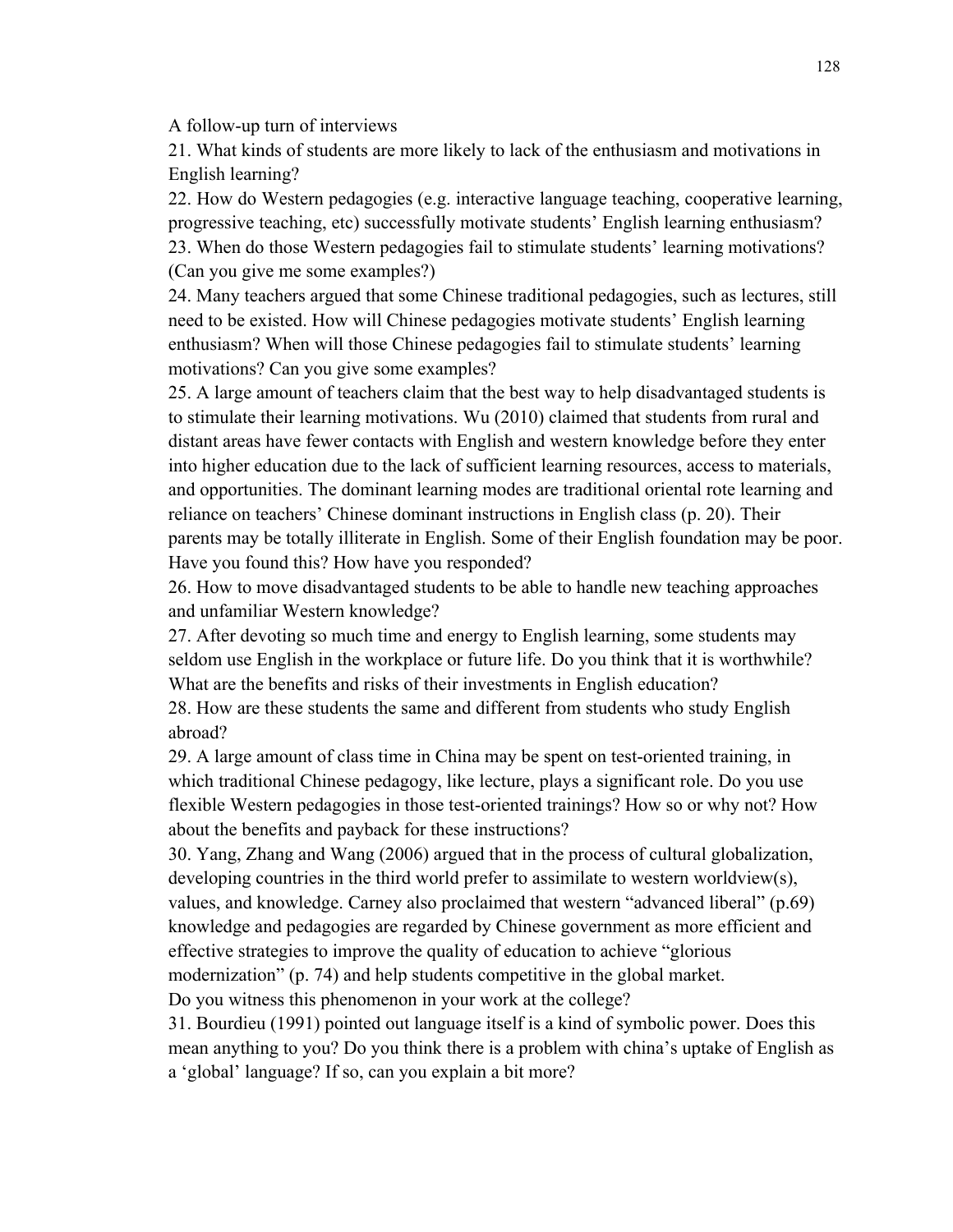A follow-up turn of interviews

21. What kinds of students are more likely to lack of the enthusiasm and motivations in English learning?

22. How do Western pedagogies (e.g. interactive language teaching, cooperative learning, progressive teaching, etc) successfully motivate students' English learning enthusiasm? 23. When do those Western pedagogies fail to stimulate students' learning motivations? (Can you give me some examples?)

24. Many teachers argued that some Chinese traditional pedagogies, such as lectures, still need to be existed. How will Chinese pedagogies motivate students' English learning enthusiasm? When will those Chinese pedagogies fail to stimulate students' learning motivations? Can you give some examples?

25. A large amount of teachers claim that the best way to help disadvantaged students is to stimulate their learning motivations. Wu (2010) claimed that students from rural and distant areas have fewer contacts with English and western knowledge before they enter into higher education due to the lack of sufficient learning resources, access to materials, and opportunities. The dominant learning modes are traditional oriental rote learning and reliance on teachers' Chinese dominant instructions in English class (p. 20). Their parents may be totally illiterate in English. Some of their English foundation may be poor. Have you found this? How have you responded?

26. How to move disadvantaged students to be able to handle new teaching approaches and unfamiliar Western knowledge?

27. After devoting so much time and energy to English learning, some students may seldom use English in the workplace or future life. Do you think that it is worthwhile? What are the benefits and risks of their investments in English education?

28. How are these students the same and different from students who study English abroad?

29. A large amount of class time in China may be spent on test-oriented training, in which traditional Chinese pedagogy, like lecture, plays a significant role. Do you use flexible Western pedagogies in those test-oriented trainings? How so or why not? How about the benefits and payback for these instructions?

30. Yang, Zhang and Wang (2006) argued that in the process of cultural globalization, developing countries in the third world prefer to assimilate to western worldview(s), values, and knowledge. Carney also proclaimed that western "advanced liberal" (p.69) knowledge and pedagogies are regarded by Chinese government as more efficient and effective strategies to improve the quality of education to achieve "glorious modernization" (p. 74) and help students competitive in the global market.

Do you witness this phenomenon in your work at the college?

31. Bourdieu (1991) pointed out language itself is a kind of symbolic power. Does this mean anything to you? Do you think there is a problem with china's uptake of English as a 'global' language? If so, can you explain a bit more?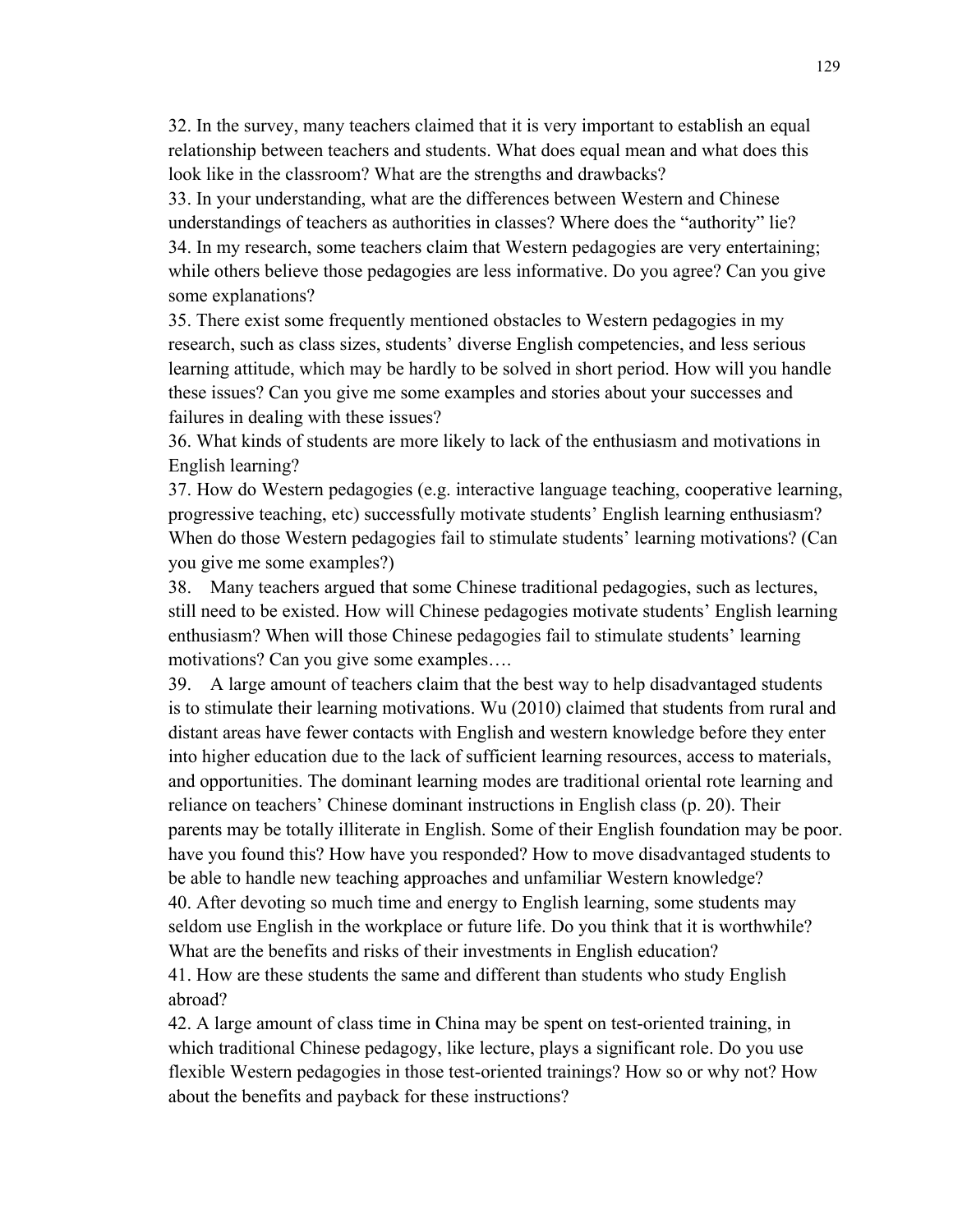32. In the survey, many teachers claimed that it is very important to establish an equal relationship between teachers and students. What does equal mean and what does this look like in the classroom? What are the strengths and drawbacks?

33. In your understanding, what are the differences between Western and Chinese understandings of teachers as authorities in classes? Where does the "authority" lie? 34. In my research, some teachers claim that Western pedagogies are very entertaining; while others believe those pedagogies are less informative. Do you agree? Can you give some explanations?

35. There exist some frequently mentioned obstacles to Western pedagogies in my research, such as class sizes, students' diverse English competencies, and less serious learning attitude, which may be hardly to be solved in short period. How will you handle these issues? Can you give me some examples and stories about your successes and failures in dealing with these issues?

36. What kinds of students are more likely to lack of the enthusiasm and motivations in English learning?

37. How do Western pedagogies (e.g. interactive language teaching, cooperative learning, progressive teaching, etc) successfully motivate students' English learning enthusiasm? When do those Western pedagogies fail to stimulate students' learning motivations? (Can you give me some examples?)

38. Many teachers argued that some Chinese traditional pedagogies, such as lectures, still need to be existed. How will Chinese pedagogies motivate students' English learning enthusiasm? When will those Chinese pedagogies fail to stimulate students' learning motivations? Can you give some examples….

39. A large amount of teachers claim that the best way to help disadvantaged students is to stimulate their learning motivations. Wu (2010) claimed that students from rural and distant areas have fewer contacts with English and western knowledge before they enter into higher education due to the lack of sufficient learning resources, access to materials, and opportunities. The dominant learning modes are traditional oriental rote learning and reliance on teachers' Chinese dominant instructions in English class (p. 20). Their parents may be totally illiterate in English. Some of their English foundation may be poor. have you found this? How have you responded? How to move disadvantaged students to be able to handle new teaching approaches and unfamiliar Western knowledge? 40. After devoting so much time and energy to English learning, some students may seldom use English in the workplace or future life. Do you think that it is worthwhile? What are the benefits and risks of their investments in English education? 41. How are these students the same and different than students who study English abroad?

42. A large amount of class time in China may be spent on test-oriented training, in which traditional Chinese pedagogy, like lecture, plays a significant role. Do you use flexible Western pedagogies in those test-oriented trainings? How so or why not? How about the benefits and payback for these instructions?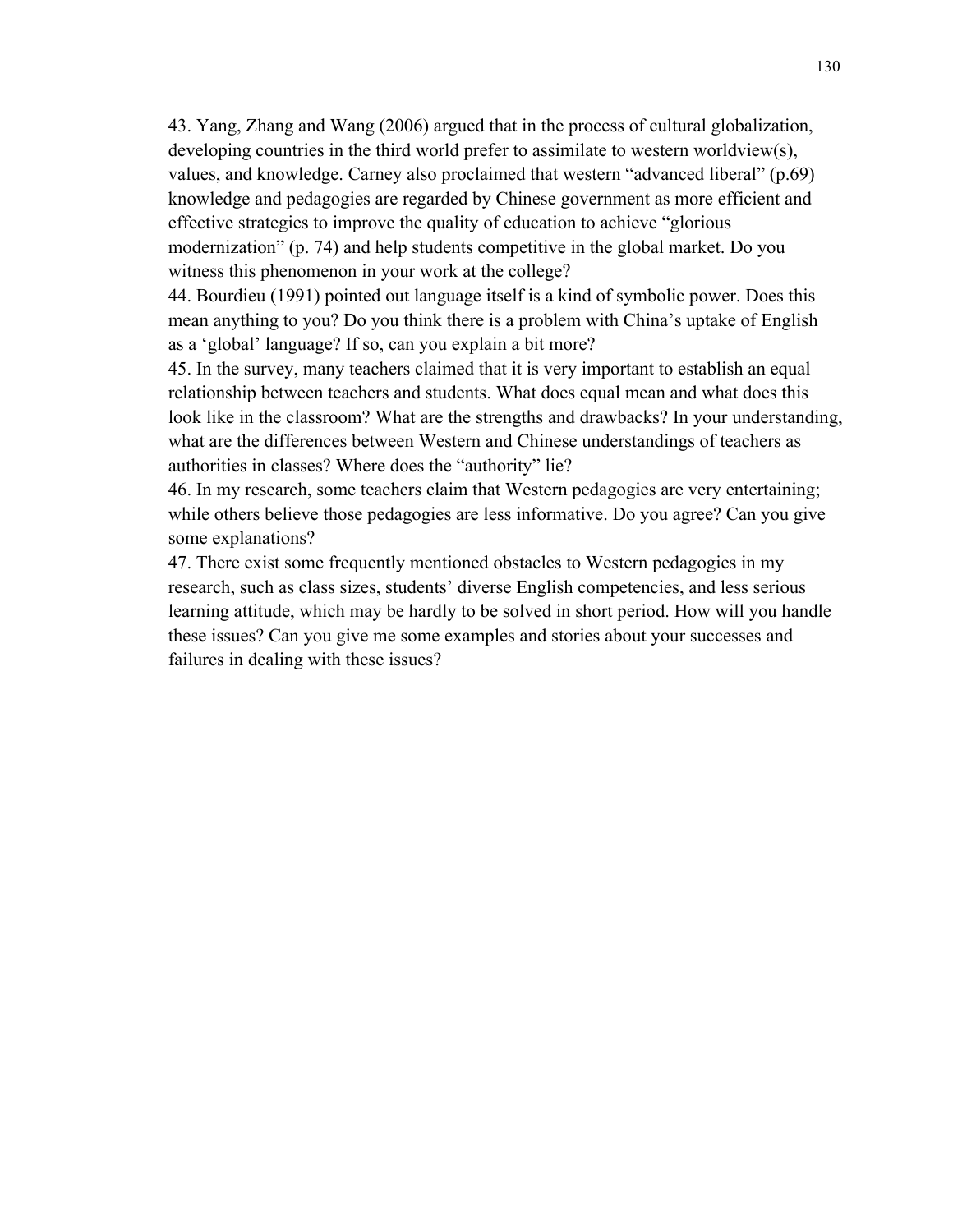43. Yang, Zhang and Wang (2006) argued that in the process of cultural globalization, developing countries in the third world prefer to assimilate to western worldview(s), values, and knowledge. Carney also proclaimed that western "advanced liberal" (p.69) knowledge and pedagogies are regarded by Chinese government as more efficient and effective strategies to improve the quality of education to achieve "glorious modernization" (p. 74) and help students competitive in the global market. Do you witness this phenomenon in your work at the college?

44. Bourdieu (1991) pointed out language itself is a kind of symbolic power. Does this mean anything to you? Do you think there is a problem with China's uptake of English as a 'global' language? If so, can you explain a bit more?

45. In the survey, many teachers claimed that it is very important to establish an equal relationship between teachers and students. What does equal mean and what does this look like in the classroom? What are the strengths and drawbacks? In your understanding, what are the differences between Western and Chinese understandings of teachers as authorities in classes? Where does the "authority" lie?

46. In my research, some teachers claim that Western pedagogies are very entertaining; while others believe those pedagogies are less informative. Do you agree? Can you give some explanations?

47. There exist some frequently mentioned obstacles to Western pedagogies in my research, such as class sizes, students' diverse English competencies, and less serious learning attitude, which may be hardly to be solved in short period. How will you handle these issues? Can you give me some examples and stories about your successes and failures in dealing with these issues?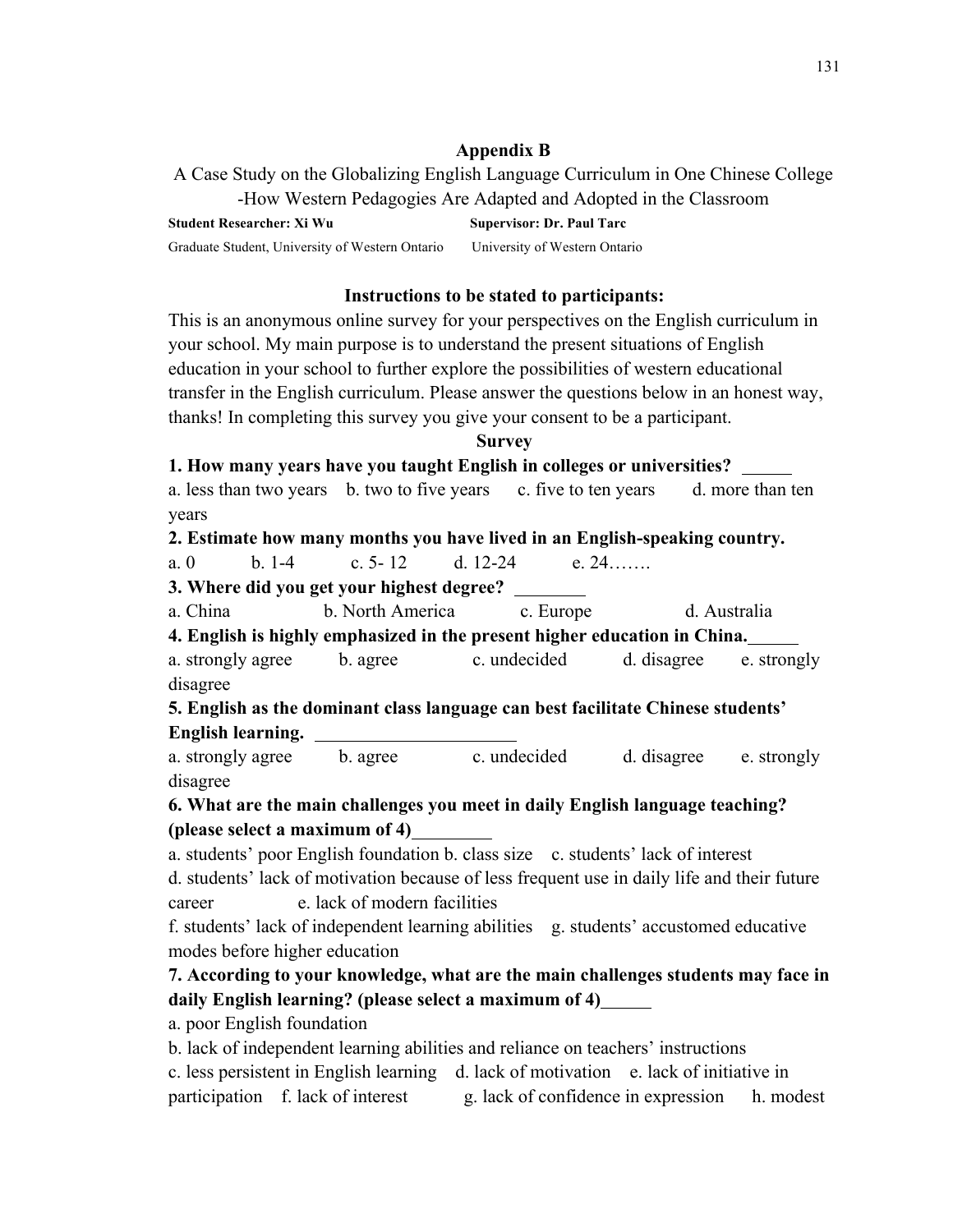### **Appendix B**

A Case Study on the Globalizing English Language Curriculum in One Chinese College -How Western Pedagogies Are Adapted and Adopted in the Classroom

**Student Researcher: Xi Wu Supervisor: Dr. Paul Tarc** Graduate Student, University of Western Ontario University of Western Ontario

### **Instructions to be stated to participants:**

This is an anonymous online survey for your perspectives on the English curriculum in your school. My main purpose is to understand the present situations of English education in your school to further explore the possibilities of western educational transfer in the English curriculum. Please answer the questions below in an honest way, thanks! In completing this survey you give your consent to be a participant.

### **Survey**

**1. How many years have you taught English in colleges or universities?** 

a. less than two years b. two to five years c. five to ten years d. more than ten years

### **2. Estimate how many months you have lived in an English-speaking country.**

a. 0 b. 1-4 c. 5- 12 d. 12-24 e. 24…….

**3. Where did you get your highest degree?** 

a. China b. North America c. Europe d. Australia

**4. English is highly emphasized in the present higher education in China.** 

a. strongly agree b. agree c. undecided d. disagree e. strongly disagree

**5. English as the dominant class language can best facilitate Chinese students' English learning.** 

a. strongly agree b. agree c. undecided d. disagree e. strongly disagree

**6. What are the main challenges you meet in daily English language teaching? (please select a maximum of 4)** 

a. students' poor English foundation b. class size c. students' lack of interest

d. students' lack of motivation because of less frequent use in daily life and their future career e. lack of modern facilities

f. students' lack of independent learning abilities g. students' accustomed educative modes before higher education

# **7. According to your knowledge, what are the main challenges students may face in daily English learning? (please select a maximum of 4)**

a. poor English foundation

b. lack of independent learning abilities and reliance on teachers' instructions c. less persistent in English learning d. lack of motivation e. lack of initiative in participation f. lack of interest g. lack of confidence in expression h. modest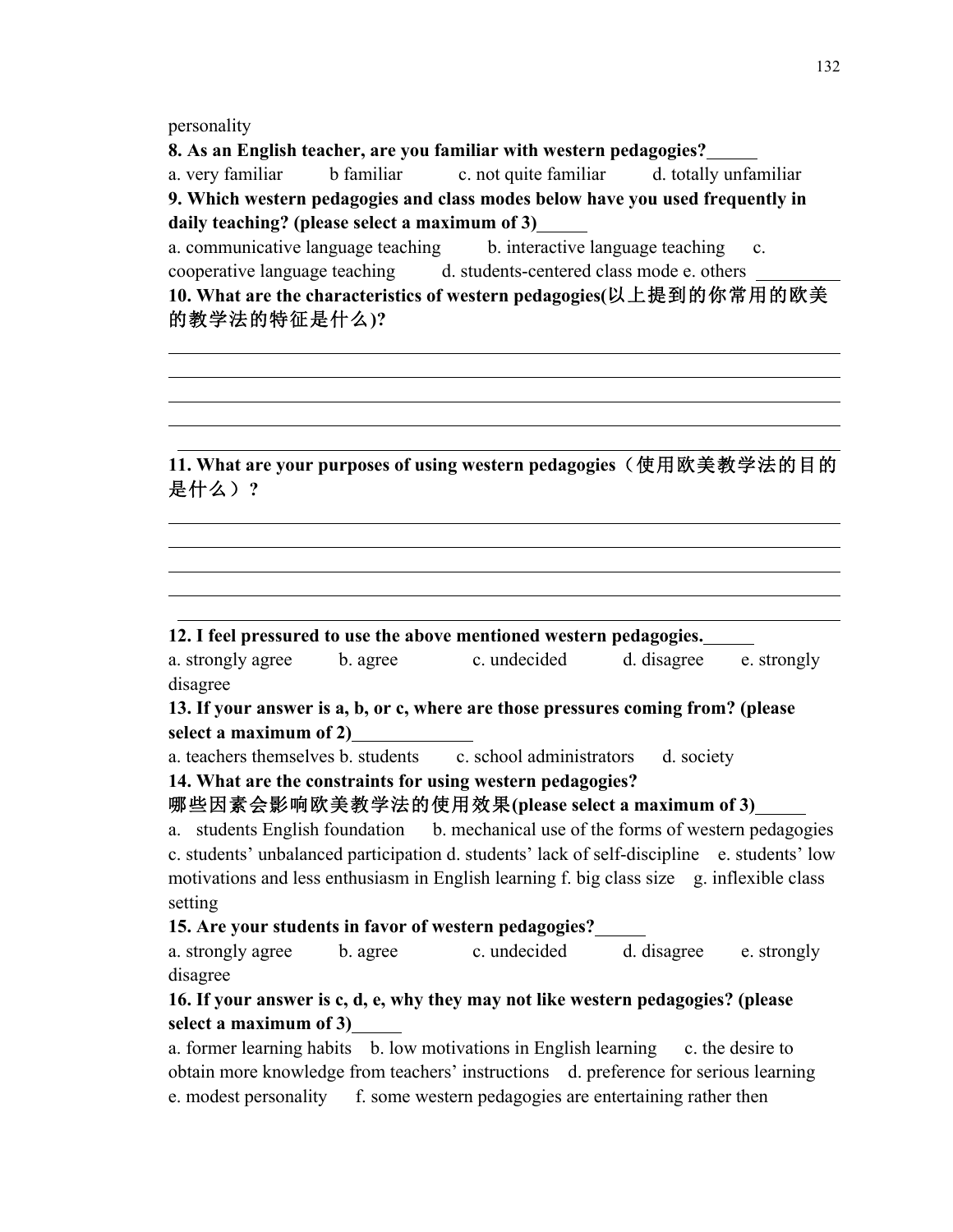personality

  $\overline{a}$  $\overline{a}$ 

 $\overline{a}$ 

 $\overline{a}$ 

 $\overline{a}$   $\overline{a}$ 

**8. As an English teacher, are you familiar with western pedagogies?** 

a. very familiar b familiar c. not quite familiar d. totally unfamiliar **9. Which western pedagogies and class modes below have you used frequently in daily teaching? (please select a maximum of 3)** 

a. communicative language teaching b. interactive language teaching c. cooperative language teaching d. students-centered class mode e. others **10. What are the characteristics of western pedagogies(**以上提到的你常用的欧美 的教学法的特征是什么**)?**

**11. What are your purposes of using western pedagogies**(使用欧美教学法的目的 是什么)**?** 

### **12. I feel pressured to use the above mentioned western pedagogies.**

a. strongly agree b. agree c. undecided d. disagree e. strongly disagree

### **13. If your answer is a, b, or c, where are those pressures coming from? (please select a maximum of 2)**

a. teachers themselves b. students c. school administrators d. society

**14. What are the constraints for using western pedagogies?** 

## 哪些因素会影响欧美教学法的使用效果**(please select a maximum of 3)**

a. students English foundation b. mechanical use of the forms of western pedagogies c. students' unbalanced participation d. students' lack of self-discipline e. students' low motivations and less enthusiasm in English learning f. big class size g. inflexible class setting

### **15. Are your students in favor of western pedagogies?**

a. strongly agree b. agree c. undecided d. disagree e. strongly disagree

# **16. If your answer is c, d, e, why they may not like western pedagogies? (please select a maximum of 3)**

a. former learning habits b. low motivations in English learning c. the desire to obtain more knowledge from teachers' instructions d. preference for serious learning e. modest personality f. some western pedagogies are entertaining rather then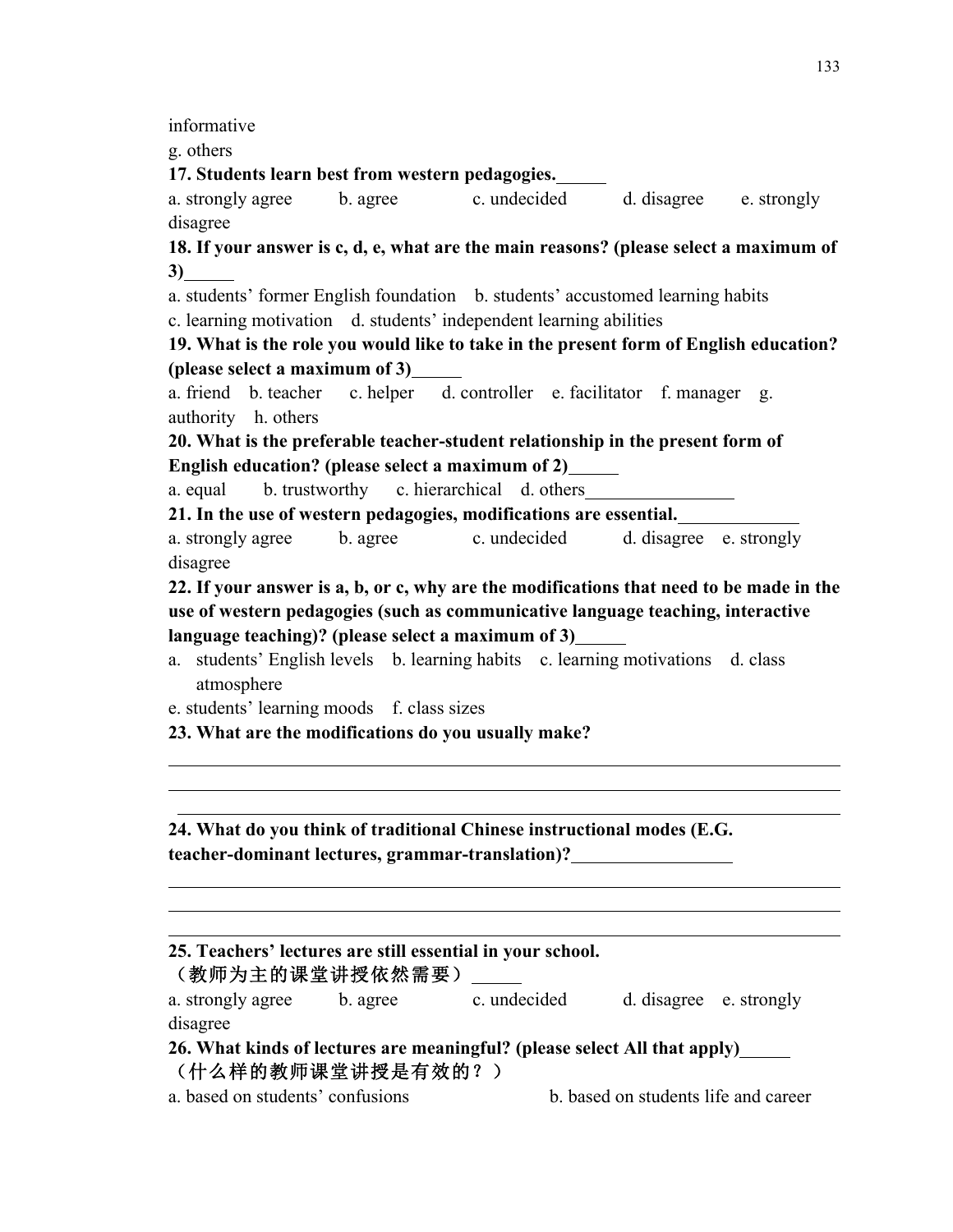informative

g. others

 $\overline{a}$   $\overline{a}$ 

 $\overline{a}$ 

**17. Students learn best from western pedagogies.** 

a. strongly agree b. agree c. undecided d. disagree e. strongly disagree

**18. If your answer is c, d, e, what are the main reasons? (please select a maximum of 3)** 

a. students' former English foundation b. students' accustomed learning habits c. learning motivation d. students' independent learning abilities

**19. What is the role you would like to take in the present form of English education? (please select a maximum of 3)** 

a. friend b. teacher c. helper d. controller e. facilitator f. manager g. authority h. others

**20. What is the preferable teacher-student relationship in the present form of English education? (please select a maximum of 2)** 

a. equal b. trustworthy c. hierarchical d. others

**21. In the use of western pedagogies, modifications are essential.** 

a. strongly agree b. agree c. undecided d. disagree e. strongly disagree

**22. If your answer is a, b, or c, why are the modifications that need to be made in the use of western pedagogies (such as communicative language teaching, interactive language teaching)? (please select a maximum of 3)** 

a. students' English levels b. learning habits c. learning motivations d. class atmosphere

e. students' learning moods f. class sizes

**23. What are the modifications do you usually make?** 

**24. What do you think of traditional Chinese instructional modes (E.G. teacher-dominant lectures, grammar-translation)?** 

|                                  |          | 25. Teachers' lectures are still essential in your school.                |                                      |  |
|----------------------------------|----------|---------------------------------------------------------------------------|--------------------------------------|--|
| (教师为主的课堂讲授依然需要)                  |          |                                                                           |                                      |  |
| a. strongly agree                | b. agree | c. undecided                                                              | d. disagree e. strongly              |  |
| disagree                         |          |                                                                           |                                      |  |
|                                  |          | 26. What kinds of lectures are meaningful? (please select All that apply) |                                      |  |
| (什么样的教师课堂讲授是有效的?)                |          |                                                                           |                                      |  |
| a. based on students' confusions |          |                                                                           | b, based on students life and career |  |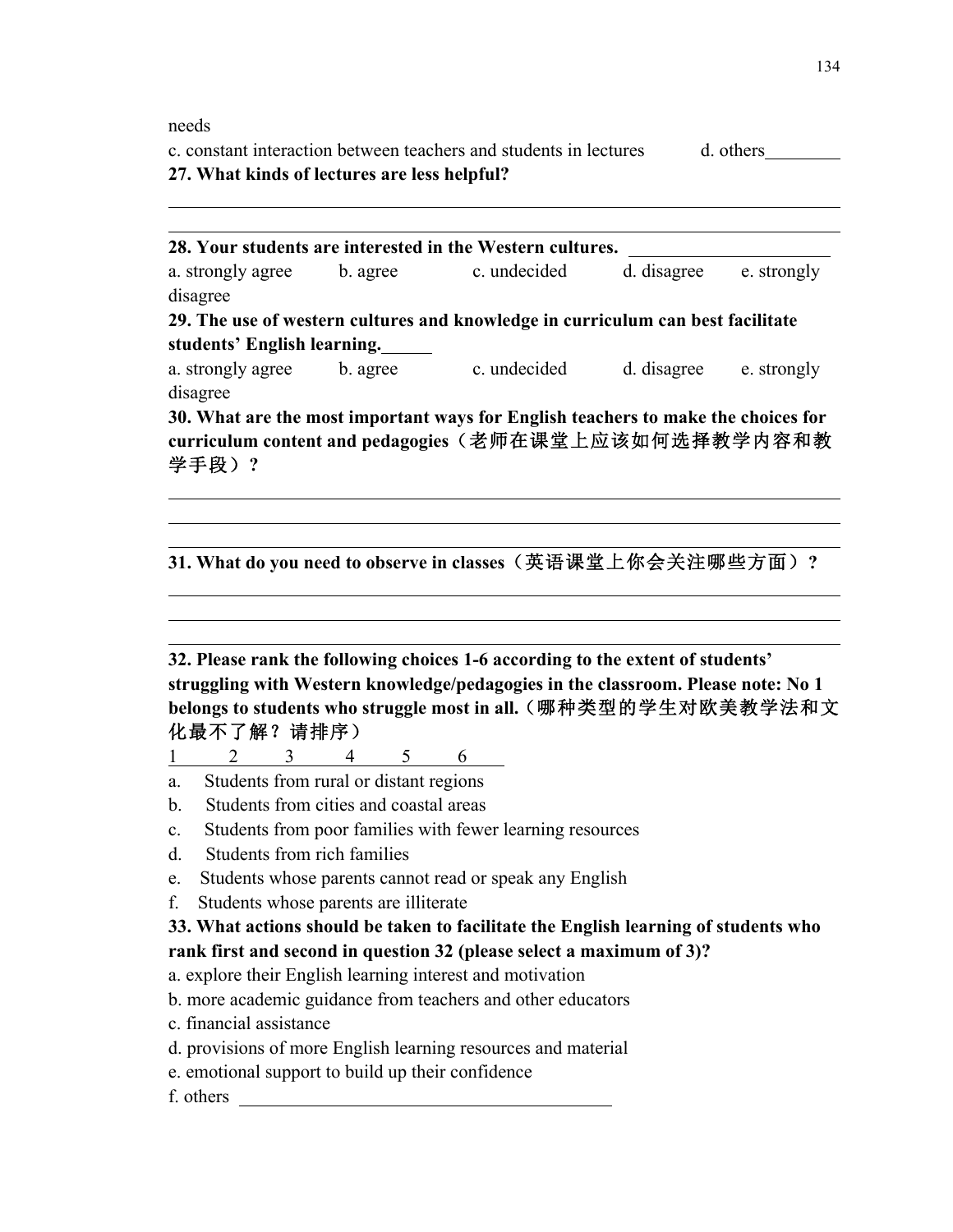needs

c. constant interaction between teachers and students in lectures d. others **27. What kinds of lectures are less helpful?**

| 28. Your students are interested in the Western cultures.                       |          |              |             |             |  |  |  |
|---------------------------------------------------------------------------------|----------|--------------|-------------|-------------|--|--|--|
| a. strongly agree                                                               | b. agree | c. undecided | d. disagree | e. strongly |  |  |  |
| disagree                                                                        |          |              |             |             |  |  |  |
| 29. The use of western cultures and knowledge in curriculum can best facilitate |          |              |             |             |  |  |  |
| students' English learning.                                                     |          |              |             |             |  |  |  |
| a. strongly agree                                                               | b. agree | c. undecided | d. disagree | e. strongly |  |  |  |
| disagree                                                                        |          |              |             |             |  |  |  |

**30. What are the most important ways for English teachers to make the choices for curriculum content and pedagogies**(老师在课堂上应该如何选择教学内容和教 学手段)**?**

**31. What do you need to observe in classes**(英语课堂上你会关注哪些方面)**?**

**32. Please rank the following choices 1-6 according to the extent of students' struggling with Western knowledge/pedagogies in the classroom. Please note: No 1 belongs to students who struggle most in all.**(哪种类型的学生对欧美教学法和文 化最不了解?请排序)

1 2 3 4 5 6

- a. Students from rural or distant regions
- b. Students from cities and coastal areas
- c. Students from poor families with fewer learning resources
- d. Students from rich families
- e. Students whose parents cannot read or speak any English
- f. Students whose parents are illiterate

## **33. What actions should be taken to facilitate the English learning of students who rank first and second in question 32 (please select a maximum of 3)?**

- a. explore their English learning interest and motivation
- b. more academic guidance from teachers and other educators
- c. financial assistance
- d. provisions of more English learning resources and material
- e. emotional support to build up their confidence
- f. others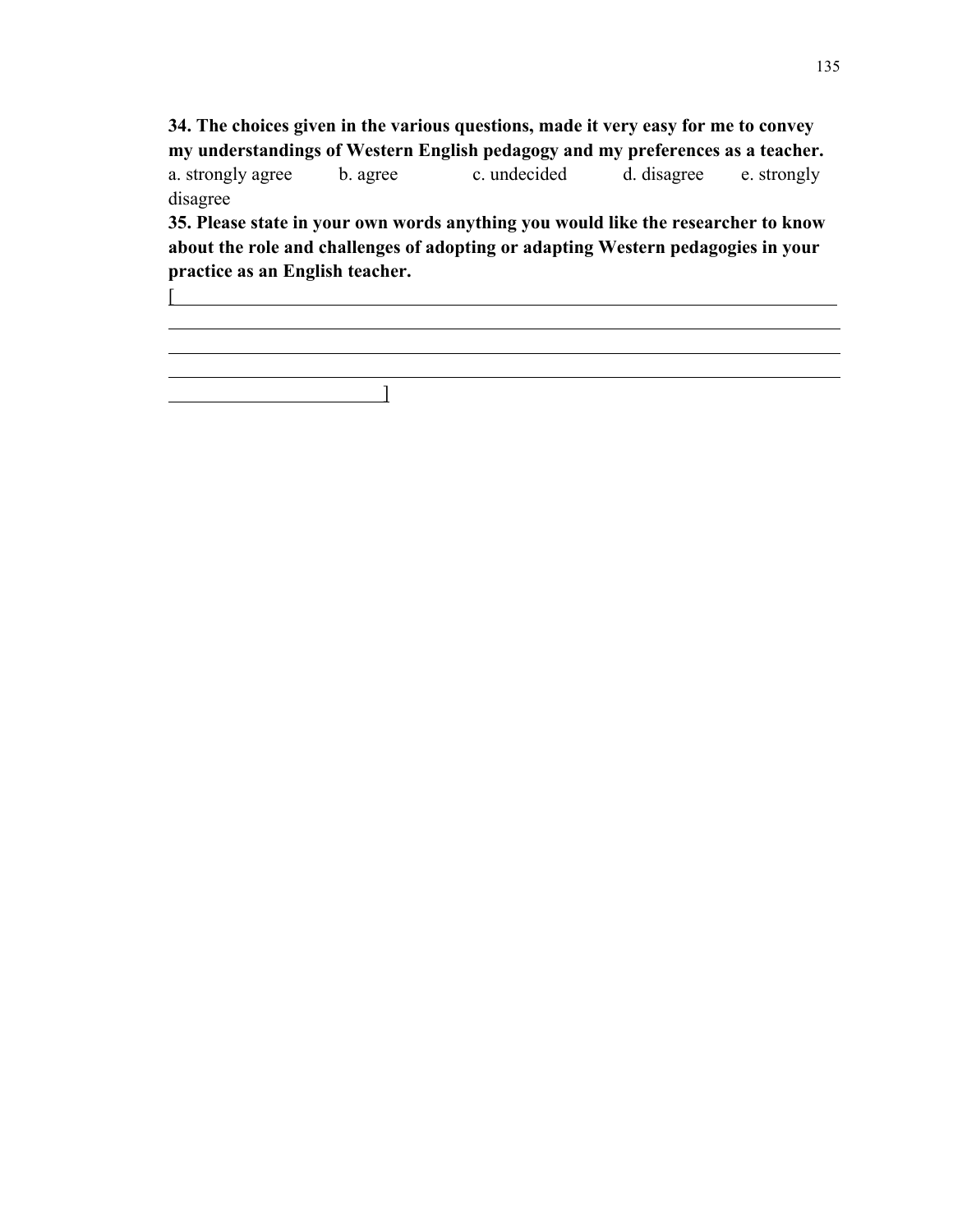**34. The choices given in the various questions, made it very easy for me to convey my understandings of Western English pedagogy and my preferences as a teacher.** a. strongly agree b. agree c. undecided d. disagree e. strongly disagree

**35. Please state in your own words anything you would like the researcher to know about the role and challenges of adopting or adapting Western pedagogies in your practice as an English teacher.**

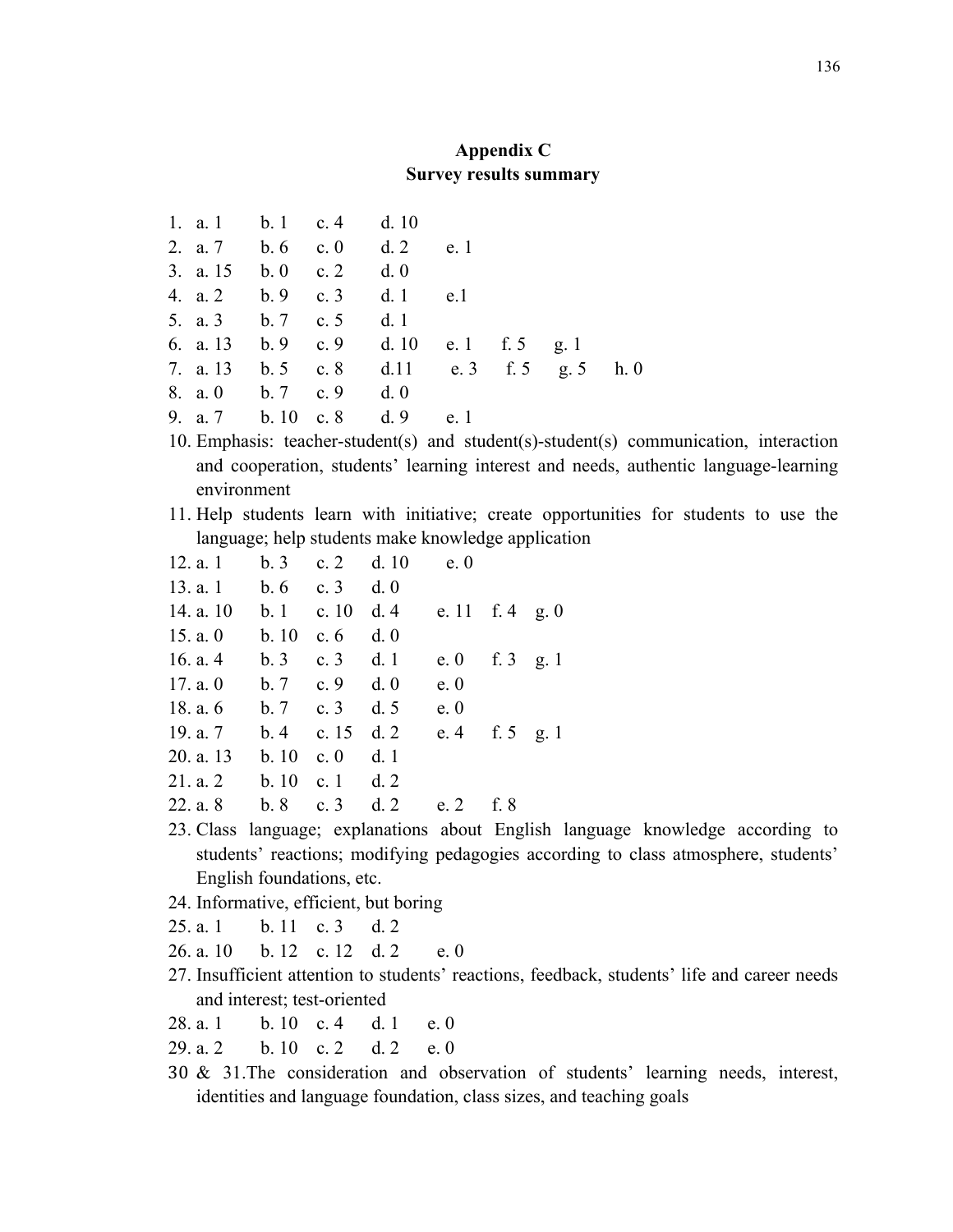## **Appendix C Survey results summary**

|  | 1. a. 1 b. 1 c. 4 d. 10 |                                              |  |  |
|--|-------------------------|----------------------------------------------|--|--|
|  |                         | 2. a. 7 b. 6 c. 0 d. 2 e. 1                  |  |  |
|  | 3. a. 15 b. 0 c. 2 d. 0 |                                              |  |  |
|  |                         | 4. a. 2 b. 9 c. 3 d. 1 e.1                   |  |  |
|  | 5. a. 3 b. 7 c. 5 d. 1  |                                              |  |  |
|  |                         | 6. a. 13 b. 9 c. 9 d. 10 e. 1 f. 5 g. 1      |  |  |
|  |                         | 7. a. 13 b. 5 c. 8 d. 11 e. 3 f. 5 g. 5 h. 0 |  |  |
|  | 8. a. 0 b. 7 c. 9 d. 0  |                                              |  |  |
|  |                         | 9. a. 7 b. 10 c. 8 d. 9 e. 1                 |  |  |

- 10. Emphasis: teacher-student(s) and student(s)-student(s) communication, interaction and cooperation, students' learning interest and needs, authentic language-learning environment
- 11. Help students learn with initiative; create opportunities for students to use the language; help students make knowledge application

| 12. a. 1   | b.3        | c. 2 d. 10  |     | e.0             |  |
|------------|------------|-------------|-----|-----------------|--|
| 13. a. 1   | b.6        | c. 3 d. 0   |     |                 |  |
| 14. a. 10  | b.1        | c. 10       | d.4 | e. 11 f. 4 g. 0 |  |
| 15. a. $0$ | b.10       | c. $6$      | d.0 |                 |  |
| 16. a. $4$ | b.3        | c. $3$      | d.1 | e. 0 f. 3 g. 1  |  |
| 17. a. $0$ | b.7        | c. $9$      | d.0 | e.0             |  |
| 18. a. $6$ | $b.7$ c. 3 |             | d.5 | e.0             |  |
| 19. a. 7   | b.4        | c. $15$     | d.2 | e. 4 f. 5 g. 1  |  |
| 20. a. 13  | b.10       | c. $\theta$ | d.1 |                 |  |
| 21. a. 2   | b.10       | c. $1$      | d.2 |                 |  |
| 22. a. 8   | b.8        | c. $3$      | d.2 | e. 2 f. 8       |  |
|            |            |             |     |                 |  |

- 23. Class language; explanations about English language knowledge according to students' reactions; modifying pedagogies according to class atmosphere, students' English foundations, etc.
- 24. Informative, efficient, but boring
- 25. a. 1 b. 11 c. 3 d. 2
- 26. a. 10 b. 12 c. 12 d. 2 e. 0
- 27. Insufficient attention to students' reactions, feedback, students' life and career needs and interest; test-oriented
- 28. a. 1 b. 10 c. 4 d. 1 e. 0
- $29a2$  b. 10 c. 2 d. 2 e. 0
- 30 & 31.The consideration and observation of students' learning needs, interest, identities and language foundation, class sizes, and teaching goals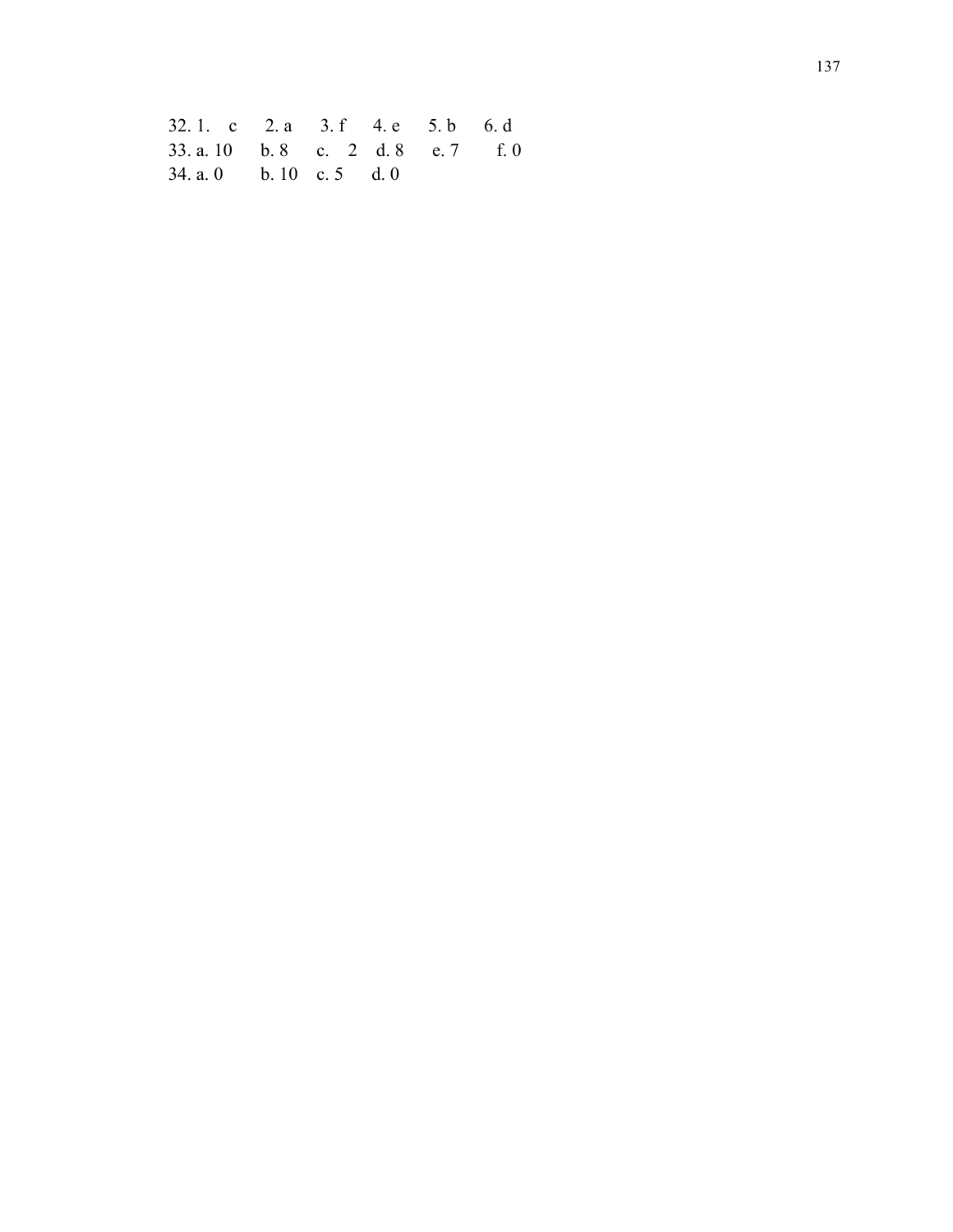32. 1. c 2. a 3. f 4. e 5. b 6. d 33. a. 10 b. 8 c. 2 d. 8 34. a. 0 b. 10 c. 5 d. 0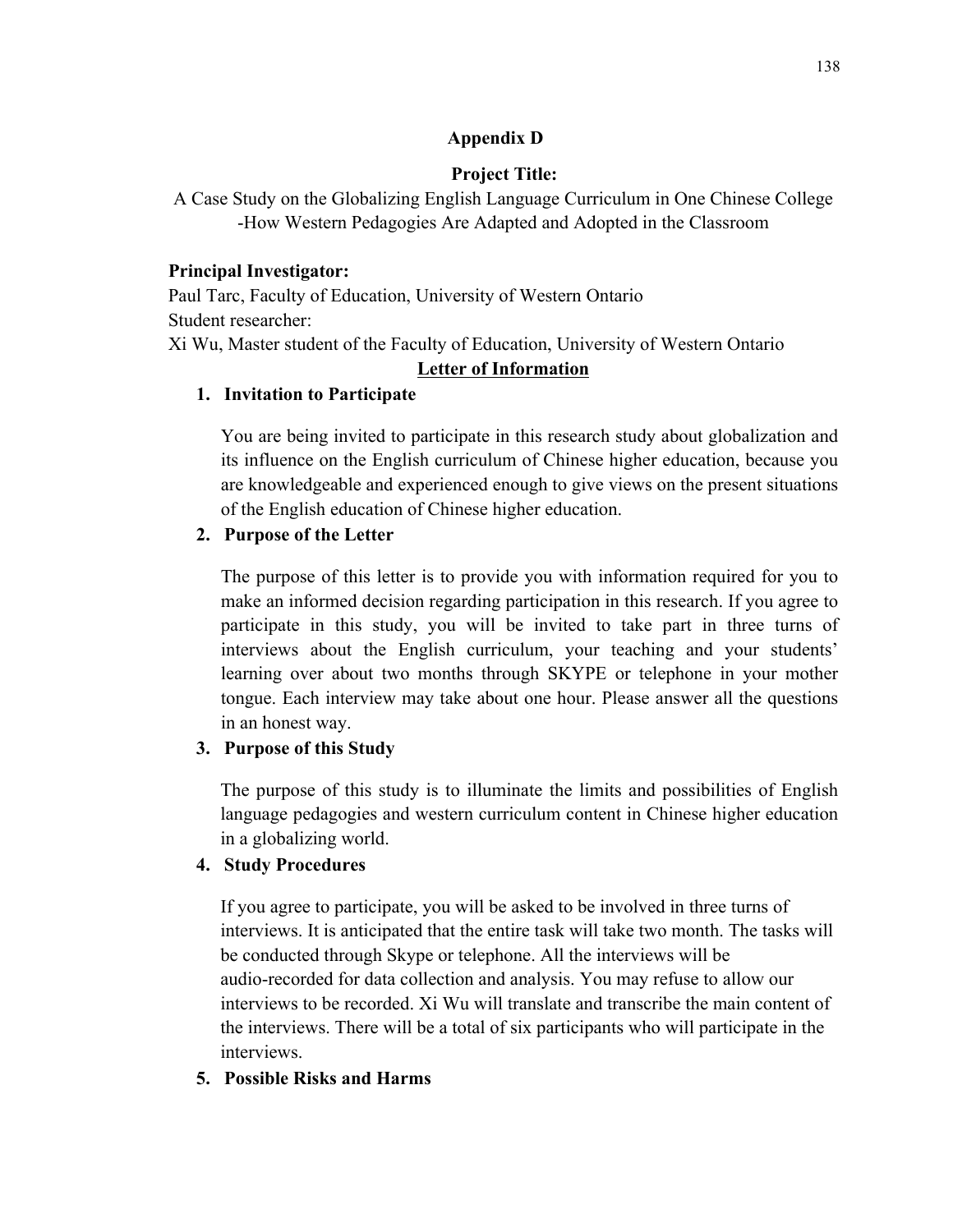### **Appendix D**

# **Project Title:**

A Case Study on the Globalizing English Language Curriculum in One Chinese College -How Western Pedagogies Are Adapted and Adopted in the Classroom

# **Principal Investigator:**

Paul Tarc, Faculty of Education, University of Western Ontario Student researcher: Xi Wu, Master student of the Faculty of Education, University of Western Ontario

# **Letter of Information**

# **1. Invitation to Participate**

You are being invited to participate in this research study about globalization and its influence on the English curriculum of Chinese higher education, because you are knowledgeable and experienced enough to give views on the present situations of the English education of Chinese higher education.

# **2. Purpose of the Letter**

The purpose of this letter is to provide you with information required for you to make an informed decision regarding participation in this research. If you agree to participate in this study, you will be invited to take part in three turns of interviews about the English curriculum, your teaching and your students' learning over about two months through SKYPE or telephone in your mother tongue. Each interview may take about one hour. Please answer all the questions in an honest way.

# **3. Purpose of this Study**

The purpose of this study is to illuminate the limits and possibilities of English language pedagogies and western curriculum content in Chinese higher education in a globalizing world.

# **4. Study Procedures**

If you agree to participate, you will be asked to be involved in three turns of interviews. It is anticipated that the entire task will take two month. The tasks will be conducted through Skype or telephone. All the interviews will be audio-recorded for data collection and analysis. You may refuse to allow our interviews to be recorded. Xi Wu will translate and transcribe the main content of the interviews. There will be a total of six participants who will participate in the interviews.

# **5. Possible Risks and Harms**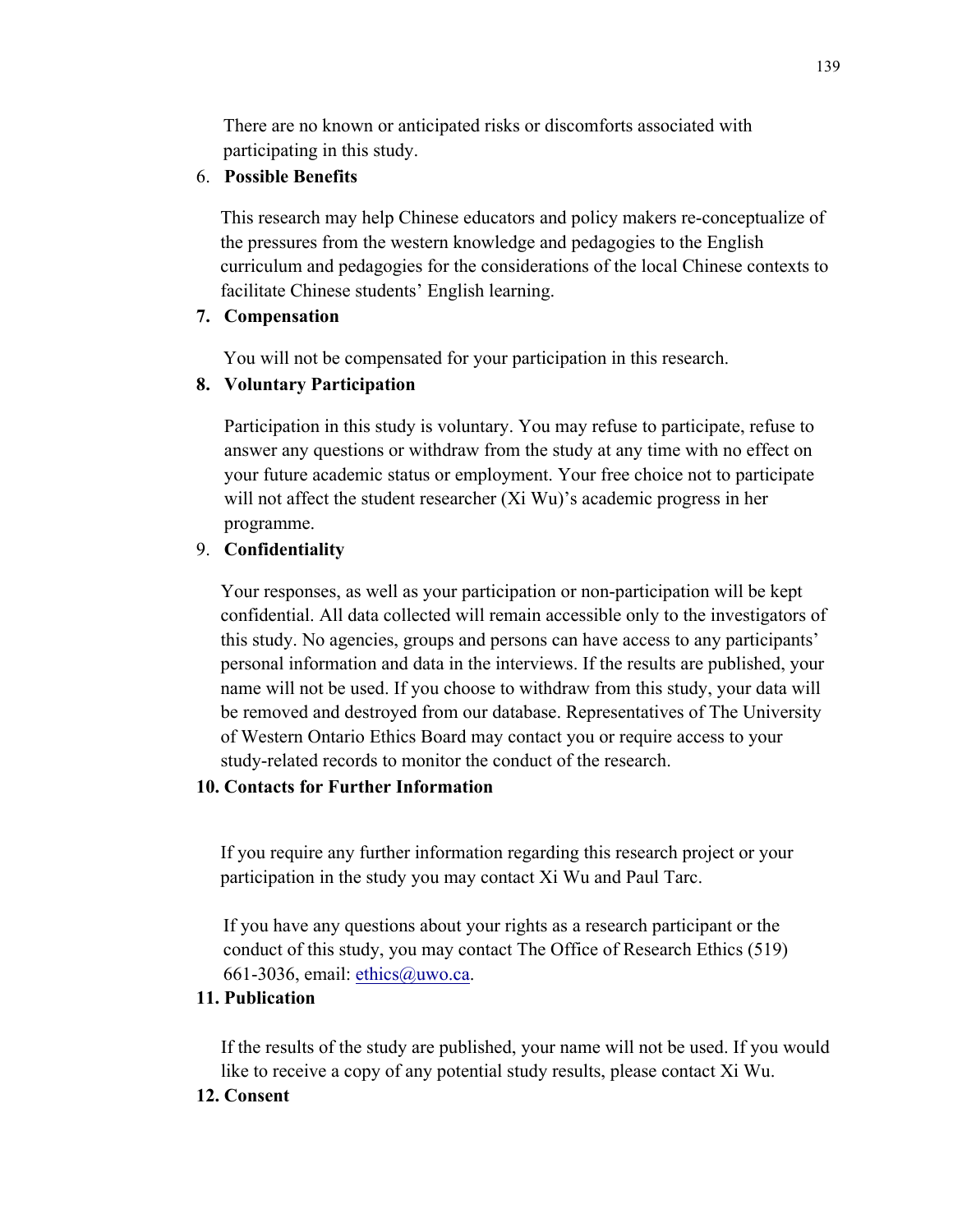There are no known or anticipated risks or discomforts associated with participating in this study.

#### 6. **Possible Benefits**

This research may help Chinese educators and policy makers re-conceptualize of the pressures from the western knowledge and pedagogies to the English curriculum and pedagogies for the considerations of the local Chinese contexts to facilitate Chinese students' English learning.

### **7. Compensation**

You will not be compensated for your participation in this research.

### **8. Voluntary Participation**

Participation in this study is voluntary. You may refuse to participate, refuse to answer any questions or withdraw from the study at any time with no effect on your future academic status or employment. Your free choice not to participate will not affect the student researcher (Xi Wu)'s academic progress in her programme.

# 9. **Confidentiality**

Your responses, as well as your participation or non-participation will be kept confidential. All data collected will remain accessible only to the investigators of this study. No agencies, groups and persons can have access to any participants' personal information and data in the interviews. If the results are published, your name will not be used. If you choose to withdraw from this study, your data will be removed and destroyed from our database. Representatives of The University of Western Ontario Ethics Board may contact you or require access to your study-related records to monitor the conduct of the research.

### **10. Contacts for Further Information**

If you require any further information regarding this research project or your participation in the study you may contact Xi Wu and Paul Tarc.

If you have any questions about your rights as a research participant or the conduct of this study, you may contact The Office of Research Ethics (519) 661-3036, email: ethics@uwo.ca.

### **11. Publication**

If the results of the study are published, your name will not be used. If you would like to receive a copy of any potential study results, please contact Xi Wu.

### **12. Consent**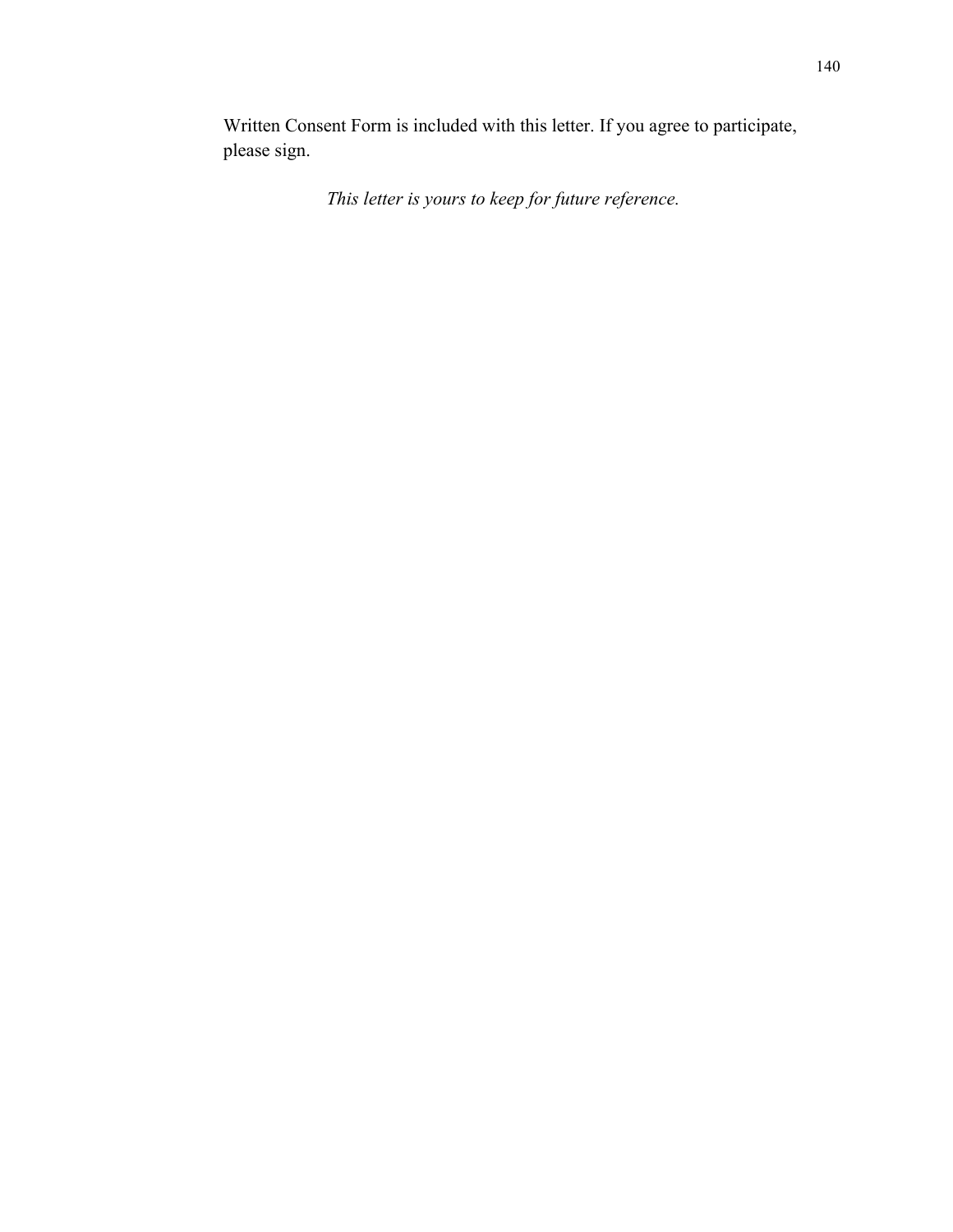Written Consent Form is included with this letter. If you agree to participate, please sign.

*This letter is yours to keep for future reference.*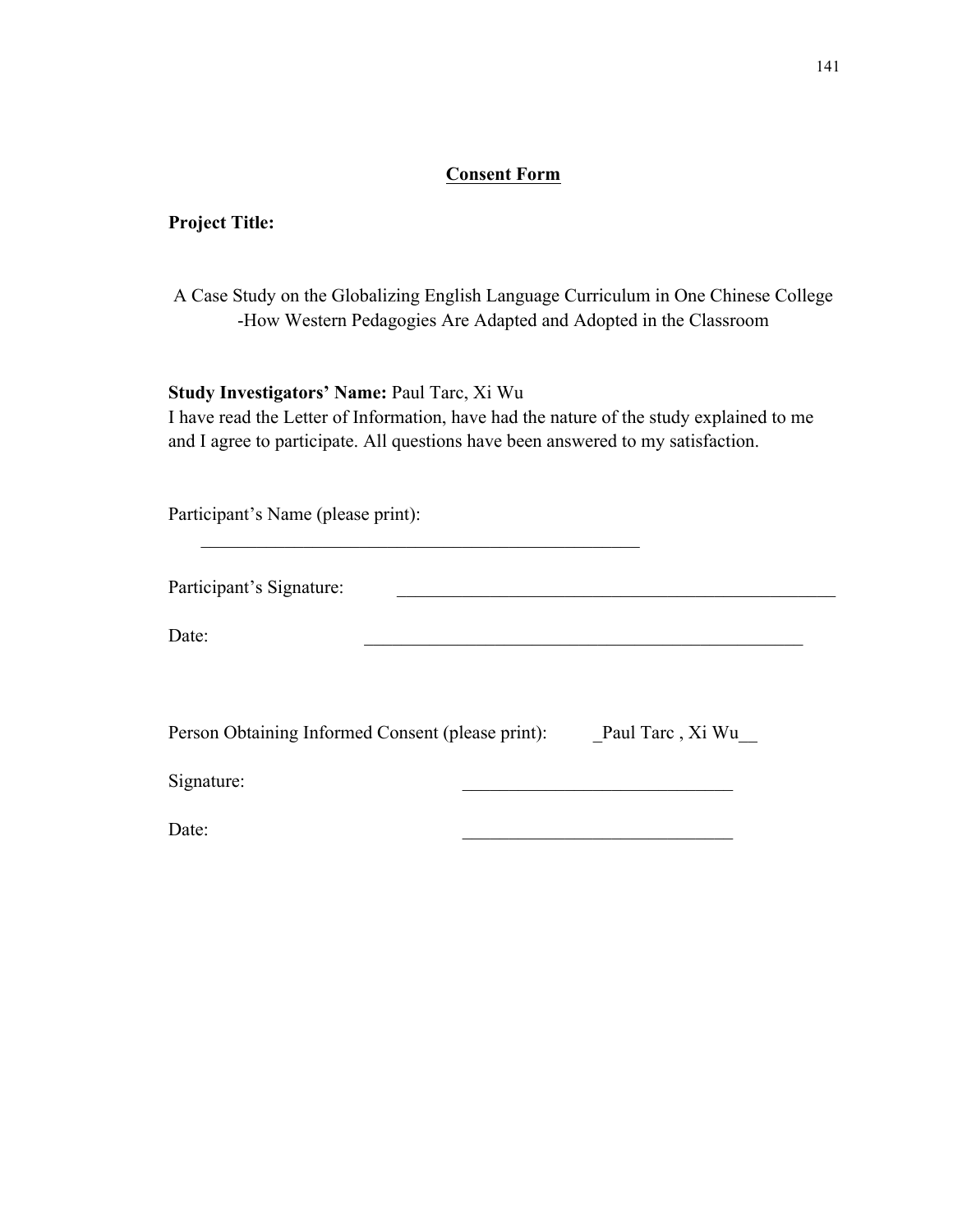# **Consent Form**

#### **Project Title:**

| A Case Study on the Globalizing English Language Curriculum in One Chinese College |
|------------------------------------------------------------------------------------|
| -How Western Pedagogies Are Adapted and Adopted in the Classroom                   |

# **Study Investigators' Name:** Paul Tarc, Xi Wu

I have read the Letter of Information, have had the nature of the study explained to me and I agree to participate. All questions have been answered to my satisfaction.

Participant's Name (please print):

Participant's Signature:

Date:

| Person Obtaining Informed Consent (please print):<br>Paul Tarc, Xi Wu |
|-----------------------------------------------------------------------|
|-----------------------------------------------------------------------|

 $\mathcal{L}_\mathcal{L}$  , and the set of the set of the set of the set of the set of the set of the set of the set of the set of the set of the set of the set of the set of the set of the set of the set of the set of the set of th

Signature:

 $Date:$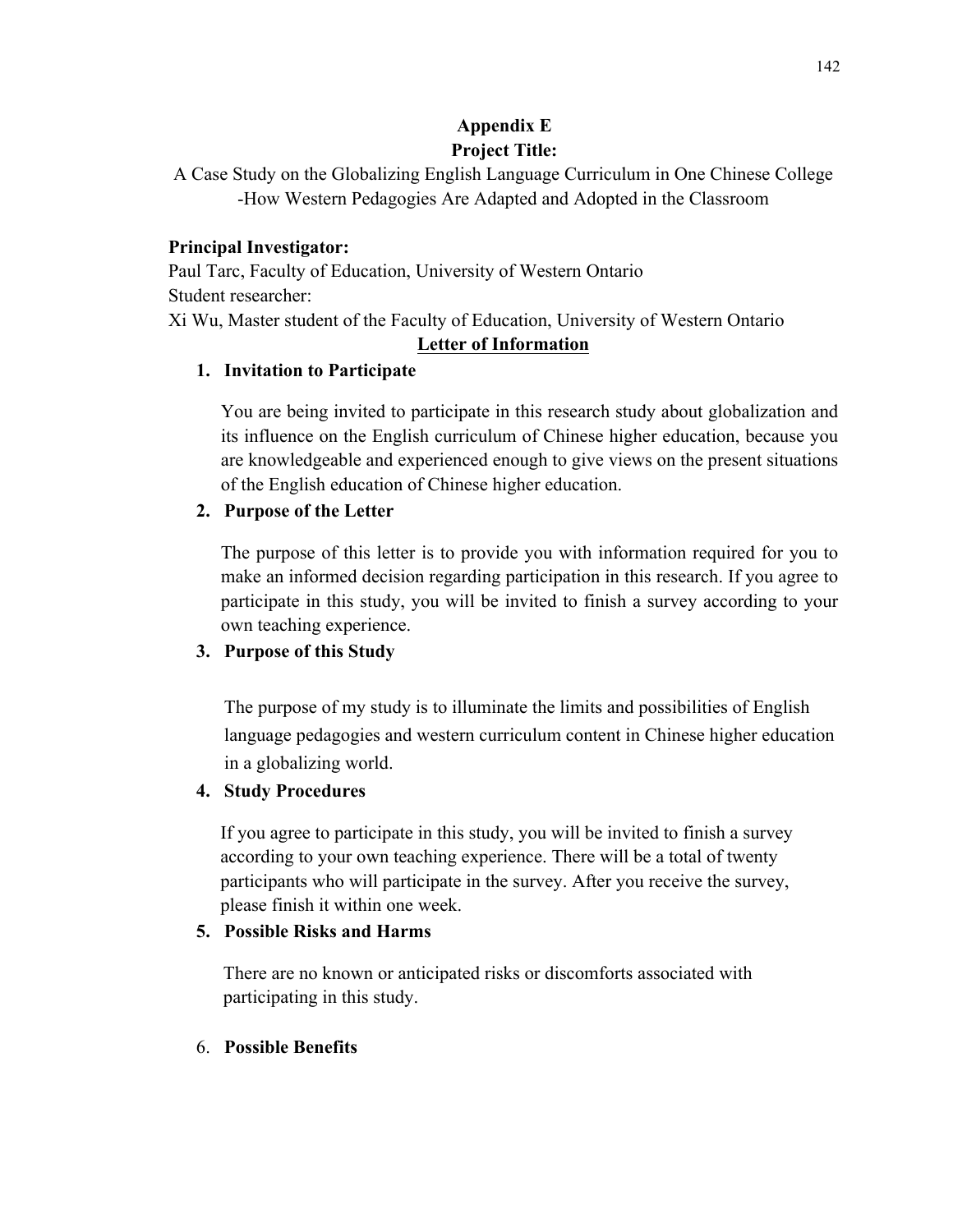# **Appendix E Project Title:**

# **Principal Investigator:**

Paul Tarc, Faculty of Education, University of Western Ontario Student researcher: Xi Wu, Master student of the Faculty of Education, University of Western Ontario

# **Letter of Information**

# **1. Invitation to Participate**

You are being invited to participate in this research study about globalization and its influence on the English curriculum of Chinese higher education, because you are knowledgeable and experienced enough to give views on the present situations of the English education of Chinese higher education.

# **2. Purpose of the Letter**

The purpose of this letter is to provide you with information required for you to make an informed decision regarding participation in this research. If you agree to participate in this study, you will be invited to finish a survey according to your own teaching experience.

# **3. Purpose of this Study**

The purpose of my study is to illuminate the limits and possibilities of English language pedagogies and western curriculum content in Chinese higher education in a globalizing world.

# **4. Study Procedures**

If you agree to participate in this study, you will be invited to finish a survey according to your own teaching experience. There will be a total of twenty participants who will participate in the survey. After you receive the survey, please finish it within one week.

# **5. Possible Risks and Harms**

There are no known or anticipated risks or discomforts associated with participating in this study.

# 6. **Possible Benefits**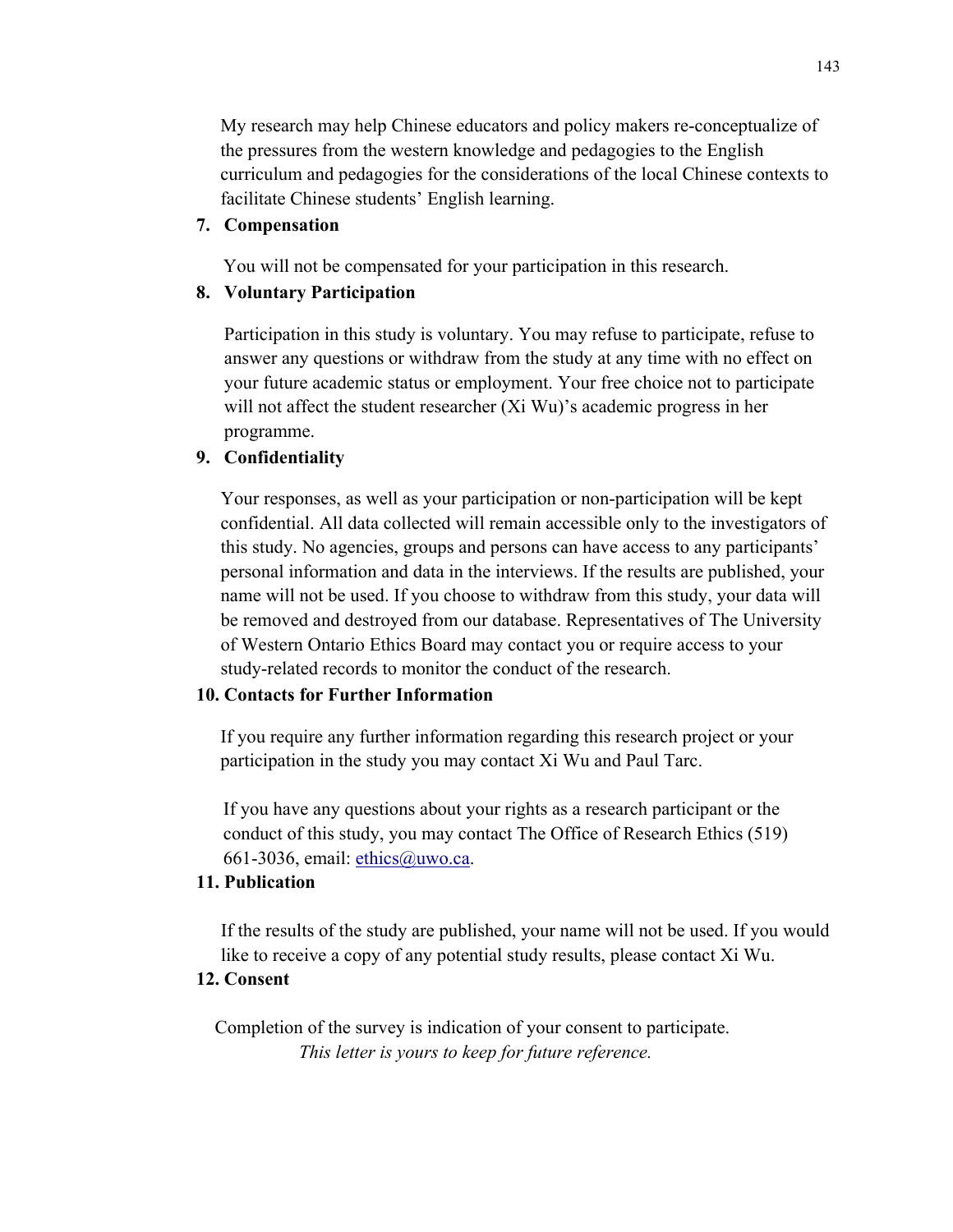My research may help Chinese educators and policy makers re-conceptualize of the pressures from the western knowledge and pedagogies to the English curriculum and pedagogies for the considerations of the local Chinese contexts to facilitate Chinese students' English learning.

#### **7. Compensation**

You will not be compensated for your participation in this research.

#### **8. Voluntary Participation**

Participation in this study is voluntary. You may refuse to participate, refuse to answer any questions or withdraw from the study at any time with no effect on your future academic status or employment. Your free choice not to participate will not affect the student researcher (Xi Wu)'s academic progress in her programme.

#### **9. Confidentiality**

Your responses, as well as your participation or non-participation will be kept confidential. All data collected will remain accessible only to the investigators of this study. No agencies, groups and persons can have access to any participants' personal information and data in the interviews. If the results are published, your name will not be used. If you choose to withdraw from this study, your data will be removed and destroyed from our database. Representatives of The University of Western Ontario Ethics Board may contact you or require access to your study-related records to monitor the conduct of the research.

#### **10. Contacts for Further Information**

If you require any further information regarding this research project or your participation in the study you may contact Xi Wu and Paul Tarc.

If you have any questions about your rights as a research participant or the conduct of this study, you may contact The Office of Research Ethics (519) 661-3036, email: ethics@uwo.ca.

### **11. Publication**

If the results of the study are published, your name will not be used. If you would like to receive a copy of any potential study results, please contact Xi Wu.

#### **12. Consent**

Completion of the survey is indication of your consent to participate.  *This letter is yours to keep for future reference.*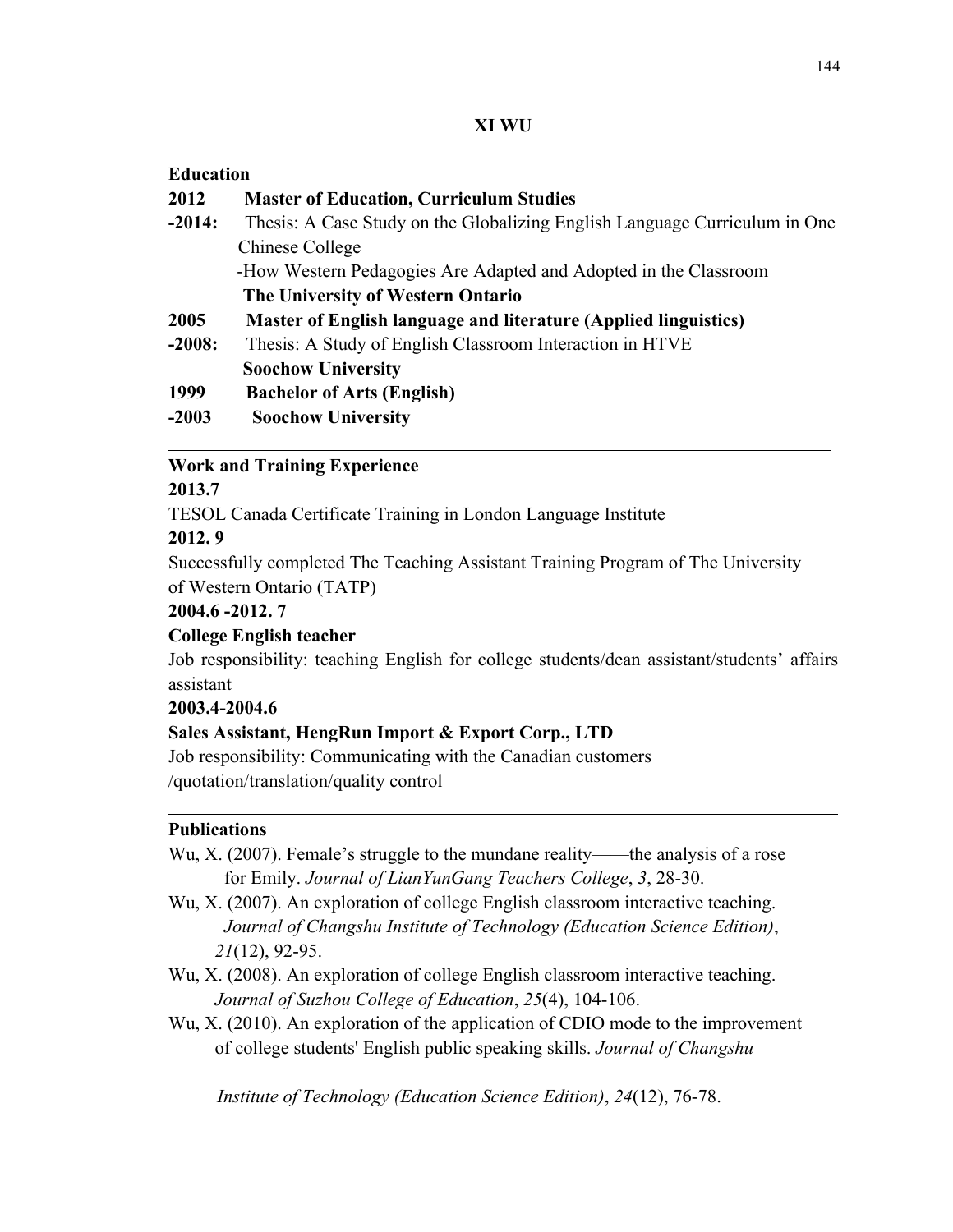**XI WU**

| <b>Education</b> |                                                                            |
|------------------|----------------------------------------------------------------------------|
| 2012             | <b>Master of Education, Curriculum Studies</b>                             |
| $-2014:$         | Thesis: A Case Study on the Globalizing English Language Curriculum in One |
|                  | Chinese College                                                            |
|                  | -How Western Pedagogies Are Adapted and Adopted in the Classroom           |
|                  | The University of Western Ontario                                          |
| 2005             | Master of English language and literature (Applied linguistics)            |
| $-2008:$         | Thesis: A Study of English Classroom Interaction in HTVE                   |
|                  | <b>Soochow University</b>                                                  |
| 1999             | <b>Bachelor of Arts (English)</b>                                          |
| $-2003$          | <b>Soochow University</b>                                                  |

#### **Work and Training Experience**

#### **2013.7**

 $\overline{a}$ 

TESOL Canada Certificate Training in London Language Institute

#### **2012. 9**

Successfully completed The Teaching Assistant Training Program of The University of Western Ontario (TATP)

### **2004.6 -2012. 7**

### **College English teacher**

Job responsibility: teaching English for college students/dean assistant/students' affairs assistant

#### **2003.4-2004.6**

### **Sales Assistant, HengRun Import & Export Corp., LTD**

Job responsibility: Communicating with the Canadian customers /quotation/translation/quality control

### **Publications**

 $\overline{a}$ 

- Wu, X. (2007). Female's struggle to the mundane reality——the analysis of a rose for Emily. *Journal of LianYunGang Teachers College*, *3*, 28-30.
- Wu, X. (2007). An exploration of college English classroom interactive teaching. *Journal of Changshu Institute of Technology (Education Science Edition)*, *21*(12), 92-95.
- Wu, X. (2008). An exploration of college English classroom interactive teaching. *Journal of Suzhou College of Education*, *25*(4), 104-106.
- Wu, X. (2010). An exploration of the application of CDIO mode to the improvement of college students' English public speaking skills. *Journal of Changshu*

*Institute of Technology (Education Science Edition)*, *24*(12), 76-78.